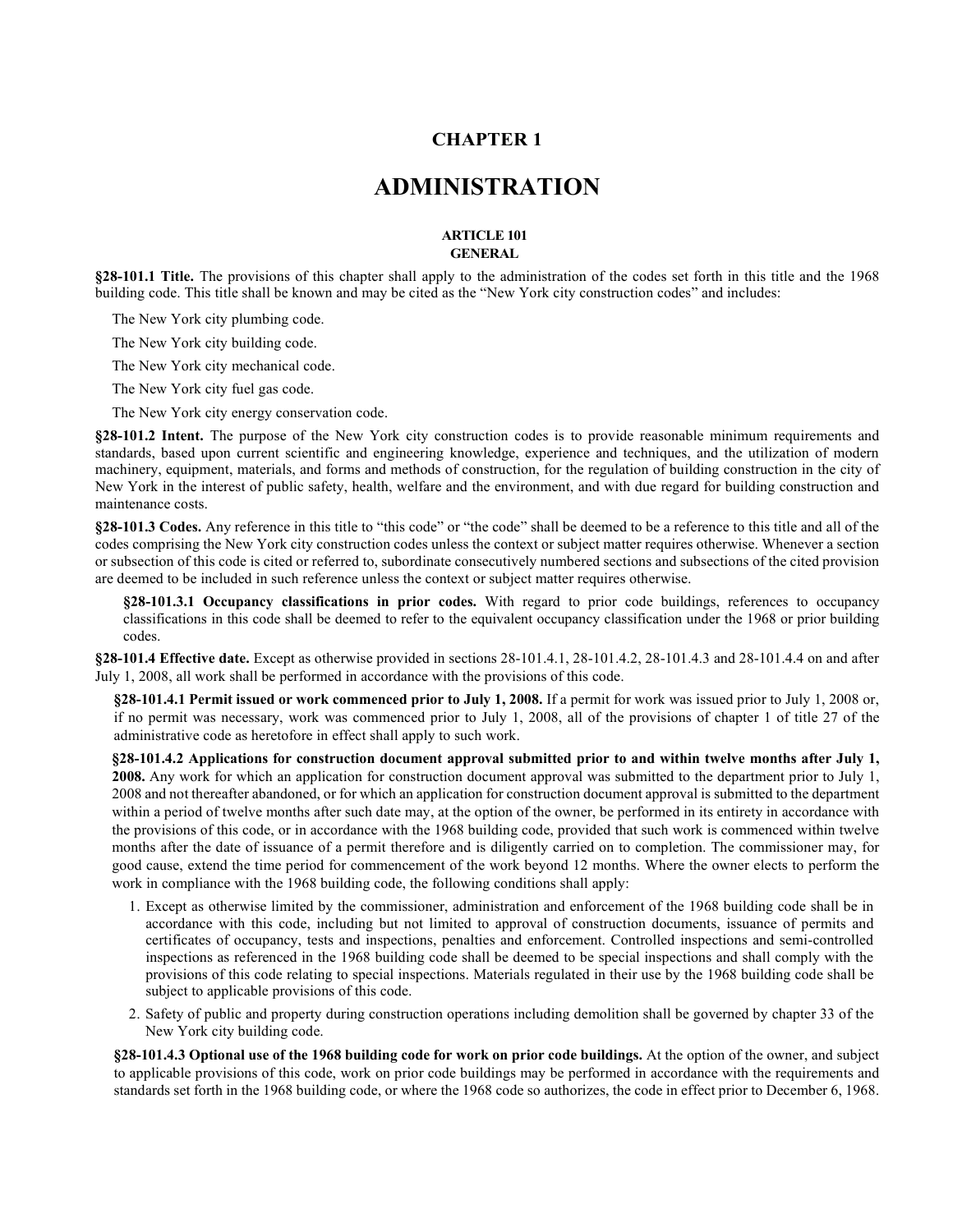## **CHAPTER 1**

# **ADMINISTRATION**

#### **ARTICLE 101 GENERAL**

**§28-101.1 Title.** The provisions of this chapter shall apply to the administration of the codes set forth in this title and the 1968 building code. This title shall be known and may be cited as the "New York city construction codes" and includes:

The New York city plumbing code.

The New York city building code.

The New York city mechanical code.

The New York city fuel gas code.

The New York city energy conservation code.

**§28-101.2 Intent.** The purpose of the New York city construction codes is to provide reasonable minimum requirements and standards, based upon current scientific and engineering knowledge, experience and techniques, and the utilization of modern machinery, equipment, materials, and forms and methods of construction, for the regulation of building construction in the city of New York in the interest of public safety, health, welfare and the environment, and with due regard for building construction and maintenance costs.

**§28-101.3 Codes.** Any reference in this title to "this code" or "the code" shall be deemed to be a reference to this title and all of the codes comprising the New York city construction codes unless the context or subject matter requires otherwise. Whenever a section or subsection of this code is cited or referred to, subordinate consecutively numbered sections and subsections of the cited provision are deemed to be included in such reference unless the context or subject matter requires otherwise.

**§28-101.3.1 Occupancy classifications in prior codes.** With regard to prior code buildings, references to occupancy classifications in this code shall be deemed to refer to the equivalent occupancy classification under the 1968 or prior building codes.

**§28-101.4 Effective date.** Except as otherwise provided in sections 28-101.4.1, 28-101.4.2, 28-101.4.3 and 28-101.4.4 on and after July 1, 2008, all work shall be performed in accordance with the provisions of this code.

**§28-101.4.1 Permit issued or work commenced prior to July 1, 2008.** If a permit for work was issued prior to July 1, 2008 or, if no permit was necessary, work was commenced prior to July 1, 2008, all of the provisions of chapter 1 of title 27 of the administrative code as heretofore in effect shall apply to such work.

**§28-101.4.2 Applications for construction document approval submitted prior to and within twelve months after July 1, 2008.** Any work for which an application for construction document approval was submitted to the department prior to July 1, 2008 and not thereafter abandoned, or for which an application for construction document approval is submitted to the department within a period of twelve months after such date may, at the option of the owner, be performed in its entirety in accordance with the provisions of this code, or in accordance with the 1968 building code, provided that such work is commenced within twelve months after the date of issuance of a permit therefore and is diligently carried on to completion. The commissioner may, for good cause, extend the time period for commencement of the work beyond 12 months. Where the owner elects to perform the work in compliance with the 1968 building code, the following conditions shall apply:

- 1. Except as otherwise limited by the commissioner, administration and enforcement of the 1968 building code shall be in accordance with this code, including but not limited to approval of construction documents, issuance of permits and certificates of occupancy, tests and inspections, penalties and enforcement. Controlled inspections and semi-controlled inspections as referenced in the 1968 building code shall be deemed to be special inspections and shall comply with the provisions of this code relating to special inspections. Materials regulated in their use by the 1968 building code shall be subject to applicable provisions of this code.
- 2. Safety of public and property during construction operations including demolition shall be governed by chapter 33 of the New York city building code.

**§28-101.4.3 Optional use of the 1968 building code for work on prior code buildings.** At the option of the owner, and subject to applicable provisions of this code, work on prior code buildings may be performed in accordance with the requirements and standards set forth in the 1968 building code, or where the 1968 code so authorizes, the code in effect prior to December 6, 1968.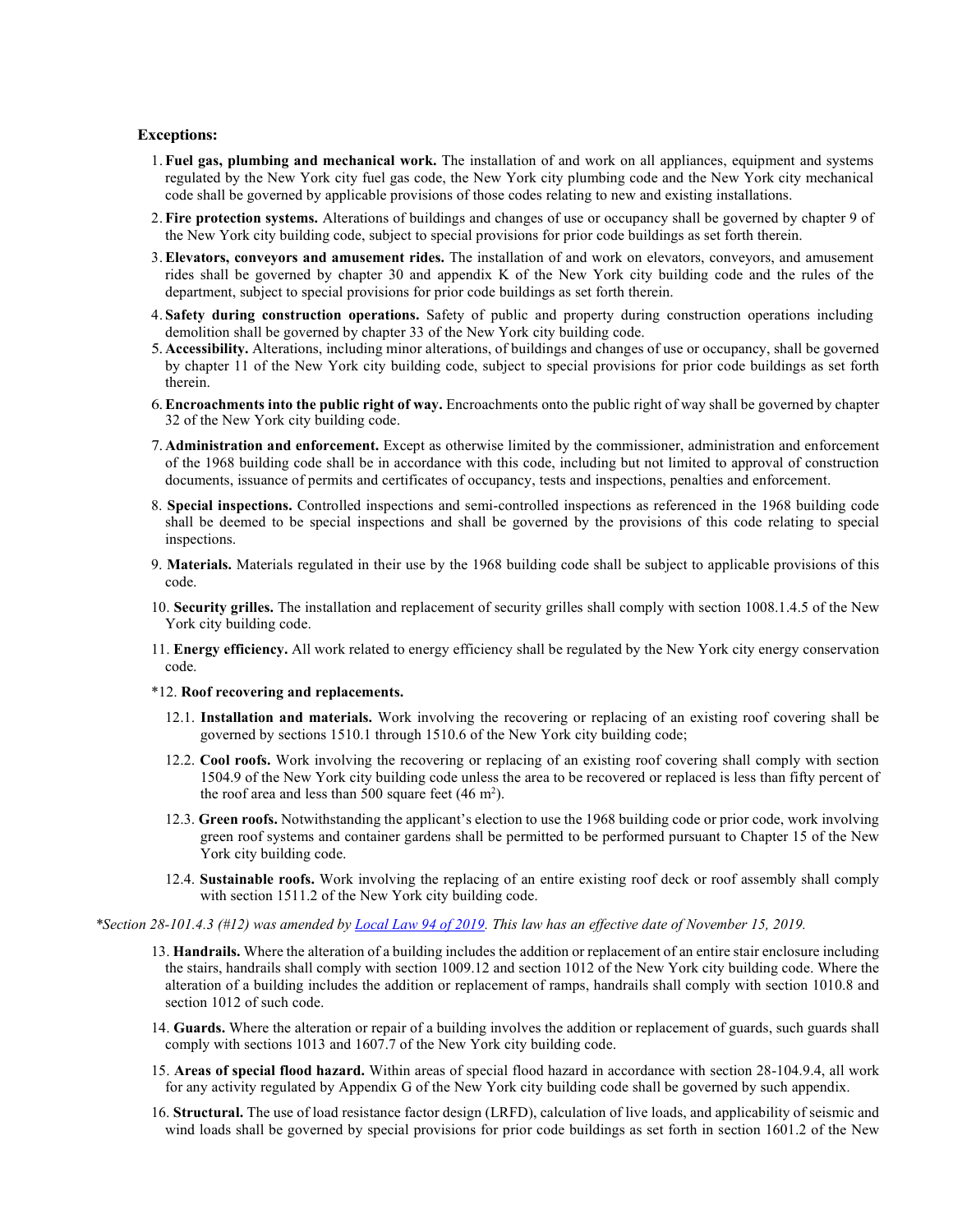#### **Exceptions:**

- 1. **Fuel gas, plumbing and mechanical work.** The installation of and work on all appliances, equipment and systems regulated by the New York city fuel gas code, the New York city plumbing code and the New York city mechanical code shall be governed by applicable provisions of those codes relating to new and existing installations.
- 2. **Fire protection systems.** Alterations of buildings and changes of use or occupancy shall be governed by chapter 9 of the New York city building code, subject to special provisions for prior code buildings as set forth therein.
- 3.**Elevators, conveyors and amusement rides.** The installation of and work on elevators, conveyors, and amusement rides shall be governed by chapter 30 and appendix K of the New York city building code and the rules of the department, subject to special provisions for prior code buildings as set forth therein.
- 4. **Safety during construction operations.** Safety of public and property during construction operations including demolition shall be governed by chapter 33 of the New York city building code.
- 5.**Accessibility.** Alterations, including minor alterations, of buildings and changes of use or occupancy, shall be governed by chapter 11 of the New York city building code, subject to special provisions for prior code buildings as set forth therein.
- 6.**Encroachments into the public right of way.** Encroachments onto the public right of way shall be governed by chapter 32 of the New York city building code.
- 7.**Administration and enforcement.** Except as otherwise limited by the commissioner, administration and enforcement of the 1968 building code shall be in accordance with this code, including but not limited to approval of construction documents, issuance of permits and certificates of occupancy, tests and inspections, penalties and enforcement.
- 8. **Special inspections.** Controlled inspections and semi-controlled inspections as referenced in the 1968 building code shall be deemed to be special inspections and shall be governed by the provisions of this code relating to special inspections.
- 9. **Materials.** Materials regulated in their use by the 1968 building code shall be subject to applicable provisions of this code.
- 10. **Security grilles.** The installation and replacement of security grilles shall comply with section 1008.1.4.5 of the New York city building code.
- 11. **Energy efficiency.** All work related to energy efficiency shall be regulated by the New York city energy conservation code.
- \*12. **Roof recovering and replacements.**
	- 12.1. **Installation and materials.** Work involving the recovering or replacing of an existing roof covering shall be governed by sections 1510.1 through 1510.6 of the New York city building code;
	- 12.2. **Cool roofs.** Work involving the recovering or replacing of an existing roof covering shall comply with section 1504.9 of the New York city building code unless the area to be recovered or replaced is less than fifty percent of the roof area and less than 500 square feet  $(46 \text{ m}^2)$ .
	- 12.3. **Green roofs.** Notwithstanding the applicant's election to use the 1968 building code or prior code, work involving green roof systems and container gardens shall be permitted to be performed pursuant to Chapter 15 of the New York city building code.
	- 12.4. **Sustainable roofs.** Work involving the replacing of an entire existing roof deck or roof assembly shall comply with section 1511.2 of the New York city building code.

*\*Section 28-101.4.3 (#12) was amended by [Local Law 94 of 2019.](https://www1.nyc.gov/assets/buildings/local_laws/ll94of2019.pdf) This law has an effective date of November 15, 2019.*

- 13. **Handrails.** Where the alteration of a building includes the addition or replacement of an entire stair enclosure including the stairs, handrails shall comply with section 1009.12 and section 1012 of the New York city building code. Where the alteration of a building includes the addition or replacement of ramps, handrails shall comply with section 1010.8 and section 1012 of such code.
- 14. **Guards.** Where the alteration or repair of a building involves the addition or replacement of guards, such guards shall comply with sections 1013 and 1607.7 of the New York city building code.
- 15. **Areas of special flood hazard.** Within areas of special flood hazard in accordance with section 28-104.9.4, all work for any activity regulated by Appendix G of the New York city building code shall be governed by such appendix.
- 16. **Structural.** The use of load resistance factor design (LRFD), calculation of live loads, and applicability of seismic and wind loads shall be governed by special provisions for prior code buildings as set forth in section 1601.2 of the New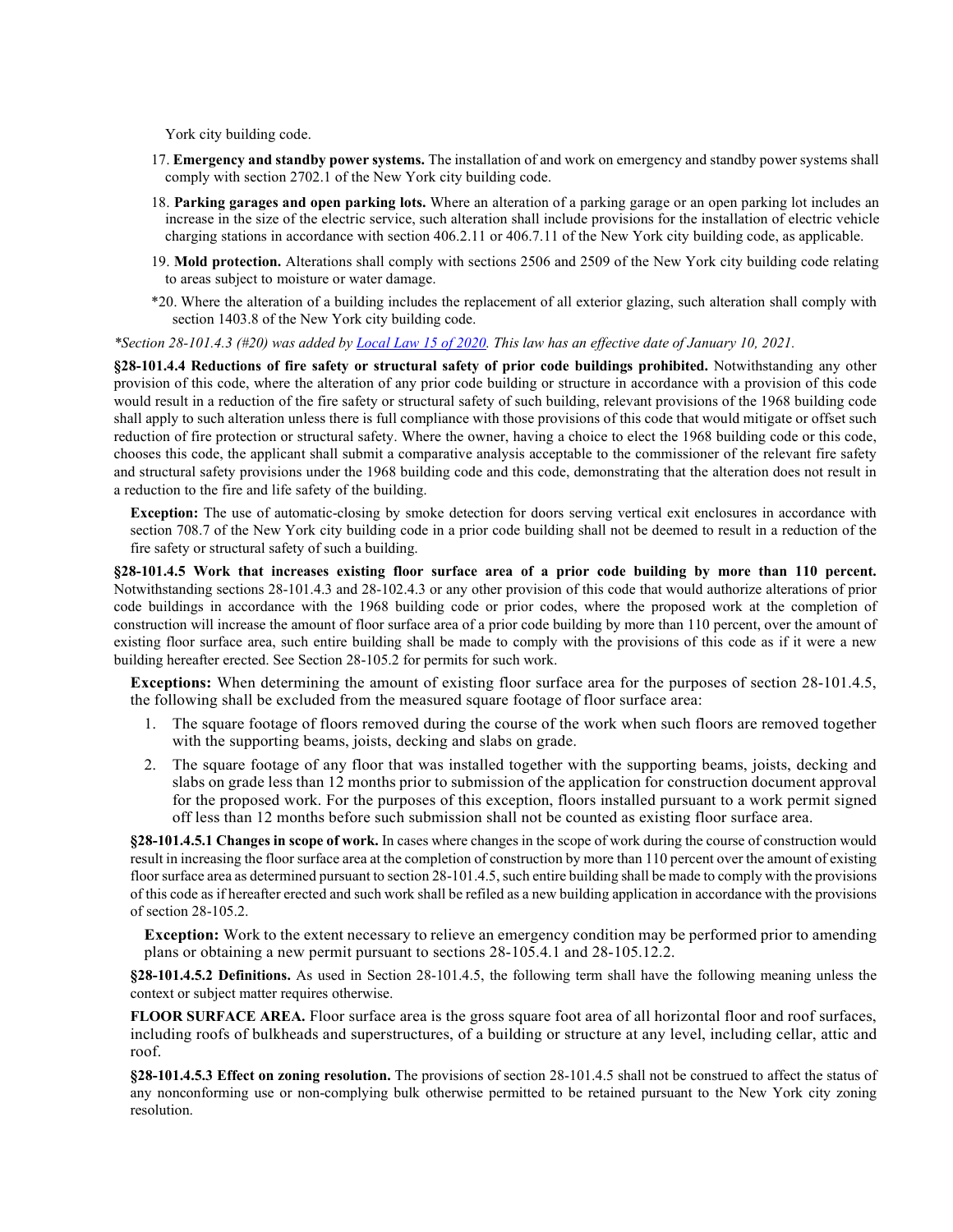York city building code.

- 17. **Emergency and standby power systems.** The installation of and work on emergency and standby power systems shall comply with section 2702.1 of the New York city building code.
- 18. **Parking garages and open parking lots.** Where an alteration of a parking garage or an open parking lot includes an increase in the size of the electric service, such alteration shall include provisions for the installation of electric vehicle charging stations in accordance with section 406.2.11 or 406.7.11 of the New York city building code, as applicable.
- 19. **Mold protection.** Alterations shall comply with sections 2506 and 2509 of the New York city building code relating to areas subject to moisture or water damage.
- \*20. Where the alteration of a building includes the replacement of all exterior glazing, such alteration shall comply with section 1403.8 of the New York city building code.

*\*Section 28-101.4.3 (#20) was added by [Local Law 15 of 2020.](https://www1.nyc.gov/assets/buildings/local_laws/ll15of2020.pdf) This law has an effective date of January 10, 2021.*

**§28-101.4.4 Reductions of fire safety or structural safety of prior code buildings prohibited.** Notwithstanding any other provision of this code, where the alteration of any prior code building or structure in accordance with a provision of this code would result in a reduction of the fire safety or structural safety of such building, relevant provisions of the 1968 building code shall apply to such alteration unless there is full compliance with those provisions of this code that would mitigate or offset such reduction of fire protection or structural safety. Where the owner, having a choice to elect the 1968 building code or this code, chooses this code, the applicant shall submit a comparative analysis acceptable to the commissioner of the relevant fire safety and structural safety provisions under the 1968 building code and this code, demonstrating that the alteration does not result in a reduction to the fire and life safety of the building.

**Exception:** The use of automatic-closing by smoke detection for doors serving vertical exit enclosures in accordance with section 708.7 of the New York city building code in a prior code building shall not be deemed to result in a reduction of the fire safety or structural safety of such a building.

**§28-101.4.5 Work that increases existing floor surface area of a prior code building by more than 110 percent.** Notwithstanding sections 28-101.4.3 and 28-102.4.3 or any other provision of this code that would authorize alterations of prior code buildings in accordance with the 1968 building code or prior codes, where the proposed work at the completion of construction will increase the amount of floor surface area of a prior code building by more than 110 percent, over the amount of existing floor surface area, such entire building shall be made to comply with the provisions of this code as if it were a new building hereafter erected. See Section 28-105.2 for permits for such work.

**Exceptions:** When determining the amount of existing floor surface area for the purposes of section 28-101.4.5, the following shall be excluded from the measured square footage of floor surface area:

- 1. The square footage of floors removed during the course of the work when such floors are removed together with the supporting beams, joists, decking and slabs on grade.
- 2. The square footage of any floor that was installed together with the supporting beams, joists, decking and slabs on grade less than 12 months prior to submission of the application for construction document approval for the proposed work. For the purposes of this exception, floors installed pursuant to a work permit signed off less than 12 months before such submission shall not be counted as existing floor surface area.

**§28-101.4.5.1 Changes in scope of work.** In cases where changes in the scope of work during the course of construction would result in increasing the floor surface area at the completion of construction by more than 110 percent over the amount of existing floor surface area as determined pursuant to section 28-101.4.5, such entire building shall be made to comply with the provisions of this code as if hereafter erected and such work shall be refiled as a new building application in accordance with the provisions of section 28-105.2.

**Exception:** Work to the extent necessary to relieve an emergency condition may be performed prior to amending plans or obtaining a new permit pursuant to sections 28-105.4.1 and 28-105.12.2.

**§28-101.4.5.2 Definitions.** As used in Section 28-101.4.5, the following term shall have the following meaning unless the context or subject matter requires otherwise.

**FLOOR SURFACE AREA.** Floor surface area is the gross square foot area of all horizontal floor and roof surfaces, including roofs of bulkheads and superstructures, of a building or structure at any level, including cellar, attic and roof.

**§28-101.4.5.3 Effect on zoning resolution.** The provisions of section 28-101.4.5 shall not be construed to affect the status of any nonconforming use or non-complying bulk otherwise permitted to be retained pursuant to the New York city zoning resolution.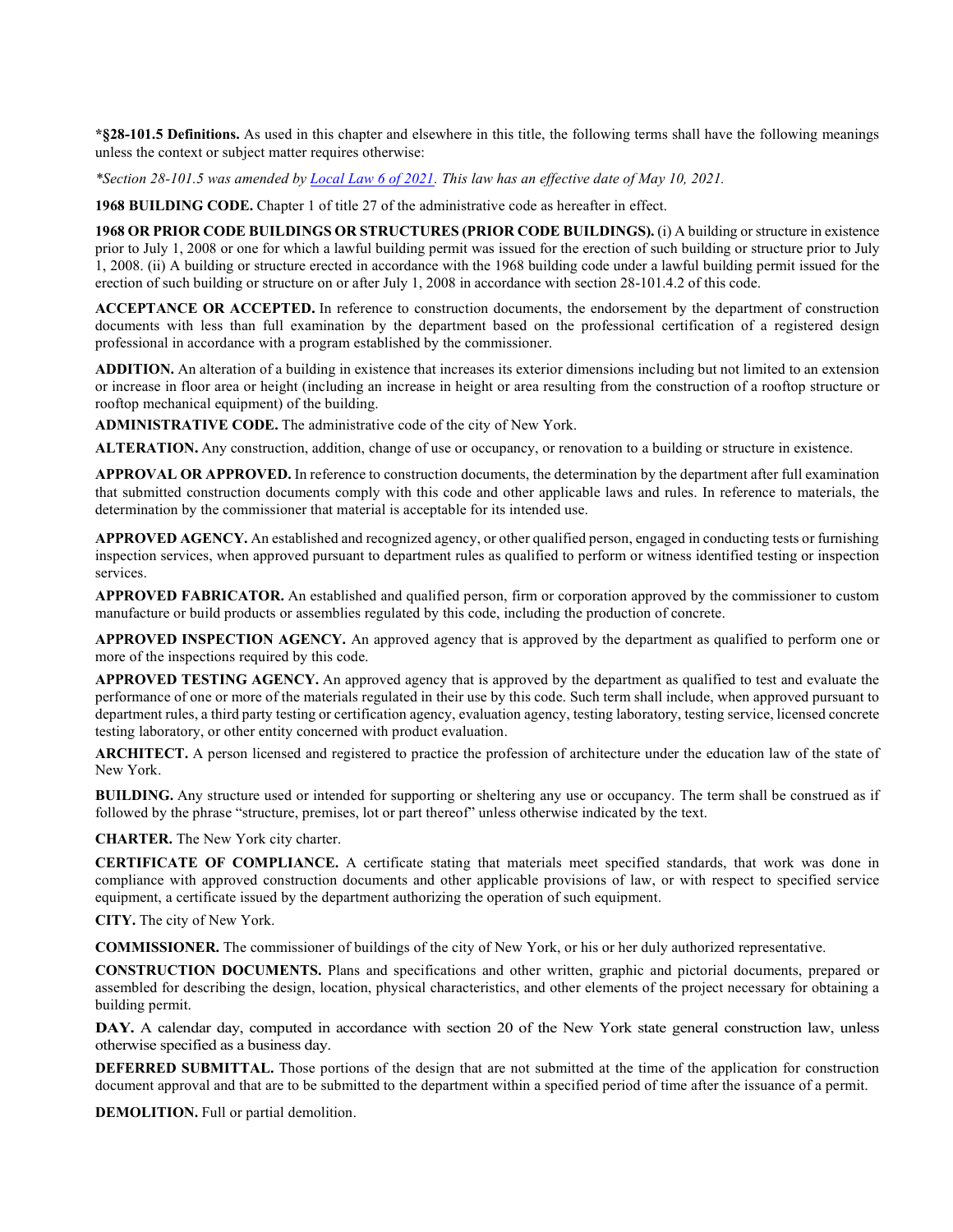**\*§28-101.5 Definitions.** As used in this chapter and elsewhere in this title, the following terms shall have the following meanings unless the context or subject matter requires otherwise:

*\*Section 28-101.5 was amended b[y Local Law 6 of 2021.](https://www1.nyc.gov/assets/buildings/local_laws/ll6of2021.pdf) This law has an effective date of May 10, 2021.*

**1968 BUILDING CODE.** Chapter 1 of title 27 of the administrative code as hereafter in effect.

**1968 OR PRIOR CODE BUILDINGS OR STRUCTURES (PRIOR CODE BUILDINGS).** (i) A building or structure in existence prior to July 1, 2008 or one for which a lawful building permit was issued for the erection of such building or structure prior to July 1, 2008. (ii) A building or structure erected in accordance with the 1968 building code under a lawful building permit issued for the erection of such building or structure on or after July 1, 2008 in accordance with section 28-101.4.2 of this code.

**ACCEPTANCE OR ACCEPTED.** In reference to construction documents, the endorsement by the department of construction documents with less than full examination by the department based on the professional certification of a registered design professional in accordance with a program established by the commissioner.

**ADDITION.** An alteration of a building in existence that increases its exterior dimensions including but not limited to an extension or increase in floor area or height (including an increase in height or area resulting from the construction of a rooftop structure or rooftop mechanical equipment) of the building.

**ADMINISTRATIVE CODE.** The administrative code of the city of New York.

**ALTERATION.** Any construction, addition, change of use or occupancy, or renovation to a building or structure in existence.

**APPROVAL OR APPROVED.** In reference to construction documents, the determination by the department after full examination that submitted construction documents comply with this code and other applicable laws and rules. In reference to materials, the determination by the commissioner that material is acceptable for its intended use.

**APPROVED AGENCY.** An established and recognized agency, or other qualified person, engaged in conducting tests or furnishing inspection services, when approved pursuant to department rules as qualified to perform or witness identified testing or inspection services.

**APPROVED FABRICATOR.** An established and qualified person, firm or corporation approved by the commissioner to custom manufacture or build products or assemblies regulated by this code, including the production of concrete.

**APPROVED INSPECTION AGENCY.** An approved agency that is approved by the department as qualified to perform one or more of the inspections required by this code.

**APPROVED TESTING AGENCY.** An approved agency that is approved by the department as qualified to test and evaluate the performance of one or more of the materials regulated in their use by this code. Such term shall include, when approved pursuant to department rules, a third party testing or certification agency, evaluation agency, testing laboratory, testing service, licensed concrete testing laboratory, or other entity concerned with product evaluation.

**ARCHITECT.** A person licensed and registered to practice the profession of architecture under the education law of the state of New York.

**BUILDING.** Any structure used or intended for supporting or sheltering any use or occupancy. The term shall be construed as if followed by the phrase "structure, premises, lot or part thereof" unless otherwise indicated by the text.

**CHARTER.** The New York city charter.

**CERTIFICATE OF COMPLIANCE.** A certificate stating that materials meet specified standards, that work was done in compliance with approved construction documents and other applicable provisions of law, or with respect to specified service equipment, a certificate issued by the department authorizing the operation of such equipment.

**CITY.** The city of New York.

**COMMISSIONER.** The commissioner of buildings of the city of New York, or his or her duly authorized representative.

**CONSTRUCTION DOCUMENTS.** Plans and specifications and other written, graphic and pictorial documents, prepared or assembled for describing the design, location, physical characteristics, and other elements of the project necessary for obtaining a building permit.

DAY. A calendar day, computed in accordance with section 20 of the New York state general construction law, unless otherwise specified as a business day.

**DEFERRED SUBMITTAL.** Those portions of the design that are not submitted at the time of the application for construction document approval and that are to be submitted to the department within a specified period of time after the issuance of a permit.

**DEMOLITION.** Full or partial demolition.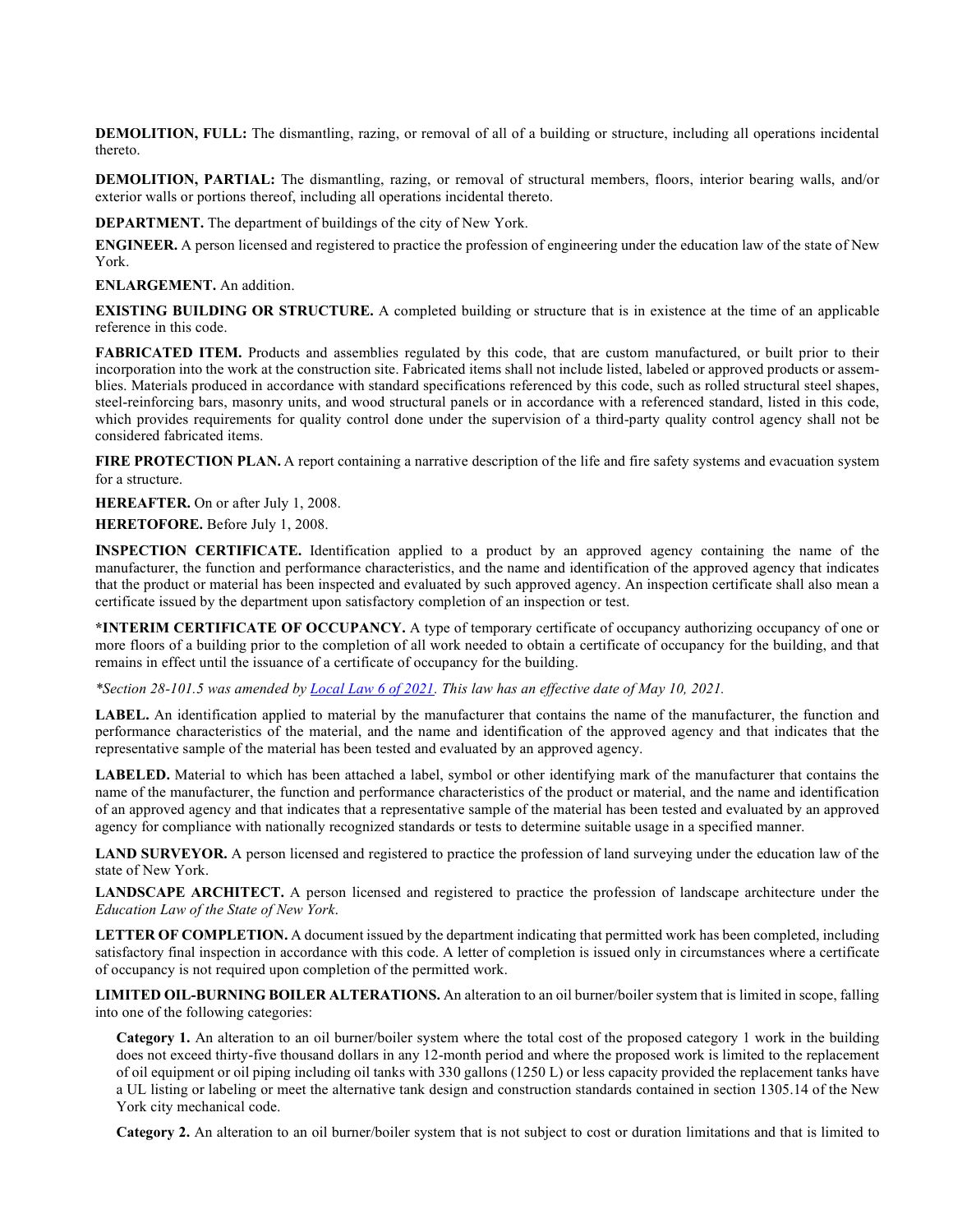**DEMOLITION, FULL:** The dismantling, razing, or removal of all of a building or structure, including all operations incidental thereto.

**DEMOLITION, PARTIAL:** The dismantling, razing, or removal of structural members, floors, interior bearing walls, and/or exterior walls or portions thereof, including all operations incidental thereto.

**DEPARTMENT.** The department of buildings of the city of New York.

**ENGINEER.** A person licensed and registered to practice the profession of engineering under the education law of the state of New York.

**ENLARGEMENT.** An addition.

**EXISTING BUILDING OR STRUCTURE.** A completed building or structure that is in existence at the time of an applicable reference in this code.

**FABRICATED ITEM.** Products and assemblies regulated by this code, that are custom manufactured, or built prior to their incorporation into the work at the construction site. Fabricated items shall not include listed, labeled or approved products or assemblies. Materials produced in accordance with standard specifications referenced by this code, such as rolled structural steel shapes, steel-reinforcing bars, masonry units, and wood structural panels or in accordance with a referenced standard, listed in this code, which provides requirements for quality control done under the supervision of a third-party quality control agency shall not be considered fabricated items.

FIRE PROTECTION PLAN. A report containing a narrative description of the life and fire safety systems and evacuation system for a structure.

**HEREAFTER.** On or after July 1, 2008.

**HERETOFORE.** Before July 1, 2008.

**INSPECTION CERTIFICATE.** Identification applied to a product by an approved agency containing the name of the manufacturer, the function and performance characteristics, and the name and identification of the approved agency that indicates that the product or material has been inspected and evaluated by such approved agency. An inspection certificate shall also mean a certificate issued by the department upon satisfactory completion of an inspection or test.

**\*INTERIM CERTIFICATE OF OCCUPANCY.** A type of temporary certificate of occupancy authorizing occupancy of one or more floors of a building prior to the completion of all work needed to obtain a certificate of occupancy for the building, and that remains in effect until the issuance of a certificate of occupancy for the building.

*\*Section 28-101.5 was amended b[y Local Law 6 of 2021.](https://www1.nyc.gov/assets/buildings/local_laws/ll6of2021.pdf) This law has an effective date of May 10, 2021.*

**LABEL.** An identification applied to material by the manufacturer that contains the name of the manufacturer, the function and performance characteristics of the material, and the name and identification of the approved agency and that indicates that the representative sample of the material has been tested and evaluated by an approved agency.

**LABELED.** Material to which has been attached a label, symbol or other identifying mark of the manufacturer that contains the name of the manufacturer, the function and performance characteristics of the product or material, and the name and identification of an approved agency and that indicates that a representative sample of the material has been tested and evaluated by an approved agency for compliance with nationally recognized standards or tests to determine suitable usage in a specified manner.

**LAND SURVEYOR.** A person licensed and registered to practice the profession of land surveying under the education law of the state of New York.

**LANDSCAPE ARCHITECT.** A person licensed and registered to practice the profession of landscape architecture under the *Education Law of the State of New York*.

LETTER OF COMPLETION. A document issued by the department indicating that permitted work has been completed, including satisfactory final inspection in accordance with this code. A letter of completion is issued only in circumstances where a certificate of occupancy is not required upon completion of the permitted work.

**LIMITED OIL-BURNING BOILER ALTERATIONS.** An alteration to an oil burner/boiler system that is limited in scope, falling into one of the following categories:

**Category 1.** An alteration to an oil burner/boiler system where the total cost of the proposed category 1 work in the building does not exceed thirty-five thousand dollars in any 12-month period and where the proposed work is limited to the replacement of oil equipment or oil piping including oil tanks with 330 gallons (1250 L) or less capacity provided the replacement tanks have a UL listing or labeling or meet the alternative tank design and construction standards contained in section 1305.14 of the New York city mechanical code.

**Category 2.** An alteration to an oil burner/boiler system that is not subject to cost or duration limitations and that is limited to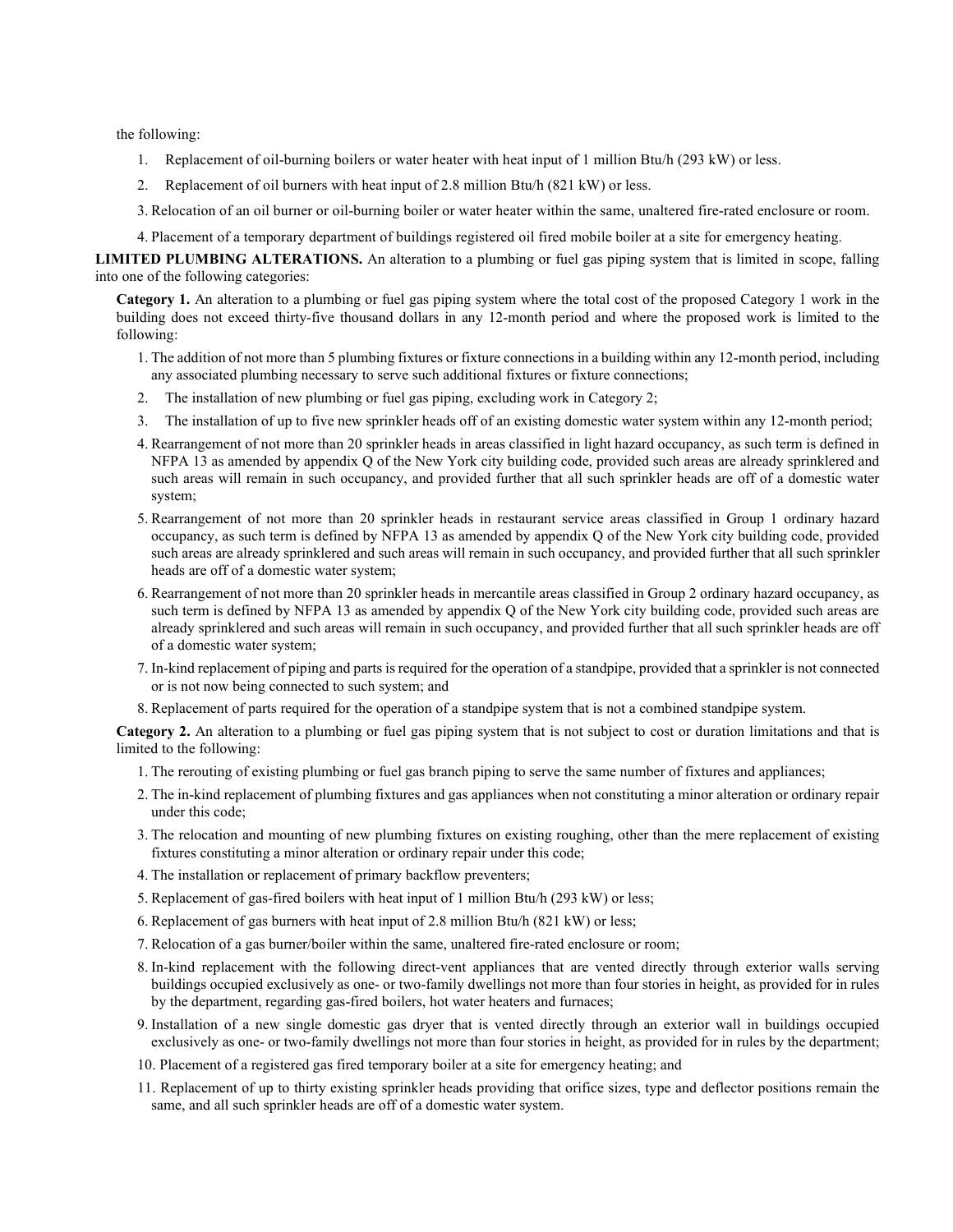the following:

- 1. Replacement of oil-burning boilers or water heater with heat input of 1 million Btu/h (293 kW) or less.
- 2. Replacement of oil burners with heat input of 2.8 million Btu/h (821 kW) or less.
- 3. Relocation of an oil burner or oil-burning boiler or water heater within the same, unaltered fire-rated enclosure or room.
- 4. Placement of a temporary department of buildings registered oil fired mobile boiler at a site for emergency heating.

**LIMITED PLUMBING ALTERATIONS.** An alteration to a plumbing or fuel gas piping system that is limited in scope, falling into one of the following categories:

**Category 1.** An alteration to a plumbing or fuel gas piping system where the total cost of the proposed Category 1 work in the building does not exceed thirty-five thousand dollars in any 12-month period and where the proposed work is limited to the following:

- 1. The addition of not more than 5 plumbing fixtures or fixture connections in a building within any 12-month period, including any associated plumbing necessary to serve such additional fixtures or fixture connections;
- 2. The installation of new plumbing or fuel gas piping, excluding work in Category 2;
- 3. The installation of up to five new sprinkler heads off of an existing domestic water system within any 12-month period;
- 4. Rearrangement of not more than 20 sprinkler heads in areas classified in light hazard occupancy, as such term is defined in NFPA 13 as amended by appendix Q of the New York city building code, provided such areas are already sprinklered and such areas will remain in such occupancy, and provided further that all such sprinkler heads are off of a domestic water system;
- 5. Rearrangement of not more than 20 sprinkler heads in restaurant service areas classified in Group 1 ordinary hazard occupancy, as such term is defined by NFPA 13 as amended by appendix Q of the New York city building code, provided such areas are already sprinklered and such areas will remain in such occupancy, and provided further that all such sprinkler heads are off of a domestic water system;
- 6. Rearrangement of not more than 20 sprinkler heads in mercantile areas classified in Group 2 ordinary hazard occupancy, as such term is defined by NFPA 13 as amended by appendix Q of the New York city building code, provided such areas are already sprinklered and such areas will remain in such occupancy, and provided further that all such sprinkler heads are off of a domestic water system;
- 7. In-kind replacement of piping and parts is required for the operation of a standpipe, provided that a sprinkler is not connected or is not now being connected to such system; and
- 8. Replacement of parts required for the operation of a standpipe system that is not a combined standpipe system.

**Category 2.** An alteration to a plumbing or fuel gas piping system that is not subject to cost or duration limitations and that is limited to the following:

- 1. The rerouting of existing plumbing or fuel gas branch piping to serve the same number of fixtures and appliances;
- 2. The in-kind replacement of plumbing fixtures and gas appliances when not constituting a minor alteration or ordinary repair under this code;
- 3. The relocation and mounting of new plumbing fixtures on existing roughing, other than the mere replacement of existing fixtures constituting a minor alteration or ordinary repair under this code;
- 4. The installation or replacement of primary backflow preventers;
- 5. Replacement of gas-fired boilers with heat input of 1 million Btu/h (293 kW) or less;
- 6. Replacement of gas burners with heat input of 2.8 million Btu/h (821 kW) or less;
- 7. Relocation of a gas burner/boiler within the same, unaltered fire-rated enclosure or room;
- 8. In-kind replacement with the following direct-vent appliances that are vented directly through exterior walls serving buildings occupied exclusively as one- or two-family dwellings not more than four stories in height, as provided for in rules by the department, regarding gas-fired boilers, hot water heaters and furnaces;
- 9. Installation of a new single domestic gas dryer that is vented directly through an exterior wall in buildings occupied exclusively as one- or two-family dwellings not more than four stories in height, as provided for in rules by the department;
- 10. Placement of a registered gas fired temporary boiler at a site for emergency heating; and
- 11. Replacement of up to thirty existing sprinkler heads providing that orifice sizes, type and deflector positions remain the same, and all such sprinkler heads are off of a domestic water system.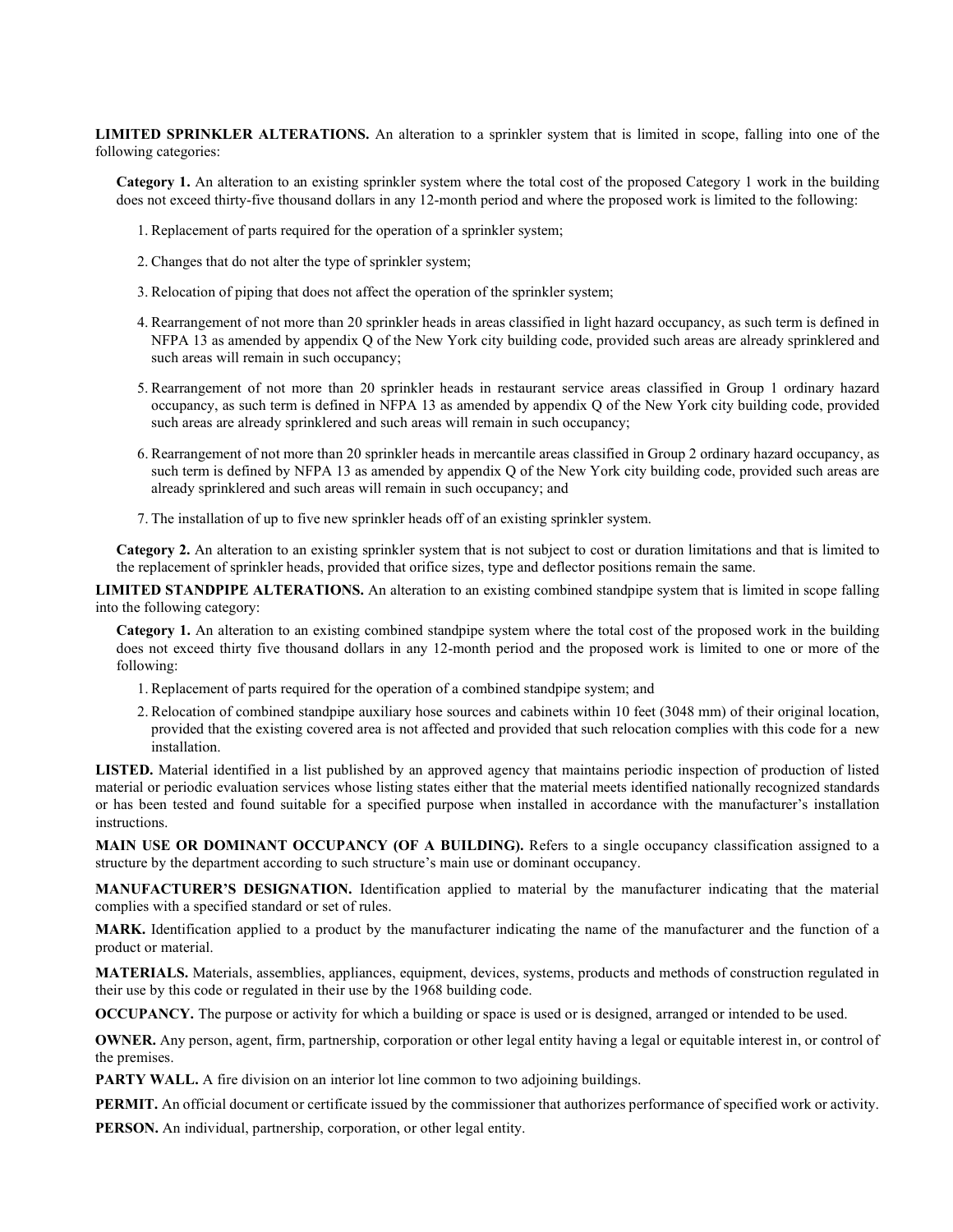**LIMITED SPRINKLER ALTERATIONS.** An alteration to a sprinkler system that is limited in scope, falling into one of the following categories:

**Category 1.** An alteration to an existing sprinkler system where the total cost of the proposed Category 1 work in the building does not exceed thirty-five thousand dollars in any 12-month period and where the proposed work is limited to the following:

- 1. Replacement of parts required for the operation of a sprinkler system;
- 2. Changes that do not alter the type of sprinkler system;
- 3. Relocation of piping that does not affect the operation of the sprinkler system;
- 4. Rearrangement of not more than 20 sprinkler heads in areas classified in light hazard occupancy, as such term is defined in NFPA 13 as amended by appendix Q of the New York city building code, provided such areas are already sprinklered and such areas will remain in such occupancy;
- 5. Rearrangement of not more than 20 sprinkler heads in restaurant service areas classified in Group 1 ordinary hazard occupancy, as such term is defined in NFPA 13 as amended by appendix Q of the New York city building code, provided such areas are already sprinklered and such areas will remain in such occupancy;
- 6. Rearrangement of not more than 20 sprinkler heads in mercantile areas classified in Group 2 ordinary hazard occupancy, as such term is defined by NFPA 13 as amended by appendix Q of the New York city building code, provided such areas are already sprinklered and such areas will remain in such occupancy; and
- 7. The installation of up to five new sprinkler heads off of an existing sprinkler system.

**Category 2.** An alteration to an existing sprinkler system that is not subject to cost or duration limitations and that is limited to the replacement of sprinkler heads, provided that orifice sizes, type and deflector positions remain the same.

**LIMITED STANDPIPE ALTERATIONS.** An alteration to an existing combined standpipe system that is limited in scope falling into the following category:

**Category 1.** An alteration to an existing combined standpipe system where the total cost of the proposed work in the building does not exceed thirty five thousand dollars in any 12-month period and the proposed work is limited to one or more of the following:

- 1. Replacement of parts required for the operation of a combined standpipe system; and
- 2. Relocation of combined standpipe auxiliary hose sources and cabinets within 10 feet (3048 mm) of their original location, provided that the existing covered area is not affected and provided that such relocation complies with this code for a new installation.

LISTED. Material identified in a list published by an approved agency that maintains periodic inspection of production of listed material or periodic evaluation services whose listing states either that the material meets identified nationally recognized standards or has been tested and found suitable for a specified purpose when installed in accordance with the manufacturer's installation instructions.

**MAIN USE OR DOMINANT OCCUPANCY (OF A BUILDING).** Refers to a single occupancy classification assigned to a structure by the department according to such structure's main use or dominant occupancy.

**MANUFACTURER'S DESIGNATION.** Identification applied to material by the manufacturer indicating that the material complies with a specified standard or set of rules.

**MARK.** Identification applied to a product by the manufacturer indicating the name of the manufacturer and the function of a product or material.

**MATERIALS.** Materials, assemblies, appliances, equipment, devices, systems, products and methods of construction regulated in their use by this code or regulated in their use by the 1968 building code.

**OCCUPANCY.** The purpose or activity for which a building or space is used or is designed, arranged or intended to be used.

**OWNER.** Any person, agent, firm, partnership, corporation or other legal entity having a legal or equitable interest in, or control of the premises.

**PARTY WALL.** A fire division on an interior lot line common to two adjoining buildings.

**PERMIT.** An official document or certificate issued by the commissioner that authorizes performance of specified work or activity.

**PERSON.** An individual, partnership, corporation, or other legal entity.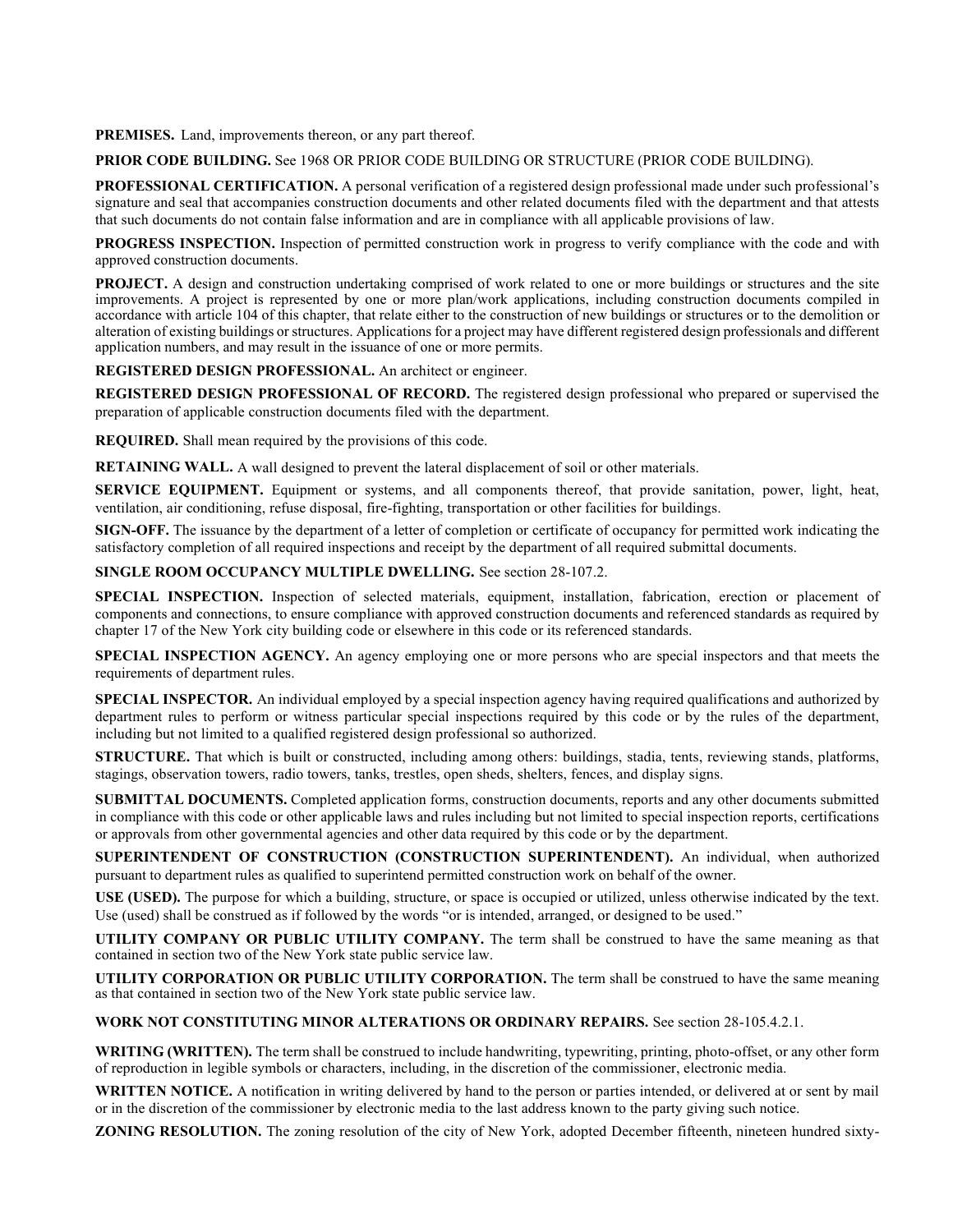**PREMISES.** Land, improvements thereon, or any part thereof.

**PRIOR CODE BUILDING.** See 1968 OR PRIOR CODE BUILDING OR STRUCTURE (PRIOR CODE BUILDING).

**PROFESSIONAL CERTIFICATION.** A personal verification of a registered design professional made under such professional's signature and seal that accompanies construction documents and other related documents filed with the department and that attests that such documents do not contain false information and are in compliance with all applicable provisions of law.

**PROGRESS INSPECTION.** Inspection of permitted construction work in progress to verify compliance with the code and with approved construction documents.

**PROJECT.** A design and construction undertaking comprised of work related to one or more buildings or structures and the site improvements. A project is represented by one or more plan/work applications, including construction documents compiled in accordance with article 104 of this chapter, that relate either to the construction of new buildings or structures or to the demolition or alteration of existing buildings or structures. Applications for a project may have different registered design professionals and different application numbers, and may result in the issuance of one or more permits.

**REGISTERED DESIGN PROFESSIONAL.** An architect or engineer.

**REGISTERED DESIGN PROFESSIONAL OF RECORD.** The registered design professional who prepared or supervised the preparation of applicable construction documents filed with the department.

**REQUIRED.** Shall mean required by the provisions of this code.

**RETAINING WALL.** A wall designed to prevent the lateral displacement of soil or other materials.

**SERVICE EQUIPMENT.** Equipment or systems, and all components thereof, that provide sanitation, power, light, heat, ventilation, air conditioning, refuse disposal, fire-fighting, transportation or other facilities for buildings.

**SIGN-OFF.** The issuance by the department of a letter of completion or certificate of occupancy for permitted work indicating the satisfactory completion of all required inspections and receipt by the department of all required submittal documents.

**SINGLE ROOM OCCUPANCY MULTIPLE DWELLING.** See section 28-107.2.

**SPECIAL INSPECTION.** Inspection of selected materials, equipment, installation, fabrication, erection or placement of components and connections, to ensure compliance with approved construction documents and referenced standards as required by chapter 17 of the New York city building code or elsewhere in this code or its referenced standards.

**SPECIAL INSPECTION AGENCY.** An agency employing one or more persons who are special inspectors and that meets the requirements of department rules.

**SPECIAL INSPECTOR.** An individual employed by a special inspection agency having required qualifications and authorized by department rules to perform or witness particular special inspections required by this code or by the rules of the department, including but not limited to a qualified registered design professional so authorized.

**STRUCTURE.** That which is built or constructed, including among others: buildings, stadia, tents, reviewing stands, platforms, stagings, observation towers, radio towers, tanks, trestles, open sheds, shelters, fences, and display signs.

**SUBMITTAL DOCUMENTS.** Completed application forms, construction documents, reports and any other documents submitted in compliance with this code or other applicable laws and rules including but not limited to special inspection reports, certifications or approvals from other governmental agencies and other data required by this code or by the department.

**SUPERINTENDENT OF CONSTRUCTION (CONSTRUCTION SUPERINTENDENT).** An individual, when authorized pursuant to department rules as qualified to superintend permitted construction work on behalf of the owner.

**USE (USED).** The purpose for which a building, structure, or space is occupied or utilized, unless otherwise indicated by the text. Use (used) shall be construed as if followed by the words "or is intended, arranged, or designed to be used."

**UTILITY COMPANY OR PUBLIC UTILITY COMPANY.** The term shall be construed to have the same meaning as that contained in section two of the New York state public service law.

**UTILITY CORPORATION OR PUBLIC UTILITY CORPORATION.** The term shall be construed to have the same meaning as that contained in section two of the New York state public service law.

**WORK NOT CONSTITUTING MINOR ALTERATIONS OR ORDINARY REPAIRS.** See section 28-105.4.2.1.

**WRITING (WRITTEN).** The term shall be construed to include handwriting, typewriting, printing, photo-offset, or any other form of reproduction in legible symbols or characters, including, in the discretion of the commissioner, electronic media.

**WRITTEN NOTICE.** A notification in writing delivered by hand to the person or parties intended, or delivered at or sent by mail or in the discretion of the commissioner by electronic media to the last address known to the party giving such notice.

**ZONING RESOLUTION.** The zoning resolution of the city of New York, adopted December fifteenth, nineteen hundred sixty-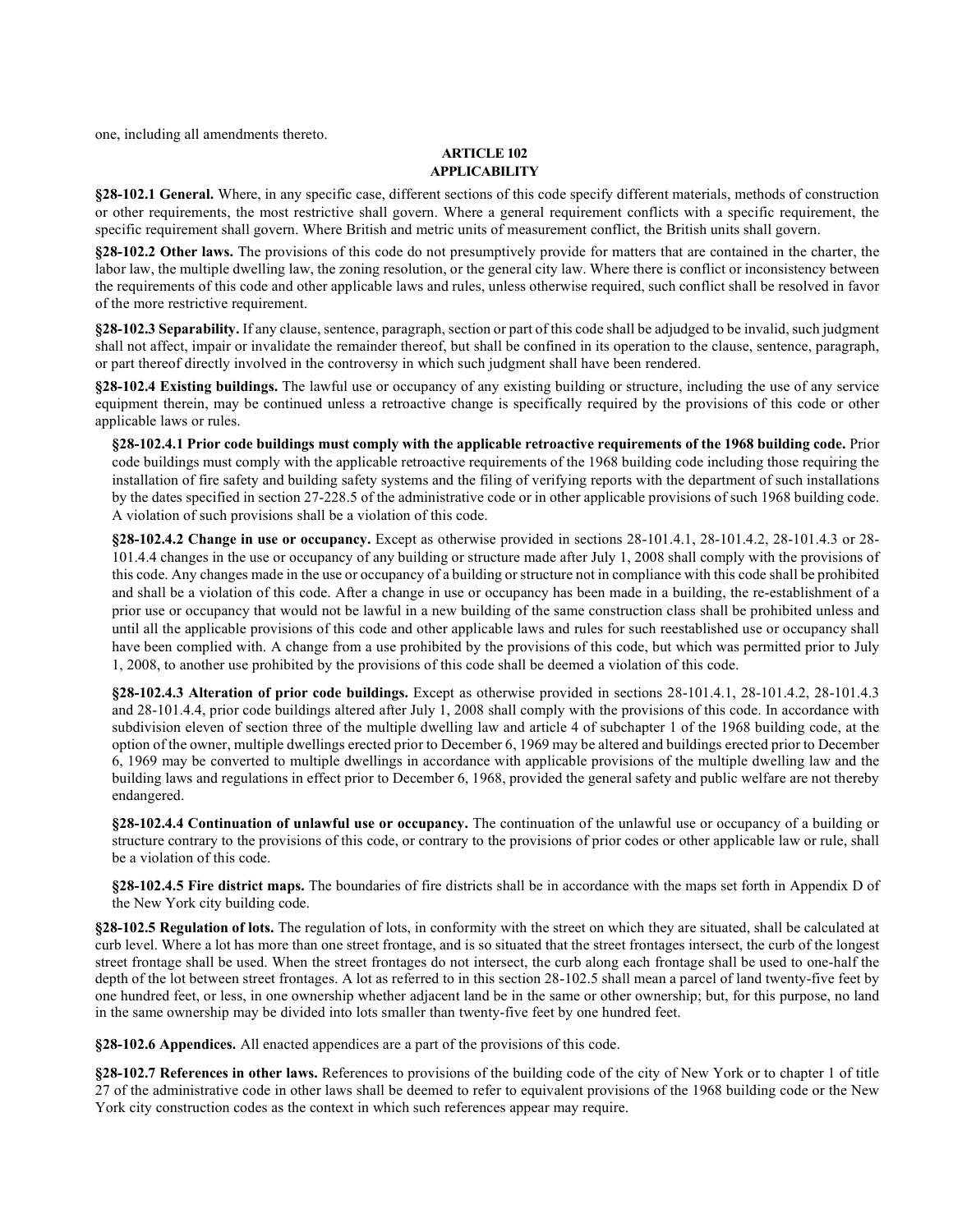one, including all amendments thereto.

### **ARTICLE 102 APPLICABILITY**

**§28-102.1 General.** Where, in any specific case, different sections of this code specify different materials, methods of construction or other requirements, the most restrictive shall govern. Where a general requirement conflicts with a specific requirement, the specific requirement shall govern. Where British and metric units of measurement conflict, the British units shall govern.

**§28-102.2 Other laws.** The provisions of this code do not presumptively provide for matters that are contained in the charter, the labor law, the multiple dwelling law, the zoning resolution, or the general city law. Where there is conflict or inconsistency between the requirements of this code and other applicable laws and rules, unless otherwise required, such conflict shall be resolved in favor of the more restrictive requirement.

**§28-102.3 Separability.** If any clause, sentence, paragraph, section or part of this code shall be adjudged to be invalid, such judgment shall not affect, impair or invalidate the remainder thereof, but shall be confined in its operation to the clause, sentence, paragraph, or part thereof directly involved in the controversy in which such judgment shall have been rendered.

**§28-102.4 Existing buildings.** The lawful use or occupancy of any existing building or structure, including the use of any service equipment therein, may be continued unless a retroactive change is specifically required by the provisions of this code or other applicable laws or rules.

**§28-102.4.1 Prior code buildings must comply with the applicable retroactive requirements of the 1968 building code.** Prior code buildings must comply with the applicable retroactive requirements of the 1968 building code including those requiring the installation of fire safety and building safety systems and the filing of verifying reports with the department of such installations by the dates specified in section 27-228.5 of the administrative code or in other applicable provisions of such 1968 building code. A violation of such provisions shall be a violation of this code.

**§28-102.4.2 Change in use or occupancy.** Except as otherwise provided in sections 28-101.4.1, 28-101.4.2, 28-101.4.3 or 28- 101.4.4 changes in the use or occupancy of any building or structure made after July 1, 2008 shall comply with the provisions of this code. Any changes made in the use or occupancy of a building or structure not in compliance with this code shall be prohibited and shall be a violation of this code. After a change in use or occupancy has been made in a building, the re-establishment of a prior use or occupancy that would not be lawful in a new building of the same construction class shall be prohibited unless and until all the applicable provisions of this code and other applicable laws and rules for such reestablished use or occupancy shall have been complied with. A change from a use prohibited by the provisions of this code, but which was permitted prior to July 1, 2008, to another use prohibited by the provisions of this code shall be deemed a violation of this code.

**§28-102.4.3 Alteration of prior code buildings.** Except as otherwise provided in sections 28-101.4.1, 28-101.4.2, 28-101.4.3 and 28-101.4.4, prior code buildings altered after July 1, 2008 shall comply with the provisions of this code. In accordance with subdivision eleven of section three of the multiple dwelling law and article 4 of subchapter 1 of the 1968 building code, at the option of the owner, multiple dwellings erected prior to December 6, 1969 may be altered and buildings erected prior to December 6, 1969 may be converted to multiple dwellings in accordance with applicable provisions of the multiple dwelling law and the building laws and regulations in effect prior to December 6, 1968, provided the general safety and public welfare are not thereby endangered.

**§28-102.4.4 Continuation of unlawful use or occupancy.** The continuation of the unlawful use or occupancy of a building or structure contrary to the provisions of this code, or contrary to the provisions of prior codes or other applicable law or rule, shall be a violation of this code.

**§28-102.4.5 Fire district maps.** The boundaries of fire districts shall be in accordance with the maps set forth in Appendix D of the New York city building code.

**§28-102.5 Regulation of lots.** The regulation of lots, in conformity with the street on which they are situated, shall be calculated at curb level. Where a lot has more than one street frontage, and is so situated that the street frontages intersect, the curb of the longest street frontage shall be used. When the street frontages do not intersect, the curb along each frontage shall be used to one-half the depth of the lot between street frontages. A lot as referred to in this section 28-102.5 shall mean a parcel of land twenty-five feet by one hundred feet, or less, in one ownership whether adjacent land be in the same or other ownership; but, for this purpose, no land in the same ownership may be divided into lots smaller than twenty-five feet by one hundred feet.

**§28-102.6 Appendices.** All enacted appendices are a part of the provisions of this code.

**§28-102.7 References in other laws.** References to provisions of the building code of the city of New York or to chapter 1 of title 27 of the administrative code in other laws shall be deemed to refer to equivalent provisions of the 1968 building code or the New York city construction codes as the context in which such references appear may require.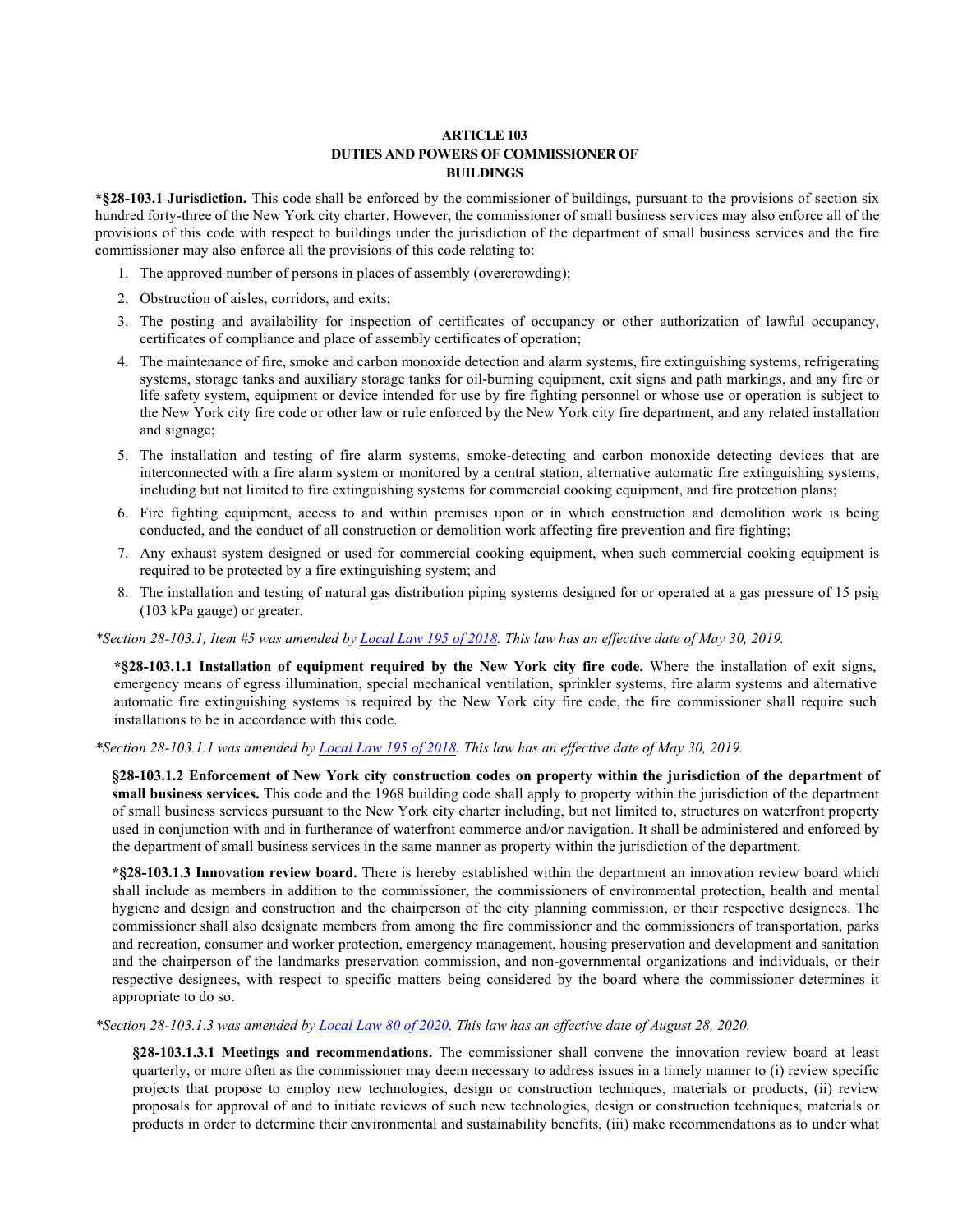## **ARTICLE 103 DUTIES AND POWERS OF COMMISSIONER OF BUILDINGS**

**\*§28-103.1 Jurisdiction.** This code shall be enforced by the commissioner of buildings, pursuant to the provisions of section six hundred forty-three of the New York city charter. However, the commissioner of small business services may also enforce all of the provisions of this code with respect to buildings under the jurisdiction of the department of small business services and the fire commissioner may also enforce all the provisions of this code relating to:

- 1. The approved number of persons in places of assembly (overcrowding);
- 2. Obstruction of aisles, corridors, and exits;
- 3. The posting and availability for inspection of certificates of occupancy or other authorization of lawful occupancy, certificates of compliance and place of assembly certificates of operation;
- 4. The maintenance of fire, smoke and carbon monoxide detection and alarm systems, fire extinguishing systems, refrigerating systems, storage tanks and auxiliary storage tanks for oil-burning equipment, exit signs and path markings, and any fire or life safety system, equipment or device intended for use by fire fighting personnel or whose use or operation is subject to the New York city fire code or other law or rule enforced by the New York city fire department, and any related installation and signage;
- 5. The installation and testing of fire alarm systems, smoke-detecting and carbon monoxide detecting devices that are interconnected with a fire alarm system or monitored by a central station, alternative automatic fire extinguishing systems, including but not limited to fire extinguishing systems for commercial cooking equipment, and fire protection plans;
- 6. Fire fighting equipment, access to and within premises upon or in which construction and demolition work is being conducted, and the conduct of all construction or demolition work affecting fire prevention and fire fighting;
- 7. Any exhaust system designed or used for commercial cooking equipment, when such commercial cooking equipment is required to be protected by a fire extinguishing system; and
- 8. The installation and testing of natural gas distribution piping systems designed for or operated at a gas pressure of 15 psig (103 kPa gauge) or greater.

## *\*Section 28-103.1, Item #5 was amended b[y Local Law 195 of 2018.](https://www1.nyc.gov/assets/buildings/local_laws/ll195of2018.pdf) This law has an effective date of May 30, 2019.*

**\*§28-103.1.1 Installation of equipment required by the New York city fire code.** Where the installation of exit signs, emergency means of egress illumination, special mechanical ventilation, sprinkler systems, fire alarm systems and alternative automatic fire extinguishing systems is required by the New York city fire code, the fire commissioner shall require such installations to be in accordance with this code.

#### *\*Section 28-103.1.1 was amended by [Local Law 195 of 2018.](https://www1.nyc.gov/assets/buildings/local_laws/ll195of2018.pdf) This law has an effective date of May 30, 2019.*

**§28-103.1.2 Enforcement of New York city construction codes on property within the jurisdiction of the department of small business services.** This code and the 1968 building code shall apply to property within the jurisdiction of the department of small business services pursuant to the New York city charter including, but not limited to, structures on waterfront property used in conjunction with and in furtherance of waterfront commerce and/or navigation. It shall be administered and enforced by the department of small business services in the same manner as property within the jurisdiction of the department.

**\*§28-103.1.3 Innovation review board.** There is hereby established within the department an innovation review board which shall include as members in addition to the commissioner, the commissioners of environmental protection, health and mental hygiene and design and construction and the chairperson of the city planning commission, or their respective designees. The commissioner shall also designate members from among the fire commissioner and the commissioners of transportation, parks and recreation, consumer and worker protection, emergency management, housing preservation and development and sanitation and the chairperson of the landmarks preservation commission, and non-governmental organizations and individuals, or their respective designees, with respect to specific matters being considered by the board where the commissioner determines it appropriate to do so.

#### *\*Section 28-103.1.3 was amended by [Local Law 80 of 2020.](http://www1.nyc.gov/assets/buildings/local_laws/ll80of2020.pdf) This law has an effective date of August 28, 2020.*

**§28-103.1.3.1 Meetings and recommendations.** The commissioner shall convene the innovation review board at least quarterly, or more often as the commissioner may deem necessary to address issues in a timely manner to (i) review specific projects that propose to employ new technologies, design or construction techniques, materials or products, (ii) review proposals for approval of and to initiate reviews of such new technologies, design or construction techniques, materials or products in order to determine their environmental and sustainability benefits, (iii) make recommendations as to under what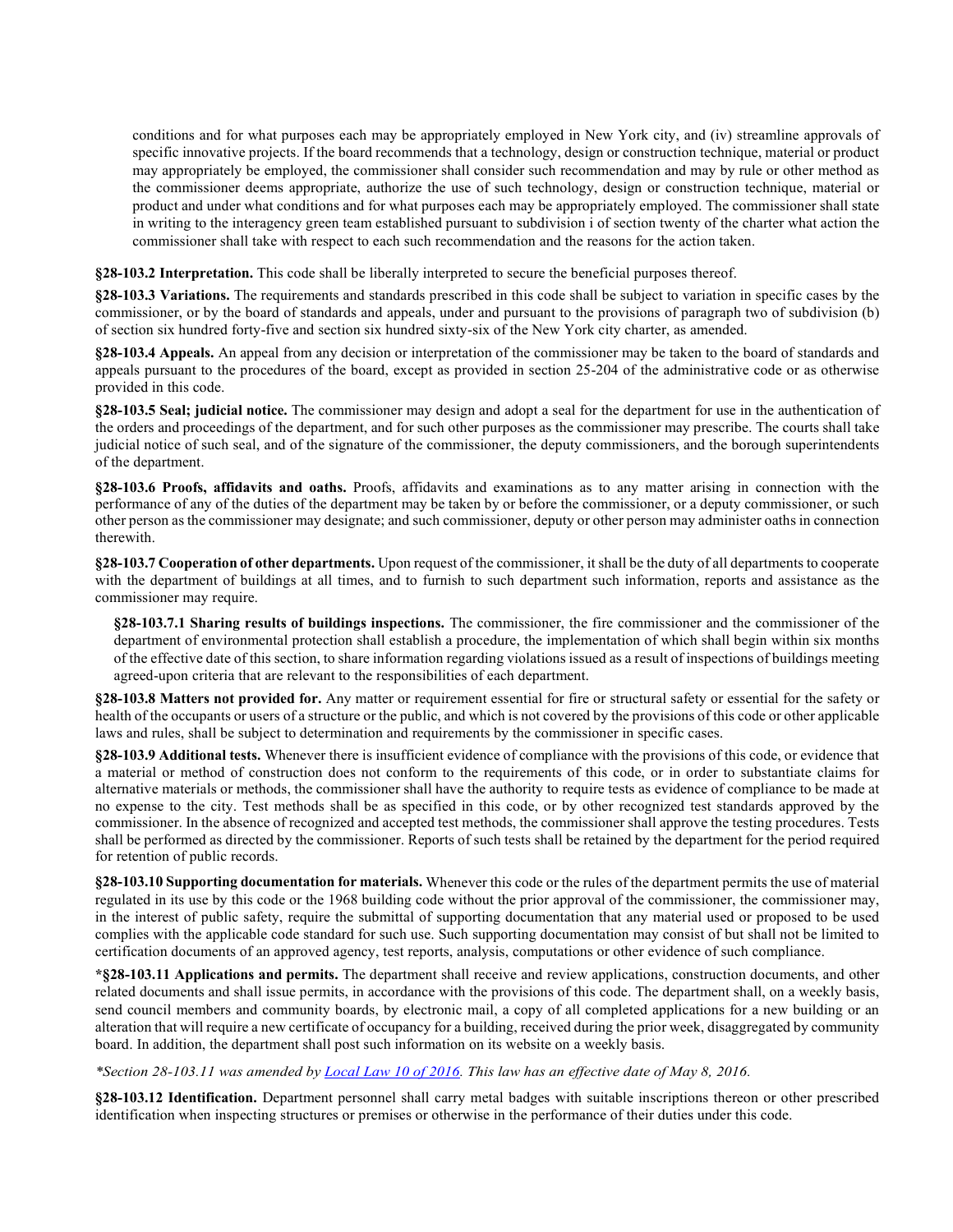conditions and for what purposes each may be appropriately employed in New York city, and (iv) streamline approvals of specific innovative projects. If the board recommends that a technology, design or construction technique, material or product may appropriately be employed, the commissioner shall consider such recommendation and may by rule or other method as the commissioner deems appropriate, authorize the use of such technology, design or construction technique, material or product and under what conditions and for what purposes each may be appropriately employed. The commissioner shall state in writing to the interagency green team established pursuant to subdivision i of section twenty of the charter what action the commissioner shall take with respect to each such recommendation and the reasons for the action taken.

**§28-103.2 Interpretation.** This code shall be liberally interpreted to secure the beneficial purposes thereof.

**§28-103.3 Variations.** The requirements and standards prescribed in this code shall be subject to variation in specific cases by the commissioner, or by the board of standards and appeals, under and pursuant to the provisions of paragraph two of subdivision (b) of section six hundred forty-five and section six hundred sixty-six of the New York city charter, as amended.

**§28-103.4 Appeals.** An appeal from any decision or interpretation of the commissioner may be taken to the board of standards and appeals pursuant to the procedures of the board, except as provided in section 25-204 of the administrative code or as otherwise provided in this code.

**§28-103.5 Seal; judicial notice.** The commissioner may design and adopt a seal for the department for use in the authentication of the orders and proceedings of the department, and for such other purposes as the commissioner may prescribe. The courts shall take judicial notice of such seal, and of the signature of the commissioner, the deputy commissioners, and the borough superintendents of the department.

**§28-103.6 Proofs, affidavits and oaths.** Proofs, affidavits and examinations as to any matter arising in connection with the performance of any of the duties of the department may be taken by or before the commissioner, or a deputy commissioner, or such other person as the commissioner may designate; and such commissioner, deputy or other person may administer oaths in connection therewith.

**§28-103.7 Cooperation of other departments.** Upon request of the commissioner, it shall be the duty of all departments to cooperate with the department of buildings at all times, and to furnish to such department such information, reports and assistance as the commissioner may require.

**§28-103.7.1 Sharing results of buildings inspections.** The commissioner, the fire commissioner and the commissioner of the department of environmental protection shall establish a procedure, the implementation of which shall begin within six months of the effective date of this section, to share information regarding violations issued as a result of inspections of buildings meeting agreed-upon criteria that are relevant to the responsibilities of each department.

**§28-103.8 Matters not provided for.** Any matter or requirement essential for fire or structural safety or essential for the safety or health of the occupants or users of a structure or the public, and which is not covered by the provisions of this code or other applicable laws and rules, shall be subject to determination and requirements by the commissioner in specific cases.

**§28-103.9 Additional tests.** Whenever there is insufficient evidence of compliance with the provisions of this code, or evidence that a material or method of construction does not conform to the requirements of this code, or in order to substantiate claims for alternative materials or methods, the commissioner shall have the authority to require tests as evidence of compliance to be made at no expense to the city. Test methods shall be as specified in this code, or by other recognized test standards approved by the commissioner. In the absence of recognized and accepted test methods, the commissioner shall approve the testing procedures. Tests shall be performed as directed by the commissioner. Reports of such tests shall be retained by the department for the period required for retention of public records.

**§28-103.10 Supporting documentation for materials.** Whenever this code or the rules of the department permits the use of material regulated in its use by this code or the 1968 building code without the prior approval of the commissioner, the commissioner may, in the interest of public safety, require the submittal of supporting documentation that any material used or proposed to be used complies with the applicable code standard for such use. Such supporting documentation may consist of but shall not be limited to certification documents of an approved agency, test reports, analysis, computations or other evidence of such compliance.

**\*§28-103.11 Applications and permits.** The department shall receive and review applications, construction documents, and other related documents and shall issue permits, in accordance with the provisions of this code. The department shall, on a weekly basis, send council members and community boards, by electronic mail, a copy of all completed applications for a new building or an alteration that will require a new certificate of occupancy for a building, received during the prior week, disaggregated by community board. In addition, the department shall post such information on its website on a weekly basis.

#### *\*Section 28-103.11 was amended b[y Local Law 10 of 2016.](http://www1.nyc.gov/assets/buildings/local_laws/ll10of2016.pdf) This law has an effective date of May 8, 2016.*

**§28-103.12 Identification.** Department personnel shall carry metal badges with suitable inscriptions thereon or other prescribed identification when inspecting structures or premises or otherwise in the performance of their duties under this code.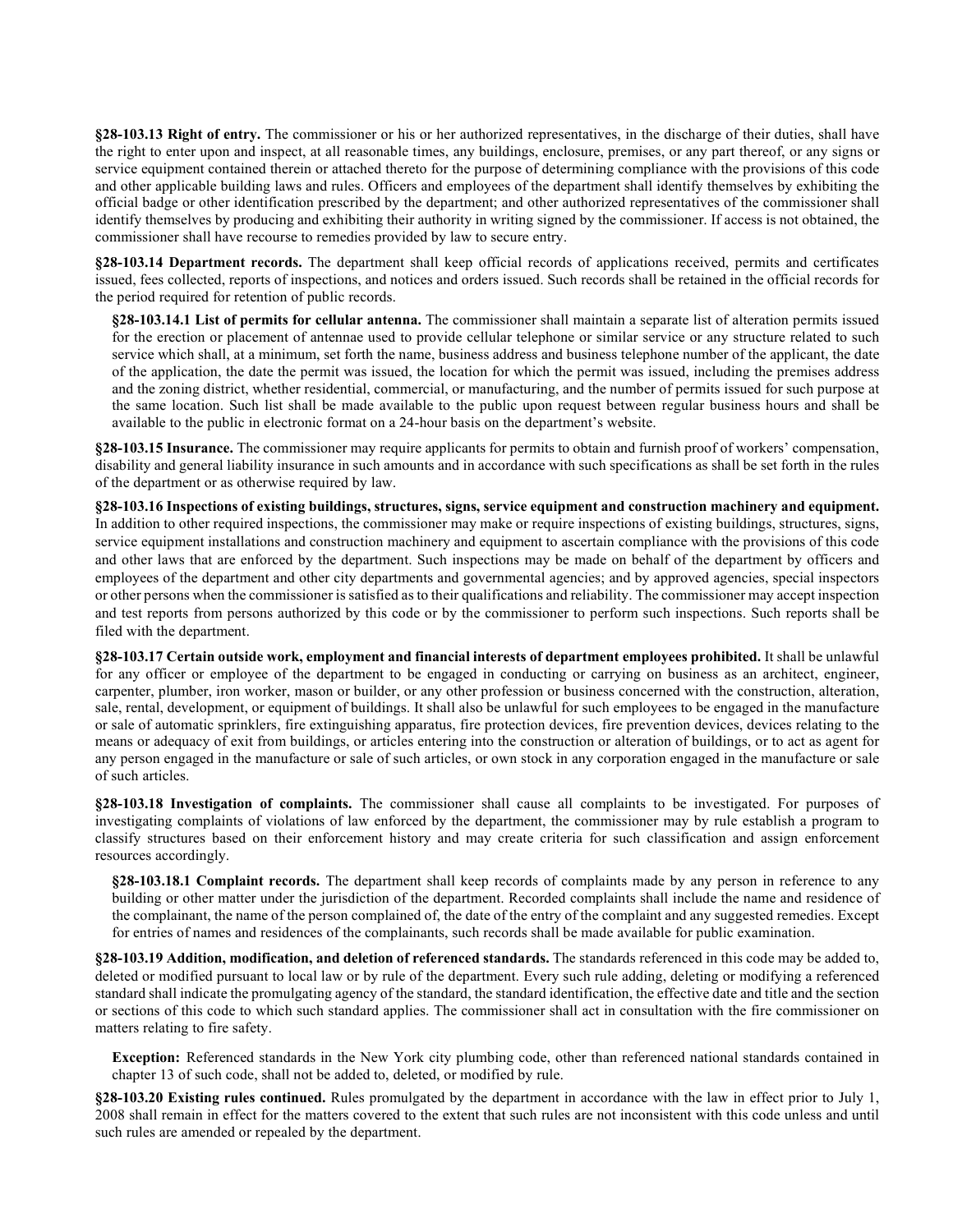**§28-103.13 Right of entry.** The commissioner or his or her authorized representatives, in the discharge of their duties, shall have the right to enter upon and inspect, at all reasonable times, any buildings, enclosure, premises, or any part thereof, or any signs or service equipment contained therein or attached thereto for the purpose of determining compliance with the provisions of this code and other applicable building laws and rules. Officers and employees of the department shall identify themselves by exhibiting the official badge or other identification prescribed by the department; and other authorized representatives of the commissioner shall identify themselves by producing and exhibiting their authority in writing signed by the commissioner. If access is not obtained, the commissioner shall have recourse to remedies provided by law to secure entry.

**§28-103.14 Department records.** The department shall keep official records of applications received, permits and certificates issued, fees collected, reports of inspections, and notices and orders issued. Such records shall be retained in the official records for the period required for retention of public records.

**§28-103.14.1 List of permits for cellular antenna.** The commissioner shall maintain a separate list of alteration permits issued for the erection or placement of antennae used to provide cellular telephone or similar service or any structure related to such service which shall, at a minimum, set forth the name, business address and business telephone number of the applicant, the date of the application, the date the permit was issued, the location for which the permit was issued, including the premises address and the zoning district, whether residential, commercial, or manufacturing, and the number of permits issued for such purpose at the same location. Such list shall be made available to the public upon request between regular business hours and shall be available to the public in electronic format on a 24-hour basis on the department's website.

**§28-103.15 Insurance.** The commissioner may require applicants for permits to obtain and furnish proof of workers' compensation, disability and general liability insurance in such amounts and in accordance with such specifications as shall be set forth in the rules of the department or as otherwise required by law.

**§28-103.16 Inspections of existing buildings, structures, signs, service equipment and construction machinery and equipment.** In addition to other required inspections, the commissioner may make or require inspections of existing buildings, structures, signs, service equipment installations and construction machinery and equipment to ascertain compliance with the provisions of this code and other laws that are enforced by the department. Such inspections may be made on behalf of the department by officers and employees of the department and other city departments and governmental agencies; and by approved agencies, special inspectors or other persons when the commissioner is satisfied as to their qualifications and reliability. The commissioner may accept inspection and test reports from persons authorized by this code or by the commissioner to perform such inspections. Such reports shall be filed with the department.

**§28-103.17 Certain outside work, employment and financial interests of department employees prohibited.** It shall be unlawful for any officer or employee of the department to be engaged in conducting or carrying on business as an architect, engineer, carpenter, plumber, iron worker, mason or builder, or any other profession or business concerned with the construction, alteration, sale, rental, development, or equipment of buildings. It shall also be unlawful for such employees to be engaged in the manufacture or sale of automatic sprinklers, fire extinguishing apparatus, fire protection devices, fire prevention devices, devices relating to the means or adequacy of exit from buildings, or articles entering into the construction or alteration of buildings, or to act as agent for any person engaged in the manufacture or sale of such articles, or own stock in any corporation engaged in the manufacture or sale of such articles.

**§28-103.18 Investigation of complaints.** The commissioner shall cause all complaints to be investigated. For purposes of investigating complaints of violations of law enforced by the department, the commissioner may by rule establish a program to classify structures based on their enforcement history and may create criteria for such classification and assign enforcement resources accordingly.

**§28-103.18.1 Complaint records.** The department shall keep records of complaints made by any person in reference to any building or other matter under the jurisdiction of the department. Recorded complaints shall include the name and residence of the complainant, the name of the person complained of, the date of the entry of the complaint and any suggested remedies. Except for entries of names and residences of the complainants, such records shall be made available for public examination.

**§28-103.19 Addition, modification, and deletion of referenced standards.** The standards referenced in this code may be added to, deleted or modified pursuant to local law or by rule of the department. Every such rule adding, deleting or modifying a referenced standard shall indicate the promulgating agency of the standard, the standard identification, the effective date and title and the section or sections of this code to which such standard applies. The commissioner shall act in consultation with the fire commissioner on matters relating to fire safety.

**Exception:** Referenced standards in the New York city plumbing code, other than referenced national standards contained in chapter 13 of such code, shall not be added to, deleted, or modified by rule.

**§28-103.20 Existing rules continued.** Rules promulgated by the department in accordance with the law in effect prior to July 1, 2008 shall remain in effect for the matters covered to the extent that such rules are not inconsistent with this code unless and until such rules are amended or repealed by the department.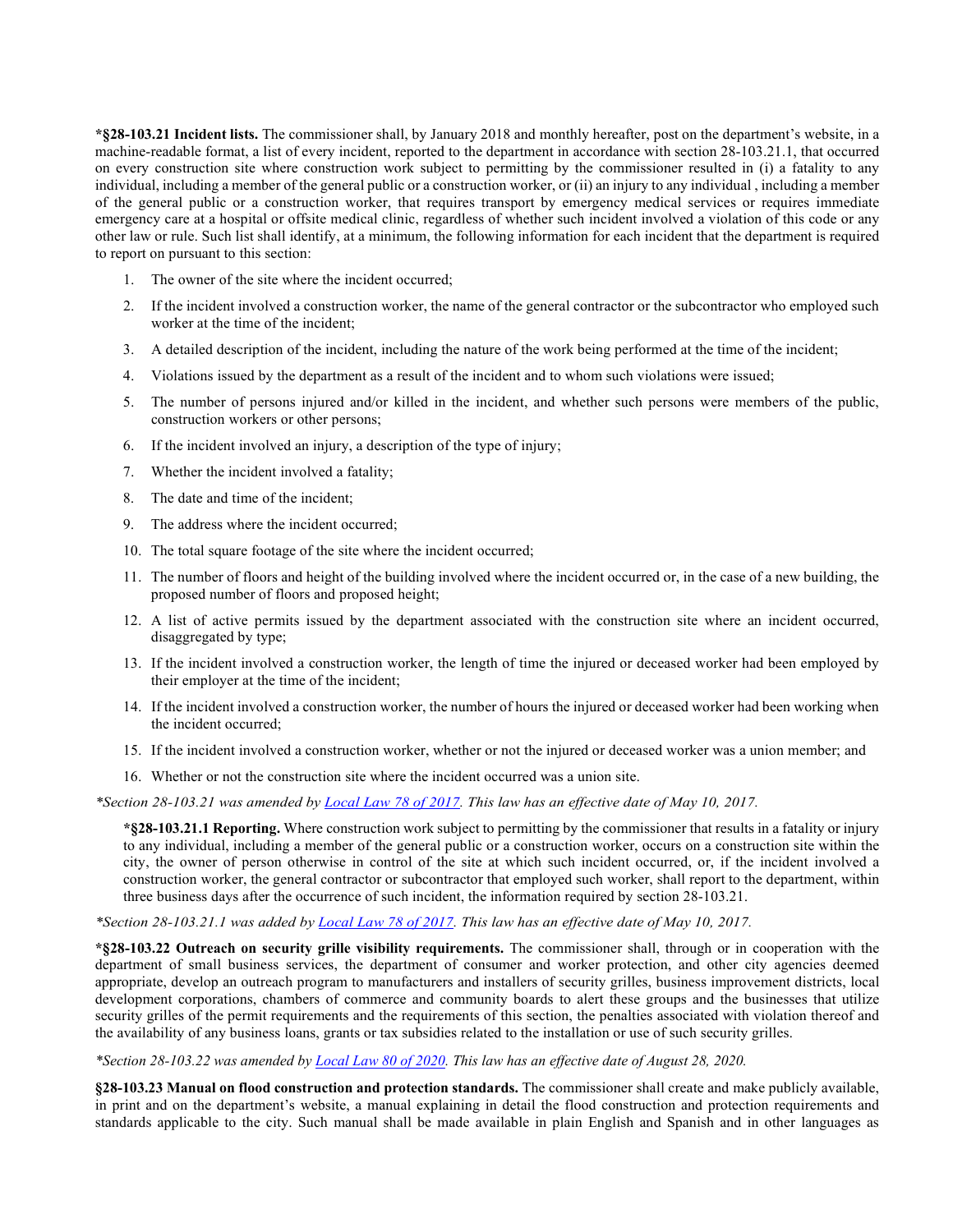**\*§28-103.21 Incident lists.** The commissioner shall, by January 2018 and monthly hereafter, post on the department's website, in a machine-readable format, a list of every incident, reported to the department in accordance with section 28-103.21.1, that occurred on every construction site where construction work subject to permitting by the commissioner resulted in (i) a fatality to any individual, including a member of the general public or a construction worker, or (ii) an injury to any individual , including a member of the general public or a construction worker, that requires transport by emergency medical services or requires immediate emergency care at a hospital or offsite medical clinic, regardless of whether such incident involved a violation of this code or any other law or rule. Such list shall identify, at a minimum, the following information for each incident that the department is required to report on pursuant to this section:

- 1. The owner of the site where the incident occurred;
- 2. If the incident involved a construction worker, the name of the general contractor or the subcontractor who employed such worker at the time of the incident;
- 3. A detailed description of the incident, including the nature of the work being performed at the time of the incident;
- 4. Violations issued by the department as a result of the incident and to whom such violations were issued;
- 5. The number of persons injured and/or killed in the incident, and whether such persons were members of the public, construction workers or other persons;
- 6. If the incident involved an injury, a description of the type of injury;
- 7. Whether the incident involved a fatality;
- 8. The date and time of the incident;
- 9. The address where the incident occurred;
- 10. The total square footage of the site where the incident occurred;
- 11. The number of floors and height of the building involved where the incident occurred or, in the case of a new building, the proposed number of floors and proposed height;
- 12. A list of active permits issued by the department associated with the construction site where an incident occurred, disaggregated by type;
- 13. If the incident involved a construction worker, the length of time the injured or deceased worker had been employed by their employer at the time of the incident;
- 14. If the incident involved a construction worker, the number of hours the injured or deceased worker had been working when the incident occurred;
- 15. If the incident involved a construction worker, whether or not the injured or deceased worker was a union member; and
- 16. Whether or not the construction site where the incident occurred was a union site.

*\*Section 28-103.21 was amended b[y Local Law 78 of 2017.](http://www1.nyc.gov/assets/buildings/local_laws/ll78of2017.pdf) This law has an effective date of May 10, 2017.*

**\*§28-103.21.1 Reporting.** Where construction work subject to permitting by the commissioner that results in a fatality or injury to any individual, including a member of the general public or a construction worker, occurs on a construction site within the city, the owner of person otherwise in control of the site at which such incident occurred, or, if the incident involved a construction worker, the general contractor or subcontractor that employed such worker, shall report to the department, within three business days after the occurrence of such incident, the information required by section 28-103.21.

*\*Section 28-103.21.1 was added b[y Local Law 78 of 2017.](http://www1.nyc.gov/assets/buildings/local_laws/ll78of2017.pdf) This law has an effective date of May 10, 2017.*

**\*§28-103.22 Outreach on security grille visibility requirements.** The commissioner shall, through or in cooperation with the department of small business services, the department of consumer and worker protection, and other city agencies deemed appropriate, develop an outreach program to manufacturers and installers of security grilles, business improvement districts, local development corporations, chambers of commerce and community boards to alert these groups and the businesses that utilize security grilles of the permit requirements and the requirements of this section, the penalties associated with violation thereof and the availability of any business loans, grants or tax subsidies related to the installation or use of such security grilles.

*\*Section 28-103.22 was amended b[y Local Law 80 of 2020.](http://www1.nyc.gov/assets/buildings/local_laws/ll80of2020.pdf) This law has an effective date of August 28, 2020.*

**§28-103.23 Manual on flood construction and protection standards.** The commissioner shall create and make publicly available, in print and on the department's website, a manual explaining in detail the flood construction and protection requirements and standards applicable to the city. Such manual shall be made available in plain English and Spanish and in other languages as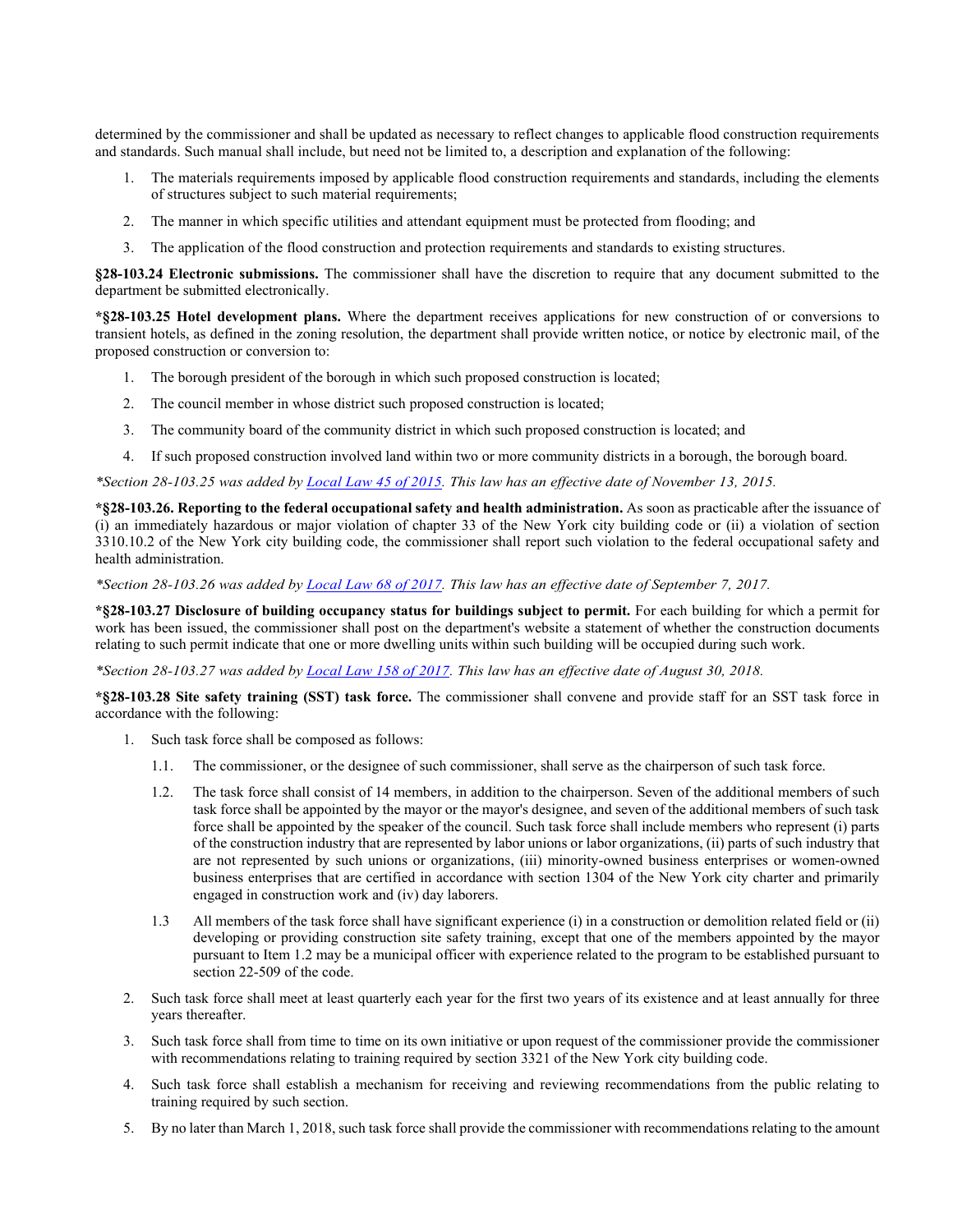determined by the commissioner and shall be updated as necessary to reflect changes to applicable flood construction requirements and standards. Such manual shall include, but need not be limited to, a description and explanation of the following:

- 1. The materials requirements imposed by applicable flood construction requirements and standards, including the elements of structures subject to such material requirements;
- 2. The manner in which specific utilities and attendant equipment must be protected from flooding; and
- 3. The application of the flood construction and protection requirements and standards to existing structures.

**§28-103.24 Electronic submissions.** The commissioner shall have the discretion to require that any document submitted to the department be submitted electronically.

**\*§28-103.25 Hotel development plans.** Where the department receives applications for new construction of or conversions to transient hotels, as defined in the zoning resolution, the department shall provide written notice, or notice by electronic mail, of the proposed construction or conversion to:

- 1. The borough president of the borough in which such proposed construction is located;
- 2. The council member in whose district such proposed construction is located;
- 3. The community board of the community district in which such proposed construction is located; and
- 4. If such proposed construction involved land within two or more community districts in a borough, the borough board.

*\*Section 28-103.25 was added by [Local Law 45 of 2015.](http://www1.nyc.gov/assets/buildings/local_laws/ll45of2015.pdf) This law has an effective date of November 13, 2015.*

**\*§28-103.26. Reporting to the federal occupational safety and health administration.** As soon as practicable after the issuance of (i) an immediately hazardous or major violation of chapter 33 of the New York city building code or (ii) a violation of section 3310.10.2 of the New York city building code, the commissioner shall report such violation to the federal occupational safety and health administration.

*\*Section 28-103.26 was added by [Local Law 68 of 2017.](http://www1.nyc.gov/assets/buildings/local_laws/ll68of2017.pdf) This law has an effective date of September 7, 2017.* 

**\*§28-103.27 Disclosure of building occupancy status for buildings subject to permit.** For each building for which a permit for work has been issued, the commissioner shall post on the department's website a statement of whether the construction documents relating to such permit indicate that one or more dwelling units within such building will be occupied during such work.

*\*Section 28-103.27 was added by [Local Law 158 of 2017.](https://www1.nyc.gov/assets/buildings/local_laws/ll158of2017.pdf) This law has an effective date of August 30, 2018.*

**\*§28-103.28 Site safety training (SST) task force.** The commissioner shall convene and provide staff for an SST task force in accordance with the following:

- 1. Such task force shall be composed as follows:
	- 1.1. The commissioner, or the designee of such commissioner, shall serve as the chairperson of such task force.
	- 1.2. The task force shall consist of 14 members, in addition to the chairperson. Seven of the additional members of such task force shall be appointed by the mayor or the mayor's designee, and seven of the additional members of such task force shall be appointed by the speaker of the council. Such task force shall include members who represent (i) parts of the construction industry that are represented by labor unions or labor organizations, (ii) parts of such industry that are not represented by such unions or organizations, (iii) minority-owned business enterprises or women-owned business enterprises that are certified in accordance with section 1304 of the New York city charter and primarily engaged in construction work and (iv) day laborers.
	- 1.3 All members of the task force shall have significant experience (i) in a construction or demolition related field or (ii) developing or providing construction site safety training, except that one of the members appointed by the mayor pursuant to Item 1.2 may be a municipal officer with experience related to the program to be established pursuant to section 22-509 of the code.
- 2. Such task force shall meet at least quarterly each year for the first two years of its existence and at least annually for three years thereafter.
- 3. Such task force shall from time to time on its own initiative or upon request of the commissioner provide the commissioner with recommendations relating to training required by section 3321 of the New York city building code.
- 4. Such task force shall establish a mechanism for receiving and reviewing recommendations from the public relating to training required by such section.
- 5. By no later than March 1, 2018, such task force shall provide the commissioner with recommendations relating to the amount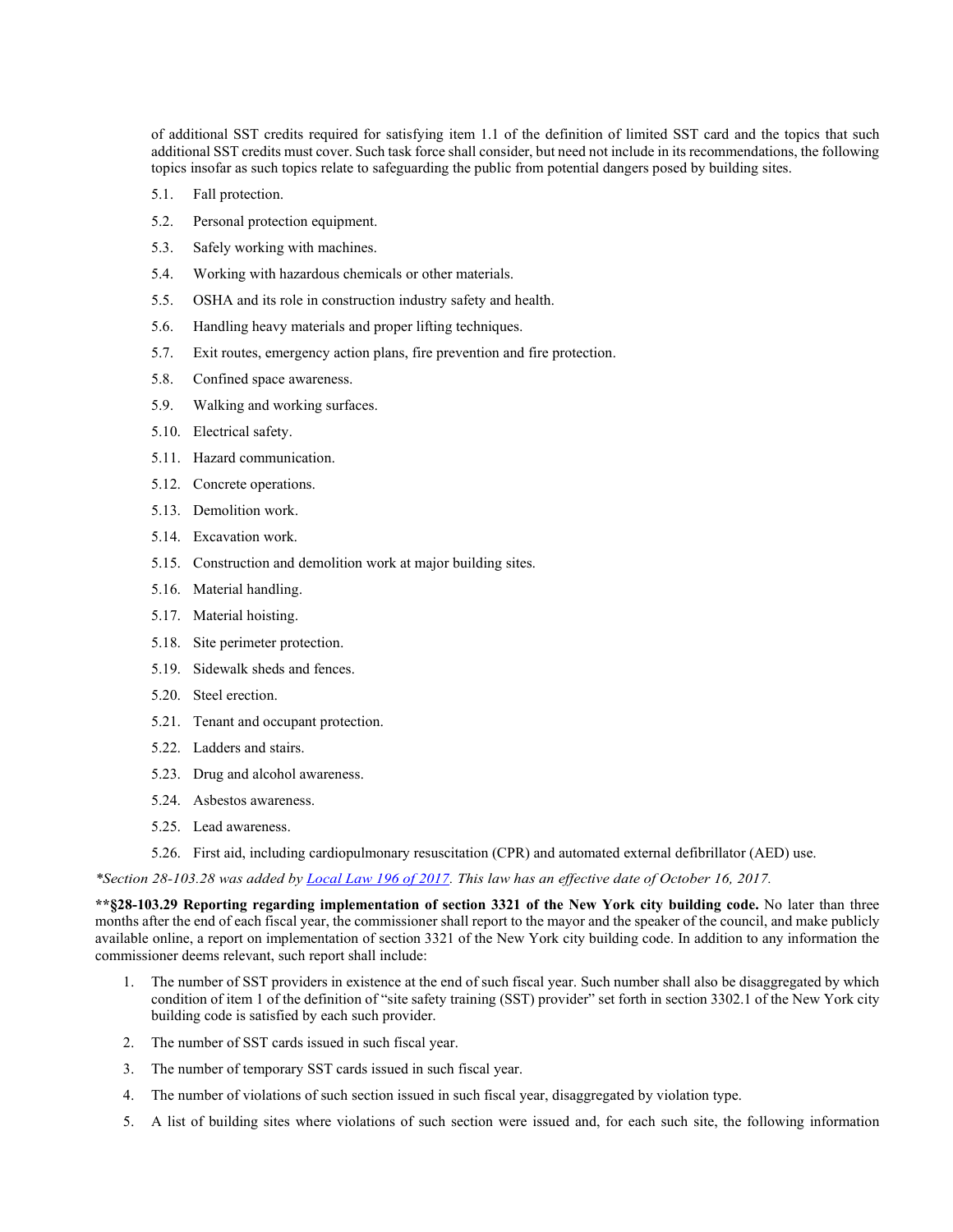of additional SST credits required for satisfying item 1.1 of the definition of limited SST card and the topics that such additional SST credits must cover. Such task force shall consider, but need not include in its recommendations, the following topics insofar as such topics relate to safeguarding the public from potential dangers posed by building sites.

- 5.1. Fall protection.
- 5.2. Personal protection equipment.
- 5.3. Safely working with machines.
- 5.4. Working with hazardous chemicals or other materials.
- 5.5. OSHA and its role in construction industry safety and health.
- 5.6. Handling heavy materials and proper lifting techniques.
- 5.7. Exit routes, emergency action plans, fire prevention and fire protection.
- 5.8. Confined space awareness.
- 5.9. Walking and working surfaces.
- 5.10. Electrical safety.
- 5.11. Hazard communication.
- 5.12. Concrete operations.
- 5.13. Demolition work.
- 5.14. Excavation work.
- 5.15. Construction and demolition work at major building sites.
- 5.16. Material handling.
- 5.17. Material hoisting.
- 5.18. Site perimeter protection.
- 5.19. Sidewalk sheds and fences.
- 5.20. Steel erection.
- 5.21. Tenant and occupant protection.
- 5.22. Ladders and stairs.
- 5.23. Drug and alcohol awareness.
- 5.24. Asbestos awareness.
- 5.25. Lead awareness.
- 5.26. First aid, including cardiopulmonary resuscitation (CPR) and automated external defibrillator (AED) use.

*\*Section 28-103.28 was added by [Local Law 196 of 2017.](http://www1.nyc.gov/assets/buildings/local_laws/ll196of2017.pdf) This law has an effective date of October 16, 2017.*

**\*\*§28-103.29 Reporting regarding implementation of section 3321 of the New York city building code.** No later than three months after the end of each fiscal year, the commissioner shall report to the mayor and the speaker of the council, and make publicly available online, a report on implementation of section 3321 of the New York city building code. In addition to any information the commissioner deems relevant, such report shall include:

- 1. The number of SST providers in existence at the end of such fiscal year. Such number shall also be disaggregated by which condition of item 1 of the definition of "site safety training (SST) provider" set forth in section 3302.1 of the New York city building code is satisfied by each such provider.
- 2. The number of SST cards issued in such fiscal year.
- 3. The number of temporary SST cards issued in such fiscal year.
- 4. The number of violations of such section issued in such fiscal year, disaggregated by violation type.
- 5. A list of building sites where violations of such section were issued and, for each such site, the following information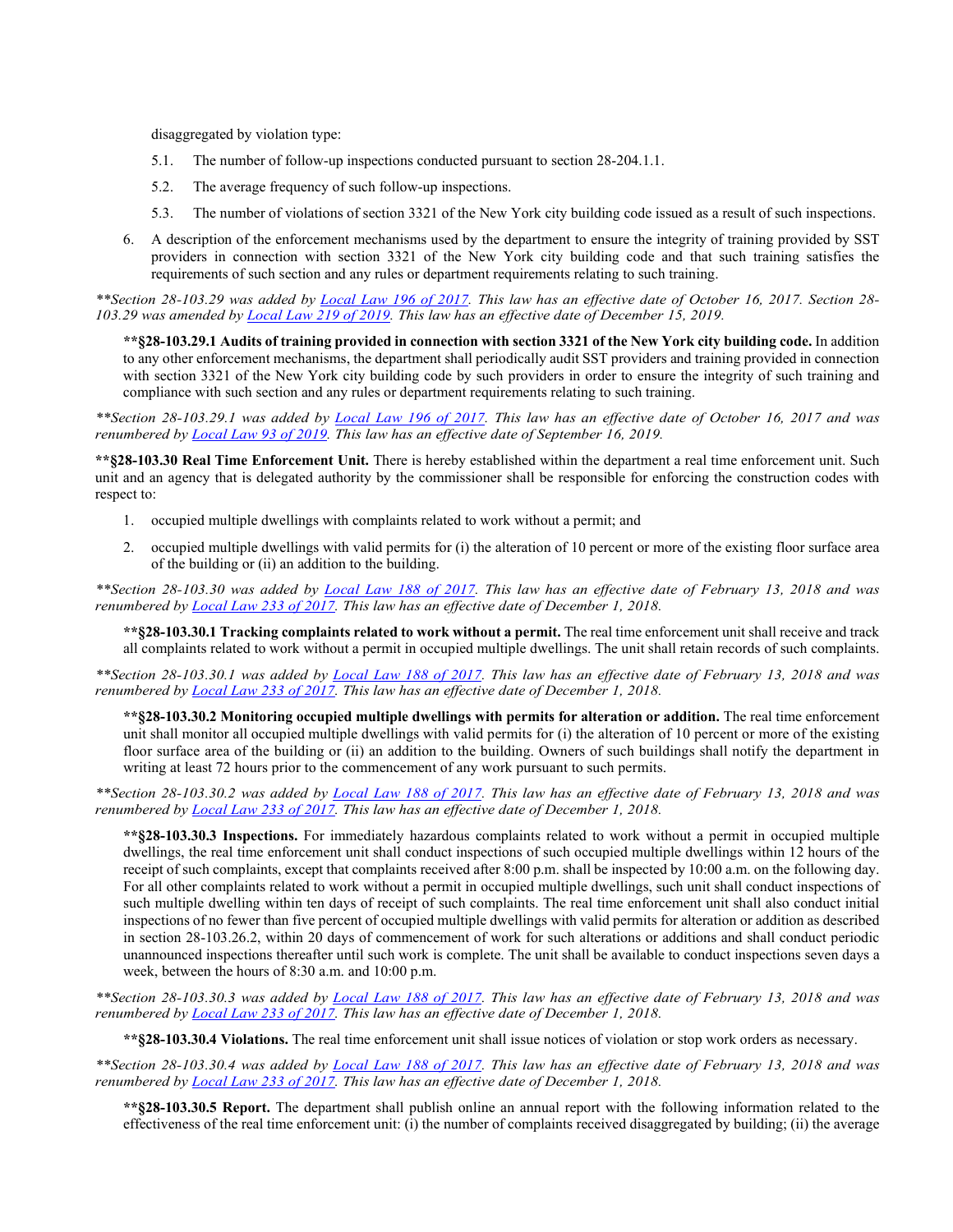disaggregated by violation type:

- 5.1. The number of follow-up inspections conducted pursuant to section 28-204.1.1.
- 5.2. The average frequency of such follow-up inspections.
- 5.3. The number of violations of section 3321 of the New York city building code issued as a result of such inspections.
- 6. A description of the enforcement mechanisms used by the department to ensure the integrity of training provided by SST providers in connection with section 3321 of the New York city building code and that such training satisfies the requirements of such section and any rules or department requirements relating to such training.

*\*\*Section 28-103.29 was added by [Local Law 196 of 2017.](http://www1.nyc.gov/assets/buildings/local_laws/ll196of2017.pdf) This law has an effective date of October 16, 2017. Section 28- 103.29 was amended by [Local Law 219 of 2019.](https://www1.nyc.gov/assets/buildings/local_laws/ll1219of2019.pdf) This law has an effective date of December 15, 2019.* 

**\*\*§28-103.29.1 Audits of training provided in connection with section 3321 of the New York city building code.** In addition to any other enforcement mechanisms, the department shall periodically audit SST providers and training provided in connection with section 3321 of the New York city building code by such providers in order to ensure the integrity of such training and compliance with such section and any rules or department requirements relating to such training.

*\*\*Section 28-103.29.1 was added by [Local Law 196 of 2017.](http://www1.nyc.gov/assets/buildings/local_laws/ll196of2017.pdf) This law has an effective date of October 16, 2017 and was renumbered by [Local Law 93 of 2019.](https://www1.nyc.gov/assets/buildings/local_laws/ll93of2019.pdf) This law has an effective date of September 16, 2019.*

**\*\*§28-103.30 Real Time Enforcement Unit.** There is hereby established within the department a real time enforcement unit. Such unit and an agency that is delegated authority by the commissioner shall be responsible for enforcing the construction codes with respect to:

- 1. occupied multiple dwellings with complaints related to work without a permit; and
- 2. occupied multiple dwellings with valid permits for (i) the alteration of 10 percent or more of the existing floor surface area of the building or (ii) an addition to the building.

*\*\*Section 28-103.30 was added by [Local Law 188](http://www1.nyc.gov/assets/buildings/local_laws/ll188of2017.pdf) of 2017. This law has an effective date of February 13, 2018 and was renumbered by [Local Law 233 of 2017.](https://www1.nyc.gov/assets/buildings/local_laws/ll233of2017.pdf) This law has an effective date of December 1, 2018.*

**\*\*§28-103.30.1 Tracking complaints related to work without a permit.** The real time enforcement unit shall receive and track all complaints related to work without a permit in occupied multiple dwellings. The unit shall retain records of such complaints.

*\*\*Section 28-103.30.1 was added by [Local Law 188](http://www1.nyc.gov/assets/buildings/local_laws/ll188of2017.pdf) of 2017. This law has an effective date of February 13, 2018 and was renumbered by [Local Law 233 of 2017.](https://www1.nyc.gov/assets/buildings/local_laws/ll233of2017.pdf) This law has an effective date of December 1, 2018.*

**\*\*§28-103.30.2 Monitoring occupied multiple dwellings with permits for alteration or addition.** The real time enforcement unit shall monitor all occupied multiple dwellings with valid permits for (i) the alteration of 10 percent or more of the existing floor surface area of the building or (ii) an addition to the building. Owners of such buildings shall notify the department in writing at least 72 hours prior to the commencement of any work pursuant to such permits.

*\*\*Section 28-103.30.2 was added by [Local Law 188](http://www1.nyc.gov/assets/buildings/local_laws/ll188of2017.pdf) of 2017. This law has an effective date of February 13, 2018 and was renumbered by [Local Law 233 of 2017.](https://www1.nyc.gov/assets/buildings/local_laws/ll233of2017.pdf) This law has an effective date of December 1, 2018.*

**\*\*§28-103.30.3 Inspections.** For immediately hazardous complaints related to work without a permit in occupied multiple dwellings, the real time enforcement unit shall conduct inspections of such occupied multiple dwellings within 12 hours of the receipt of such complaints, except that complaints received after 8:00 p.m. shall be inspected by 10:00 a.m. on the following day. For all other complaints related to work without a permit in occupied multiple dwellings, such unit shall conduct inspections of such multiple dwelling within ten days of receipt of such complaints. The real time enforcement unit shall also conduct initial inspections of no fewer than five percent of occupied multiple dwellings with valid permits for alteration or addition as described in section 28-103.26.2, within 20 days of commencement of work for such alterations or additions and shall conduct periodic unannounced inspections thereafter until such work is complete. The unit shall be available to conduct inspections seven days a week, between the hours of 8:30 a.m. and 10:00 p.m.

*\*\*Section 28-103.30.3 was added by [Local Law 188](http://www1.nyc.gov/assets/buildings/local_laws/ll188of2017.pdf) of 2017. This law has an effective date of February 13, 2018 and was renumbered by [Local Law 233 of 2017.](https://www1.nyc.gov/assets/buildings/local_laws/ll233of2017.pdf) This law has an effective date of December 1, 2018.* 

**\*\*§28-103.30.4 Violations.** The real time enforcement unit shall issue notices of violation or stop work orders as necessary.

*\*\*Section 28-103.30.4 was added by [Local Law 188](http://www1.nyc.gov/assets/buildings/local_laws/ll188of2017.pdf) of 2017. This law has an effective date of February 13, 2018 and was renumbered by [Local Law 233 of 2017.](https://www1.nyc.gov/assets/buildings/local_laws/ll233of2017.pdf) This law has an effective date of December 1, 2018.* 

**\*\*§28-103.30.5 Report.** The department shall publish online an annual report with the following information related to the effectiveness of the real time enforcement unit: (i) the number of complaints received disaggregated by building; (ii) the average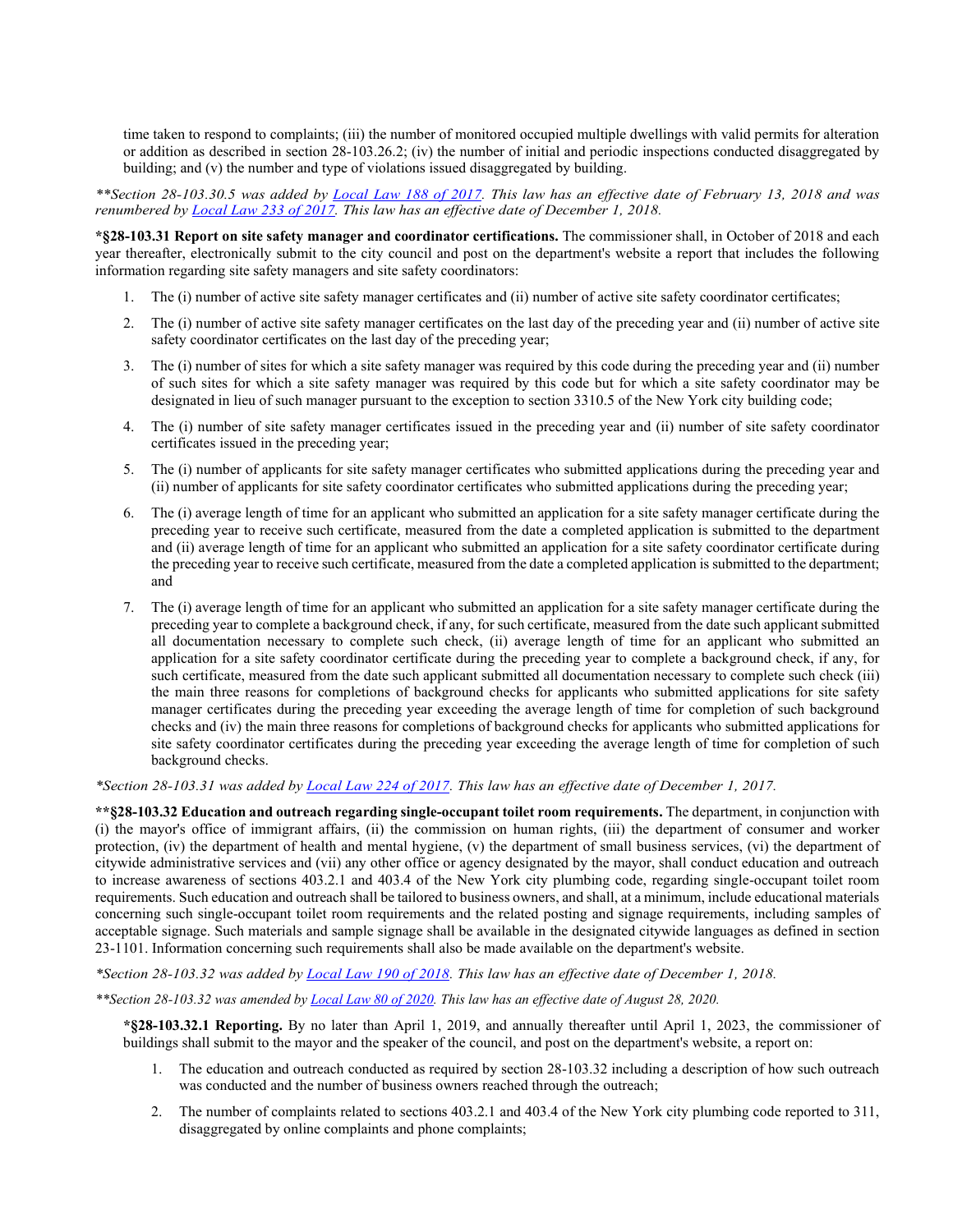time taken to respond to complaints; (iii) the number of monitored occupied multiple dwellings with valid permits for alteration or addition as described in section 28-103.26.2; (iv) the number of initial and periodic inspections conducted disaggregated by building; and (v) the number and type of violations issued disaggregated by building.

*\*\*Section 28-103.30.5 was added by [Local Law 188](http://www1.nyc.gov/assets/buildings/local_laws/ll188of2017.pdf) of 2017. This law has an effective date of February 13, 2018 and was renumbered by [Local Law 233 of 2017.](https://www1.nyc.gov/assets/buildings/local_laws/ll233of2017.pdf) This law has an effective date of December 1, 2018.* 

**\*§28-103.31 Report on site safety manager and coordinator certifications.** The commissioner shall, in October of 2018 and each year thereafter, electronically submit to the city council and post on the department's website a report that includes the following information regarding site safety managers and site safety coordinators:

- 1. The (i) number of active site safety manager certificates and (ii) number of active site safety coordinator certificates;
- 2. The (i) number of active site safety manager certificates on the last day of the preceding year and (ii) number of active site safety coordinator certificates on the last day of the preceding year;
- 3. The (i) number of sites for which a site safety manager was required by this code during the preceding year and (ii) number of such sites for which a site safety manager was required by this code but for which a site safety coordinator may be designated in lieu of such manager pursuant to the exception to section 3310.5 of the New York city building code;
- 4. The (i) number of site safety manager certificates issued in the preceding year and (ii) number of site safety coordinator certificates issued in the preceding year;
- 5. The (i) number of applicants for site safety manager certificates who submitted applications during the preceding year and (ii) number of applicants for site safety coordinator certificates who submitted applications during the preceding year;
- 6. The (i) average length of time for an applicant who submitted an application for a site safety manager certificate during the preceding year to receive such certificate, measured from the date a completed application is submitted to the department and (ii) average length of time for an applicant who submitted an application for a site safety coordinator certificate during the preceding year to receive such certificate, measured from the date a completed application is submitted to the department; and
- 7. The (i) average length of time for an applicant who submitted an application for a site safety manager certificate during the preceding year to complete a background check, if any, for such certificate, measured from the date such applicant submitted all documentation necessary to complete such check, (ii) average length of time for an applicant who submitted an application for a site safety coordinator certificate during the preceding year to complete a background check, if any, for such certificate, measured from the date such applicant submitted all documentation necessary to complete such check (iii) the main three reasons for completions of background checks for applicants who submitted applications for site safety manager certificates during the preceding year exceeding the average length of time for completion of such background checks and (iv) the main three reasons for completions of background checks for applicants who submitted applications for site safety coordinator certificates during the preceding year exceeding the average length of time for completion of such background checks.

## *\*Section 28-103.31 was added by [Local Law 224](http://www1.nyc.gov/assets/buildings/local_laws/ll224of2017.pdf) of 2017. This law has an effective date of December 1, 2017.*

**\*\*§28-103.32 Education and outreach regarding single-occupant toilet room requirements.** The department, in conjunction with (i) the mayor's office of immigrant affairs, (ii) the commission on human rights, (iii) the department of consumer and worker protection, (iv) the department of health and mental hygiene, (v) the department of small business services, (vi) the department of citywide administrative services and (vii) any other office or agency designated by the mayor, shall conduct education and outreach to increase awareness of sections 403.2.1 and 403.4 of the New York city plumbing code, regarding single-occupant toilet room requirements. Such education and outreach shall be tailored to business owners, and shall, at a minimum, include educational materials concerning such single-occupant toilet room requirements and the related posting and signage requirements, including samples of acceptable signage. Such materials and sample signage shall be available in the designated citywide languages as defined in section 23-1101. Information concerning such requirements shall also be made available on the department's website.

*\*Section 28-103.32 was added by [Local Law 190 of 2018.](https://www1.nyc.gov/assets/buildings/local_laws/ll190of2018.pdf) This law has an effective date of December 1, 2018.*

*\*\*Section 28-103.32 was amended b[y Local Law 80 of 2020.](http://www1.nyc.gov/assets/buildings/local_laws/ll80of2020.pdf) This law has an effective date of August 28, 2020.*

**\*§28-103.32.1 Reporting.** By no later than April 1, 2019, and annually thereafter until April 1, 2023, the commissioner of buildings shall submit to the mayor and the speaker of the council, and post on the department's website, a report on:

- 1. The education and outreach conducted as required by section 28-103.32 including a description of how such outreach was conducted and the number of business owners reached through the outreach;
- 2. The number of complaints related to sections 403.2.1 and 403.4 of the New York city plumbing code reported to 311, disaggregated by online complaints and phone complaints;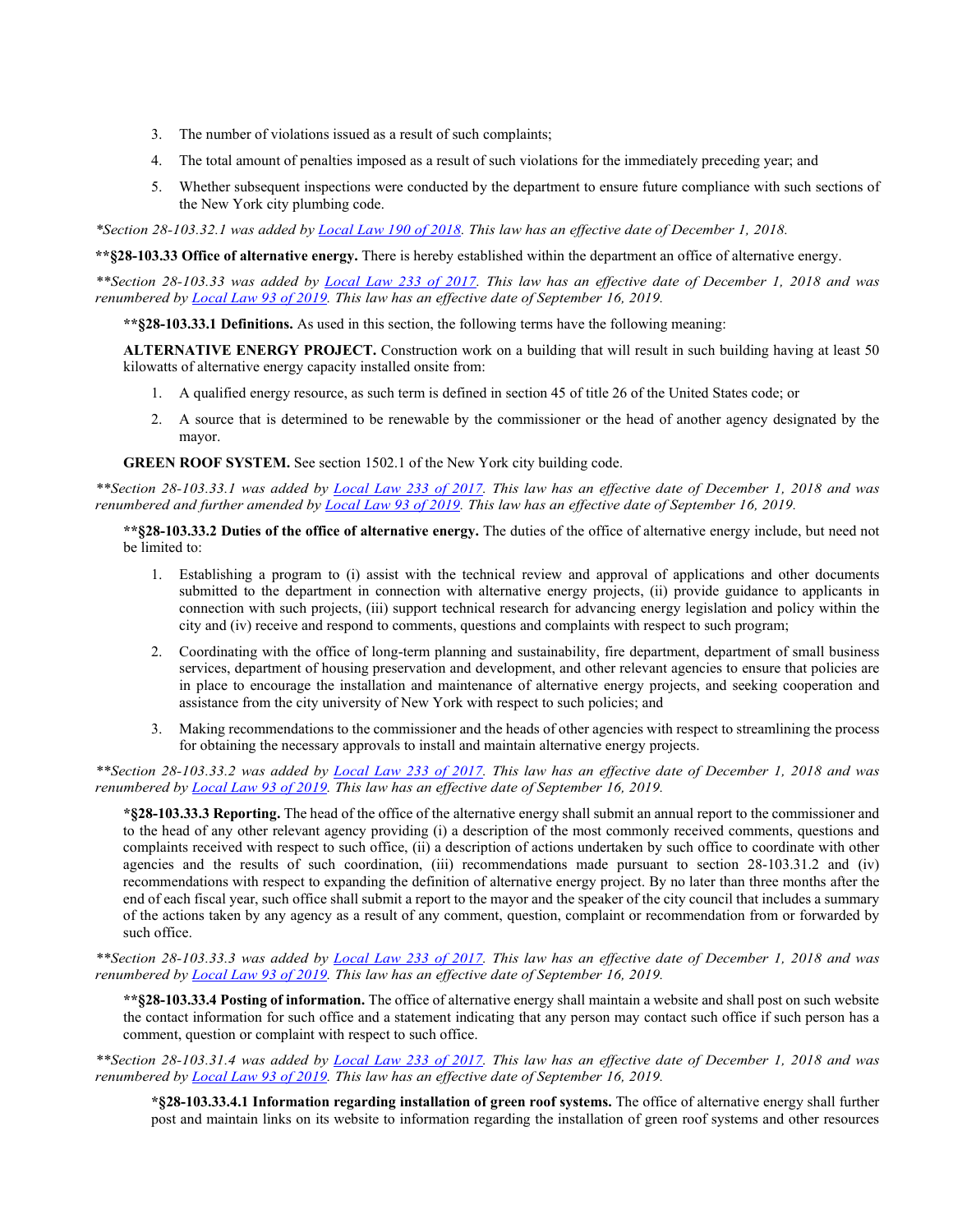- 3. The number of violations issued as a result of such complaints;
- 4. The total amount of penalties imposed as a result of such violations for the immediately preceding year; and
- 5. Whether subsequent inspections were conducted by the department to ensure future compliance with such sections of the New York city plumbing code.

*\*Section 28-103.32.1 was added b[y Local Law 190 of 2018.](https://www1.nyc.gov/assets/buildings/local_laws/ll190of2018.pdf) This law has an effective date of December 1, 2018.*

**\*\*§28-103.33 Office of alternative energy.** There is hereby established within the department an office of alternative energy.

*\*\*Section 28-103.33 was added by [Local Law 233 of 2017.](https://www1.nyc.gov/assets/buildings/local_laws/ll233of2017.pdf) This law has an effective date of December 1, 2018 and was renumbered by [Local Law 93 of 2019.](https://www1.nyc.gov/assets/buildings/local_laws/ll93of2019.pdf) This law has an effective date of September 16, 2019.*

**\*\*§28-103.33.1 Definitions.** As used in this section, the following terms have the following meaning:

**ALTERNATIVE ENERGY PROJECT.** Construction work on a building that will result in such building having at least 50 kilowatts of alternative energy capacity installed onsite from:

- 1. A qualified energy resource, as such term is defined in section 45 of title 26 of the United States code; or
- 2. A source that is determined to be renewable by the commissioner or the head of another agency designated by the mayor.

**GREEN ROOF SYSTEM.** See section 1502.1 of the New York city building code.

*\*\*Section 28-103.33.1 was added by [Local Law 233 of 2017.](https://www1.nyc.gov/assets/buildings/local_laws/ll233of2017.pdf) This law has an effective date of December 1, 2018 and was renumbered and further amended by [Local Law 93 of 2019.](https://www1.nyc.gov/assets/buildings/local_laws/ll93of2019.pdf) This law has an effective date of September 16, 2019.* 

**\*\*§28-103.33.2 Duties of the office of alternative energy.** The duties of the office of alternative energy include, but need not be limited to:

- 1. Establishing a program to (i) assist with the technical review and approval of applications and other documents submitted to the department in connection with alternative energy projects, (ii) provide guidance to applicants in connection with such projects, (iii) support technical research for advancing energy legislation and policy within the city and (iv) receive and respond to comments, questions and complaints with respect to such program;
- 2. Coordinating with the office of long-term planning and sustainability, fire department, department of small business services, department of housing preservation and development, and other relevant agencies to ensure that policies are in place to encourage the installation and maintenance of alternative energy projects, and seeking cooperation and assistance from the city university of New York with respect to such policies; and
- 3. Making recommendations to the commissioner and the heads of other agencies with respect to streamlining the process for obtaining the necessary approvals to install and maintain alternative energy projects.

*\*\*Section 28-103.33.2 was added by [Local Law 233 of 2017.](https://www1.nyc.gov/assets/buildings/local_laws/ll233of2017.pdf) This law has an effective date of December 1, 2018 and was renumbered by [Local Law 93 of 2019.](https://www1.nyc.gov/assets/buildings/local_laws/ll93of2019.pdf) This law has an effective date of September 16, 2019.* 

**\*§28-103.33.3 Reporting.** The head of the office of the alternative energy shall submit an annual report to the commissioner and to the head of any other relevant agency providing (i) a description of the most commonly received comments, questions and complaints received with respect to such office, (ii) a description of actions undertaken by such office to coordinate with other agencies and the results of such coordination, (iii) recommendations made pursuant to section 28-103.31.2 and (iv) recommendations with respect to expanding the definition of alternative energy project. By no later than three months after the end of each fiscal year, such office shall submit a report to the mayor and the speaker of the city council that includes a summary of the actions taken by any agency as a result of any comment, question, complaint or recommendation from or forwarded by such office.

*\*\*Section 28-103.33.3 was added by [Local Law 233 of 2017.](https://www1.nyc.gov/assets/buildings/local_laws/ll233of2017.pdf) This law has an effective date of December 1, 2018 and was renumbered by [Local Law 93 of 2019.](https://www1.nyc.gov/assets/buildings/local_laws/ll93of2019.pdf) This law has an effective date of September 16, 2019.* 

**\*\*§28-103.33.4 Posting of information.** The office of alternative energy shall maintain a website and shall post on such website the contact information for such office and a statement indicating that any person may contact such office if such person has a comment, question or complaint with respect to such office.

*\*\*Section 28-103.31.4 was added by [Local Law 233 of 2017.](https://www1.nyc.gov/assets/buildings/local_laws/ll233of2017.pdf) This law has an effective date of December 1, 2018 and was renumbered by [Local Law 93 of 2019.](https://www1.nyc.gov/assets/buildings/local_laws/ll93of2019.pdf) This law has an effective date of September 16, 2019.* 

**\*§28-103.33.4.1 Information regarding installation of green roof systems.** The office of alternative energy shall further post and maintain links on its website to information regarding the installation of green roof systems and other resources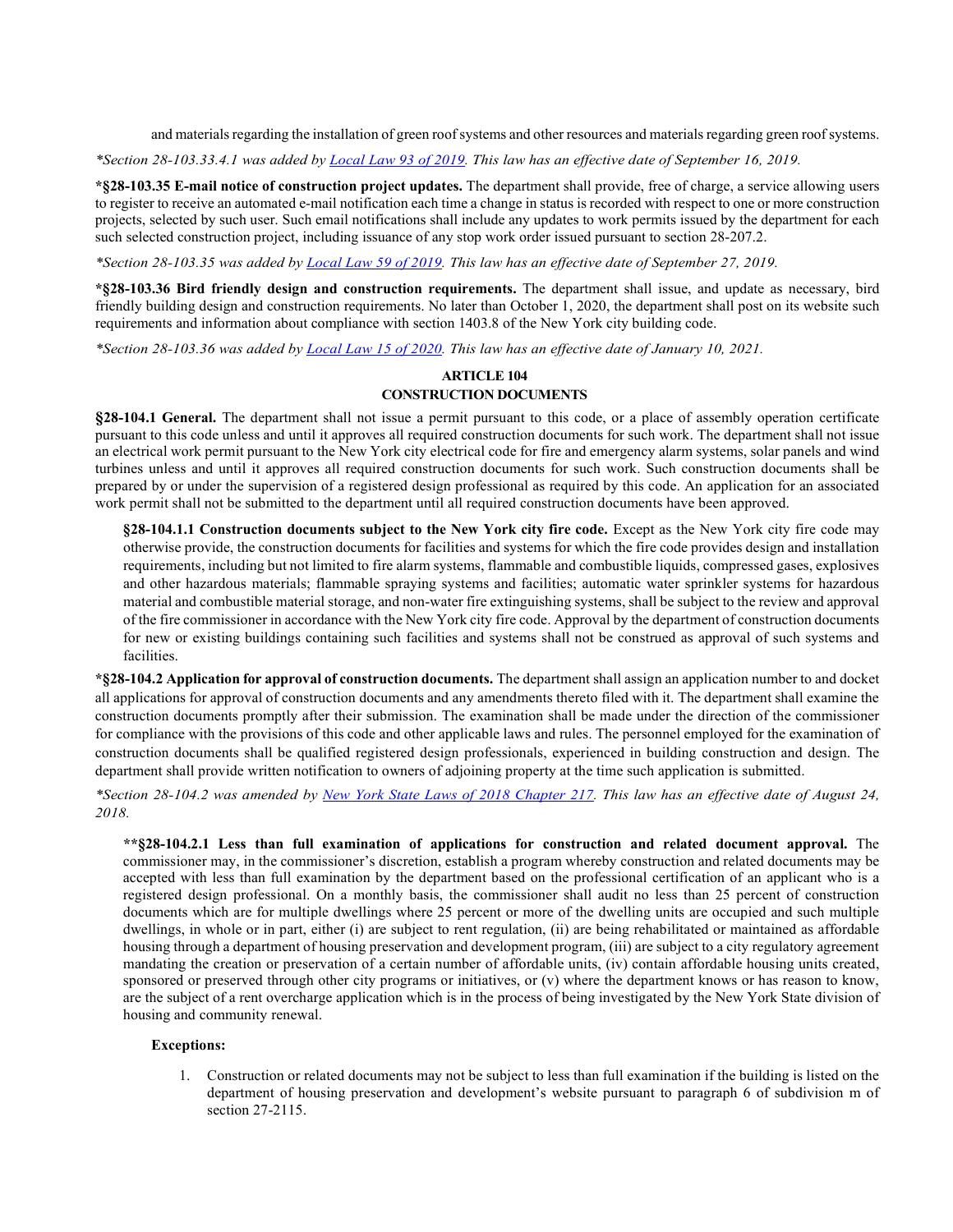and materials regarding the installation of green roof systems and other resources and materials regarding green roof systems.

*\*Section 28-103.33.4.1 was added by [Local Law 93 of 2019.](https://www1.nyc.gov/assets/buildings/local_laws/ll93of2019.pdf) This law has an effective date of September 16, 2019.* 

**\*§28-103.35 E-mail notice of construction project updates.** The department shall provide, free of charge, a service allowing users to register to receive an automated e-mail notification each time a change in status is recorded with respect to one or more construction projects, selected by such user. Such email notifications shall include any updates to work permits issued by the department for each such selected construction project, including issuance of any stop work order issued pursuant to section 28-207.2.

*\*Section 28-103.35 was added by [Local Law 59](https://www1.nyc.gov/assets/buildings/local_laws/ll59of2019.pdf) of 2019. This law has an effective date of September 27, 2019.* 

**\*§28-103.36 Bird friendly design and construction requirements.** The department shall issue, and update as necessary, bird friendly building design and construction requirements. No later than October 1, 2020, the department shall post on its website such requirements and information about compliance with section 1403.8 of the New York city building code.

*\*Section 28-103.36 was added by [Local Law 15 of 2020.](https://www1.nyc.gov/assets/buildings/local_laws/ll15of2020.pdf) This law has an effective date of January 10, 2021.*

#### **ARTICLE 104 CONSTRUCTION DOCUMENTS**

**§28-104.1 General.** The department shall not issue a permit pursuant to this code, or a place of assembly operation certificate pursuant to this code unless and until it approves all required construction documents for such work. The department shall not issue an electrical work permit pursuant to the New York city electrical code for fire and emergency alarm systems, solar panels and wind turbines unless and until it approves all required construction documents for such work. Such construction documents shall be prepared by or under the supervision of a registered design professional as required by this code. An application for an associated work permit shall not be submitted to the department until all required construction documents have been approved.

**§28-104.1.1 Construction documents subject to the New York city fire code.** Except as the New York city fire code may otherwise provide, the construction documents for facilities and systems for which the fire code provides design and installation requirements, including but not limited to fire alarm systems, flammable and combustible liquids, compressed gases, explosives and other hazardous materials; flammable spraying systems and facilities; automatic water sprinkler systems for hazardous material and combustible material storage, and non-water fire extinguishing systems, shall be subject to the review and approval of the fire commissioner in accordance with the New York city fire code. Approval by the department of construction documents for new or existing buildings containing such facilities and systems shall not be construed as approval of such systems and facilities.

**\*§28-104.2 Application for approval of construction documents.** The department shall assign an application number to and docket all applications for approval of construction documents and any amendments thereto filed with it. The department shall examine the construction documents promptly after their submission. The examination shall be made under the direction of the commissioner for compliance with the provisions of this code and other applicable laws and rules. The personnel employed for the examination of construction documents shall be qualified registered design professionals, experienced in building construction and design. The department shall provide written notification to owners of adjoining property at the time such application is submitted.

*\*Section 28-104.2 was amended by [New York State Laws of 2018 Chapter 217.](https://www1.nyc.gov/assets/buildings/local_laws/nys_ch_217_adjoining_owner_notice.pdf) This law has an effective date of August 24, 2018.*

**\*\*§28-104.2.1 Less than full examination of applications for construction and related document approval.** The commissioner may, in the commissioner's discretion, establish a program whereby construction and related documents may be accepted with less than full examination by the department based on the professional certification of an applicant who is a registered design professional. On a monthly basis, the commissioner shall audit no less than 25 percent of construction documents which are for multiple dwellings where 25 percent or more of the dwelling units are occupied and such multiple dwellings, in whole or in part, either (i) are subject to rent regulation, (ii) are being rehabilitated or maintained as affordable housing through a department of housing preservation and development program, (iii) are subject to a city regulatory agreement mandating the creation or preservation of a certain number of affordable units, (iv) contain affordable housing units created, sponsored or preserved through other city programs or initiatives, or (v) where the department knows or has reason to know, are the subject of a rent overcharge application which is in the process of being investigated by the New York State division of housing and community renewal.

#### **Exceptions:**

1. Construction or related documents may not be subject to less than full examination if the building is listed on the department of housing preservation and development's website pursuant to paragraph 6 of subdivision m of section 27-2115.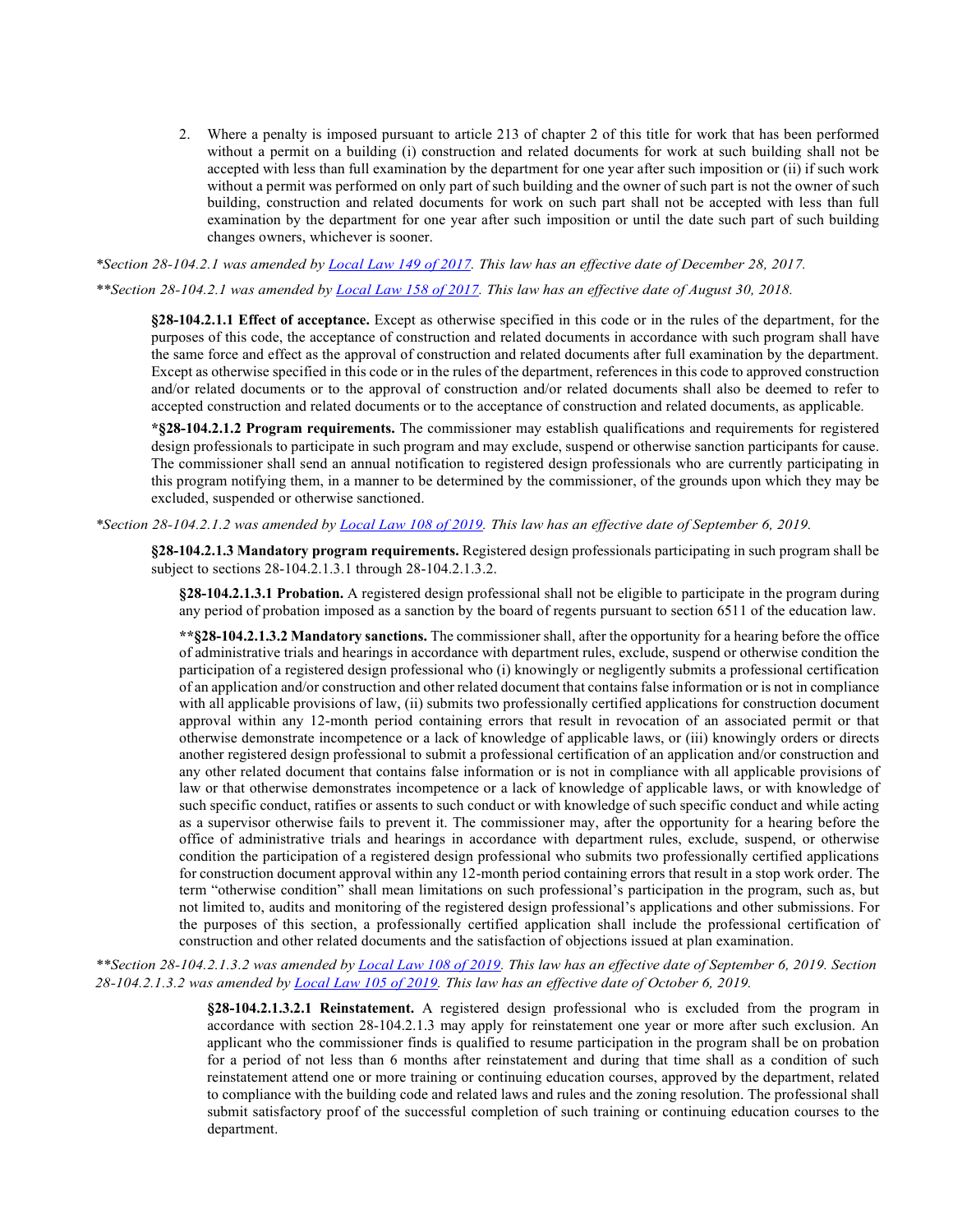2. Where a penalty is imposed pursuant to article 213 of chapter 2 of this title for work that has been performed without a permit on a building (i) construction and related documents for work at such building shall not be accepted with less than full examination by the department for one year after such imposition or (ii) if such work without a permit was performed on only part of such building and the owner of such part is not the owner of such building, construction and related documents for work on such part shall not be accepted with less than full examination by the department for one year after such imposition or until the date such part of such building changes owners, whichever is sooner.

*\*Section 28-104.2.1 was amended by [Local Law 149 of 2017.](http://www1.nyc.gov/assets/buildings/local_laws/ll149of2017.pdf) This law has an effective date of December 28, 2017.* 

*\*\*Section 28-104.2.1 was amended by [Local Law 158 of 2017.](https://www1.nyc.gov/assets/buildings/local_laws/ll158of2017.pdf) This law has an effective date of August 30, 2018.*

**§28-104.2.1.1 Effect of acceptance.** Except as otherwise specified in this code or in the rules of the department, for the purposes of this code, the acceptance of construction and related documents in accordance with such program shall have the same force and effect as the approval of construction and related documents after full examination by the department. Except as otherwise specified in this code or in the rules of the department, references in this code to approved construction and/or related documents or to the approval of construction and/or related documents shall also be deemed to refer to accepted construction and related documents or to the acceptance of construction and related documents, as applicable.

**\*§28-104.2.1.2 Program requirements.** The commissioner may establish qualifications and requirements for registered design professionals to participate in such program and may exclude, suspend or otherwise sanction participants for cause. The commissioner shall send an annual notification to registered design professionals who are currently participating in this program notifying them, in a manner to be determined by the commissioner, of the grounds upon which they may be excluded, suspended or otherwise sanctioned.

*\*Section 28-104.2.1.2 was amended b[y Local Law 108 of 2019.](https://www1.nyc.gov/assets/buildings/local_laws/ll108of2019.pdf) This law has an effective date of September 6, 2019.*

**§28-104.2.1.3 Mandatory program requirements.** Registered design professionals participating in such program shall be subject to sections 28-104.2.1.3.1 through 28-104.2.1.3.2.

**§28-104.2.1.3.1 Probation.** A registered design professional shall not be eligible to participate in the program during any period of probation imposed as a sanction by the board of regents pursuant to section 6511 of the education law.

**\*\*§28-104.2.1.3.2 Mandatory sanctions.** The commissioner shall, after the opportunity for a hearing before the office of administrative trials and hearings in accordance with department rules, exclude, suspend or otherwise condition the participation of a registered design professional who (i) knowingly or negligently submits a professional certification of an application and/or construction and other related document that contains false information or is not in compliance with all applicable provisions of law, (ii) submits two professionally certified applications for construction document approval within any 12-month period containing errors that result in revocation of an associated permit or that otherwise demonstrate incompetence or a lack of knowledge of applicable laws, or (iii) knowingly orders or directs another registered design professional to submit a professional certification of an application and/or construction and any other related document that contains false information or is not in compliance with all applicable provisions of law or that otherwise demonstrates incompetence or a lack of knowledge of applicable laws, or with knowledge of such specific conduct, ratifies or assents to such conduct or with knowledge of such specific conduct and while acting as a supervisor otherwise fails to prevent it. The commissioner may, after the opportunity for a hearing before the office of administrative trials and hearings in accordance with department rules, exclude, suspend, or otherwise condition the participation of a registered design professional who submits two professionally certified applications for construction document approval within any 12-month period containing errors that result in a stop work order. The term "otherwise condition" shall mean limitations on such professional's participation in the program, such as, but not limited to, audits and monitoring of the registered design professional's applications and other submissions. For the purposes of this section, a professionally certified application shall include the professional certification of construction and other related documents and the satisfaction of objections issued at plan examination.

*\*\*Section 28-104.2.1.3.2 was amended b[y Local Law 108 of 2019.](https://www1.nyc.gov/assets/buildings/local_laws/ll108of2019.pdf) This law has an effective date of September 6, 2019. Section 28-104.2.1.3.2 was amended by [Local Law 105 of 2019.](https://www1.nyc.gov/assets/buildings/local_laws/ll105of2019.pdf) This law has an effective date of October 6, 2019.*

> **§28-104.2.1.3.2.1 Reinstatement.** A registered design professional who is excluded from the program in accordance with section 28-104.2.1.3 may apply for reinstatement one year or more after such exclusion. An applicant who the commissioner finds is qualified to resume participation in the program shall be on probation for a period of not less than 6 months after reinstatement and during that time shall as a condition of such reinstatement attend one or more training or continuing education courses, approved by the department, related to compliance with the building code and related laws and rules and the zoning resolution. The professional shall submit satisfactory proof of the successful completion of such training or continuing education courses to the department.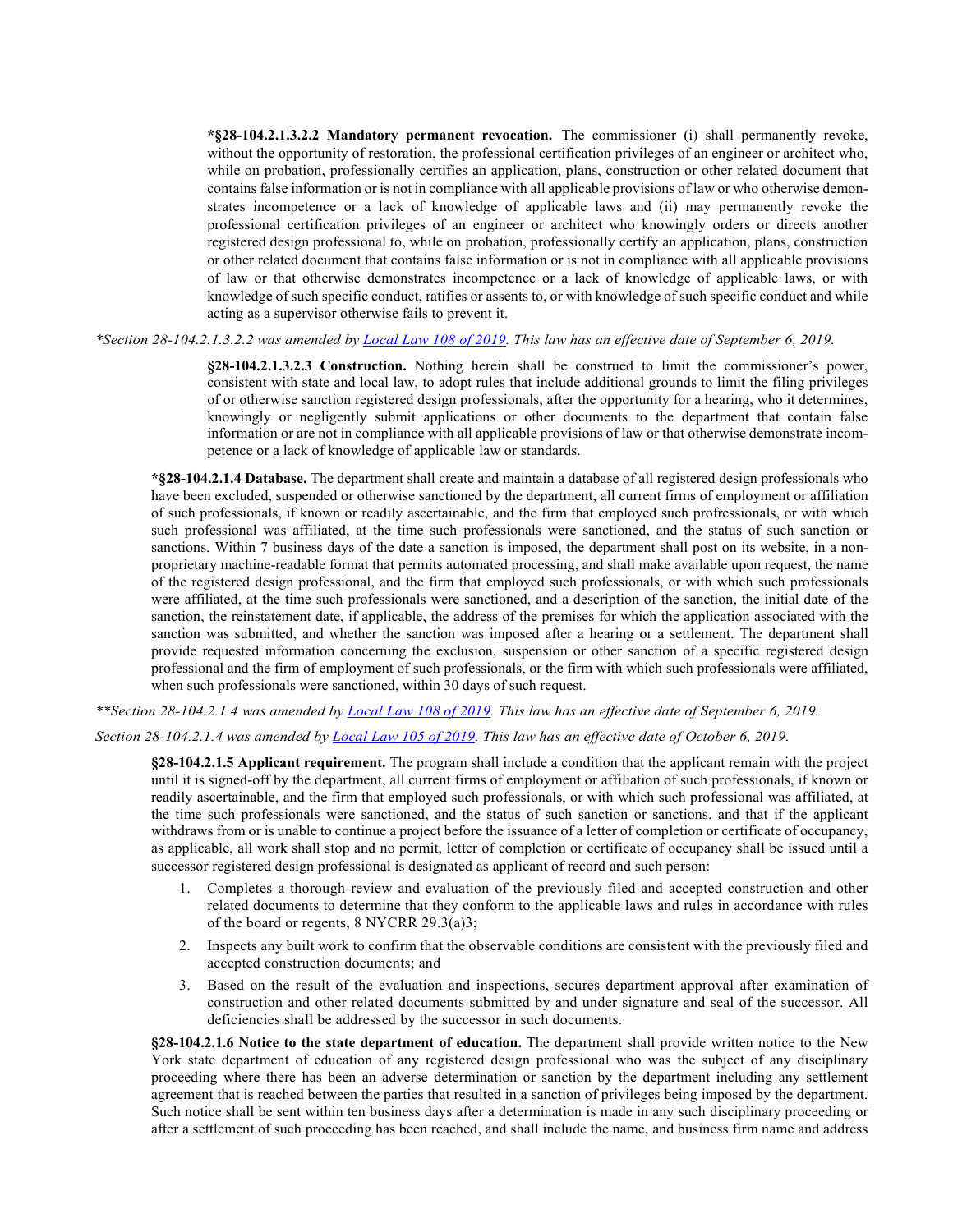**\*§28-104.2.1.3.2.2 Mandatory permanent revocation.** The commissioner (i) shall permanently revoke, without the opportunity of restoration, the professional certification privileges of an engineer or architect who, while on probation, professionally certifies an application, plans, construction or other related document that contains false information or is not in compliance with all applicable provisions of law or who otherwise demonstrates incompetence or a lack of knowledge of applicable laws and (ii) may permanently revoke the professional certification privileges of an engineer or architect who knowingly orders or directs another registered design professional to, while on probation, professionally certify an application, plans, construction or other related document that contains false information or is not in compliance with all applicable provisions of law or that otherwise demonstrates incompetence or a lack of knowledge of applicable laws, or with knowledge of such specific conduct, ratifies or assents to, or with knowledge of such specific conduct and while acting as a supervisor otherwise fails to prevent it.

*\*Section 28-104.2.1.3.2.2 was amended by [Local Law 108 of 2019.](https://www1.nyc.gov/assets/buildings/local_laws/ll108of2019.pdf) This law has an effective date of September 6, 2019.*

**§28-104.2.1.3.2.3 Construction.** Nothing herein shall be construed to limit the commissioner's power, consistent with state and local law, to adopt rules that include additional grounds to limit the filing privileges of or otherwise sanction registered design professionals, after the opportunity for a hearing, who it determines, knowingly or negligently submit applications or other documents to the department that contain false information or are not in compliance with all applicable provisions of law or that otherwise demonstrate incompetence or a lack of knowledge of applicable law or standards.

**\*§28-104.2.1.4 Database.** The department shall create and maintain a database of all registered design professionals who have been excluded, suspended or otherwise sanctioned by the department, all current firms of employment or affiliation of such professionals, if known or readily ascertainable, and the firm that employed such profressionals, or with which such professional was affiliated, at the time such professionals were sanctioned, and the status of such sanction or sanctions. Within 7 business days of the date a sanction is imposed, the department shall post on its website, in a nonproprietary machine-readable format that permits automated processing, and shall make available upon request, the name of the registered design professional, and the firm that employed such professionals, or with which such professionals were affiliated, at the time such professionals were sanctioned, and a description of the sanction, the initial date of the sanction, the reinstatement date, if applicable, the address of the premises for which the application associated with the sanction was submitted, and whether the sanction was imposed after a hearing or a settlement. The department shall provide requested information concerning the exclusion, suspension or other sanction of a specific registered design professional and the firm of employment of such professionals, or the firm with which such professionals were affiliated, when such professionals were sanctioned, within 30 days of such request.

*\*\*Section 28-104.2.1.4 was amended by [Local Law 108 of 2019.](https://www1.nyc.gov/assets/buildings/local_laws/ll108of2019.pdf) This law has an effective date of September 6, 2019.* 

## *Section 28-104.2.1.4 was amended b[y Local Law 105 of 2019.](https://www1.nyc.gov/assets/buildings/local_laws/ll105of2019.pdf) This law has an effective date of October 6, 2019.*

**§28-104.2.1.5 Applicant requirement.** The program shall include a condition that the applicant remain with the project until it is signed-off by the department, all current firms of employment or affiliation of such professionals, if known or readily ascertainable, and the firm that employed such professionals, or with which such professional was affiliated, at the time such professionals were sanctioned, and the status of such sanction or sanctions. and that if the applicant withdraws from or is unable to continue a project before the issuance of a letter of completion or certificate of occupancy, as applicable, all work shall stop and no permit, letter of completion or certificate of occupancy shall be issued until a successor registered design professional is designated as applicant of record and such person:

- 1. Completes a thorough review and evaluation of the previously filed and accepted construction and other related documents to determine that they conform to the applicable laws and rules in accordance with rules of the board or regents, 8 NYCRR 29.3(a)3;
- 2. Inspects any built work to confirm that the observable conditions are consistent with the previously filed and accepted construction documents; and
- 3. Based on the result of the evaluation and inspections, secures department approval after examination of construction and other related documents submitted by and under signature and seal of the successor. All deficiencies shall be addressed by the successor in such documents.

**§28-104.2.1.6 Notice to the state department of education.** The department shall provide written notice to the New York state department of education of any registered design professional who was the subject of any disciplinary proceeding where there has been an adverse determination or sanction by the department including any settlement agreement that is reached between the parties that resulted in a sanction of privileges being imposed by the department. Such notice shall be sent within ten business days after a determination is made in any such disciplinary proceeding or after a settlement of such proceeding has been reached, and shall include the name, and business firm name and address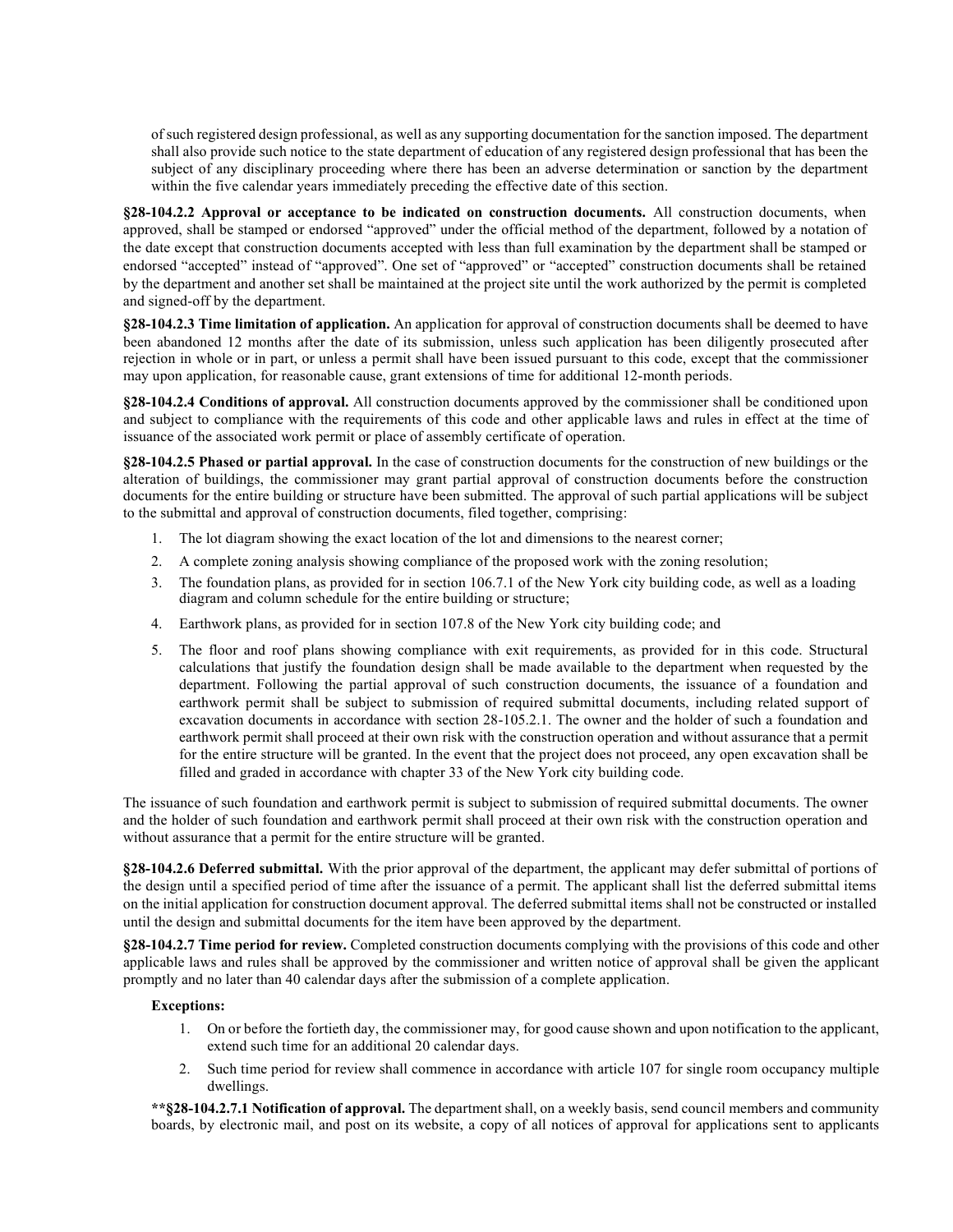of such registered design professional, as well as any supporting documentation for the sanction imposed. The department shall also provide such notice to the state department of education of any registered design professional that has been the subject of any disciplinary proceeding where there has been an adverse determination or sanction by the department within the five calendar years immediately preceding the effective date of this section.

**§28-104.2.2 Approval or acceptance to be indicated on construction documents.** All construction documents, when approved, shall be stamped or endorsed "approved" under the official method of the department, followed by a notation of the date except that construction documents accepted with less than full examination by the department shall be stamped or endorsed "accepted" instead of "approved". One set of "approved" or "accepted" construction documents shall be retained by the department and another set shall be maintained at the project site until the work authorized by the permit is completed and signed-off by the department.

**§28-104.2.3 Time limitation of application.** An application for approval of construction documents shall be deemed to have been abandoned 12 months after the date of its submission, unless such application has been diligently prosecuted after rejection in whole or in part, or unless a permit shall have been issued pursuant to this code, except that the commissioner may upon application, for reasonable cause, grant extensions of time for additional 12-month periods.

**§28-104.2.4 Conditions of approval.** All construction documents approved by the commissioner shall be conditioned upon and subject to compliance with the requirements of this code and other applicable laws and rules in effect at the time of issuance of the associated work permit or place of assembly certificate of operation.

**§28-104.2.5 Phased or partial approval.** In the case of construction documents for the construction of new buildings or the alteration of buildings, the commissioner may grant partial approval of construction documents before the construction documents for the entire building or structure have been submitted. The approval of such partial applications will be subject to the submittal and approval of construction documents, filed together, comprising:

- 1. The lot diagram showing the exact location of the lot and dimensions to the nearest corner;
- 2. A complete zoning analysis showing compliance of the proposed work with the zoning resolution;
- 3. The foundation plans, as provided for in section 106.7.1 of the New York city building code, as well as a loading diagram and column schedule for the entire building or structure;
- 4. Earthwork plans, as provided for in section 107.8 of the New York city building code; and
- 5. The floor and roof plans showing compliance with exit requirements, as provided for in this code. Structural calculations that justify the foundation design shall be made available to the department when requested by the department. Following the partial approval of such construction documents, the issuance of a foundation and earthwork permit shall be subject to submission of required submittal documents, including related support of excavation documents in accordance with section 28-105.2.1. The owner and the holder of such a foundation and earthwork permit shall proceed at their own risk with the construction operation and without assurance that a permit for the entire structure will be granted. In the event that the project does not proceed, any open excavation shall be filled and graded in accordance with chapter 33 of the New York city building code.

The issuance of such foundation and earthwork permit is subject to submission of required submittal documents. The owner and the holder of such foundation and earthwork permit shall proceed at their own risk with the construction operation and without assurance that a permit for the entire structure will be granted.

**§28-104.2.6 Deferred submittal.** With the prior approval of the department, the applicant may defer submittal of portions of the design until a specified period of time after the issuance of a permit. The applicant shall list the deferred submittal items on the initial application for construction document approval. The deferred submittal items shall not be constructed or installed until the design and submittal documents for the item have been approved by the department.

**§28-104.2.7 Time period for review.** Completed construction documents complying with the provisions of this code and other applicable laws and rules shall be approved by the commissioner and written notice of approval shall be given the applicant promptly and no later than 40 calendar days after the submission of a complete application.

#### **Exceptions:**

- 1. On or before the fortieth day, the commissioner may, for good cause shown and upon notification to the applicant, extend such time for an additional 20 calendar days.
- 2. Such time period for review shall commence in accordance with article 107 for single room occupancy multiple dwellings.

**\*\*§28-104.2.7.1 Notification of approval.** The department shall, on a weekly basis, send council members and community boards, by electronic mail, and post on its website, a copy of all notices of approval for applications sent to applicants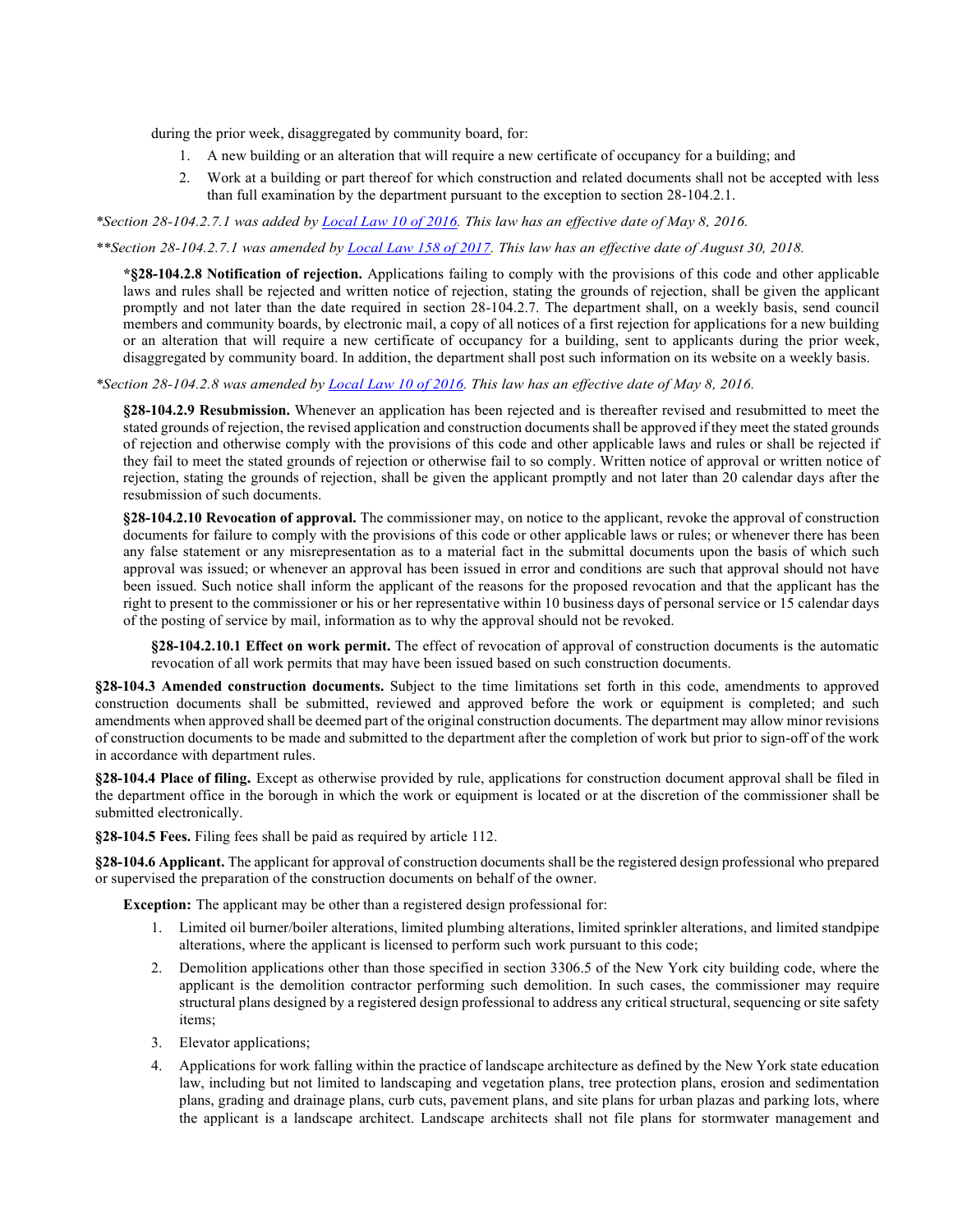during the prior week, disaggregated by community board, for:

- 1. A new building or an alteration that will require a new certificate of occupancy for a building; and
- 2. Work at a building or part thereof for which construction and related documents shall not be accepted with less than full examination by the department pursuant to the exception to section 28-104.2.1.

*\*Section 28-104.2.7.1 was added by [Local Law 10 of 2016.](http://www1.nyc.gov/assets/buildings/local_laws/ll10of2016.pdf) This law has an effective date of May 8, 2016.* 

*\*\*Section 28-104.2.7.1 was amended by [Local Law 158 of 2017.](https://www1.nyc.gov/assets/buildings/local_laws/ll158of2017.pdf) This law has an effective date of August 30, 2018.* 

**\*§28-104.2.8 Notification of rejection.** Applications failing to comply with the provisions of this code and other applicable laws and rules shall be rejected and written notice of rejection, stating the grounds of rejection, shall be given the applicant promptly and not later than the date required in section 28-104.2.7. The department shall, on a weekly basis, send council members and community boards, by electronic mail, a copy of all notices of a first rejection for applications for a new building or an alteration that will require a new certificate of occupancy for a building, sent to applicants during the prior week, disaggregated by community board. In addition, the department shall post such information on its website on a weekly basis.

*\*Section 28-104.2.8 was amended by [Local Law 10 of 2016.](http://www1.nyc.gov/assets/buildings/local_laws/ll10of2016.pdf) This law has an effective date of May 8, 2016.* 

**§28-104.2.9 Resubmission.** Whenever an application has been rejected and is thereafter revised and resubmitted to meet the stated grounds of rejection, the revised application and construction documents shall be approved if they meet the stated grounds of rejection and otherwise comply with the provisions of this code and other applicable laws and rules or shall be rejected if they fail to meet the stated grounds of rejection or otherwise fail to so comply. Written notice of approval or written notice of rejection, stating the grounds of rejection, shall be given the applicant promptly and not later than 20 calendar days after the resubmission of such documents.

**§28-104.2.10 Revocation of approval.** The commissioner may, on notice to the applicant, revoke the approval of construction documents for failure to comply with the provisions of this code or other applicable laws or rules; or whenever there has been any false statement or any misrepresentation as to a material fact in the submittal documents upon the basis of which such approval was issued; or whenever an approval has been issued in error and conditions are such that approval should not have been issued. Such notice shall inform the applicant of the reasons for the proposed revocation and that the applicant has the right to present to the commissioner or his or her representative within 10 business days of personal service or 15 calendar days of the posting of service by mail, information as to why the approval should not be revoked.

**§28-104.2.10.1 Effect on work permit.** The effect of revocation of approval of construction documents is the automatic revocation of all work permits that may have been issued based on such construction documents.

**§28-104.3 Amended construction documents.** Subject to the time limitations set forth in this code, amendments to approved construction documents shall be submitted, reviewed and approved before the work or equipment is completed; and such amendments when approved shall be deemed part of the original construction documents. The department may allow minor revisions of construction documents to be made and submitted to the department after the completion of work but prior to sign-off of the work in accordance with department rules.

**§28-104.4 Place of filing.** Except as otherwise provided by rule, applications for construction document approval shall be filed in the department office in the borough in which the work or equipment is located or at the discretion of the commissioner shall be submitted electronically.

**§28-104.5 Fees.** Filing fees shall be paid as required by article 112.

**§28-104.6 Applicant.** The applicant for approval of construction documents shall be the registered design professional who prepared or supervised the preparation of the construction documents on behalf of the owner.

**Exception:** The applicant may be other than a registered design professional for:

- 1. Limited oil burner/boiler alterations, limited plumbing alterations, limited sprinkler alterations, and limited standpipe alterations, where the applicant is licensed to perform such work pursuant to this code;
- 2. Demolition applications other than those specified in section 3306.5 of the New York city building code, where the applicant is the demolition contractor performing such demolition. In such cases, the commissioner may require structural plans designed by a registered design professional to address any critical structural, sequencing or site safety items;
- 3. Elevator applications;
- 4. Applications for work falling within the practice of landscape architecture as defined by the New York state education law, including but not limited to landscaping and vegetation plans, tree protection plans, erosion and sedimentation plans, grading and drainage plans, curb cuts, pavement plans, and site plans for urban plazas and parking lots, where the applicant is a landscape architect. Landscape architects shall not file plans for stormwater management and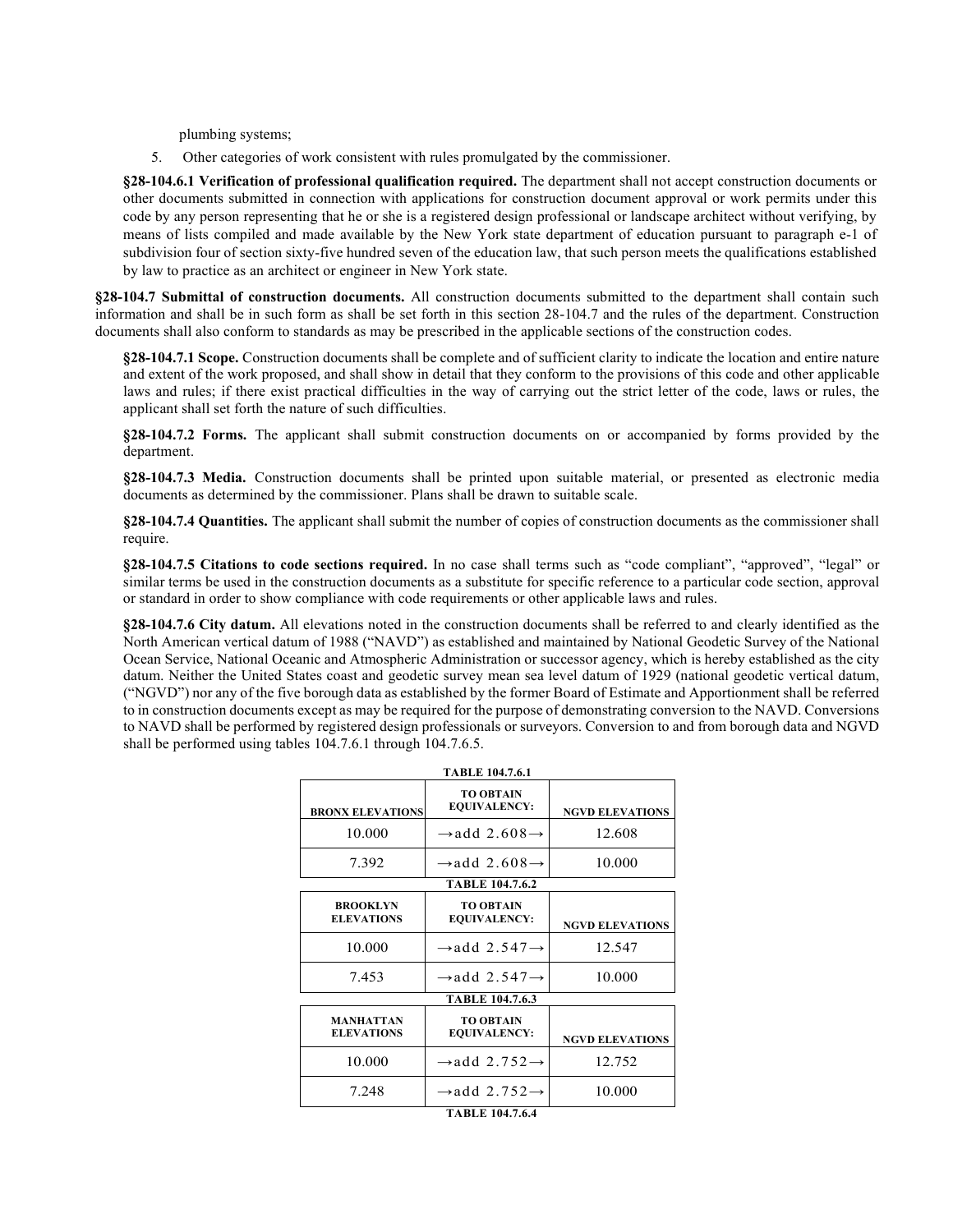plumbing systems;

5. Other categories of work consistent with rules promulgated by the commissioner.

**§28-104.6.1 Verification of professional qualification required.** The department shall not accept construction documents or other documents submitted in connection with applications for construction document approval or work permits under this code by any person representing that he or she is a registered design professional or landscape architect without verifying, by means of lists compiled and made available by the New York state department of education pursuant to paragraph e-1 of subdivision four of section sixty-five hundred seven of the education law, that such person meets the qualifications established by law to practice as an architect or engineer in New York state.

**§28-104.7 Submittal of construction documents.** All construction documents submitted to the department shall contain such information and shall be in such form as shall be set forth in this section 28-104.7 and the rules of the department. Construction documents shall also conform to standards as may be prescribed in the applicable sections of the construction codes.

**§28-104.7.1 Scope.** Construction documents shall be complete and of sufficient clarity to indicate the location and entire nature and extent of the work proposed, and shall show in detail that they conform to the provisions of this code and other applicable laws and rules; if there exist practical difficulties in the way of carrying out the strict letter of the code, laws or rules, the applicant shall set forth the nature of such difficulties.

**§28-104.7.2 Forms.** The applicant shall submit construction documents on or accompanied by forms provided by the department.

**§28-104.7.3 Media.** Construction documents shall be printed upon suitable material, or presented as electronic media documents as determined by the commissioner. Plans shall be drawn to suitable scale.

**§28-104.7.4 Quantities.** The applicant shall submit the number of copies of construction documents as the commissioner shall require.

**§28-104.7.5 Citations to code sections required.** In no case shall terms such as "code compliant", "approved", "legal" or similar terms be used in the construction documents as a substitute for specific reference to a particular code section, approval or standard in order to show compliance with code requirements or other applicable laws and rules.

**§28-104.7.6 City datum.** All elevations noted in the construction documents shall be referred to and clearly identified as the North American vertical datum of 1988 ("NAVD") as established and maintained by National Geodetic Survey of the National Ocean Service, National Oceanic and Atmospheric Administration or successor agency, which is hereby established as the city datum. Neither the United States coast and geodetic survey mean sea level datum of 1929 (national geodetic vertical datum, ("NGVD") nor any of the five borough data as established by the former Board of Estimate and Apportionment shall be referred to in construction documents except as may be required for the purpose of demonstrating conversion to the NAVD. Conversions to NAVD shall be performed by registered design professionals or surveyors. Conversion to and from borough data and NGVD shall be performed using tables 104.7.6.1 through 104.7.6.5.

| TABLE 104.7.6.1                       |                                         |                        |  |
|---------------------------------------|-----------------------------------------|------------------------|--|
| <b>BRONX ELEVATIONS</b>               | <b>TO OBTAIN</b><br><b>EQUIVALENCY:</b> | <b>NGVD ELEVATIONS</b> |  |
| 10.000                                | $\rightarrow$ add 2.608 $\rightarrow$   | 12.608                 |  |
| 7.392                                 | $\rightarrow$ add 2.608 $\rightarrow$   | 10.000                 |  |
| <b>TABLE 104.7.6.2</b>                |                                         |                        |  |
| <b>BROOKLYN</b><br><b>ELEVATIONS</b>  | <b>TO OBTAIN</b><br><b>EQUIVALENCY:</b> | <b>NGVD ELEVATIONS</b> |  |
| 10.000                                | $\rightarrow$ add 2.547 $\rightarrow$   | 12.547                 |  |
| 7.453                                 | $\rightarrow$ add 2.547 $\rightarrow$   | 10.000                 |  |
| <b>TABLE 104.7.6.3</b>                |                                         |                        |  |
| <b>MANHATTAN</b><br><b>ELEVATIONS</b> | <b>TO OBTAIN</b><br><b>EQUIVALENCY:</b> | <b>NGVD ELEVATIONS</b> |  |
| 10.000                                | $\rightarrow$ add 2.752 $\rightarrow$   | 12.752                 |  |
| 7.248                                 | $\rightarrow$ add 2.752 $\rightarrow$   | 10.000                 |  |
|                                       | <b>TABLE 104.7.6.4</b>                  |                        |  |

**TABLE 104.7.6.4**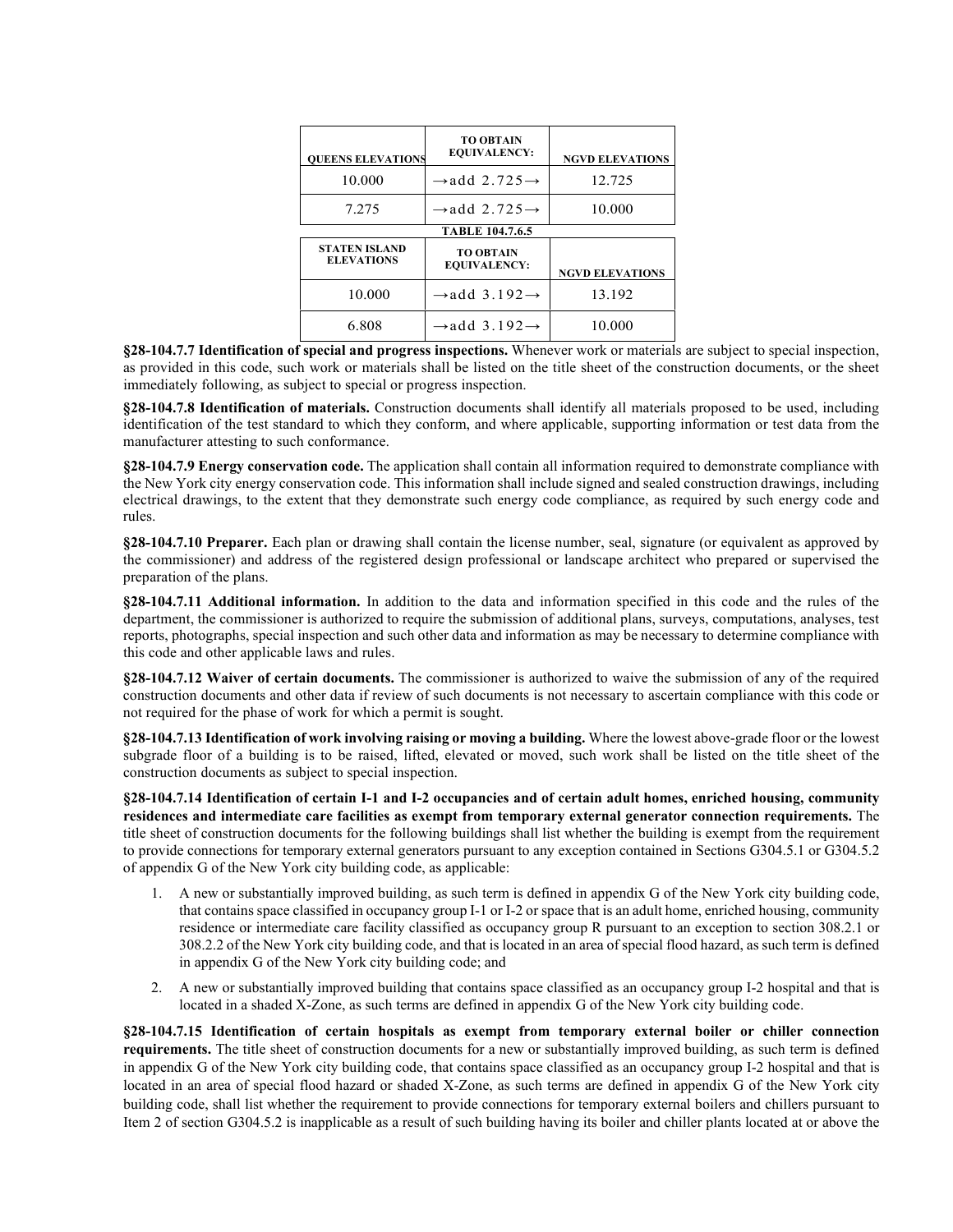| <b>OUEENS ELEVATIONS</b>                  | <b>TO OBTAIN</b><br><b>EQUIVALENCY:</b> | <b>NGVD ELEVATIONS</b> |  |
|-------------------------------------------|-----------------------------------------|------------------------|--|
| 10.000                                    | $\rightarrow$ add 2.725 $\rightarrow$   | 12.725                 |  |
| 7.275                                     | $\rightarrow$ add 2.725 $\rightarrow$   | 10.000                 |  |
| <b>TABLE 104.7.6.5</b>                    |                                         |                        |  |
| <b>STATEN ISLAND</b><br><b>ELEVATIONS</b> | <b>TO OBTAIN</b><br><b>EQUIVALENCY:</b> | <b>NGVD ELEVATIONS</b> |  |
| 10.000                                    | $\rightarrow$ add 3.192 $\rightarrow$   | 13.192                 |  |
| 6.808                                     | $\rightarrow$ add 3.192 $\rightarrow$   | 10.000                 |  |

**§28-104.7.7 Identification of special and progress inspections.** Whenever work or materials are subject to special inspection, as provided in this code, such work or materials shall be listed on the title sheet of the construction documents, or the sheet immediately following, as subject to special or progress inspection.

**§28-104.7.8 Identification of materials.** Construction documents shall identify all materials proposed to be used, including identification of the test standard to which they conform, and where applicable, supporting information or test data from the manufacturer attesting to such conformance.

**§28-104.7.9 Energy conservation code.** The application shall contain all information required to demonstrate compliance with the New York city energy conservation code. This information shall include signed and sealed construction drawings, including electrical drawings, to the extent that they demonstrate such energy code compliance, as required by such energy code and rules.

**§28-104.7.10 Preparer.** Each plan or drawing shall contain the license number, seal, signature (or equivalent as approved by the commissioner) and address of the registered design professional or landscape architect who prepared or supervised the preparation of the plans.

**§28-104.7.11 Additional information.** In addition to the data and information specified in this code and the rules of the department, the commissioner is authorized to require the submission of additional plans, surveys, computations, analyses, test reports, photographs, special inspection and such other data and information as may be necessary to determine compliance with this code and other applicable laws and rules.

**§28-104.7.12 Waiver of certain documents.** The commissioner is authorized to waive the submission of any of the required construction documents and other data if review of such documents is not necessary to ascertain compliance with this code or not required for the phase of work for which a permit is sought.

**§28-104.7.13 Identification of work involving raising or moving a building.** Where the lowest above-grade floor or the lowest subgrade floor of a building is to be raised, lifted, elevated or moved, such work shall be listed on the title sheet of the construction documents as subject to special inspection.

**§28-104.7.14 Identification of certain I-1 and I-2 occupancies and of certain adult homes, enriched housing, community residences and intermediate care facilities as exempt from temporary external generator connection requirements.** The title sheet of construction documents for the following buildings shall list whether the building is exempt from the requirement to provide connections for temporary external generators pursuant to any exception contained in Sections G304.5.1 or G304.5.2 of appendix G of the New York city building code, as applicable:

- 1. A new or substantially improved building, as such term is defined in appendix G of the New York city building code, that contains space classified in occupancy group I-1 or I-2 or space that is an adult home, enriched housing, community residence or intermediate care facility classified as occupancy group R pursuant to an exception to section 308.2.1 or 308.2.2 of the New York city building code, and that is located in an area of special flood hazard, as such term is defined in appendix G of the New York city building code; and
- 2. A new or substantially improved building that contains space classified as an occupancy group I-2 hospital and that is located in a shaded X-Zone, as such terms are defined in appendix G of the New York city building code.

**§28-104.7.15 Identification of certain hospitals as exempt from temporary external boiler or chiller connection requirements.** The title sheet of construction documents for a new or substantially improved building, as such term is defined in appendix G of the New York city building code, that contains space classified as an occupancy group I-2 hospital and that is located in an area of special flood hazard or shaded X-Zone, as such terms are defined in appendix G of the New York city building code, shall list whether the requirement to provide connections for temporary external boilers and chillers pursuant to Item 2 of section G304.5.2 is inapplicable as a result of such building having its boiler and chiller plants located at or above the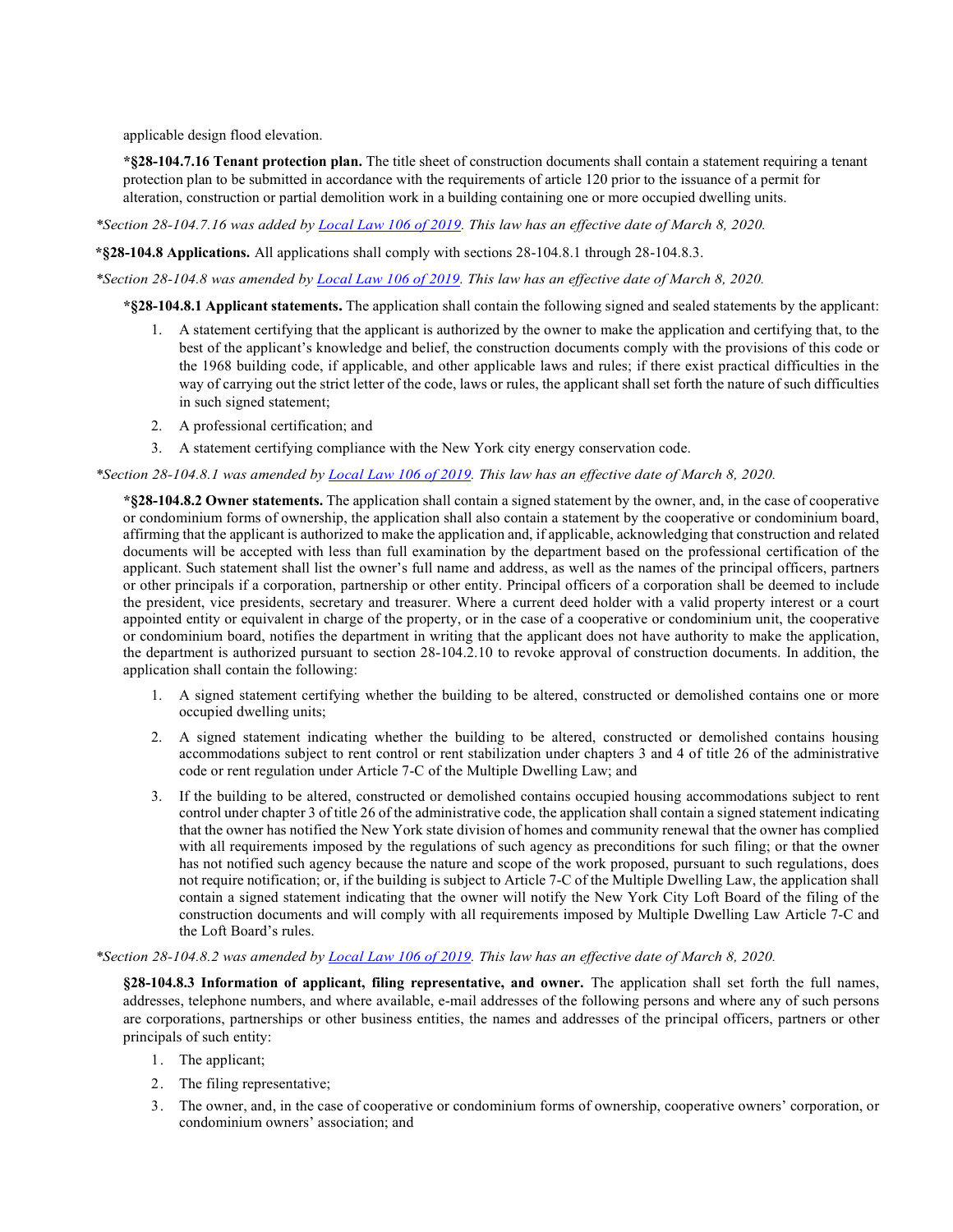applicable design flood elevation.

**\*§28-104.7.16 Tenant protection plan.** The title sheet of construction documents shall contain a statement requiring a tenant protection plan to be submitted in accordance with the requirements of article 120 prior to the issuance of a permit for alteration, construction or partial demolition work in a building containing one or more occupied dwelling units.

*\*Section 28-104.7.16 was added b[y Local Law 106 of 2019.](https://www1.nyc.gov/assets/buildings/local_laws/ll106of2019.pdf) This law has an effective date of March 8, 2020.* 

**\*§28-104.8 Applications.** All applications shall comply with sections 28-104.8.1 through 28-104.8.3.

*\*Section 28-104.8 was amended b[y Local Law 106 of 2019.](https://www1.nyc.gov/assets/buildings/local_laws/ll106of2019.pdf) This law has an effective date of March 8, 2020.* 

**\*§28-104.8.1 Applicant statements.** The application shall contain the following signed and sealed statements by the applicant:

- 1. A statement certifying that the applicant is authorized by the owner to make the application and certifying that, to the best of the applicant's knowledge and belief, the construction documents comply with the provisions of this code or the 1968 building code, if applicable, and other applicable laws and rules; if there exist practical difficulties in the way of carrying out the strict letter of the code, laws or rules, the applicant shall set forth the nature of such difficulties in such signed statement;
- 2. A professional certification; and
- 3. A statement certifying compliance with the New York city energy conservation code.

*\*Section 28-104.8.1 was amended by [Local Law 106 of 2019.](https://www1.nyc.gov/assets/buildings/local_laws/ll106of2019.pdf) This law has an effective date of March 8, 2020.* 

**\*§28-104.8.2 Owner statements.** The application shall contain a signed statement by the owner, and, in the case of cooperative or condominium forms of ownership, the application shall also contain a statement by the cooperative or condominium board, affirming that the applicant is authorized to make the application and, if applicable, acknowledging that construction and related documents will be accepted with less than full examination by the department based on the professional certification of the applicant. Such statement shall list the owner's full name and address, as well as the names of the principal officers, partners or other principals if a corporation, partnership or other entity. Principal officers of a corporation shall be deemed to include the president, vice presidents, secretary and treasurer. Where a current deed holder with a valid property interest or a court appointed entity or equivalent in charge of the property, or in the case of a cooperative or condominium unit, the cooperative or condominium board, notifies the department in writing that the applicant does not have authority to make the application, the department is authorized pursuant to section 28-104.2.10 to revoke approval of construction documents. In addition, the application shall contain the following:

- 1. A signed statement certifying whether the building to be altered, constructed or demolished contains one or more occupied dwelling units;
- 2. A signed statement indicating whether the building to be altered, constructed or demolished contains housing accommodations subject to rent control or rent stabilization under chapters 3 and 4 of title 26 of the administrative code or rent regulation under Article 7-C of the Multiple Dwelling Law; and
- 3. If the building to be altered, constructed or demolished contains occupied housing accommodations subject to rent control under chapter 3 of title 26 of the administrative code, the application shall contain a signed statement indicating that the owner has notified the New York state division of homes and community renewal that the owner has complied with all requirements imposed by the regulations of such agency as preconditions for such filing; or that the owner has not notified such agency because the nature and scope of the work proposed, pursuant to such regulations, does not require notification; or, if the building is subject to Article 7-C of the Multiple Dwelling Law, the application shall contain a signed statement indicating that the owner will notify the New York City Loft Board of the filing of the construction documents and will comply with all requirements imposed by Multiple Dwelling Law Article 7-C and the Loft Board's rules.

#### *\*Section 28-104.8.2 was amended by [Local Law 106 of 2019.](https://www1.nyc.gov/assets/buildings/local_laws/ll106of2019.pdf) This law has an effective date of March 8, 2020.*

**§28-104.8.3 Information of applicant, filing representative, and owner.** The application shall set forth the full names, addresses, telephone numbers, and where available, e-mail addresses of the following persons and where any of such persons are corporations, partnerships or other business entities, the names and addresses of the principal officers, partners or other principals of such entity:

- 1. The applicant;
- 2. The filing representative;
- 3. The owner, and, in the case of cooperative or condominium forms of ownership, cooperative owners' corporation, or condominium owners' association; and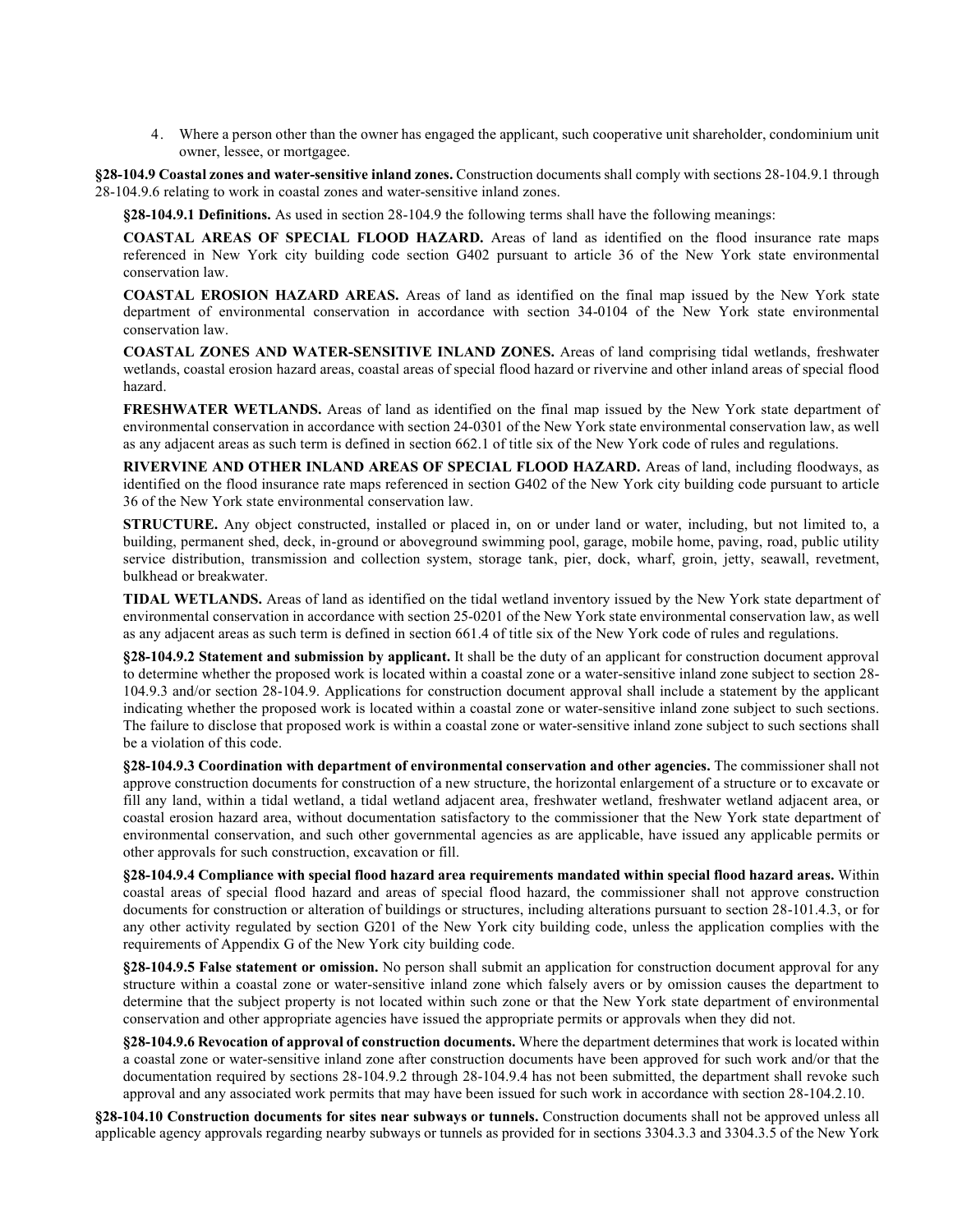4. Where a person other than the owner has engaged the applicant, such cooperative unit shareholder, condominium unit owner, lessee, or mortgagee.

**§28-104.9 Coastal zones and water-sensitive inland zones.** Construction documents shall comply with sections 28-104.9.1 through 28-104.9.6 relating to work in coastal zones and water-sensitive inland zones.

**§28-104.9.1 Definitions.** As used in section 28-104.9 the following terms shall have the following meanings:

**COASTAL AREAS OF SPECIAL FLOOD HAZARD.** Areas of land as identified on the flood insurance rate maps referenced in New York city building code section G402 pursuant to article 36 of the New York state environmental conservation law.

**COASTAL EROSION HAZARD AREAS.** Areas of land as identified on the final map issued by the New York state department of environmental conservation in accordance with section 34-0104 of the New York state environmental conservation law.

**COASTAL ZONES AND WATER-SENSITIVE INLAND ZONES.** Areas of land comprising tidal wetlands, freshwater wetlands, coastal erosion hazard areas, coastal areas of special flood hazard or rivervine and other inland areas of special flood hazard.

**FRESHWATER WETLANDS.** Areas of land as identified on the final map issued by the New York state department of environmental conservation in accordance with section 24-0301 of the New York state environmental conservation law, as well as any adjacent areas as such term is defined in section 662.1 of title six of the New York code of rules and regulations.

**RIVERVINE AND OTHER INLAND AREAS OF SPECIAL FLOOD HAZARD.** Areas of land, including floodways, as identified on the flood insurance rate maps referenced in section G402 of the New York city building code pursuant to article 36 of the New York state environmental conservation law.

**STRUCTURE.** Any object constructed, installed or placed in, on or under land or water, including, but not limited to, a building, permanent shed, deck, in-ground or aboveground swimming pool, garage, mobile home, paving, road, public utility service distribution, transmission and collection system, storage tank, pier, dock, wharf, groin, jetty, seawall, revetment, bulkhead or breakwater.

**TIDAL WETLANDS.** Areas of land as identified on the tidal wetland inventory issued by the New York state department of environmental conservation in accordance with section 25-0201 of the New York state environmental conservation law, as well as any adjacent areas as such term is defined in section 661.4 of title six of the New York code of rules and regulations.

**§28-104.9.2 Statement and submission by applicant.** It shall be the duty of an applicant for construction document approval to determine whether the proposed work is located within a coastal zone or a water-sensitive inland zone subject to section 28- 104.9.3 and/or section 28-104.9. Applications for construction document approval shall include a statement by the applicant indicating whether the proposed work is located within a coastal zone or water-sensitive inland zone subject to such sections. The failure to disclose that proposed work is within a coastal zone or water-sensitive inland zone subject to such sections shall be a violation of this code.

**§28-104.9.3 Coordination with department of environmental conservation and other agencies.** The commissioner shall not approve construction documents for construction of a new structure, the horizontal enlargement of a structure or to excavate or fill any land, within a tidal wetland, a tidal wetland adjacent area, freshwater wetland, freshwater wetland adjacent area, or coastal erosion hazard area, without documentation satisfactory to the commissioner that the New York state department of environmental conservation, and such other governmental agencies as are applicable, have issued any applicable permits or other approvals for such construction, excavation or fill.

**§28-104.9.4 Compliance with special flood hazard area requirements mandated within special flood hazard areas.** Within coastal areas of special flood hazard and areas of special flood hazard, the commissioner shall not approve construction documents for construction or alteration of buildings or structures, including alterations pursuant to section 28-101.4.3, or for any other activity regulated by section G201 of the New York city building code, unless the application complies with the requirements of Appendix G of the New York city building code.

**§28-104.9.5 False statement or omission.** No person shall submit an application for construction document approval for any structure within a coastal zone or water-sensitive inland zone which falsely avers or by omission causes the department to determine that the subject property is not located within such zone or that the New York state department of environmental conservation and other appropriate agencies have issued the appropriate permits or approvals when they did not.

**§28-104.9.6 Revocation of approval of construction documents.** Where the department determines that work is located within a coastal zone or water-sensitive inland zone after construction documents have been approved for such work and/or that the documentation required by sections 28-104.9.2 through 28-104.9.4 has not been submitted, the department shall revoke such approval and any associated work permits that may have been issued for such work in accordance with section 28-104.2.10.

**§28-104.10 Construction documents for sites near subways or tunnels.** Construction documents shall not be approved unless all applicable agency approvals regarding nearby subways or tunnels as provided for in sections 3304.3.3 and 3304.3.5 of the New York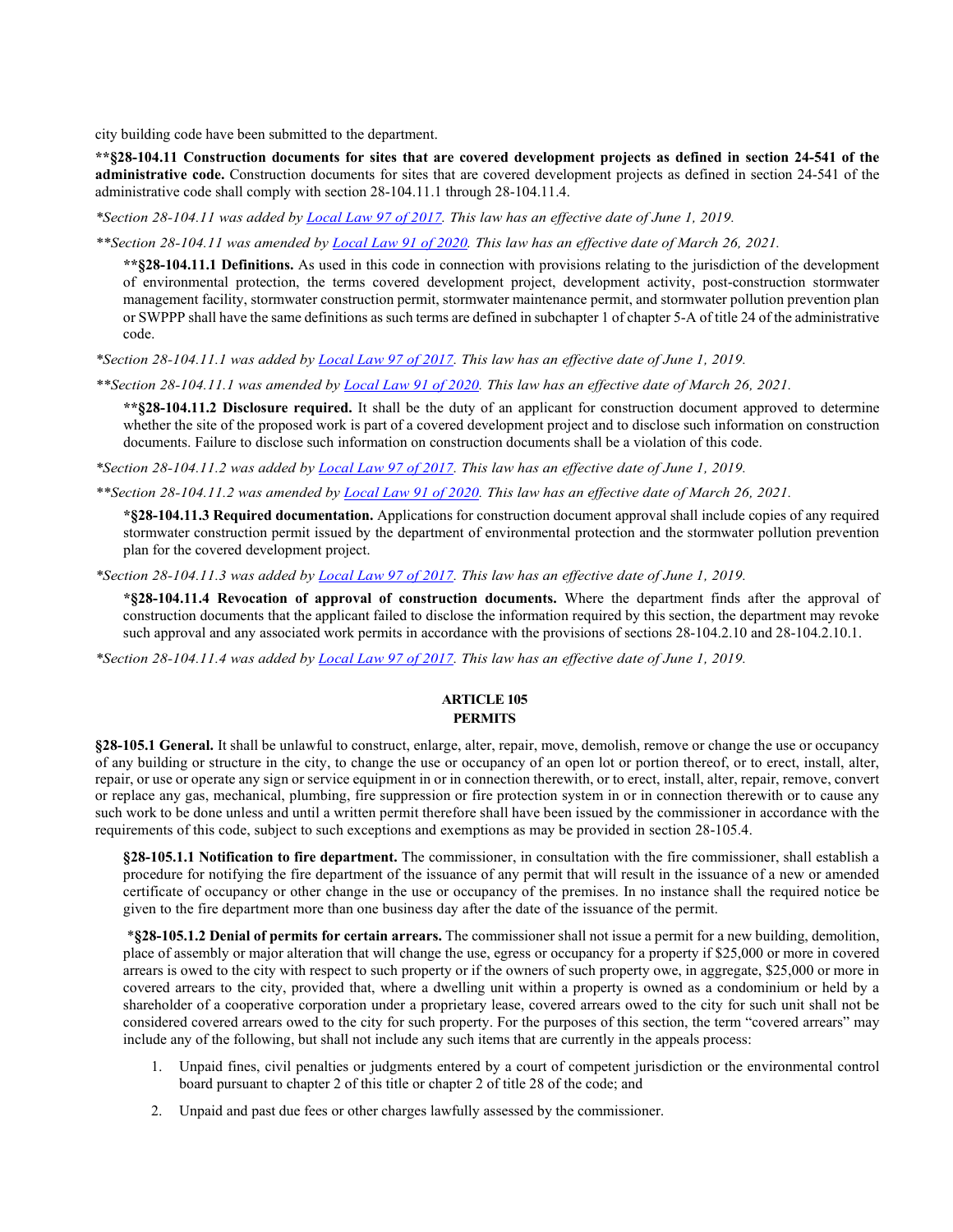city building code have been submitted to the department.

**\*\*§28-104.11 Construction documents for sites that are covered development projects as defined in section 24-541 of the administrative code.** Construction documents for sites that are covered development projects as defined in section 24-541 of the administrative code shall comply with section 28-104.11.1 through 28-104.11.4.

*\*Section 28-104.11 was added by [Local Law 97 of 2017.](https://www1.nyc.gov/assets/buildings/local_laws/ll97of2017.pdf) This law has an effective date of June 1, 2019.* 

*\*\*Section 28-104.11 was amended b[y Local Law 91 of 2020.](https://www1.nyc.gov/assets/buildings/local_laws/ll91of2020.pdf) This law has an effective date of March 26, 2021.*

**\*\*§28-104.11.1 Definitions.** As used in this code in connection with provisions relating to the jurisdiction of the development of environmental protection, the terms covered development project, development activity, post-construction stormwater management facility, stormwater construction permit, stormwater maintenance permit, and stormwater pollution prevention plan or SWPPP shall have the same definitions as such terms are defined in subchapter 1 of chapter 5-A of title 24 of the administrative code.

*\*Section 28-104.11.1 was added b[y Local Law 97 of 2017.](https://www1.nyc.gov/assets/buildings/local_laws/ll97of2017.pdf) This law has an effective date of June 1, 2019.* 

*\*\*Section 28-104.11.1 was amended by [Local Law 91 of 2020.](https://www1.nyc.gov/assets/buildings/local_laws/ll91of2020.pdf) This law has an effective date of March 26, 2021.*

**\*\*§28-104.11.2 Disclosure required.** It shall be the duty of an applicant for construction document approved to determine whether the site of the proposed work is part of a covered development project and to disclose such information on construction documents. Failure to disclose such information on construction documents shall be a violation of this code.

*\*Section 28-104.11.2 was added b[y Local Law 97 of 2017.](https://www1.nyc.gov/assets/buildings/local_laws/ll97of2017.pdf) This law has an effective date of June 1, 2019.* 

*\*\*Section 28-104.11.2 was amended by [Local Law 91 of 2020.](https://www1.nyc.gov/assets/buildings/local_laws/ll91of2020.pdf) This law has an effective date of March 26, 2021.*

**\*§28-104.11.3 Required documentation.** Applications for construction document approval shall include copies of any required stormwater construction permit issued by the department of environmental protection and the stormwater pollution prevention plan for the covered development project.

*\*Section 28-104.11.3 was added b[y Local Law 97 of 2017.](https://www1.nyc.gov/assets/buildings/local_laws/ll97of2017.pdf) This law has an effective date of June 1, 2019.* 

**\*§28-104.11.4 Revocation of approval of construction documents.** Where the department finds after the approval of construction documents that the applicant failed to disclose the information required by this section, the department may revoke such approval and any associated work permits in accordance with the provisions of sections 28-104.2.10 and 28-104.2.10.1.

*\*Section 28-104.11.4 was added b[y Local Law 97 of 2017.](https://www1.nyc.gov/assets/buildings/local_laws/ll97of2017.pdf) This law has an effective date of June 1, 2019.* 

#### **ARTICLE 105 PERMITS**

**§28-105.1 General.** It shall be unlawful to construct, enlarge, alter, repair, move, demolish, remove or change the use or occupancy of any building or structure in the city, to change the use or occupancy of an open lot or portion thereof, or to erect, install, alter, repair, or use or operate any sign or service equipment in or in connection therewith, or to erect, install, alter, repair, remove, convert or replace any gas, mechanical, plumbing, fire suppression or fire protection system in or in connection therewith or to cause any such work to be done unless and until a written permit therefore shall have been issued by the commissioner in accordance with the requirements of this code, subject to such exceptions and exemptions as may be provided in section 28-105.4.

**§28-105.1.1 Notification to fire department.** The commissioner, in consultation with the fire commissioner, shall establish a procedure for notifying the fire department of the issuance of any permit that will result in the issuance of a new or amended certificate of occupancy or other change in the use or occupancy of the premises. In no instance shall the required notice be given to the fire department more than one business day after the date of the issuance of the permit.

 \***§28-105.1.2 Denial of permits for certain arrears.** The commissioner shall not issue a permit for a new building, demolition, place of assembly or major alteration that will change the use, egress or occupancy for a property if \$25,000 or more in covered arrears is owed to the city with respect to such property or if the owners of such property owe, in aggregate, \$25,000 or more in covered arrears to the city, provided that, where a dwelling unit within a property is owned as a condominium or held by a shareholder of a cooperative corporation under a proprietary lease, covered arrears owed to the city for such unit shall not be considered covered arrears owed to the city for such property. For the purposes of this section, the term "covered arrears" may include any of the following, but shall not include any such items that are currently in the appeals process:

- 1. Unpaid fines, civil penalties or judgments entered by a court of competent jurisdiction or the environmental control board pursuant to chapter 2 of this title or chapter 2 of title 28 of the code; and
- 2. Unpaid and past due fees or other charges lawfully assessed by the commissioner.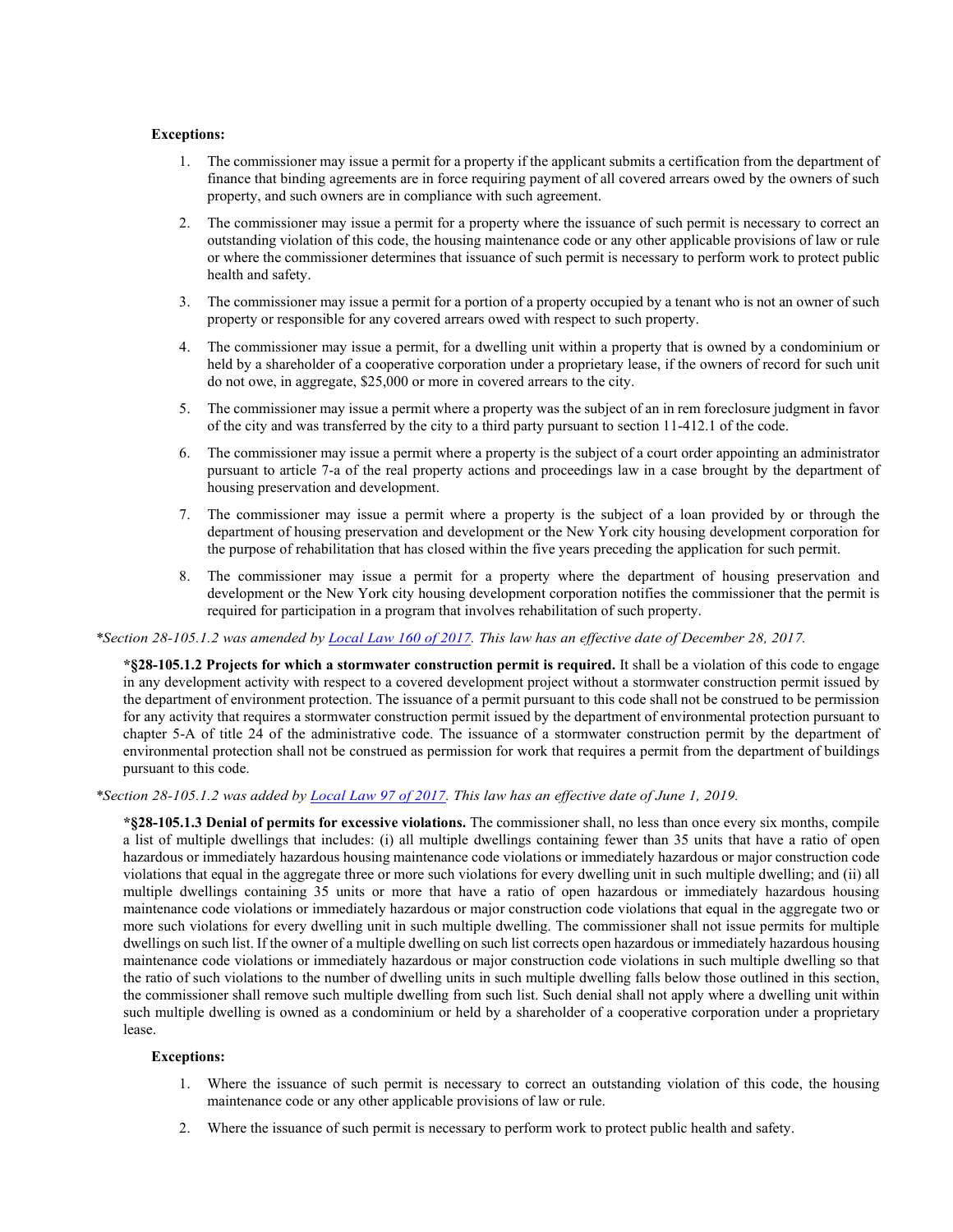#### **Exceptions:**

- 1. The commissioner may issue a permit for a property if the applicant submits a certification from the department of finance that binding agreements are in force requiring payment of all covered arrears owed by the owners of such property, and such owners are in compliance with such agreement.
- 2. The commissioner may issue a permit for a property where the issuance of such permit is necessary to correct an outstanding violation of this code, the housing maintenance code or any other applicable provisions of law or rule or where the commissioner determines that issuance of such permit is necessary to perform work to protect public health and safety.
- 3. The commissioner may issue a permit for a portion of a property occupied by a tenant who is not an owner of such property or responsible for any covered arrears owed with respect to such property.
- 4. The commissioner may issue a permit, for a dwelling unit within a property that is owned by a condominium or held by a shareholder of a cooperative corporation under a proprietary lease, if the owners of record for such unit do not owe, in aggregate, \$25,000 or more in covered arrears to the city.
- 5. The commissioner may issue a permit where a property was the subject of an in rem foreclosure judgment in favor of the city and was transferred by the city to a third party pursuant to section 11-412.1 of the code.
- 6. The commissioner may issue a permit where a property is the subject of a court order appointing an administrator pursuant to article 7-a of the real property actions and proceedings law in a case brought by the department of housing preservation and development.
- 7. The commissioner may issue a permit where a property is the subject of a loan provided by or through the department of housing preservation and development or the New York city housing development corporation for the purpose of rehabilitation that has closed within the five years preceding the application for such permit.
- 8. The commissioner may issue a permit for a property where the department of housing preservation and development or the New York city housing development corporation notifies the commissioner that the permit is required for participation in a program that involves rehabilitation of such property.

#### *\*Section 28-105.1.2 was amended by [Local Law 160 of 2017.](http://www1.nyc.gov/assets/buildings/local_laws/ll160of2017.pdf) This law has an effective date of December 28, 2017.*

**\*§28-105.1.2 Projects for which a stormwater construction permit is required.** It shall be a violation of this code to engage in any development activity with respect to a covered development project without a stormwater construction permit issued by the department of environment protection. The issuance of a permit pursuant to this code shall not be construed to be permission for any activity that requires a stormwater construction permit issued by the department of environmental protection pursuant to chapter 5-A of title 24 of the administrative code. The issuance of a stormwater construction permit by the department of environmental protection shall not be construed as permission for work that requires a permit from the department of buildings pursuant to this code.

## *\*Section 28-105.1.2 was added b[y Local Law 97 of 2017.](https://www1.nyc.gov/assets/buildings/local_laws/ll97of2017.pdf) This law has an effective date of June 1, 2019.*

**\*§28-105.1.3 Denial of permits for excessive violations.** The commissioner shall, no less than once every six months, compile a list of multiple dwellings that includes: (i) all multiple dwellings containing fewer than 35 units that have a ratio of open hazardous or immediately hazardous housing maintenance code violations or immediately hazardous or major construction code violations that equal in the aggregate three or more such violations for every dwelling unit in such multiple dwelling; and (ii) all multiple dwellings containing 35 units or more that have a ratio of open hazardous or immediately hazardous housing maintenance code violations or immediately hazardous or major construction code violations that equal in the aggregate two or more such violations for every dwelling unit in such multiple dwelling. The commissioner shall not issue permits for multiple dwellings on such list. If the owner of a multiple dwelling on such list corrects open hazardous or immediately hazardous housing maintenance code violations or immediately hazardous or major construction code violations in such multiple dwelling so that the ratio of such violations to the number of dwelling units in such multiple dwelling falls below those outlined in this section, the commissioner shall remove such multiple dwelling from such list. Such denial shall not apply where a dwelling unit within such multiple dwelling is owned as a condominium or held by a shareholder of a cooperative corporation under a proprietary lease.

#### **Exceptions:**

- 1. Where the issuance of such permit is necessary to correct an outstanding violation of this code, the housing maintenance code or any other applicable provisions of law or rule.
- 2. Where the issuance of such permit is necessary to perform work to protect public health and safety.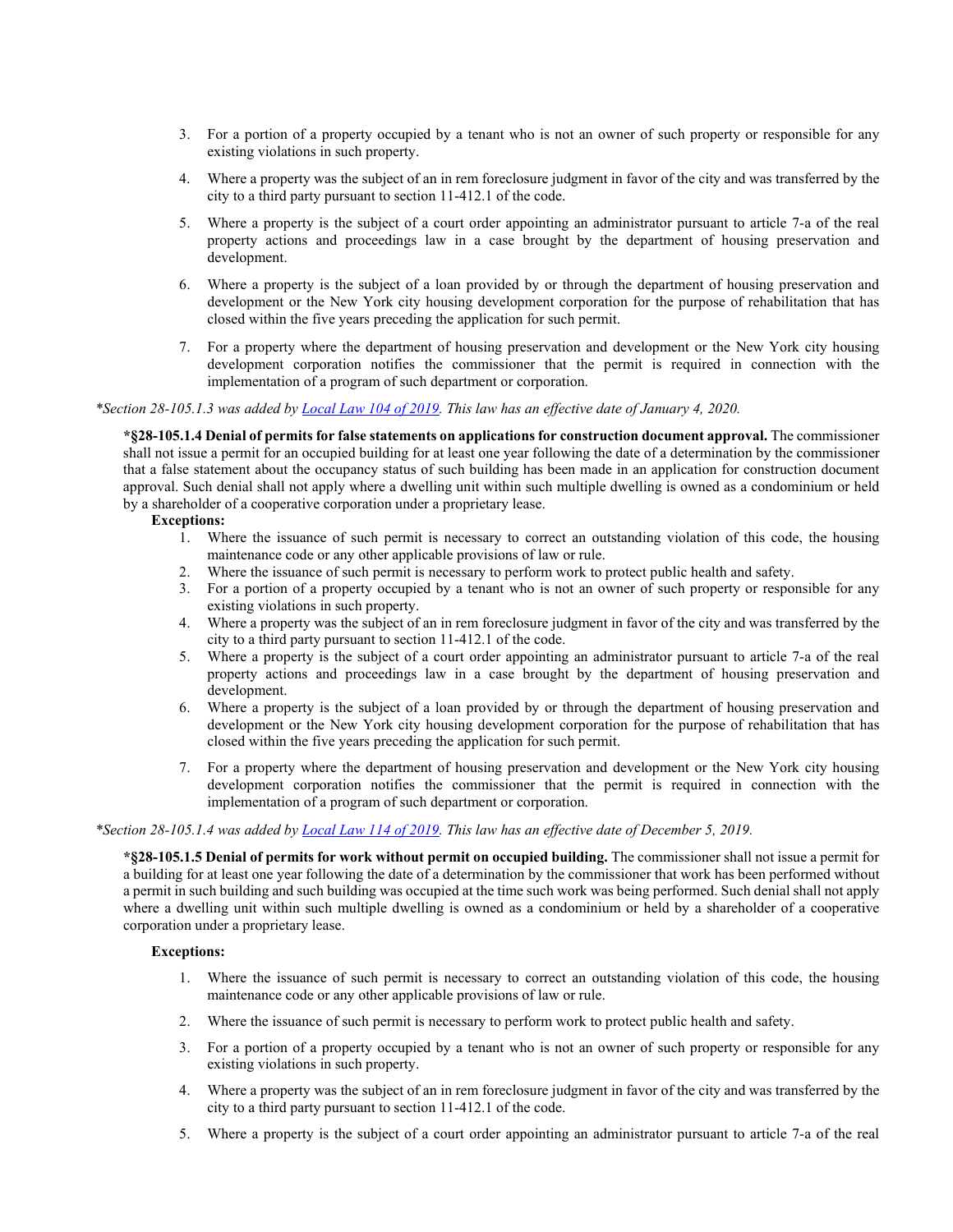- 3. For a portion of a property occupied by a tenant who is not an owner of such property or responsible for any existing violations in such property.
- 4. Where a property was the subject of an in rem foreclosure judgment in favor of the city and was transferred by the city to a third party pursuant to section 11-412.1 of the code.
- 5. Where a property is the subject of a court order appointing an administrator pursuant to article 7-a of the real property actions and proceedings law in a case brought by the department of housing preservation and development.
- 6. Where a property is the subject of a loan provided by or through the department of housing preservation and development or the New York city housing development corporation for the purpose of rehabilitation that has closed within the five years preceding the application for such permit.
- 7. For a property where the department of housing preservation and development or the New York city housing development corporation notifies the commissioner that the permit is required in connection with the implementation of a program of such department or corporation.

*\*Section 28-105.1.3 was added by [Local Law 104 of 2019.](https://www1.nyc.gov/assets/buildings/local_laws/ll104of2019.pdf) This law has an effective date of January 4, 2020.*

**\*§28-105.1.4 Denial of permits for false statements on applications for construction document approval.** The commissioner shall not issue a permit for an occupied building for at least one year following the date of a determination by the commissioner that a false statement about the occupancy status of such building has been made in an application for construction document approval. Such denial shall not apply where a dwelling unit within such multiple dwelling is owned as a condominium or held by a shareholder of a cooperative corporation under a proprietary lease.

#### **Exceptions:**

- 1. Where the issuance of such permit is necessary to correct an outstanding violation of this code, the housing maintenance code or any other applicable provisions of law or rule.
- 2. Where the issuance of such permit is necessary to perform work to protect public health and safety.
- 3. For a portion of a property occupied by a tenant who is not an owner of such property or responsible for any existing violations in such property.
- 4. Where a property was the subject of an in rem foreclosure judgment in favor of the city and was transferred by the city to a third party pursuant to section 11-412.1 of the code.
- 5. Where a property is the subject of a court order appointing an administrator pursuant to article 7-a of the real property actions and proceedings law in a case brought by the department of housing preservation and development.
- 6. Where a property is the subject of a loan provided by or through the department of housing preservation and development or the New York city housing development corporation for the purpose of rehabilitation that has closed within the five years preceding the application for such permit.
- 7. For a property where the department of housing preservation and development or the New York city housing development corporation notifies the commissioner that the permit is required in connection with the implementation of a program of such department or corporation.

## *\*Section 28-105.1.4 was added by [Local Law 114 of 2019.](https://www1.nyc.gov/assets/buildings/local_laws/ll114of2019.pdf) This law has an effective date of December 5, 2019.*

**\*§28-105.1.5 Denial of permits for work without permit on occupied building.** The commissioner shall not issue a permit for a building for at least one year following the date of a determination by the commissioner that work has been performed without a permit in such building and such building was occupied at the time such work was being performed. Such denial shall not apply where a dwelling unit within such multiple dwelling is owned as a condominium or held by a shareholder of a cooperative corporation under a proprietary lease.

#### **Exceptions:**

- 1. Where the issuance of such permit is necessary to correct an outstanding violation of this code, the housing maintenance code or any other applicable provisions of law or rule.
- 2. Where the issuance of such permit is necessary to perform work to protect public health and safety.
- 3. For a portion of a property occupied by a tenant who is not an owner of such property or responsible for any existing violations in such property.
- 4. Where a property was the subject of an in rem foreclosure judgment in favor of the city and was transferred by the city to a third party pursuant to section 11-412.1 of the code.
- 5. Where a property is the subject of a court order appointing an administrator pursuant to article 7-a of the real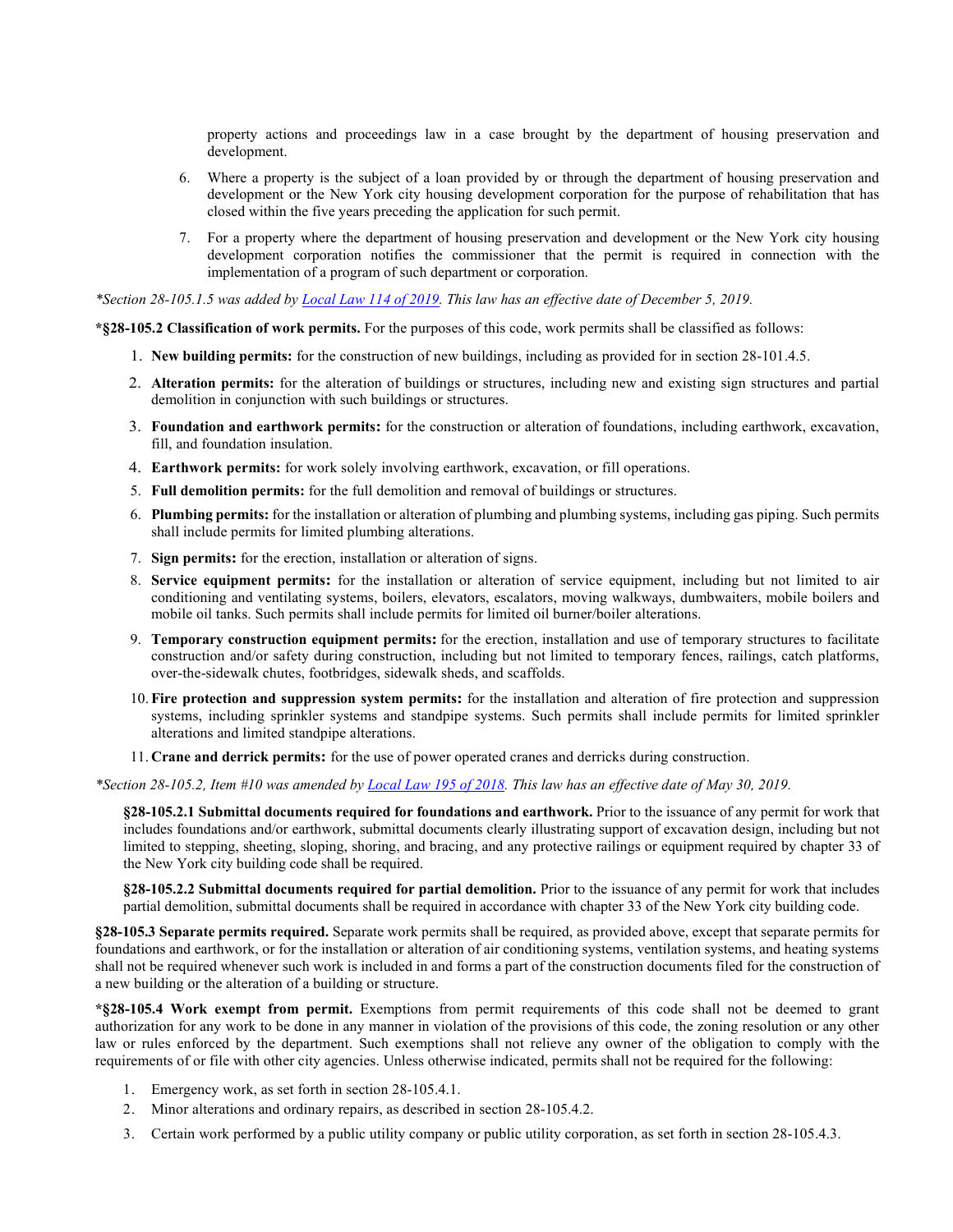property actions and proceedings law in a case brought by the department of housing preservation and development.

- 6. Where a property is the subject of a loan provided by or through the department of housing preservation and development or the New York city housing development corporation for the purpose of rehabilitation that has closed within the five years preceding the application for such permit.
- 7. For a property where the department of housing preservation and development or the New York city housing development corporation notifies the commissioner that the permit is required in connection with the implementation of a program of such department or corporation.

*\*Section 28-105.1.5 was added by [Local Law 114 of 2019.](https://www1.nyc.gov/assets/buildings/local_laws/ll114of2019.pdf) This law has an effective date of December 5, 2019.*

**\*§28-105.2 Classification of work permits.** For the purposes of this code, work permits shall be classified as follows:

- 1. **New building permits:** for the construction of new buildings, including as provided for in section 28-101.4.5.
- 2. **Alteration permits:** for the alteration of buildings or structures, including new and existing sign structures and partial demolition in conjunction with such buildings or structures.
- 3. **Foundation and earthwork permits:** for the construction or alteration of foundations, including earthwork, excavation, fill, and foundation insulation.
- 4. **Earthwork permits:** for work solely involving earthwork, excavation, or fill operations.
- 5. **Full demolition permits:** for the full demolition and removal of buildings or structures.
- 6. **Plumbing permits:** for the installation or alteration of plumbing and plumbing systems, including gas piping. Such permits shall include permits for limited plumbing alterations.
- 7. **Sign permits:** for the erection, installation or alteration of signs.
- 8. **Service equipment permits:** for the installation or alteration of service equipment, including but not limited to air conditioning and ventilating systems, boilers, elevators, escalators, moving walkways, dumbwaiters, mobile boilers and mobile oil tanks. Such permits shall include permits for limited oil burner/boiler alterations.
- 9. **Temporary construction equipment permits:** for the erection, installation and use of temporary structures to facilitate construction and/or safety during construction, including but not limited to temporary fences, railings, catch platforms, over-the-sidewalk chutes, footbridges, sidewalk sheds, and scaffolds.
- 10. **Fire protection and suppression system permits:** for the installation and alteration of fire protection and suppression systems, including sprinkler systems and standpipe systems. Such permits shall include permits for limited sprinkler alterations and limited standpipe alterations.
- 11. **Crane and derrick permits:** for the use of power operated cranes and derricks during construction.

*\*Section 28-105.2, Item #10 was amended by [Local Law 195 of 2018.](https://www1.nyc.gov/assets/buildings/local_laws/ll195of2018.pdf) This law has an effective date of May 30, 2019.*

**§28-105.2.1 Submittal documents required for foundations and earthwork.** Prior to the issuance of any permit for work that includes foundations and/or earthwork, submittal documents clearly illustrating support of excavation design, including but not limited to stepping, sheeting, sloping, shoring, and bracing, and any protective railings or equipment required by chapter 33 of the New York city building code shall be required.

**§28-105.2.2 Submittal documents required for partial demolition.** Prior to the issuance of any permit for work that includes partial demolition, submittal documents shall be required in accordance with chapter 33 of the New York city building code.

**§28-105.3 Separate permits required.** Separate work permits shall be required, as provided above, except that separate permits for foundations and earthwork, or for the installation or alteration of air conditioning systems, ventilation systems, and heating systems shall not be required whenever such work is included in and forms a part of the construction documents filed for the construction of a new building or the alteration of a building or structure.

**\*§28-105.4 Work exempt from permit.** Exemptions from permit requirements of this code shall not be deemed to grant authorization for any work to be done in any manner in violation of the provisions of this code, the zoning resolution or any other law or rules enforced by the department. Such exemptions shall not relieve any owner of the obligation to comply with the requirements of or file with other city agencies. Unless otherwise indicated, permits shall not be required for the following:

- 1. Emergency work, as set forth in section 28-105.4.1.
- 2. Minor alterations and ordinary repairs, as described in section 28-105.4.2.
- 3. Certain work performed by a public utility company or public utility corporation, as set forth in section 28-105.4.3.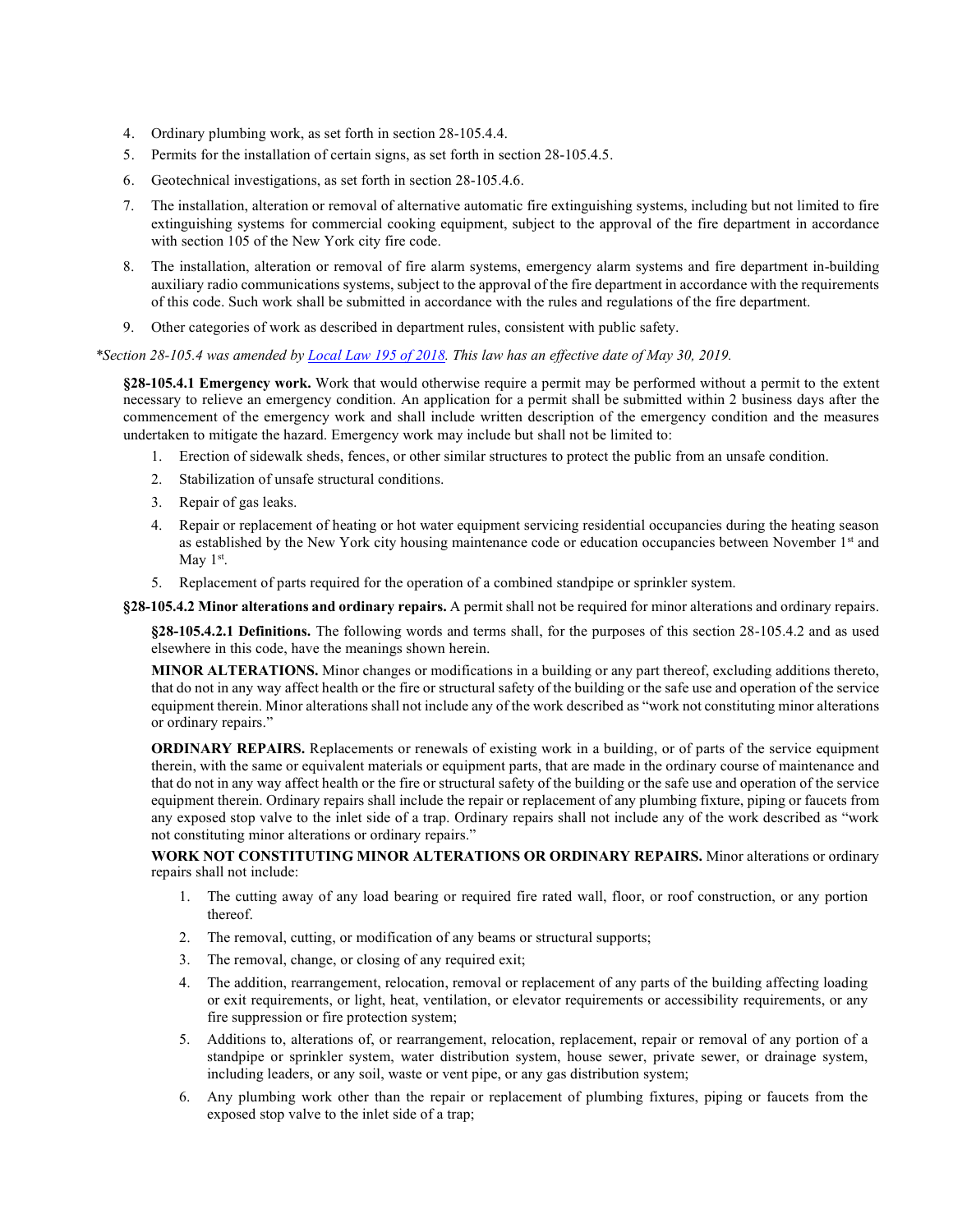- 4. Ordinary plumbing work, as set forth in section 28-105.4.4.
- 5. Permits for the installation of certain signs, as set forth in section 28-105.4.5.
- 6. Geotechnical investigations, as set forth in section 28-105.4.6.
- 7. The installation, alteration or removal of alternative automatic fire extinguishing systems, including but not limited to fire extinguishing systems for commercial cooking equipment, subject to the approval of the fire department in accordance with section 105 of the New York city fire code.
- 8. The installation, alteration or removal of fire alarm systems, emergency alarm systems and fire department in-building auxiliary radio communications systems, subject to the approval of the fire department in accordance with the requirements of this code. Such work shall be submitted in accordance with the rules and regulations of the fire department.
- 9. Other categories of work as described in department rules, consistent with public safety.

*\*Section 28-105.4 was amended by [Local Law 195 of 2018.](https://www1.nyc.gov/assets/buildings/local_laws/ll195of2018.pdf) This law has an effective date of May 30, 2019.*

**§28-105.4.1 Emergency work.** Work that would otherwise require a permit may be performed without a permit to the extent necessary to relieve an emergency condition. An application for a permit shall be submitted within 2 business days after the commencement of the emergency work and shall include written description of the emergency condition and the measures undertaken to mitigate the hazard. Emergency work may include but shall not be limited to:

- 1. Erection of sidewalk sheds, fences, or other similar structures to protect the public from an unsafe condition.
- 2. Stabilization of unsafe structural conditions.
- 3. Repair of gas leaks.
- 4. Repair or replacement of heating or hot water equipment servicing residential occupancies during the heating season as established by the New York city housing maintenance code or education occupancies between November 1st and May  $1<sup>st</sup>$ .
- 5. Replacement of parts required for the operation of a combined standpipe or sprinkler system.

**§28-105.4.2 Minor alterations and ordinary repairs.** A permit shall not be required for minor alterations and ordinary repairs.

**§28-105.4.2.1 Definitions.** The following words and terms shall, for the purposes of this section 28-105.4.2 and as used elsewhere in this code, have the meanings shown herein.

**MINOR ALTERATIONS.** Minor changes or modifications in a building or any part thereof, excluding additions thereto, that do not in any way affect health or the fire or structural safety of the building or the safe use and operation of the service equipment therein. Minor alterations shall not include any of the work described as "work not constituting minor alterations or ordinary repairs."

**ORDINARY REPAIRS.** Replacements or renewals of existing work in a building, or of parts of the service equipment therein, with the same or equivalent materials or equipment parts, that are made in the ordinary course of maintenance and that do not in any way affect health or the fire or structural safety of the building or the safe use and operation of the service equipment therein. Ordinary repairs shall include the repair or replacement of any plumbing fixture, piping or faucets from any exposed stop valve to the inlet side of a trap. Ordinary repairs shall not include any of the work described as "work not constituting minor alterations or ordinary repairs."

**WORK NOT CONSTITUTING MINOR ALTERATIONS OR ORDINARY REPAIRS.** Minor alterations or ordinary repairs shall not include:

- 1. The cutting away of any load bearing or required fire rated wall, floor, or roof construction, or any portion thereof.
- 2. The removal, cutting, or modification of any beams or structural supports;
- 3. The removal, change, or closing of any required exit;
- 4. The addition, rearrangement, relocation, removal or replacement of any parts of the building affecting loading or exit requirements, or light, heat, ventilation, or elevator requirements or accessibility requirements, or any fire suppression or fire protection system;
- 5. Additions to, alterations of, or rearrangement, relocation, replacement, repair or removal of any portion of a standpipe or sprinkler system, water distribution system, house sewer, private sewer, or drainage system, including leaders, or any soil, waste or vent pipe, or any gas distribution system;
- 6. Any plumbing work other than the repair or replacement of plumbing fixtures, piping or faucets from the exposed stop valve to the inlet side of a trap;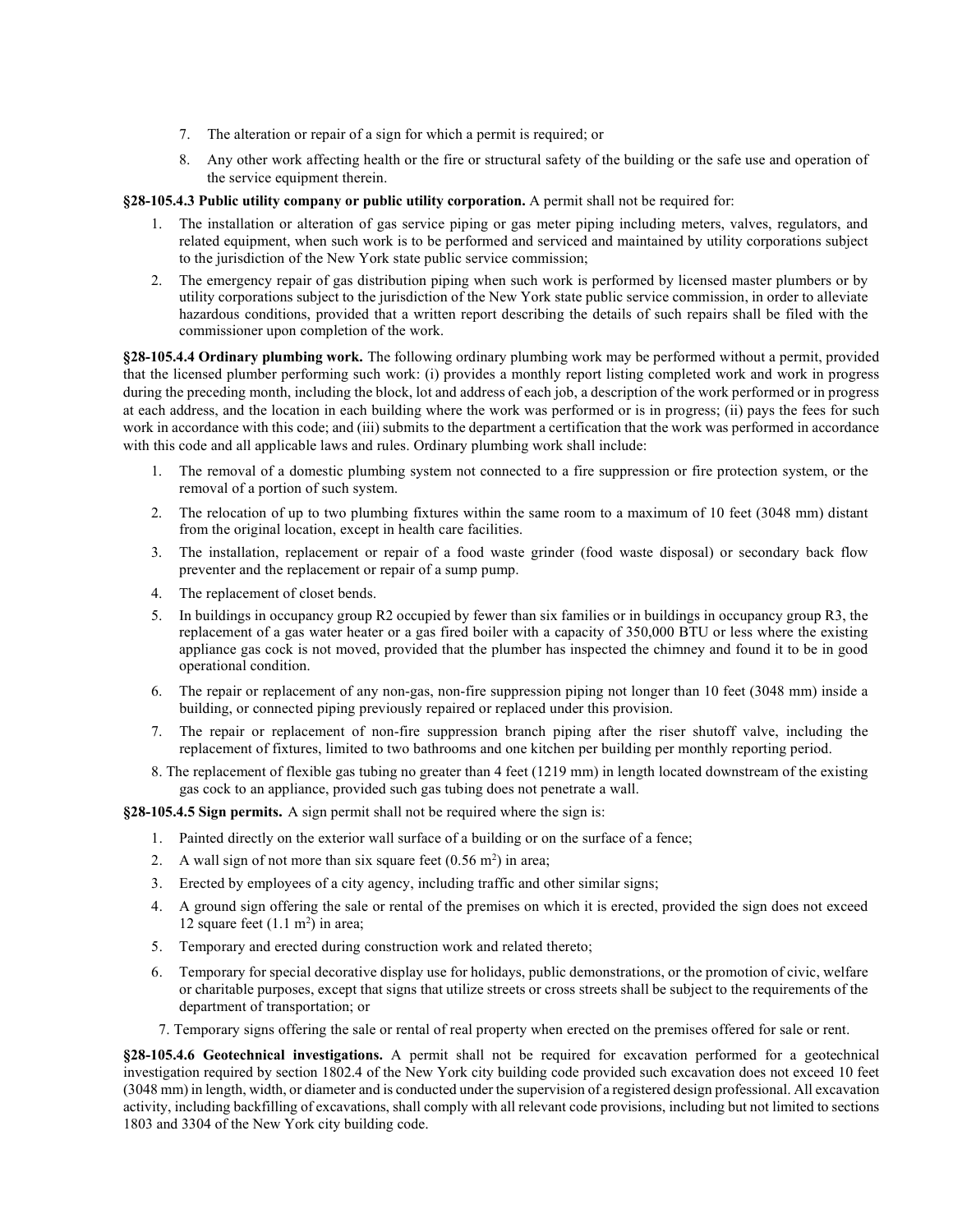- 7. The alteration or repair of a sign for which a permit is required; or
- 8. Any other work affecting health or the fire or structural safety of the building or the safe use and operation of the service equipment therein.

**§28-105.4.3 Public utility company or public utility corporation.** A permit shall not be required for:

- 1. The installation or alteration of gas service piping or gas meter piping including meters, valves, regulators, and related equipment, when such work is to be performed and serviced and maintained by utility corporations subject to the jurisdiction of the New York state public service commission;
- 2. The emergency repair of gas distribution piping when such work is performed by licensed master plumbers or by utility corporations subject to the jurisdiction of the New York state public service commission, in order to alleviate hazardous conditions, provided that a written report describing the details of such repairs shall be filed with the commissioner upon completion of the work.

**§28-105.4.4 Ordinary plumbing work.** The following ordinary plumbing work may be performed without a permit, provided that the licensed plumber performing such work: (i) provides a monthly report listing completed work and work in progress during the preceding month, including the block, lot and address of each job, a description of the work performed or in progress at each address, and the location in each building where the work was performed or is in progress; (ii) pays the fees for such work in accordance with this code; and (iii) submits to the department a certification that the work was performed in accordance with this code and all applicable laws and rules. Ordinary plumbing work shall include:

- 1. The removal of a domestic plumbing system not connected to a fire suppression or fire protection system, or the removal of a portion of such system.
- 2. The relocation of up to two plumbing fixtures within the same room to a maximum of 10 feet (3048 mm) distant from the original location, except in health care facilities.
- 3. The installation, replacement or repair of a food waste grinder (food waste disposal) or secondary back flow preventer and the replacement or repair of a sump pump.
- 4. The replacement of closet bends.
- 5. In buildings in occupancy group R2 occupied by fewer than six families or in buildings in occupancy group R3, the replacement of a gas water heater or a gas fired boiler with a capacity of 350,000 BTU or less where the existing appliance gas cock is not moved, provided that the plumber has inspected the chimney and found it to be in good operational condition.
- 6. The repair or replacement of any non-gas, non-fire suppression piping not longer than 10 feet (3048 mm) inside a building, or connected piping previously repaired or replaced under this provision.
- 7. The repair or replacement of non-fire suppression branch piping after the riser shutoff valve, including the replacement of fixtures, limited to two bathrooms and one kitchen per building per monthly reporting period.
- 8. The replacement of flexible gas tubing no greater than 4 feet (1219 mm) in length located downstream of the existing gas cock to an appliance, provided such gas tubing does not penetrate a wall.

**§28-105.4.5 Sign permits.** A sign permit shall not be required where the sign is:

- 1. Painted directly on the exterior wall surface of a building or on the surface of a fence;
- 2. A wall sign of not more than six square feet  $(0.56 \text{ m}^2)$  in area;
- 3. Erected by employees of a city agency, including traffic and other similar signs;
- 4. A ground sign offering the sale or rental of the premises on which it is erected, provided the sign does not exceed 12 square feet  $(1.1 \text{ m}^2)$  in area;
- 5. Temporary and erected during construction work and related thereto;
- 6. Temporary for special decorative display use for holidays, public demonstrations, or the promotion of civic, welfare or charitable purposes, except that signs that utilize streets or cross streets shall be subject to the requirements of the department of transportation; or
- 7. Temporary signs offering the sale or rental of real property when erected on the premises offered for sale or rent.

**§28-105.4.6 Geotechnical investigations.** A permit shall not be required for excavation performed for a geotechnical investigation required by section 1802.4 of the New York city building code provided such excavation does not exceed 10 feet (3048 mm) in length, width, or diameter and is conducted under the supervision of a registered design professional. All excavation activity, including backfilling of excavations, shall comply with all relevant code provisions, including but not limited to sections 1803 and 3304 of the New York city building code.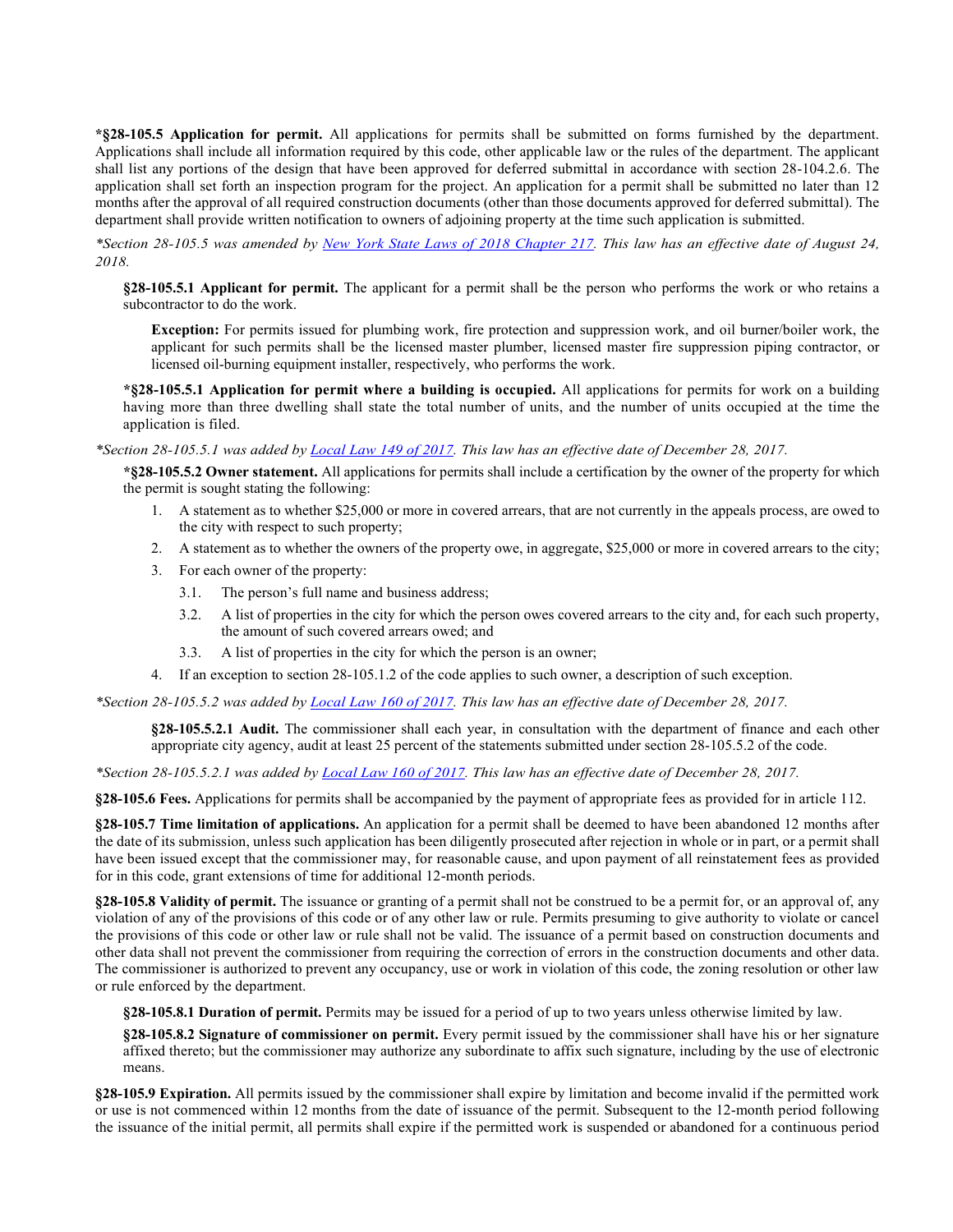**\*§28-105.5 Application for permit.** All applications for permits shall be submitted on forms furnished by the department. Applications shall include all information required by this code, other applicable law or the rules of the department. The applicant shall list any portions of the design that have been approved for deferred submittal in accordance with section 28-104.2.6. The application shall set forth an inspection program for the project. An application for a permit shall be submitted no later than 12 months after the approval of all required construction documents (other than those documents approved for deferred submittal). The department shall provide written notification to owners of adjoining property at the time such application is submitted.

*\*Section 28-105.5 was amended by [New York State Laws of 2018 Chapter 217.](https://www1.nyc.gov/assets/buildings/local_laws/nys_ch_217_adjoining_owner_notice.pdf) This law has an effective date of August 24, 2018.*

**§28-105.5.1 Applicant for permit.** The applicant for a permit shall be the person who performs the work or who retains a subcontractor to do the work.

**Exception:** For permits issued for plumbing work, fire protection and suppression work, and oil burner/boiler work, the applicant for such permits shall be the licensed master plumber, licensed master fire suppression piping contractor, or licensed oil-burning equipment installer, respectively, who performs the work.

**\*§28-105.5.1 Application for permit where a building is occupied.** All applications for permits for work on a building having more than three dwelling shall state the total number of units, and the number of units occupied at the time the application is filed.

*\*Section 28-105.5.1 was added b[y Local Law 149 of 2017.](http://www1.nyc.gov/assets/buildings/local_laws/ll149of2017.pdf) This law has an effective date of December 28, 2017.*

**\*§28-105.5.2 Owner statement.** All applications for permits shall include a certification by the owner of the property for which the permit is sought stating the following:

- 1. A statement as to whether \$25,000 or more in covered arrears, that are not currently in the appeals process, are owed to the city with respect to such property;
- 2. A statement as to whether the owners of the property owe, in aggregate, \$25,000 or more in covered arrears to the city;
- 3. For each owner of the property:
	- 3.1. The person's full name and business address;
	- 3.2. A list of properties in the city for which the person owes covered arrears to the city and, for each such property, the amount of such covered arrears owed; and
	- 3.3. A list of properties in the city for which the person is an owner;
- 4. If an exception to section 28-105.1.2 of the code applies to such owner, a description of such exception.

*\*Section 28-105.5.2 was added b[y Local Law 160 of 2017.](http://www1.nyc.gov/assets/buildings/local_laws/ll160of2017.pdf) This law has an effective date of December 28, 2017.*

**§28-105.5.2.1 Audit.** The commissioner shall each year, in consultation with the department of finance and each other appropriate city agency, audit at least 25 percent of the statements submitted under section 28-105.5.2 of the code.

*\*Section 28-105.5.2.1 was added by [Local Law 160 of 2017.](http://www1.nyc.gov/assets/buildings/local_laws/ll160of2017.pdf) This law has an effective date of December 28, 2017.*

**§28-105.6 Fees.** Applications for permits shall be accompanied by the payment of appropriate fees as provided for in article 112.

**§28-105.7 Time limitation of applications.** An application for a permit shall be deemed to have been abandoned 12 months after the date of its submission, unless such application has been diligently prosecuted after rejection in whole or in part, or a permit shall have been issued except that the commissioner may, for reasonable cause, and upon payment of all reinstatement fees as provided for in this code, grant extensions of time for additional 12-month periods.

**§28-105.8 Validity of permit.** The issuance or granting of a permit shall not be construed to be a permit for, or an approval of, any violation of any of the provisions of this code or of any other law or rule. Permits presuming to give authority to violate or cancel the provisions of this code or other law or rule shall not be valid. The issuance of a permit based on construction documents and other data shall not prevent the commissioner from requiring the correction of errors in the construction documents and other data. The commissioner is authorized to prevent any occupancy, use or work in violation of this code, the zoning resolution or other law or rule enforced by the department.

**§28-105.8.1 Duration of permit.** Permits may be issued for a period of up to two years unless otherwise limited by law.

**§28-105.8.2 Signature of commissioner on permit.** Every permit issued by the commissioner shall have his or her signature affixed thereto; but the commissioner may authorize any subordinate to affix such signature, including by the use of electronic means.

**§28-105.9 Expiration.** All permits issued by the commissioner shall expire by limitation and become invalid if the permitted work or use is not commenced within 12 months from the date of issuance of the permit. Subsequent to the 12-month period following the issuance of the initial permit, all permits shall expire if the permitted work is suspended or abandoned for a continuous period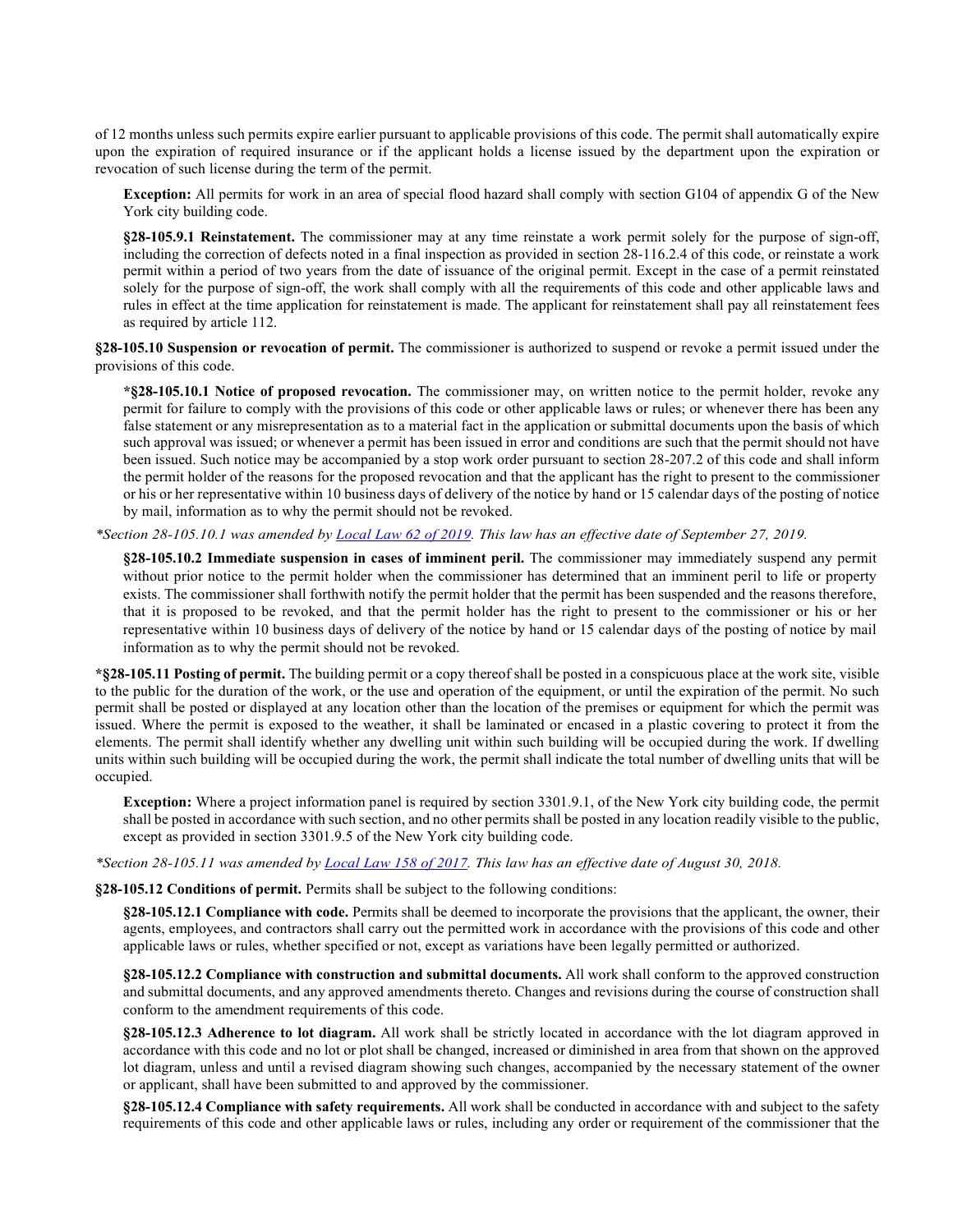of 12 months unless such permits expire earlier pursuant to applicable provisions of this code. The permit shall automatically expire upon the expiration of required insurance or if the applicant holds a license issued by the department upon the expiration or revocation of such license during the term of the permit.

**Exception:** All permits for work in an area of special flood hazard shall comply with section G104 of appendix G of the New York city building code.

**§28-105.9.1 Reinstatement.** The commissioner may at any time reinstate a work permit solely for the purpose of sign-off, including the correction of defects noted in a final inspection as provided in section 28-116.2.4 of this code, or reinstate a work permit within a period of two years from the date of issuance of the original permit. Except in the case of a permit reinstated solely for the purpose of sign-off, the work shall comply with all the requirements of this code and other applicable laws and rules in effect at the time application for reinstatement is made. The applicant for reinstatement shall pay all reinstatement fees as required by article 112.

**§28-105.10 Suspension or revocation of permit.** The commissioner is authorized to suspend or revoke a permit issued under the provisions of this code.

**\*§28-105.10.1 Notice of proposed revocation.** The commissioner may, on written notice to the permit holder, revoke any permit for failure to comply with the provisions of this code or other applicable laws or rules; or whenever there has been any false statement or any misrepresentation as to a material fact in the application or submittal documents upon the basis of which such approval was issued; or whenever a permit has been issued in error and conditions are such that the permit should not have been issued. Such notice may be accompanied by a stop work order pursuant to section 28-207.2 of this code and shall inform the permit holder of the reasons for the proposed revocation and that the applicant has the right to present to the commissioner or his or her representative within 10 business days of delivery of the notice by hand or 15 calendar days of the posting of notice by mail, information as to why the permit should not be revoked.

*\*Section 28-105.10.1 was amended by [Local Law 62 of 2019.](https://www1.nyc.gov/assets/buildings/local_laws/ll62of2019.pdf) This law has an effective date of September 27, 2019.*

**§28-105.10.2 Immediate suspension in cases of imminent peril.** The commissioner may immediately suspend any permit without prior notice to the permit holder when the commissioner has determined that an imminent peril to life or property exists. The commissioner shall forthwith notify the permit holder that the permit has been suspended and the reasons therefore, that it is proposed to be revoked, and that the permit holder has the right to present to the commissioner or his or her representative within 10 business days of delivery of the notice by hand or 15 calendar days of the posting of notice by mail information as to why the permit should not be revoked.

**\*§28-105.11 Posting of permit.** The building permit or a copy thereof shall be posted in a conspicuous place at the work site, visible to the public for the duration of the work, or the use and operation of the equipment, or until the expiration of the permit. No such permit shall be posted or displayed at any location other than the location of the premises or equipment for which the permit was issued. Where the permit is exposed to the weather, it shall be laminated or encased in a plastic covering to protect it from the elements. The permit shall identify whether any dwelling unit within such building will be occupied during the work. If dwelling units within such building will be occupied during the work, the permit shall indicate the total number of dwelling units that will be occupied.

**Exception:** Where a project information panel is required by section 3301.9.1, of the New York city building code, the permit shall be posted in accordance with such section, and no other permits shall be posted in any location readily visible to the public, except as provided in section 3301.9.5 of the New York city building code.

*\*Section 28-105.11 was amended b[y Local Law 158 of 2017.](https://www1.nyc.gov/assets/buildings/local_laws/ll158of2017.pdf) This law has an effective date of August 30, 2018.*

**§28-105.12 Conditions of permit.** Permits shall be subject to the following conditions:

**§28-105.12.1 Compliance with code.** Permits shall be deemed to incorporate the provisions that the applicant, the owner, their agents, employees, and contractors shall carry out the permitted work in accordance with the provisions of this code and other applicable laws or rules, whether specified or not, except as variations have been legally permitted or authorized.

**§28-105.12.2 Compliance with construction and submittal documents.** All work shall conform to the approved construction and submittal documents, and any approved amendments thereto. Changes and revisions during the course of construction shall conform to the amendment requirements of this code.

**§28-105.12.3 Adherence to lot diagram.** All work shall be strictly located in accordance with the lot diagram approved in accordance with this code and no lot or plot shall be changed, increased or diminished in area from that shown on the approved lot diagram, unless and until a revised diagram showing such changes, accompanied by the necessary statement of the owner or applicant, shall have been submitted to and approved by the commissioner.

**§28-105.12.4 Compliance with safety requirements.** All work shall be conducted in accordance with and subject to the safety requirements of this code and other applicable laws or rules, including any order or requirement of the commissioner that the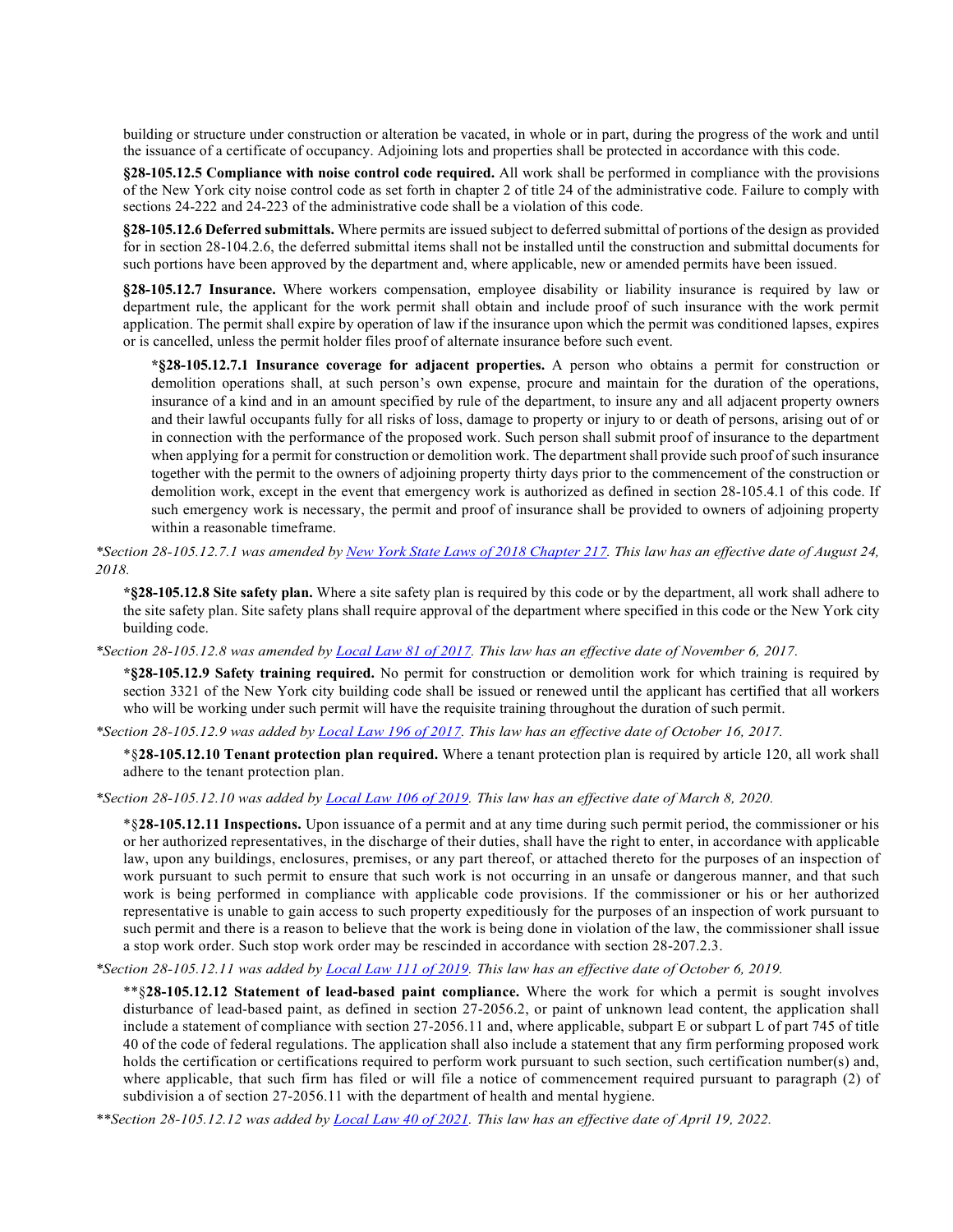building or structure under construction or alteration be vacated, in whole or in part, during the progress of the work and until the issuance of a certificate of occupancy. Adjoining lots and properties shall be protected in accordance with this code.

**§28-105.12.5 Compliance with noise control code required.** All work shall be performed in compliance with the provisions of the New York city noise control code as set forth in chapter 2 of title 24 of the administrative code. Failure to comply with sections 24-222 and 24-223 of the administrative code shall be a violation of this code.

**§28-105.12.6 Deferred submittals.** Where permits are issued subject to deferred submittal of portions of the design as provided for in section 28-104.2.6, the deferred submittal items shall not be installed until the construction and submittal documents for such portions have been approved by the department and, where applicable, new or amended permits have been issued.

**§28-105.12.7 Insurance.** Where workers compensation, employee disability or liability insurance is required by law or department rule, the applicant for the work permit shall obtain and include proof of such insurance with the work permit application. The permit shall expire by operation of law if the insurance upon which the permit was conditioned lapses, expires or is cancelled, unless the permit holder files proof of alternate insurance before such event.

**\*§28-105.12.7.1 Insurance coverage for adjacent properties.** A person who obtains a permit for construction or demolition operations shall, at such person's own expense, procure and maintain for the duration of the operations, insurance of a kind and in an amount specified by rule of the department, to insure any and all adjacent property owners and their lawful occupants fully for all risks of loss, damage to property or injury to or death of persons, arising out of or in connection with the performance of the proposed work. Such person shall submit proof of insurance to the department when applying for a permit for construction or demolition work. The department shall provide such proof of such insurance together with the permit to the owners of adjoining property thirty days prior to the commencement of the construction or demolition work, except in the event that emergency work is authorized as defined in section 28-105.4.1 of this code. If such emergency work is necessary, the permit and proof of insurance shall be provided to owners of adjoining property within a reasonable timeframe.

*\*Section 28-105.12.7.1 was amended b[y New York State Laws of 2018 Chapter 217.](https://www1.nyc.gov/assets/buildings/local_laws/nys_ch_217_adjoining_owner_notice.pdf) This law has an effective date of August 24, 2018.*

**\*§28-105.12.8 Site safety plan.** Where a site safety plan is required by this code or by the department, all work shall adhere to the site safety plan. Site safety plans shall require approval of the department where specified in this code or the New York city building code.

*\*Section 28-105.12.8 was amended by [Local Law 81 of 2017.](http://www1.nyc.gov/assets/buildings/local_laws/ll81of2017.pdf) This law has an effective date of November 6, 2017.*

**\*§28-105.12.9 Safety training required.** No permit for construction or demolition work for which training is required by section 3321 of the New York city building code shall be issued or renewed until the applicant has certified that all workers who will be working under such permit will have the requisite training throughout the duration of such permit.

*\*Section 28-105.12.9 was added b[y Local Law 196 of 2017.](http://www1.nyc.gov/assets/buildings/local_laws/ll196of2017.pdf) This law has an effective date of October 16, 2017.*

\*§**28-105.12.10 Tenant protection plan required.** Where a tenant protection plan is required by article 120, all work shall adhere to the tenant protection plan.

*\*Section 28-105.12.10 was added b[y Local Law 106 of 2019.](https://www1.nyc.gov/assets/buildings/local_laws/ll106of2019.pdf) This law has an effective date of March 8, 2020.* 

\*§**28-105.12.11 Inspections.** Upon issuance of a permit and at any time during such permit period, the commissioner or his or her authorized representatives, in the discharge of their duties, shall have the right to enter, in accordance with applicable law, upon any buildings, enclosures, premises, or any part thereof, or attached thereto for the purposes of an inspection of work pursuant to such permit to ensure that such work is not occurring in an unsafe or dangerous manner, and that such work is being performed in compliance with applicable code provisions. If the commissioner or his or her authorized representative is unable to gain access to such property expeditiously for the purposes of an inspection of work pursuant to such permit and there is a reason to believe that the work is being done in violation of the law, the commissioner shall issue a stop work order. Such stop work order may be rescinded in accordance with section 28-207.2.3.

#### *\*Section 28-105.12.11 was added b[y Local Law 111](http://www1.nyc.gov/assets/buildings/local_laws/ll111of2019.pdf) of 2019. This law has an effective date of October 6, 2019.*

\*\*§**28-105.12.12 Statement of lead-based paint compliance.** Where the work for which a permit is sought involves disturbance of lead-based paint, as defined in section 27-2056.2, or paint of unknown lead content, the application shall include a statement of compliance with section 27-2056.11 and, where applicable, subpart E or subpart L of part 745 of title 40 of the code of federal regulations. The application shall also include a statement that any firm performing proposed work holds the certification or certifications required to perform work pursuant to such section, such certification number(s) and, where applicable, that such firm has filed or will file a notice of commencement required pursuant to paragraph (2) of subdivision a of section 27-2056.11 with the department of health and mental hygiene.

*\*\*Section 28-105.12.12 was added by [Local Law 40](https://www1.nyc.gov/assets/buildings/local_laws/ll40of2021.pdf) of 2021. This law has an effective date of April 19, 2022.*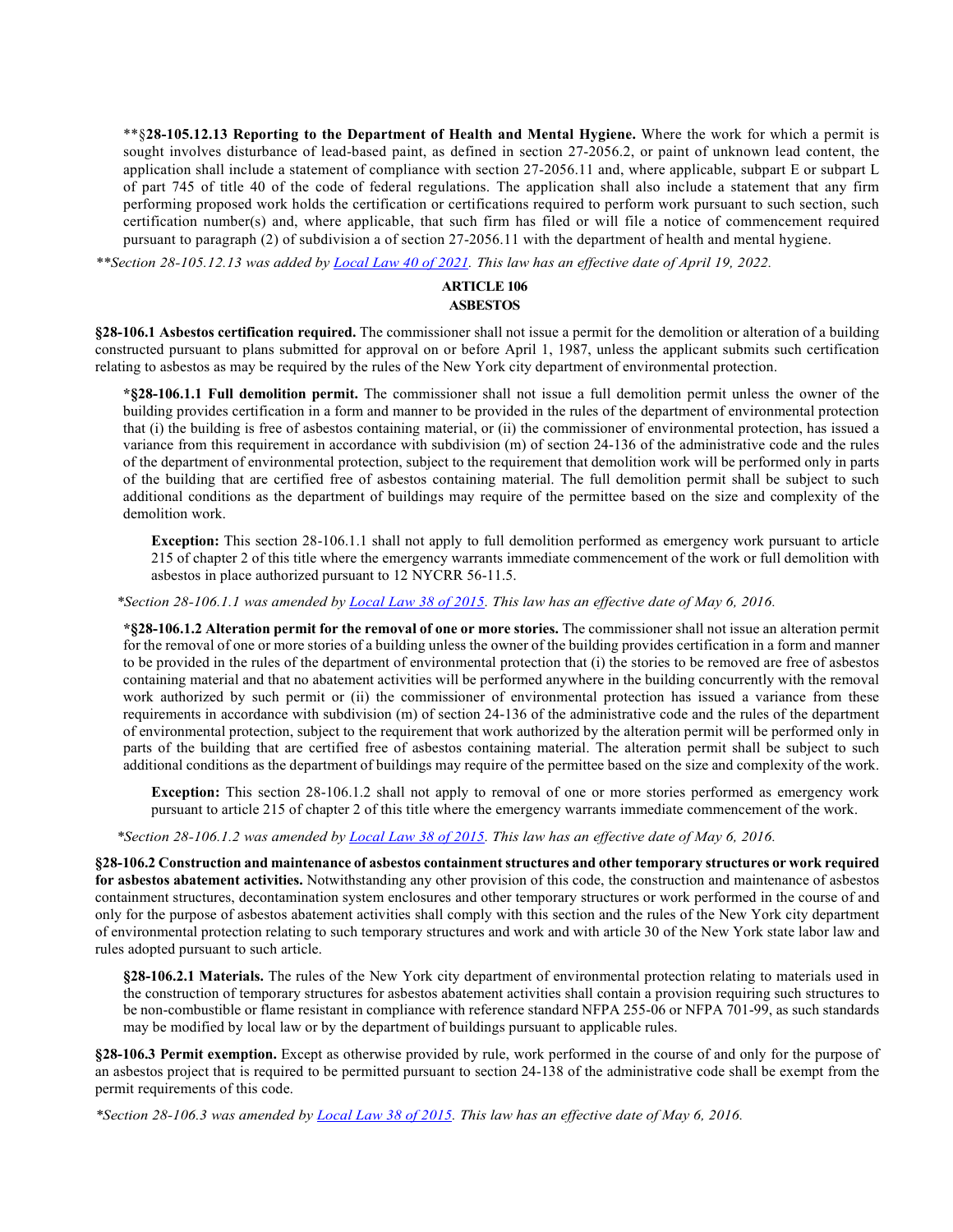\*\*§**28-105.12.13 Reporting to the Department of Health and Mental Hygiene.** Where the work for which a permit is sought involves disturbance of lead-based paint, as defined in section 27-2056.2, or paint of unknown lead content, the application shall include a statement of compliance with section 27-2056.11 and, where applicable, subpart E or subpart L of part 745 of title 40 of the code of federal regulations. The application shall also include a statement that any firm performing proposed work holds the certification or certifications required to perform work pursuant to such section, such certification number(s) and, where applicable, that such firm has filed or will file a notice of commencement required pursuant to paragraph (2) of subdivision a of section 27-2056.11 with the department of health and mental hygiene.

*\*\*Section 28-105.12.13 was added by [Local Law 40](https://www1.nyc.gov/assets/buildings/local_laws/ll40of2021.pdf) of 2021. This law has an effective date of April 19, 2022.* 

### **ARTICLE 106 ASBESTOS**

**§28-106.1 Asbestos certification required.** The commissioner shall not issue a permit for the demolition or alteration of a building constructed pursuant to plans submitted for approval on or before April 1, 1987, unless the applicant submits such certification relating to asbestos as may be required by the rules of the New York city department of environmental protection.

**\*§28-106.1.1 Full demolition permit.** The commissioner shall not issue a full demolition permit unless the owner of the building provides certification in a form and manner to be provided in the rules of the department of environmental protection that (i) the building is free of asbestos containing material, or (ii) the commissioner of environmental protection, has issued a variance from this requirement in accordance with subdivision (m) of section 24-136 of the administrative code and the rules of the department of environmental protection, subject to the requirement that demolition work will be performed only in parts of the building that are certified free of asbestos containing material. The full demolition permit shall be subject to such additional conditions as the department of buildings may require of the permittee based on the size and complexity of the demolition work.

**Exception:** This section 28-106.1.1 shall not apply to full demolition performed as emergency work pursuant to article 215 of chapter 2 of this title where the emergency warrants immediate commencement of the work or full demolition with asbestos in place authorized pursuant to 12 NYCRR 56-11.5.

*\*Section 28-106.1.1 was amended b[y Local Law 38 of 2015.](http://www1.nyc.gov/assets/buildings/local_laws/ll38of2015.pdf) This law has an effective date of May 6, 2016.* 

**\*§28-106.1.2 Alteration permit for the removal of one or more stories.** The commissioner shall not issue an alteration permit for the removal of one or more stories of a building unless the owner of the building provides certification in a form and manner to be provided in the rules of the department of environmental protection that (i) the stories to be removed are free of asbestos containing material and that no abatement activities will be performed anywhere in the building concurrently with the removal work authorized by such permit or (ii) the commissioner of environmental protection has issued a variance from these requirements in accordance with subdivision (m) of section 24-136 of the administrative code and the rules of the department of environmental protection, subject to the requirement that work authorized by the alteration permit will be performed only in parts of the building that are certified free of asbestos containing material. The alteration permit shall be subject to such additional conditions as the department of buildings may require of the permittee based on the size and complexity of the work.

**Exception:** This section 28-106.1.2 shall not apply to removal of one or more stories performed as emergency work pursuant to article 215 of chapter 2 of this title where the emergency warrants immediate commencement of the work.

*\*Section 28-106.1.2 was amended b[y Local Law 38 of 2015.](http://www1.nyc.gov/assets/buildings/local_laws/ll38of2015.pdf) This law has an effective date of May 6, 2016.* 

**§28-106.2 Construction and maintenance of asbestos containment structures and other temporary structures or work required for asbestos abatement activities.** Notwithstanding any other provision of this code, the construction and maintenance of asbestos containment structures, decontamination system enclosures and other temporary structures or work performed in the course of and only for the purpose of asbestos abatement activities shall comply with this section and the rules of the New York city department of environmental protection relating to such temporary structures and work and with article 30 of the New York state labor law and rules adopted pursuant to such article.

**§28-106.2.1 Materials.** The rules of the New York city department of environmental protection relating to materials used in the construction of temporary structures for asbestos abatement activities shall contain a provision requiring such structures to be non-combustible or flame resistant in compliance with reference standard NFPA 255-06 or NFPA 701-99, as such standards may be modified by local law or by the department of buildings pursuant to applicable rules.

**§28-106.3 Permit exemption.** Except as otherwise provided by rule, work performed in the course of and only for the purpose of an asbestos project that is required to be permitted pursuant to section 24-138 of the administrative code shall be exempt from the permit requirements of this code.

*\*Section 28-106.3 was amended b[y Local Law 38 of 2015.](http://www1.nyc.gov/assets/buildings/local_laws/ll38of2015.pdf) This law has an effective date of May 6, 2016.*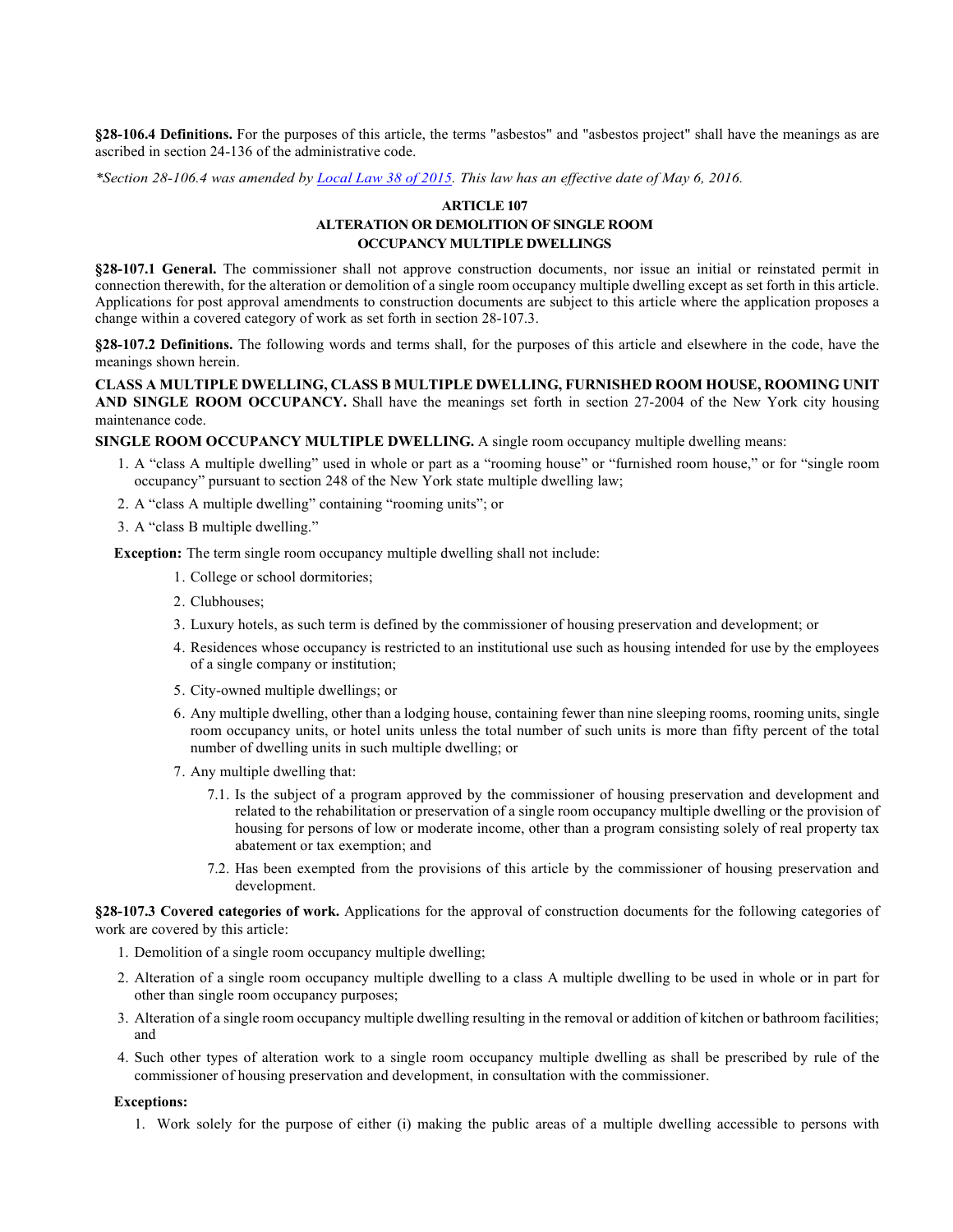**§28-106.4 Definitions.** For the purposes of this article, the terms "asbestos" and "asbestos project" shall have the meanings as are ascribed in section 24-136 of the administrative code.

*\*Section 28-106.4 was amended b[y Local Law 38 of 2015.](http://www1.nyc.gov/assets/buildings/local_laws/ll38of2015.pdf) This law has an effective date of May 6, 2016.* 

### **ARTICLE 107 ALTERATION OR DEMOLITION OF SINGLE ROOM OCCUPANCY MULTIPLE DWELLINGS**

**§28-107.1 General.** The commissioner shall not approve construction documents, nor issue an initial or reinstated permit in connection therewith, for the alteration or demolition of a single room occupancy multiple dwelling except as set forth in this article. Applications for post approval amendments to construction documents are subject to this article where the application proposes a change within a covered category of work as set forth in section 28-107.3.

**§28-107.2 Definitions.** The following words and terms shall, for the purposes of this article and elsewhere in the code, have the meanings shown herein.

**CLASS A MULTIPLE DWELLING, CLASS B MULTIPLE DWELLING, FURNISHED ROOM HOUSE, ROOMING UNIT AND SINGLE ROOM OCCUPANCY.** Shall have the meanings set forth in section 27-2004 of the New York city housing maintenance code.

**SINGLE ROOM OCCUPANCY MULTIPLE DWELLING.** A single room occupancy multiple dwelling means:

- 1. A "class A multiple dwelling" used in whole or part as a "rooming house" or "furnished room house," or for "single room occupancy" pursuant to section 248 of the New York state multiple dwelling law;
- 2. A "class A multiple dwelling" containing "rooming units"; or
- 3. A "class B multiple dwelling."

**Exception:** The term single room occupancy multiple dwelling shall not include:

- 1. College or school dormitories;
- 2. Clubhouses;
- 3. Luxury hotels, as such term is defined by the commissioner of housing preservation and development; or
- 4. Residences whose occupancy is restricted to an institutional use such as housing intended for use by the employees of a single company or institution;
- 5. City-owned multiple dwellings; or
- 6. Any multiple dwelling, other than a lodging house, containing fewer than nine sleeping rooms, rooming units, single room occupancy units, or hotel units unless the total number of such units is more than fifty percent of the total number of dwelling units in such multiple dwelling; or
- 7. Any multiple dwelling that:
	- 7.1. Is the subject of a program approved by the commissioner of housing preservation and development and related to the rehabilitation or preservation of a single room occupancy multiple dwelling or the provision of housing for persons of low or moderate income, other than a program consisting solely of real property tax abatement or tax exemption; and
	- 7.2. Has been exempted from the provisions of this article by the commissioner of housing preservation and development.

**§28-107.3 Covered categories of work.** Applications for the approval of construction documents for the following categories of work are covered by this article:

- 1. Demolition of a single room occupancy multiple dwelling;
- 2. Alteration of a single room occupancy multiple dwelling to a class A multiple dwelling to be used in whole or in part for other than single room occupancy purposes;
- 3. Alteration of a single room occupancy multiple dwelling resulting in the removal or addition of kitchen or bathroom facilities; and
- 4. Such other types of alteration work to a single room occupancy multiple dwelling as shall be prescribed by rule of the commissioner of housing preservation and development, in consultation with the commissioner.

### **Exceptions:**

1. Work solely for the purpose of either (i) making the public areas of a multiple dwelling accessible to persons with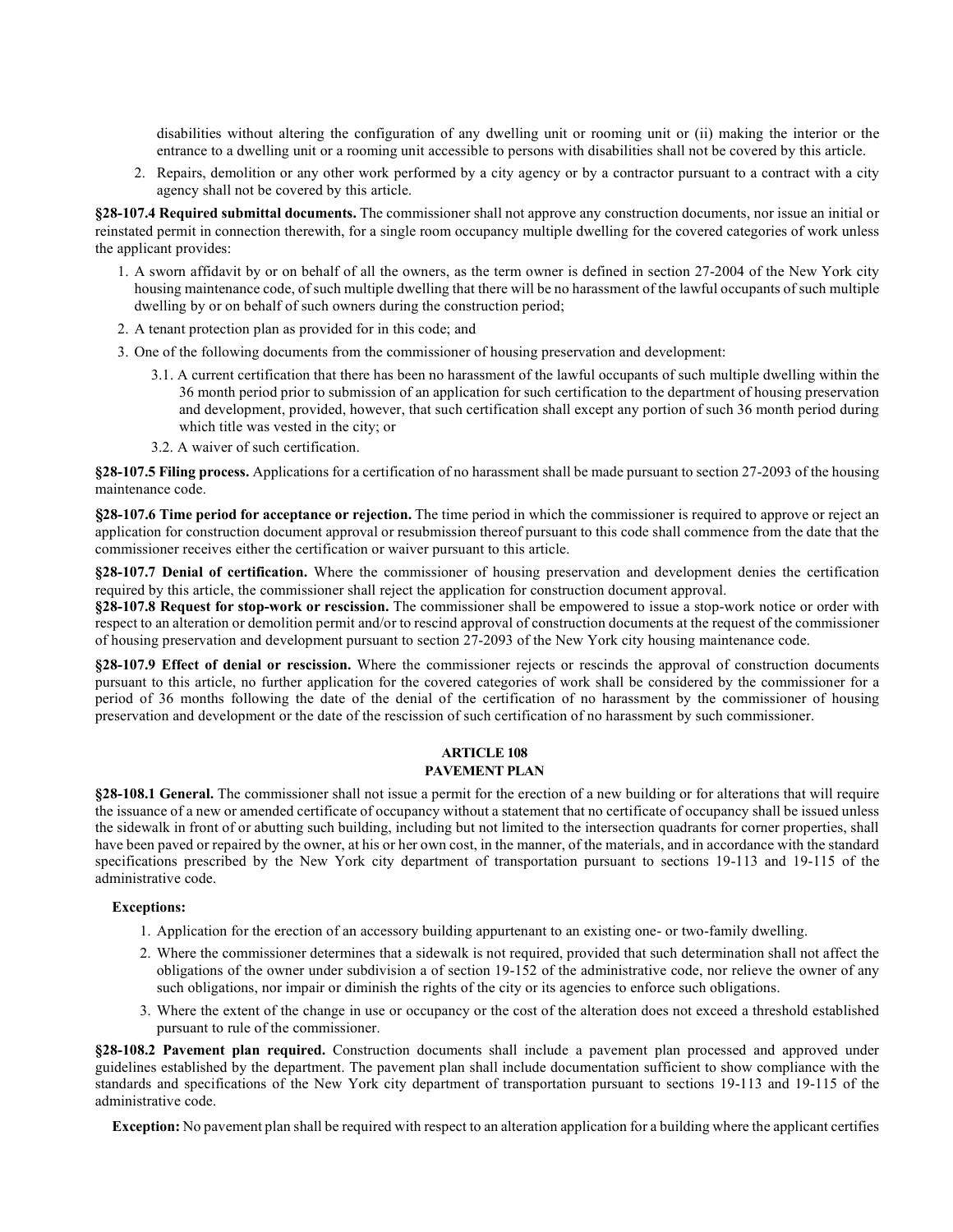disabilities without altering the configuration of any dwelling unit or rooming unit or (ii) making the interior or the entrance to a dwelling unit or a rooming unit accessible to persons with disabilities shall not be covered by this article.

2. Repairs, demolition or any other work performed by a city agency or by a contractor pursuant to a contract with a city agency shall not be covered by this article.

**§28-107.4 Required submittal documents.** The commissioner shall not approve any construction documents, nor issue an initial or reinstated permit in connection therewith, for a single room occupancy multiple dwelling for the covered categories of work unless the applicant provides:

- 1. A sworn affidavit by or on behalf of all the owners, as the term owner is defined in section 27-2004 of the New York city housing maintenance code, of such multiple dwelling that there will be no harassment of the lawful occupants of such multiple dwelling by or on behalf of such owners during the construction period;
- 2. A tenant protection plan as provided for in this code; and
- 3. One of the following documents from the commissioner of housing preservation and development:
	- 3.1. A current certification that there has been no harassment of the lawful occupants of such multiple dwelling within the 36 month period prior to submission of an application for such certification to the department of housing preservation and development, provided, however, that such certification shall except any portion of such 36 month period during which title was vested in the city; or
	- 3.2. A waiver of such certification.

**§28-107.5 Filing process.** Applications for a certification of no harassment shall be made pursuant to section 27-2093 of the housing maintenance code.

**§28-107.6 Time period for acceptance or rejection.** The time period in which the commissioner is required to approve or reject an application for construction document approval or resubmission thereof pursuant to this code shall commence from the date that the commissioner receives either the certification or waiver pursuant to this article.

**§28-107.7 Denial of certification.** Where the commissioner of housing preservation and development denies the certification required by this article, the commissioner shall reject the application for construction document approval.

**§28-107.8 Request for stop-work or rescission.** The commissioner shall be empowered to issue a stop-work notice or order with respect to an alteration or demolition permit and/or to rescind approval of construction documents at the request of the commissioner of housing preservation and development pursuant to section 27-2093 of the New York city housing maintenance code.

**§28-107.9 Effect of denial or rescission.** Where the commissioner rejects or rescinds the approval of construction documents pursuant to this article, no further application for the covered categories of work shall be considered by the commissioner for a period of 36 months following the date of the denial of the certification of no harassment by the commissioner of housing preservation and development or the date of the rescission of such certification of no harassment by such commissioner.

### **ARTICLE 108 PAVEMENT PLAN**

**§28-108.1 General.** The commissioner shall not issue a permit for the erection of a new building or for alterations that will require the issuance of a new or amended certificate of occupancy without a statement that no certificate of occupancy shall be issued unless the sidewalk in front of or abutting such building, including but not limited to the intersection quadrants for corner properties, shall have been paved or repaired by the owner, at his or her own cost, in the manner, of the materials, and in accordance with the standard specifications prescribed by the New York city department of transportation pursuant to sections 19-113 and 19-115 of the administrative code.

### **Exceptions:**

- 1. Application for the erection of an accessory building appurtenant to an existing one- or two-family dwelling.
- 2. Where the commissioner determines that a sidewalk is not required, provided that such determination shall not affect the obligations of the owner under subdivision a of section 19-152 of the administrative code, nor relieve the owner of any such obligations, nor impair or diminish the rights of the city or its agencies to enforce such obligations.
- 3. Where the extent of the change in use or occupancy or the cost of the alteration does not exceed a threshold established pursuant to rule of the commissioner.

**§28-108.2 Pavement plan required.** Construction documents shall include a pavement plan processed and approved under guidelines established by the department. The pavement plan shall include documentation sufficient to show compliance with the standards and specifications of the New York city department of transportation pursuant to sections 19-113 and 19-115 of the administrative code.

**Exception:** No pavement plan shall be required with respect to an alteration application for a building where the applicant certifies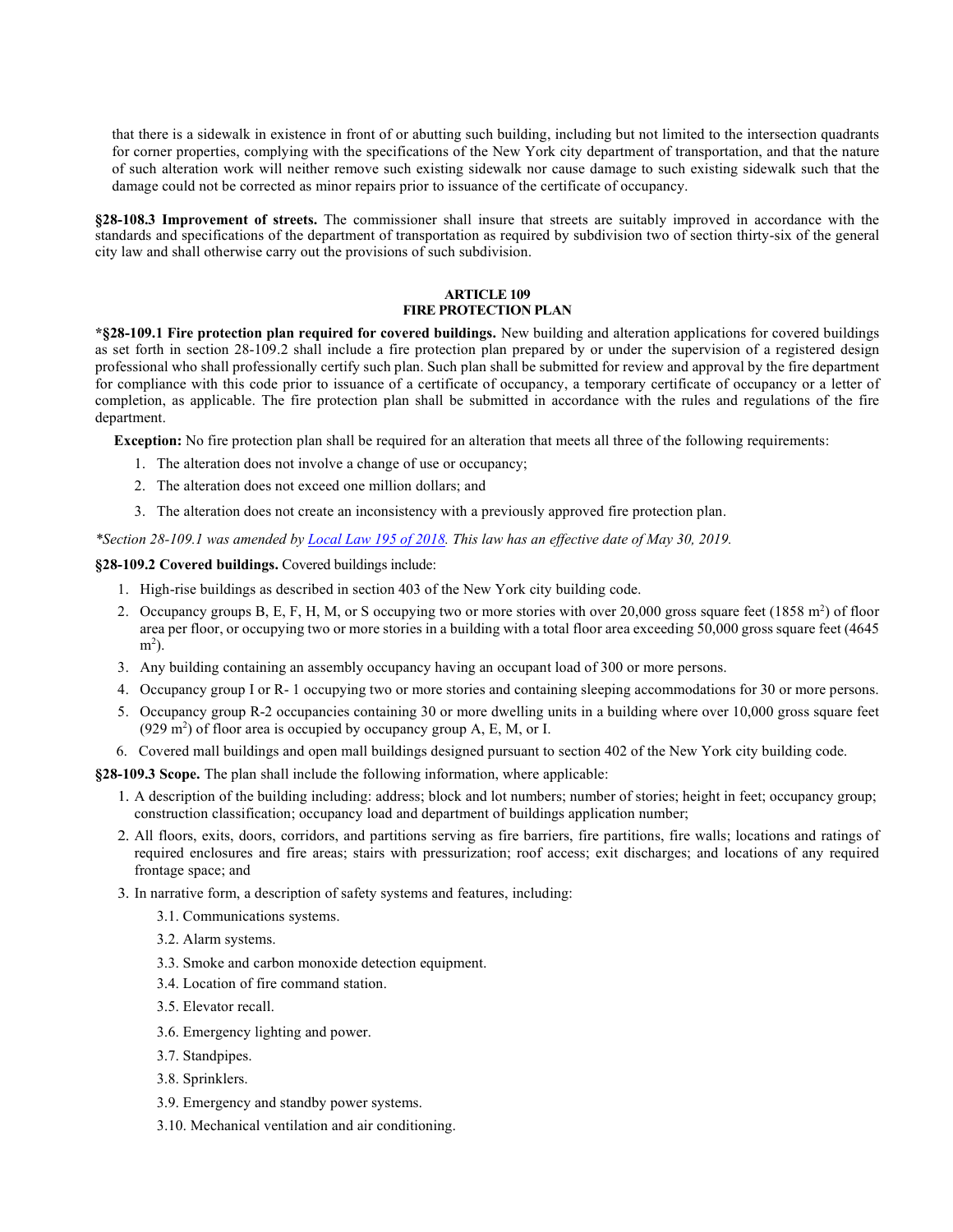that there is a sidewalk in existence in front of or abutting such building, including but not limited to the intersection quadrants for corner properties, complying with the specifications of the New York city department of transportation, and that the nature of such alteration work will neither remove such existing sidewalk nor cause damage to such existing sidewalk such that the damage could not be corrected as minor repairs prior to issuance of the certificate of occupancy.

**§28-108.3 Improvement of streets.** The commissioner shall insure that streets are suitably improved in accordance with the standards and specifications of the department of transportation as required by subdivision two of section thirty-six of the general city law and shall otherwise carry out the provisions of such subdivision.

### **ARTICLE 109 FIRE PROTECTION PLAN**

**\*§28-109.1 Fire protection plan required for covered buildings.** New building and alteration applications for covered buildings as set forth in section 28-109.2 shall include a fire protection plan prepared by or under the supervision of a registered design professional who shall professionally certify such plan. Such plan shall be submitted for review and approval by the fire department for compliance with this code prior to issuance of a certificate of occupancy, a temporary certificate of occupancy or a letter of completion, as applicable. The fire protection plan shall be submitted in accordance with the rules and regulations of the fire department.

**Exception:** No fire protection plan shall be required for an alteration that meets all three of the following requirements:

- 1. The alteration does not involve a change of use or occupancy;
- 2. The alteration does not exceed one million dollars; and
- 3. The alteration does not create an inconsistency with a previously approved fire protection plan.

*\*Section 28-109.1 was amended by [Local Law 195 of 2018.](https://www1.nyc.gov/assets/buildings/local_laws/ll195of2018.pdf) This law has an effective date of May 30, 2019.*

### **§28-109.2 Covered buildings.** Covered buildings include:

- 1. High-rise buildings as described in section 403 of the New York city building code.
- 2. Occupancy groups B, E, F, H, M, or S occupying two or more stories with over 20,000 gross square feet  $(1858 \text{ m}^2)$  of floor area per floor, or occupying two or more stories in a building with a total floor area exceeding 50,000 gross square feet (4645 m<sup>2</sup>).
- 3. Any building containing an assembly occupancy having an occupant load of 300 or more persons.
- 4. Occupancy group I or R- 1 occupying two or more stories and containing sleeping accommodations for 30 or more persons.
- 5. Occupancy group R-2 occupancies containing 30 or more dwelling units in a building where over 10,000 gross square feet  $(929 \text{ m}^2)$  of floor area is occupied by occupancy group A, E, M, or I.
- 6. Covered mall buildings and open mall buildings designed pursuant to section 402 of the New York city building code.

**§28-109.3 Scope.** The plan shall include the following information, where applicable:

- 1. A description of the building including: address; block and lot numbers; number of stories; height in feet; occupancy group; construction classification; occupancy load and department of buildings application number;
- 2. All floors, exits, doors, corridors, and partitions serving as fire barriers, fire partitions, fire walls; locations and ratings of required enclosures and fire areas; stairs with pressurization; roof access; exit discharges; and locations of any required frontage space; and
- 3. In narrative form, a description of safety systems and features, including:
	- 3.1. Communications systems.
	- 3.2. Alarm systems.
	- 3.3. Smoke and carbon monoxide detection equipment.
	- 3.4. Location of fire command station.
	- 3.5. Elevator recall.
	- 3.6. Emergency lighting and power.
	- 3.7. Standpipes.
	- 3.8. Sprinklers.
	- 3.9. Emergency and standby power systems.
	- 3.10. Mechanical ventilation and air conditioning.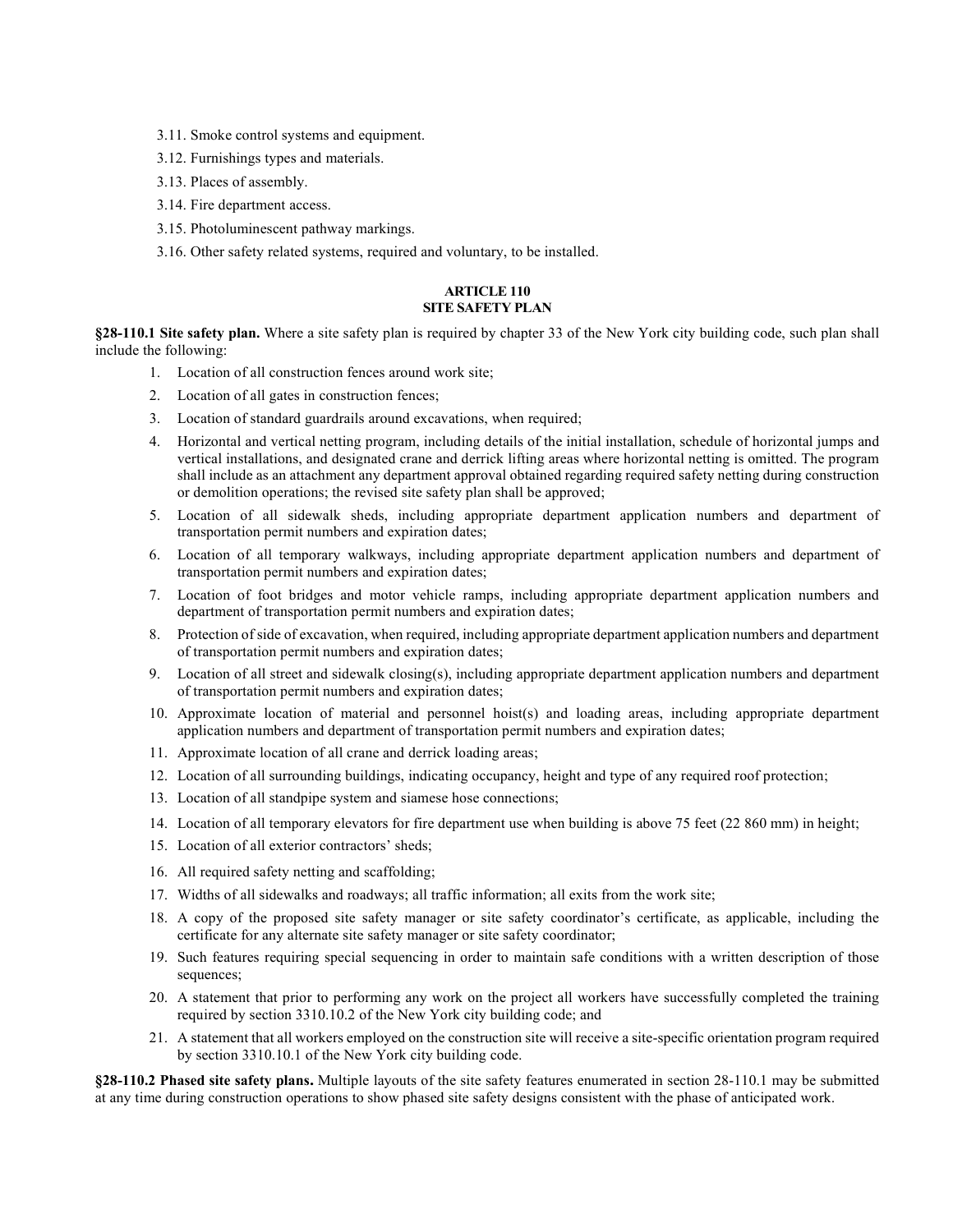- 3.11. Smoke control systems and equipment.
- 3.12. Furnishings types and materials.
- 3.13. Places of assembly.
- 3.14. Fire department access.
- 3.15. Photoluminescent pathway markings.
- 3.16. Other safety related systems, required and voluntary, to be installed.

### **ARTICLE 110 SITE SAFETY PLAN**

**§28-110.1 Site safety plan.** Where a site safety plan is required by chapter 33 of the New York city building code, such plan shall include the following:

- 1. Location of all construction fences around work site;
- 2. Location of all gates in construction fences;
- 3. Location of standard guardrails around excavations, when required;
- 4. Horizontal and vertical netting program, including details of the initial installation, schedule of horizontal jumps and vertical installations, and designated crane and derrick lifting areas where horizontal netting is omitted. The program shall include as an attachment any department approval obtained regarding required safety netting during construction or demolition operations; the revised site safety plan shall be approved;
- 5. Location of all sidewalk sheds, including appropriate department application numbers and department of transportation permit numbers and expiration dates;
- 6. Location of all temporary walkways, including appropriate department application numbers and department of transportation permit numbers and expiration dates;
- 7. Location of foot bridges and motor vehicle ramps, including appropriate department application numbers and department of transportation permit numbers and expiration dates;
- 8. Protection of side of excavation, when required, including appropriate department application numbers and department of transportation permit numbers and expiration dates;
- 9. Location of all street and sidewalk closing(s), including appropriate department application numbers and department of transportation permit numbers and expiration dates;
- 10. Approximate location of material and personnel hoist(s) and loading areas, including appropriate department application numbers and department of transportation permit numbers and expiration dates;
- 11. Approximate location of all crane and derrick loading areas;
- 12. Location of all surrounding buildings, indicating occupancy, height and type of any required roof protection;
- 13. Location of all standpipe system and siamese hose connections;
- 14. Location of all temporary elevators for fire department use when building is above 75 feet (22 860 mm) in height;
- 15. Location of all exterior contractors' sheds;
- 16. All required safety netting and scaffolding;
- 17. Widths of all sidewalks and roadways; all traffic information; all exits from the work site;
- 18. A copy of the proposed site safety manager or site safety coordinator's certificate, as applicable, including the certificate for any alternate site safety manager or site safety coordinator;
- 19. Such features requiring special sequencing in order to maintain safe conditions with a written description of those sequences;
- 20. A statement that prior to performing any work on the project all workers have successfully completed the training required by section 3310.10.2 of the New York city building code; and
- 21. A statement that all workers employed on the construction site will receive a site-specific orientation program required by section 3310.10.1 of the New York city building code.

**§28-110.2 Phased site safety plans.** Multiple layouts of the site safety features enumerated in section 28-110.1 may be submitted at any time during construction operations to show phased site safety designs consistent with the phase of anticipated work.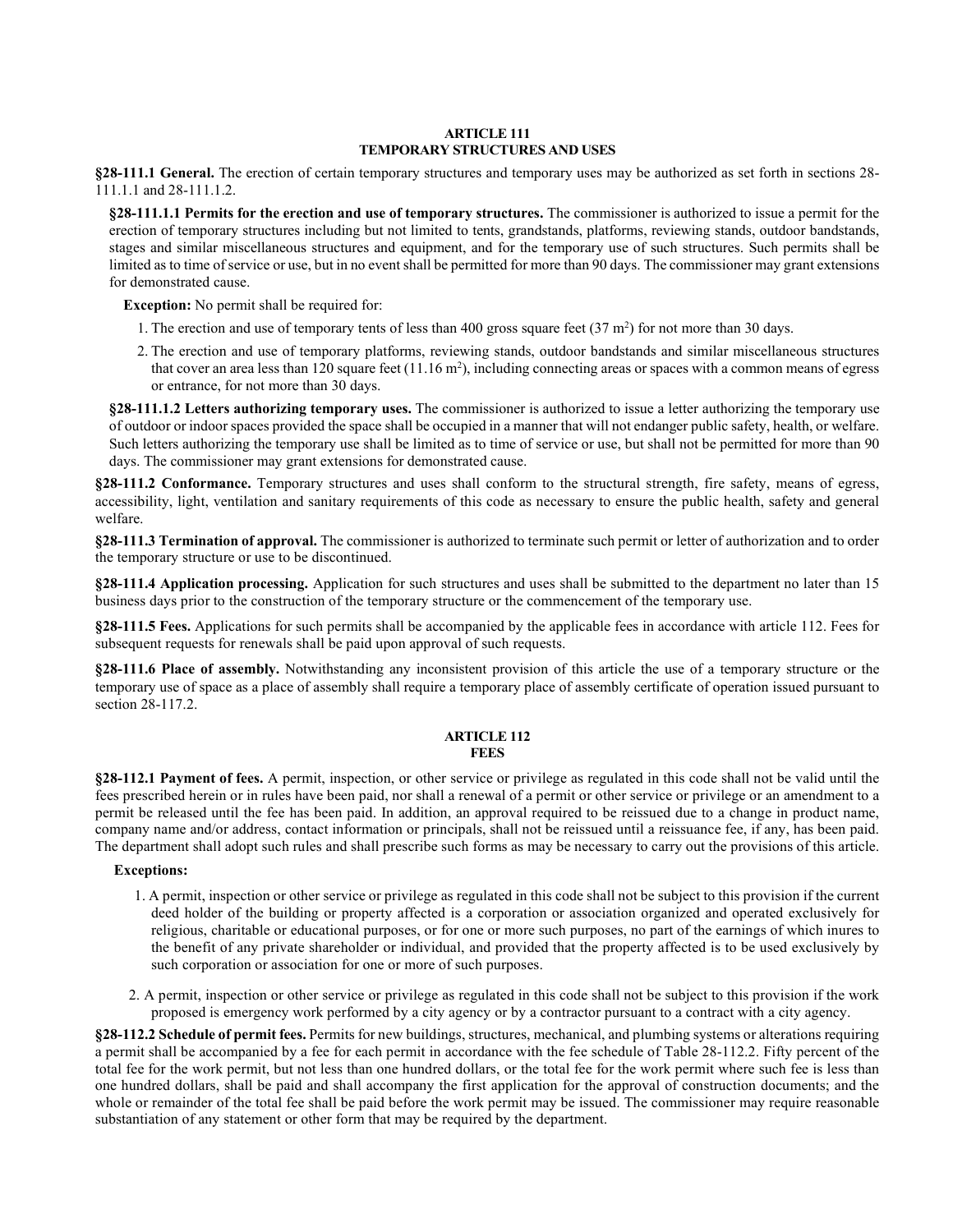### **ARTICLE 111 TEMPORARY STRUCTURES AND USES**

**§28-111.1 General.** The erection of certain temporary structures and temporary uses may be authorized as set forth in sections 28- 111.1.1 and 28-111.1.2.

**§28-111.1.1 Permits for the erection and use of temporary structures.** The commissioner is authorized to issue a permit for the erection of temporary structures including but not limited to tents, grandstands, platforms, reviewing stands, outdoor bandstands, stages and similar miscellaneous structures and equipment, and for the temporary use of such structures. Such permits shall be limited as to time of service or use, but in no event shall be permitted for more than 90 days. The commissioner may grant extensions for demonstrated cause.

**Exception:** No permit shall be required for:

- 1. The erection and use of temporary tents of less than 400 gross square feet  $(37 \text{ m}^2)$  for not more than 30 days.
- 2. The erection and use of temporary platforms, reviewing stands, outdoor bandstands and similar miscellaneous structures that cover an area less than 120 square feet  $(11.16 \text{ m}^2)$ , including connecting areas or spaces with a common means of egress or entrance, for not more than 30 days.

**§28-111.1.2 Letters authorizing temporary uses.** The commissioner is authorized to issue a letter authorizing the temporary use of outdoor or indoor spaces provided the space shall be occupied in a manner that will not endanger public safety, health, or welfare. Such letters authorizing the temporary use shall be limited as to time of service or use, but shall not be permitted for more than 90 days. The commissioner may grant extensions for demonstrated cause.

**§28-111.2 Conformance.** Temporary structures and uses shall conform to the structural strength, fire safety, means of egress, accessibility, light, ventilation and sanitary requirements of this code as necessary to ensure the public health, safety and general welfare.

**§28-111.3 Termination of approval.** The commissioner is authorized to terminate such permit or letter of authorization and to order the temporary structure or use to be discontinued.

**§28-111.4 Application processing.** Application for such structures and uses shall be submitted to the department no later than 15 business days prior to the construction of the temporary structure or the commencement of the temporary use.

**§28-111.5 Fees.** Applications for such permits shall be accompanied by the applicable fees in accordance with article 112. Fees for subsequent requests for renewals shall be paid upon approval of such requests.

**§28-111.6 Place of assembly.** Notwithstanding any inconsistent provision of this article the use of a temporary structure or the temporary use of space as a place of assembly shall require a temporary place of assembly certificate of operation issued pursuant to section 28-117.2.

### **ARTICLE 112 FEES**

**§28-112.1 Payment of fees.** A permit, inspection, or other service or privilege as regulated in this code shall not be valid until the fees prescribed herein or in rules have been paid, nor shall a renewal of a permit or other service or privilege or an amendment to a permit be released until the fee has been paid. In addition, an approval required to be reissued due to a change in product name, company name and/or address, contact information or principals, shall not be reissued until a reissuance fee, if any, has been paid. The department shall adopt such rules and shall prescribe such forms as may be necessary to carry out the provisions of this article.

**Exceptions:**

- 1. A permit, inspection or other service or privilege as regulated in this code shall not be subject to this provision if the current deed holder of the building or property affected is a corporation or association organized and operated exclusively for religious, charitable or educational purposes, or for one or more such purposes, no part of the earnings of which inures to the benefit of any private shareholder or individual, and provided that the property affected is to be used exclusively by such corporation or association for one or more of such purposes.
- 2. A permit, inspection or other service or privilege as regulated in this code shall not be subject to this provision if the work proposed is emergency work performed by a city agency or by a contractor pursuant to a contract with a city agency.

**§28-112.2 Schedule of permit fees.** Permits for new buildings, structures, mechanical, and plumbing systems or alterations requiring a permit shall be accompanied by a fee for each permit in accordance with the fee schedule of Table 28-112.2. Fifty percent of the total fee for the work permit, but not less than one hundred dollars, or the total fee for the work permit where such fee is less than one hundred dollars, shall be paid and shall accompany the first application for the approval of construction documents; and the whole or remainder of the total fee shall be paid before the work permit may be issued. The commissioner may require reasonable substantiation of any statement or other form that may be required by the department.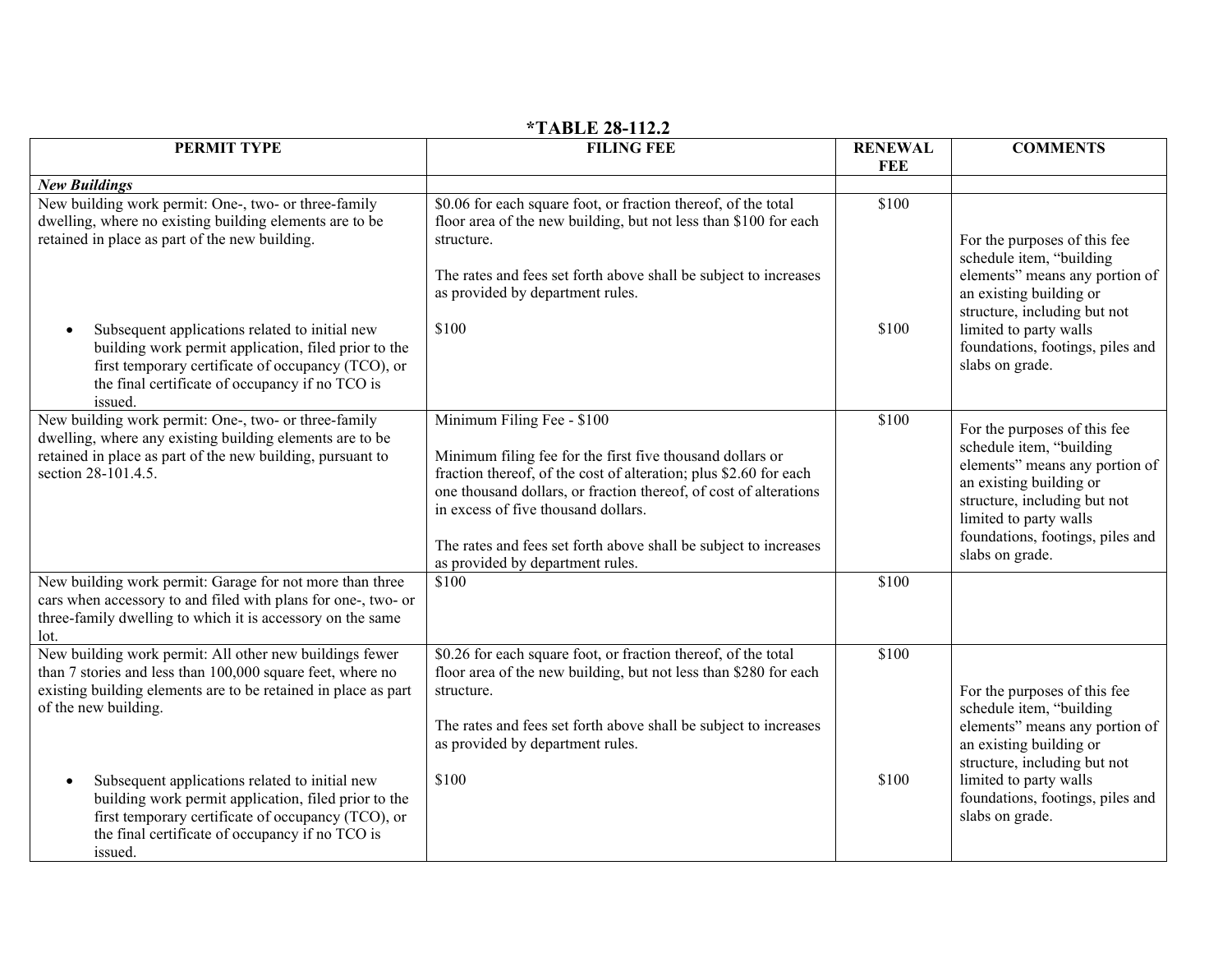| PERMIT TYPE                                                                                                                                                                                                                             | .<br><b>FILING FEE</b>                                                                                                                                                                                                                                                                                                                                                           | <b>RENEWAL</b><br><b>FEE</b> | <b>COMMENTS</b>                                                                                                                                                                                                                        |
|-----------------------------------------------------------------------------------------------------------------------------------------------------------------------------------------------------------------------------------------|----------------------------------------------------------------------------------------------------------------------------------------------------------------------------------------------------------------------------------------------------------------------------------------------------------------------------------------------------------------------------------|------------------------------|----------------------------------------------------------------------------------------------------------------------------------------------------------------------------------------------------------------------------------------|
| <b>New Buildings</b>                                                                                                                                                                                                                    |                                                                                                                                                                                                                                                                                                                                                                                  |                              |                                                                                                                                                                                                                                        |
| New building work permit: One-, two- or three-family<br>dwelling, where no existing building elements are to be<br>retained in place as part of the new building.                                                                       | \$0.06 for each square foot, or fraction thereof, of the total<br>floor area of the new building, but not less than \$100 for each<br>structure.<br>The rates and fees set forth above shall be subject to increases<br>as provided by department rules.                                                                                                                         | \$100                        | For the purposes of this fee<br>schedule item, "building<br>elements" means any portion of<br>an existing building or<br>structure, including but not                                                                                  |
| Subsequent applications related to initial new<br>building work permit application, filed prior to the<br>first temporary certificate of occupancy (TCO), or<br>the final certificate of occupancy if no TCO is<br>issued.              | \$100                                                                                                                                                                                                                                                                                                                                                                            | \$100                        | limited to party walls<br>foundations, footings, piles and<br>slabs on grade.                                                                                                                                                          |
| New building work permit: One-, two- or three-family<br>dwelling, where any existing building elements are to be<br>retained in place as part of the new building, pursuant to<br>section 28-101.4.5.                                   | Minimum Filing Fee - \$100<br>Minimum filing fee for the first five thousand dollars or<br>fraction thereof, of the cost of alteration; plus \$2.60 for each<br>one thousand dollars, or fraction thereof, of cost of alterations<br>in excess of five thousand dollars.<br>The rates and fees set forth above shall be subject to increases<br>as provided by department rules. | \$100                        | For the purposes of this fee<br>schedule item, "building<br>elements" means any portion of<br>an existing building or<br>structure, including but not<br>limited to party walls<br>foundations, footings, piles and<br>slabs on grade. |
| New building work permit: Garage for not more than three<br>cars when accessory to and filed with plans for one-, two- or<br>three-family dwelling to which it is accessory on the same<br>lot.                                         | \$100                                                                                                                                                                                                                                                                                                                                                                            | \$100                        |                                                                                                                                                                                                                                        |
| New building work permit: All other new buildings fewer<br>than 7 stories and less than 100,000 square feet, where no<br>existing building elements are to be retained in place as part<br>of the new building.                         | \$0.26 for each square foot, or fraction thereof, of the total<br>floor area of the new building, but not less than \$280 for each<br>structure.<br>The rates and fees set forth above shall be subject to increases<br>as provided by department rules.<br>\$100                                                                                                                | \$100<br>\$100               | For the purposes of this fee<br>schedule item, "building<br>elements" means any portion of<br>an existing building or<br>structure, including but not                                                                                  |
| Subsequent applications related to initial new<br>$\bullet$<br>building work permit application, filed prior to the<br>first temporary certificate of occupancy (TCO), or<br>the final certificate of occupancy if no TCO is<br>issued. |                                                                                                                                                                                                                                                                                                                                                                                  |                              | limited to party walls<br>foundations, footings, piles and<br>slabs on grade.                                                                                                                                                          |

# **\*TABLE 28-112.2**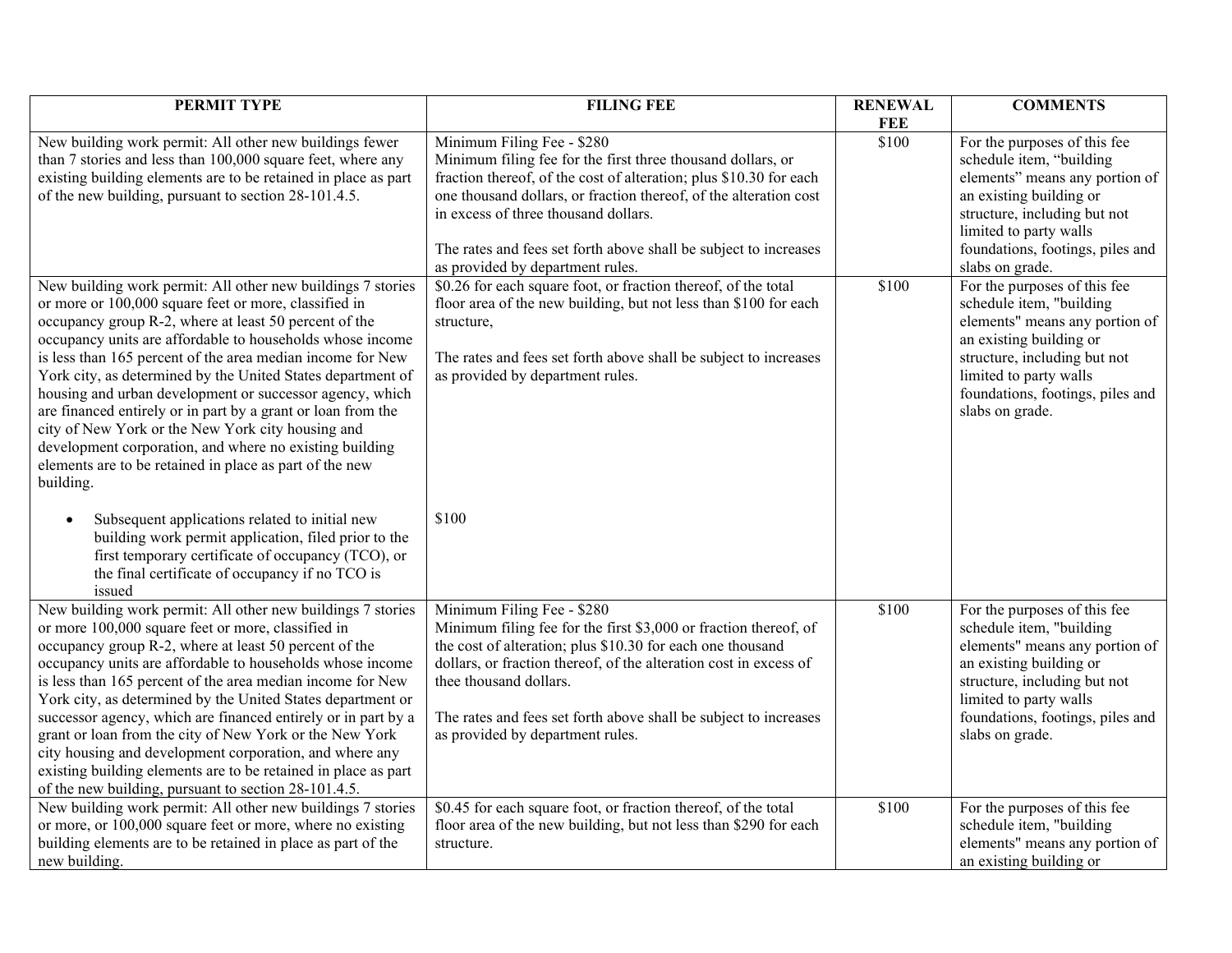| PERMIT TYPE                                                                                                                                                                                                                                                                                                                                                                                                                                                                                                                                                                                                                                                                                                                                                                                                                                                                                                                        | <b>FILING FEE</b>                                                                                                                                                                                                                                                                                                                                                                                                                                                                                                                                                                                                                                | <b>RENEWAL</b> | <b>COMMENTS</b>                                                                                                                                                                                                                                                                                                                                                                                                                                                                  |
|------------------------------------------------------------------------------------------------------------------------------------------------------------------------------------------------------------------------------------------------------------------------------------------------------------------------------------------------------------------------------------------------------------------------------------------------------------------------------------------------------------------------------------------------------------------------------------------------------------------------------------------------------------------------------------------------------------------------------------------------------------------------------------------------------------------------------------------------------------------------------------------------------------------------------------|--------------------------------------------------------------------------------------------------------------------------------------------------------------------------------------------------------------------------------------------------------------------------------------------------------------------------------------------------------------------------------------------------------------------------------------------------------------------------------------------------------------------------------------------------------------------------------------------------------------------------------------------------|----------------|----------------------------------------------------------------------------------------------------------------------------------------------------------------------------------------------------------------------------------------------------------------------------------------------------------------------------------------------------------------------------------------------------------------------------------------------------------------------------------|
|                                                                                                                                                                                                                                                                                                                                                                                                                                                                                                                                                                                                                                                                                                                                                                                                                                                                                                                                    |                                                                                                                                                                                                                                                                                                                                                                                                                                                                                                                                                                                                                                                  | <b>FEE</b>     |                                                                                                                                                                                                                                                                                                                                                                                                                                                                                  |
| New building work permit: All other new buildings fewer<br>than 7 stories and less than 100,000 square feet, where any<br>existing building elements are to be retained in place as part<br>of the new building, pursuant to section 28-101.4.5.<br>New building work permit: All other new buildings 7 stories<br>or more or 100,000 square feet or more, classified in<br>occupancy group R-2, where at least 50 percent of the<br>occupancy units are affordable to households whose income<br>is less than 165 percent of the area median income for New<br>York city, as determined by the United States department of<br>housing and urban development or successor agency, which<br>are financed entirely or in part by a grant or loan from the<br>city of New York or the New York city housing and<br>development corporation, and where no existing building<br>elements are to be retained in place as part of the new | Minimum Filing Fee - \$280<br>Minimum filing fee for the first three thousand dollars, or<br>fraction thereof, of the cost of alteration; plus \$10.30 for each<br>one thousand dollars, or fraction thereof, of the alteration cost<br>in excess of three thousand dollars.<br>The rates and fees set forth above shall be subject to increases<br>as provided by department rules.<br>\$0.26 for each square foot, or fraction thereof, of the total<br>floor area of the new building, but not less than \$100 for each<br>structure,<br>The rates and fees set forth above shall be subject to increases<br>as provided by department rules. | \$100<br>\$100 | For the purposes of this fee<br>schedule item, "building<br>elements" means any portion of<br>an existing building or<br>structure, including but not<br>limited to party walls<br>foundations, footings, piles and<br>slabs on grade.<br>For the purposes of this fee<br>schedule item, "building<br>elements" means any portion of<br>an existing building or<br>structure, including but not<br>limited to party walls<br>foundations, footings, piles and<br>slabs on grade. |
| building.<br>Subsequent applications related to initial new<br>$\bullet$<br>building work permit application, filed prior to the<br>first temporary certificate of occupancy (TCO), or<br>the final certificate of occupancy if no TCO is<br>issued                                                                                                                                                                                                                                                                                                                                                                                                                                                                                                                                                                                                                                                                                | \$100                                                                                                                                                                                                                                                                                                                                                                                                                                                                                                                                                                                                                                            |                |                                                                                                                                                                                                                                                                                                                                                                                                                                                                                  |
| New building work permit: All other new buildings 7 stories<br>or more 100,000 square feet or more, classified in<br>occupancy group R-2, where at least 50 percent of the<br>occupancy units are affordable to households whose income<br>is less than 165 percent of the area median income for New<br>York city, as determined by the United States department or<br>successor agency, which are financed entirely or in part by a<br>grant or loan from the city of New York or the New York<br>city housing and development corporation, and where any<br>existing building elements are to be retained in place as part<br>of the new building, pursuant to section 28-101.4.5.                                                                                                                                                                                                                                              | Minimum Filing Fee - \$280<br>Minimum filing fee for the first \$3,000 or fraction thereof, of<br>the cost of alteration; plus \$10.30 for each one thousand<br>dollars, or fraction thereof, of the alteration cost in excess of<br>thee thousand dollars.<br>The rates and fees set forth above shall be subject to increases<br>as provided by department rules.                                                                                                                                                                                                                                                                              | \$100          | For the purposes of this fee<br>schedule item, "building<br>elements" means any portion of<br>an existing building or<br>structure, including but not<br>limited to party walls<br>foundations, footings, piles and<br>slabs on grade.                                                                                                                                                                                                                                           |
| New building work permit: All other new buildings 7 stories<br>or more, or 100,000 square feet or more, where no existing<br>building elements are to be retained in place as part of the<br>new building.                                                                                                                                                                                                                                                                                                                                                                                                                                                                                                                                                                                                                                                                                                                         | \$0.45 for each square foot, or fraction thereof, of the total<br>floor area of the new building, but not less than \$290 for each<br>structure.                                                                                                                                                                                                                                                                                                                                                                                                                                                                                                 | \$100          | For the purposes of this fee<br>schedule item, "building<br>elements" means any portion of<br>an existing building or                                                                                                                                                                                                                                                                                                                                                            |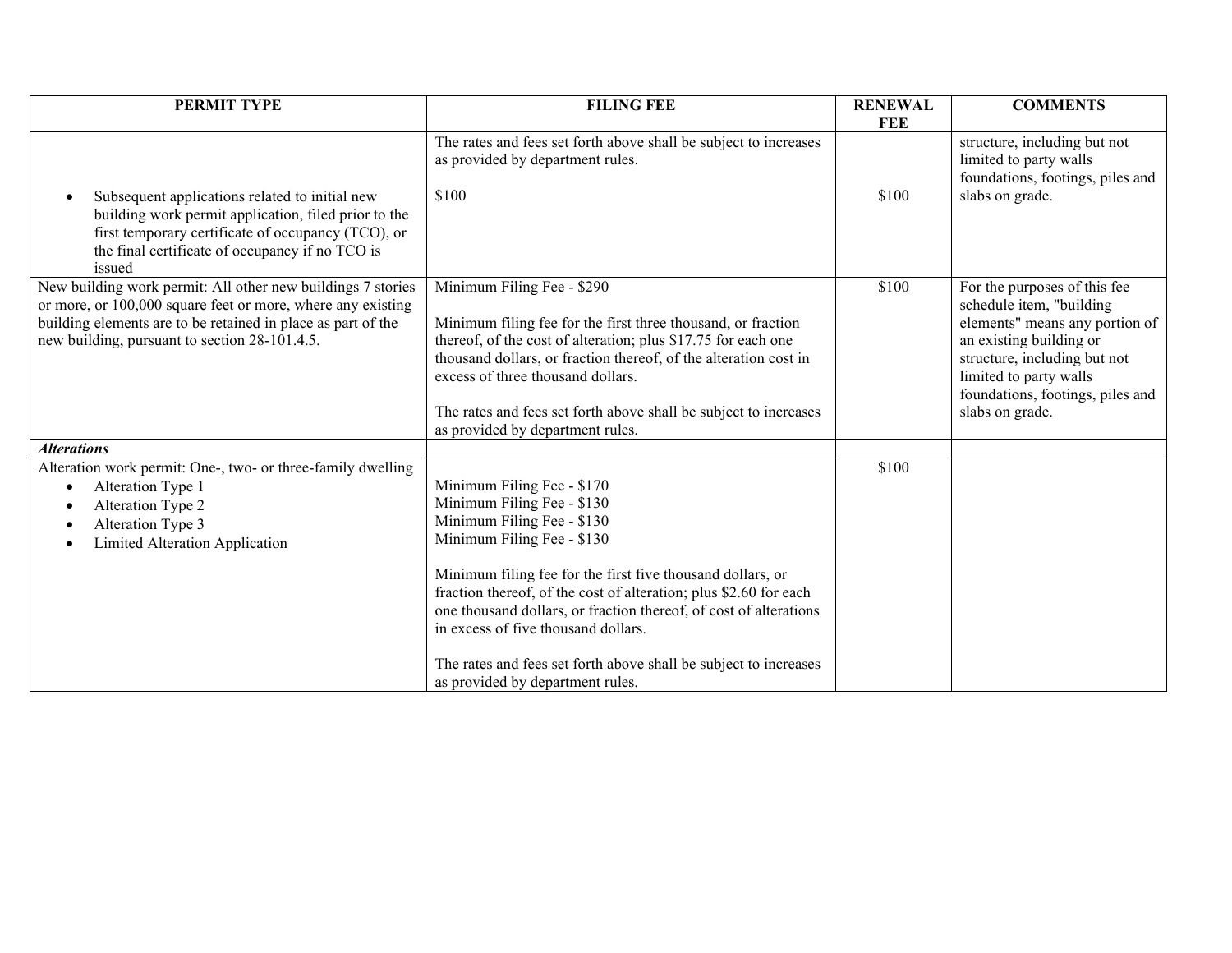| PERMIT TYPE                                                                                                                                                                                                                                 | <b>FILING FEE</b>                                                                                                                                                                                                                                                                                                                                                                                                                                                           | <b>RENEWAL</b> | <b>COMMENTS</b>                                                                                                                                                                                                                        |
|---------------------------------------------------------------------------------------------------------------------------------------------------------------------------------------------------------------------------------------------|-----------------------------------------------------------------------------------------------------------------------------------------------------------------------------------------------------------------------------------------------------------------------------------------------------------------------------------------------------------------------------------------------------------------------------------------------------------------------------|----------------|----------------------------------------------------------------------------------------------------------------------------------------------------------------------------------------------------------------------------------------|
|                                                                                                                                                                                                                                             |                                                                                                                                                                                                                                                                                                                                                                                                                                                                             | <b>FEE</b>     |                                                                                                                                                                                                                                        |
| Subsequent applications related to initial new<br>$\bullet$<br>building work permit application, filed prior to the<br>first temporary certificate of occupancy (TCO), or<br>the final certificate of occupancy if no TCO is<br>issued      | The rates and fees set forth above shall be subject to increases<br>as provided by department rules.<br>\$100                                                                                                                                                                                                                                                                                                                                                               | \$100          | structure, including but not<br>limited to party walls<br>foundations, footings, piles and<br>slabs on grade.                                                                                                                          |
| New building work permit: All other new buildings 7 stories<br>or more, or 100,000 square feet or more, where any existing<br>building elements are to be retained in place as part of the<br>new building, pursuant to section 28-101.4.5. | Minimum Filing Fee - \$290<br>Minimum filing fee for the first three thousand, or fraction<br>thereof, of the cost of alteration; plus \$17.75 for each one<br>thousand dollars, or fraction thereof, of the alteration cost in<br>excess of three thousand dollars.<br>The rates and fees set forth above shall be subject to increases<br>as provided by department rules.                                                                                                | \$100          | For the purposes of this fee<br>schedule item, "building<br>elements" means any portion of<br>an existing building or<br>structure, including but not<br>limited to party walls<br>foundations, footings, piles and<br>slabs on grade. |
| <b>Alterations</b>                                                                                                                                                                                                                          |                                                                                                                                                                                                                                                                                                                                                                                                                                                                             |                |                                                                                                                                                                                                                                        |
| Alteration work permit: One-, two- or three-family dwelling<br>Alteration Type 1<br>Alteration Type 2<br>٠<br>Alteration Type 3<br>- 0<br>Limited Alteration Application<br>٠                                                               | Minimum Filing Fee - \$170<br>Minimum Filing Fee - \$130<br>Minimum Filing Fee - \$130<br>Minimum Filing Fee - \$130<br>Minimum filing fee for the first five thousand dollars, or<br>fraction thereof, of the cost of alteration; plus \$2.60 for each<br>one thousand dollars, or fraction thereof, of cost of alterations<br>in excess of five thousand dollars.<br>The rates and fees set forth above shall be subject to increases<br>as provided by department rules. | \$100          |                                                                                                                                                                                                                                        |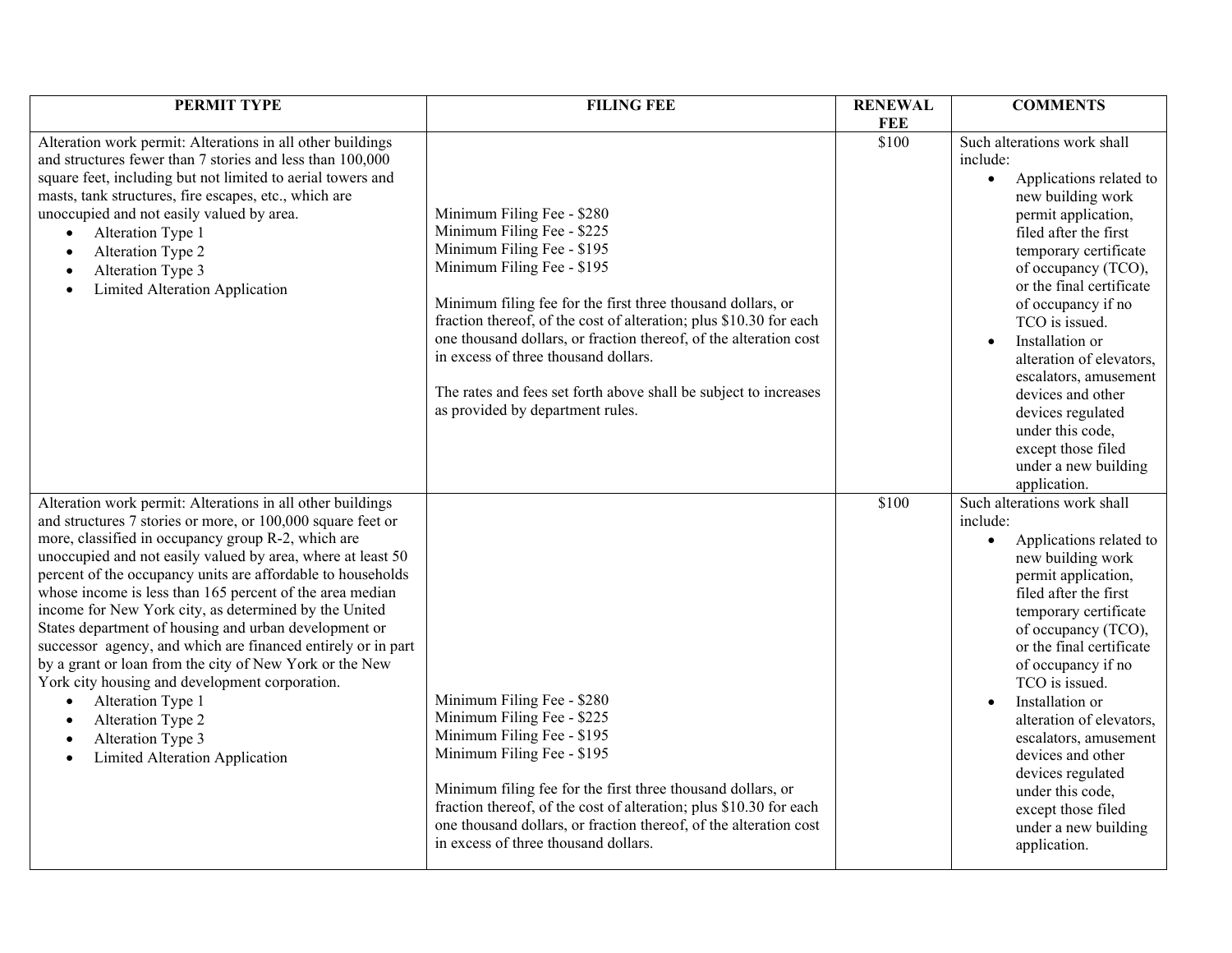| PERMIT TYPE                                                                                                                                                                                                                                                                                                                                                                                                                                                                                                                                                                                                                                                                                                                                                                                         | <b>FILING FEE</b>                                                                                                                                                                                                                                                                                                                                                                                                                                                              | <b>RENEWAL</b> | <b>COMMENTS</b>                                                                                                                                                                                                                                                                                                                                                                                                                                                              |
|-----------------------------------------------------------------------------------------------------------------------------------------------------------------------------------------------------------------------------------------------------------------------------------------------------------------------------------------------------------------------------------------------------------------------------------------------------------------------------------------------------------------------------------------------------------------------------------------------------------------------------------------------------------------------------------------------------------------------------------------------------------------------------------------------------|--------------------------------------------------------------------------------------------------------------------------------------------------------------------------------------------------------------------------------------------------------------------------------------------------------------------------------------------------------------------------------------------------------------------------------------------------------------------------------|----------------|------------------------------------------------------------------------------------------------------------------------------------------------------------------------------------------------------------------------------------------------------------------------------------------------------------------------------------------------------------------------------------------------------------------------------------------------------------------------------|
|                                                                                                                                                                                                                                                                                                                                                                                                                                                                                                                                                                                                                                                                                                                                                                                                     |                                                                                                                                                                                                                                                                                                                                                                                                                                                                                | <b>FEE</b>     |                                                                                                                                                                                                                                                                                                                                                                                                                                                                              |
| Alteration work permit: Alterations in all other buildings<br>and structures fewer than 7 stories and less than 100,000<br>square feet, including but not limited to aerial towers and<br>masts, tank structures, fire escapes, etc., which are<br>unoccupied and not easily valued by area.<br>Alteration Type 1<br>$\bullet$<br>Alteration Type 2<br>$\bullet$<br>Alteration Type 3<br>Limited Alteration Application                                                                                                                                                                                                                                                                                                                                                                             | Minimum Filing Fee - \$280<br>Minimum Filing Fee - \$225<br>Minimum Filing Fee - \$195<br>Minimum Filing Fee - \$195<br>Minimum filing fee for the first three thousand dollars, or<br>fraction thereof, of the cost of alteration; plus \$10.30 for each<br>one thousand dollars, or fraction thereof, of the alteration cost<br>in excess of three thousand dollars.<br>The rates and fees set forth above shall be subject to increases<br>as provided by department rules. | \$100          | Such alterations work shall<br>include:<br>Applications related to<br>new building work<br>permit application,<br>filed after the first<br>temporary certificate<br>of occupancy (TCO),<br>or the final certificate<br>of occupancy if no<br>TCO is issued.<br>Installation or<br>alteration of elevators,<br>escalators, amusement<br>devices and other<br>devices regulated<br>under this code,<br>except those filed<br>under a new building<br>application.              |
| Alteration work permit: Alterations in all other buildings<br>and structures 7 stories or more, or 100,000 square feet or<br>more, classified in occupancy group R-2, which are<br>unoccupied and not easily valued by area, where at least 50<br>percent of the occupancy units are affordable to households<br>whose income is less than 165 percent of the area median<br>income for New York city, as determined by the United<br>States department of housing and urban development or<br>successor agency, and which are financed entirely or in part<br>by a grant or loan from the city of New York or the New<br>York city housing and development corporation.<br>Alteration Type 1<br>$\bullet$<br>Alteration Type 2<br>$\bullet$<br>Alteration Type 3<br>Limited Alteration Application | Minimum Filing Fee - \$280<br>Minimum Filing Fee - \$225<br>Minimum Filing Fee - \$195<br>Minimum Filing Fee - \$195<br>Minimum filing fee for the first three thousand dollars, or<br>fraction thereof, of the cost of alteration; plus \$10.30 for each<br>one thousand dollars, or fraction thereof, of the alteration cost<br>in excess of three thousand dollars.                                                                                                         | \$100          | Such alterations work shall<br>include:<br>Applications related to<br>$\bullet$<br>new building work<br>permit application,<br>filed after the first<br>temporary certificate<br>of occupancy (TCO),<br>or the final certificate<br>of occupancy if no<br>TCO is issued.<br>Installation or<br>alteration of elevators,<br>escalators, amusement<br>devices and other<br>devices regulated<br>under this code,<br>except those filed<br>under a new building<br>application. |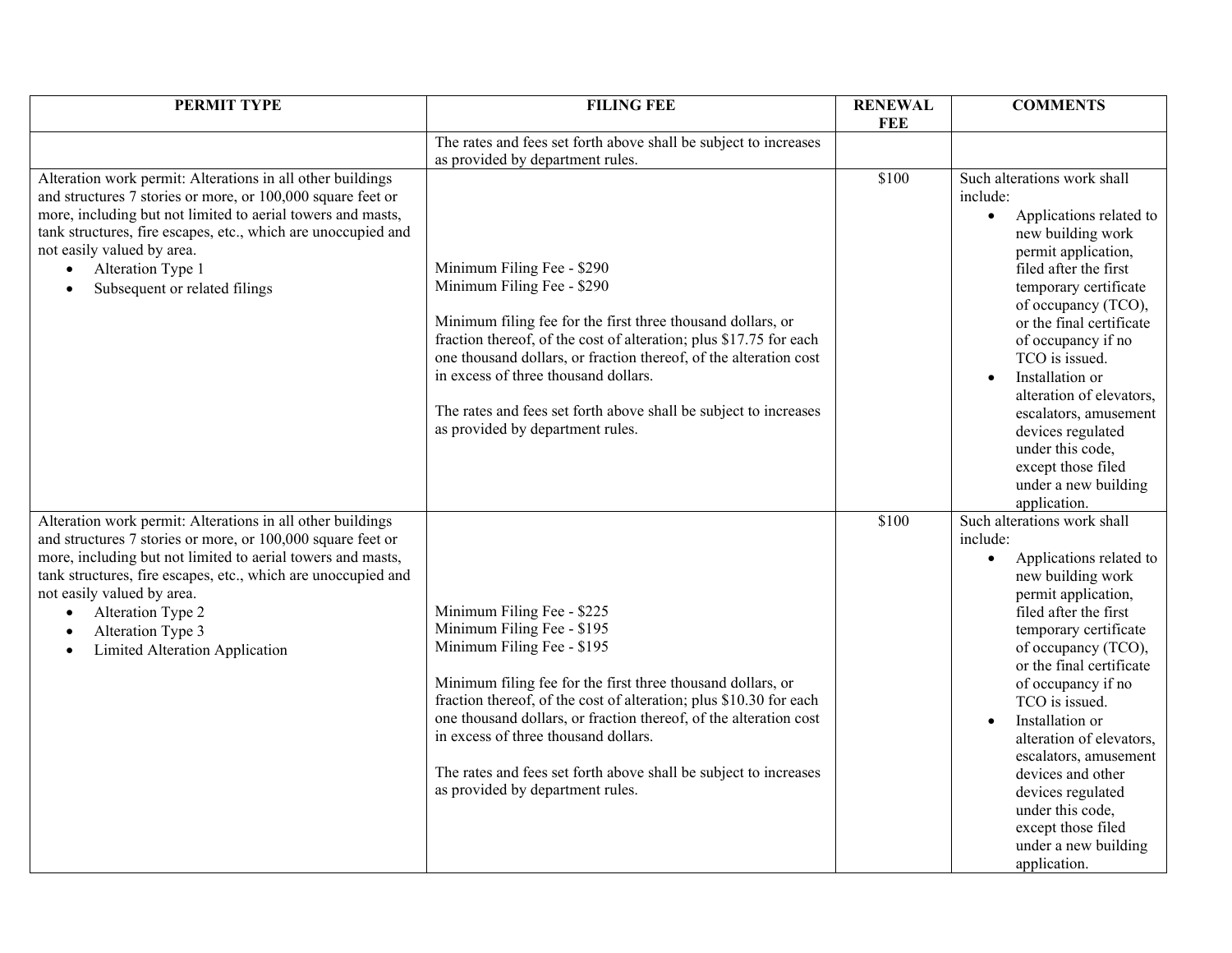| PERMIT TYPE                                                                                 | <b>FILING FEE</b>                                                  | <b>RENEWAL</b> | <b>COMMENTS</b>                              |
|---------------------------------------------------------------------------------------------|--------------------------------------------------------------------|----------------|----------------------------------------------|
|                                                                                             |                                                                    | <b>FEE</b>     |                                              |
|                                                                                             | The rates and fees set forth above shall be subject to increases   |                |                                              |
|                                                                                             | as provided by department rules.                                   |                |                                              |
| Alteration work permit: Alterations in all other buildings                                  |                                                                    | \$100          | Such alterations work shall                  |
| and structures 7 stories or more, or 100,000 square feet or                                 |                                                                    |                | include:                                     |
| more, including but not limited to aerial towers and masts,                                 |                                                                    |                | Applications related to<br>$\bullet$         |
| tank structures, fire escapes, etc., which are unoccupied and<br>not easily valued by area. |                                                                    |                | new building work                            |
| Alteration Type 1<br>$\bullet$                                                              | Minimum Filing Fee - \$290                                         |                | permit application,<br>filed after the first |
| Subsequent or related filings                                                               | Minimum Filing Fee - \$290                                         |                | temporary certificate                        |
|                                                                                             |                                                                    |                | of occupancy (TCO),                          |
|                                                                                             | Minimum filing fee for the first three thousand dollars, or        |                | or the final certificate                     |
|                                                                                             | fraction thereof, of the cost of alteration; plus \$17.75 for each |                | of occupancy if no                           |
|                                                                                             | one thousand dollars, or fraction thereof, of the alteration cost  |                | TCO is issued.                               |
|                                                                                             | in excess of three thousand dollars.                               |                | Installation or                              |
|                                                                                             |                                                                    |                | alteration of elevators,                     |
|                                                                                             | The rates and fees set forth above shall be subject to increases   |                | escalators, amusement                        |
|                                                                                             | as provided by department rules.                                   |                | devices regulated                            |
|                                                                                             |                                                                    |                | under this code,                             |
|                                                                                             |                                                                    |                | except those filed                           |
|                                                                                             |                                                                    |                | under a new building                         |
|                                                                                             |                                                                    |                | application.                                 |
| Alteration work permit: Alterations in all other buildings                                  |                                                                    | \$100          | Such alterations work shall                  |
| and structures 7 stories or more, or 100,000 square feet or                                 |                                                                    |                | include:                                     |
| more, including but not limited to aerial towers and masts,                                 |                                                                    |                | Applications related to<br>$\bullet$         |
| tank structures, fire escapes, etc., which are unoccupied and<br>not easily valued by area. |                                                                    |                | new building work                            |
| Alteration Type 2<br>$\bullet$                                                              | Minimum Filing Fee - \$225                                         |                | permit application,<br>filed after the first |
| Alteration Type 3<br>$\bullet$                                                              | Minimum Filing Fee - \$195                                         |                | temporary certificate                        |
| Limited Alteration Application<br>$\bullet$                                                 | Minimum Filing Fee - \$195                                         |                | of occupancy (TCO),                          |
|                                                                                             |                                                                    |                | or the final certificate                     |
|                                                                                             | Minimum filing fee for the first three thousand dollars, or        |                | of occupancy if no                           |
|                                                                                             | fraction thereof, of the cost of alteration; plus \$10.30 for each |                | TCO is issued.                               |
|                                                                                             | one thousand dollars, or fraction thereof, of the alteration cost  |                | Installation or                              |
|                                                                                             | in excess of three thousand dollars.                               |                | alteration of elevators,                     |
|                                                                                             |                                                                    |                | escalators, amusement                        |
|                                                                                             | The rates and fees set forth above shall be subject to increases   |                | devices and other                            |
|                                                                                             | as provided by department rules.                                   |                | devices regulated                            |
|                                                                                             |                                                                    |                | under this code,                             |
|                                                                                             |                                                                    |                | except those filed                           |
|                                                                                             |                                                                    |                | under a new building                         |
|                                                                                             |                                                                    |                | application.                                 |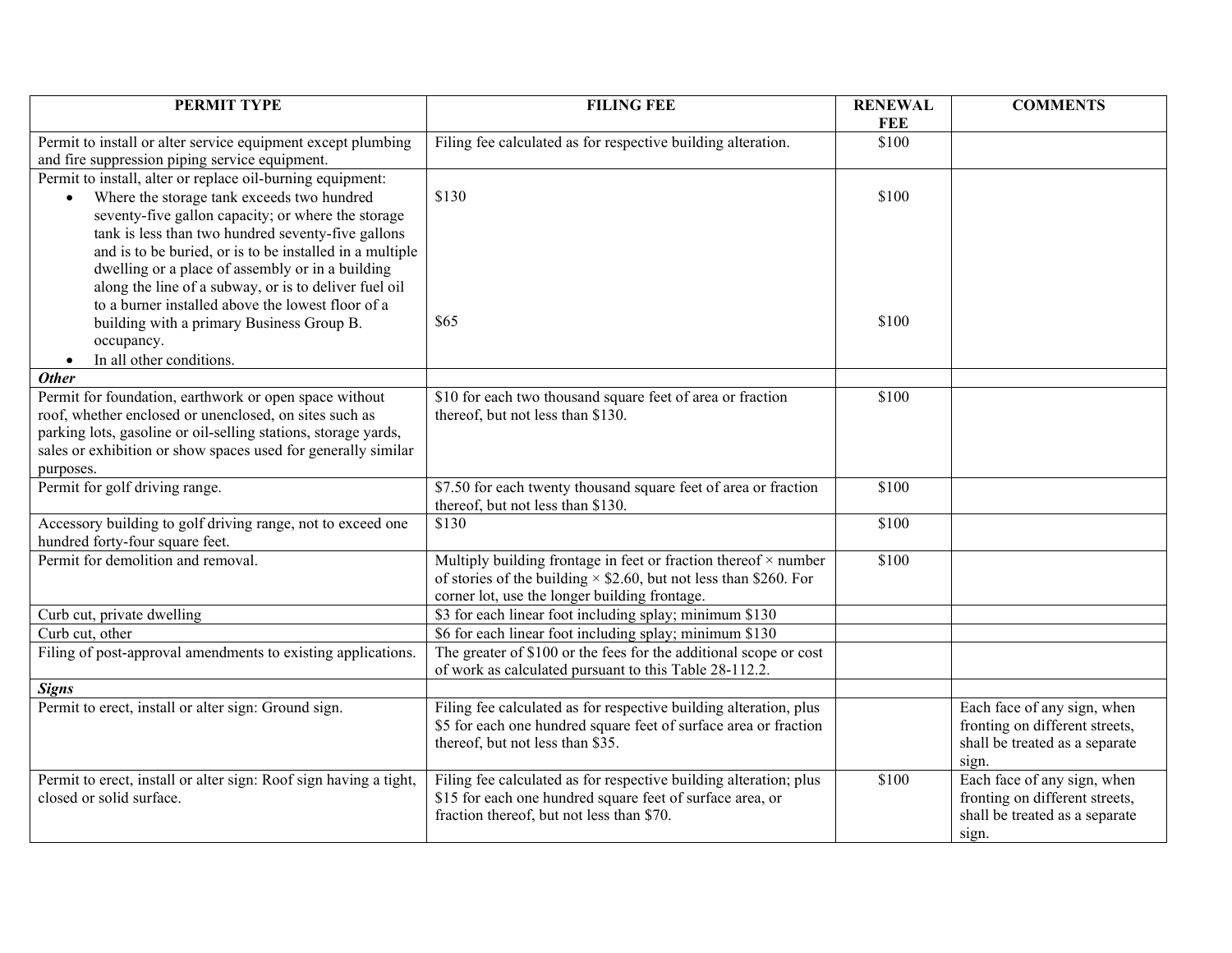| PERMIT TYPE                                                                                                    | <b>FILING FEE</b>                                                        | <b>RENEWAL</b><br>FEE | <b>COMMENTS</b>                |
|----------------------------------------------------------------------------------------------------------------|--------------------------------------------------------------------------|-----------------------|--------------------------------|
| Permit to install or alter service equipment except plumbing<br>and fire suppression piping service equipment. | Filing fee calculated as for respective building alteration.             | \$100                 |                                |
| Permit to install, alter or replace oil-burning equipment:                                                     |                                                                          |                       |                                |
| Where the storage tank exceeds two hundred<br>$\bullet$                                                        | \$130                                                                    | \$100                 |                                |
| seventy-five gallon capacity; or where the storage                                                             |                                                                          |                       |                                |
| tank is less than two hundred seventy-five gallons                                                             |                                                                          |                       |                                |
| and is to be buried, or is to be installed in a multiple                                                       |                                                                          |                       |                                |
| dwelling or a place of assembly or in a building                                                               |                                                                          |                       |                                |
| along the line of a subway, or is to deliver fuel oil                                                          |                                                                          |                       |                                |
| to a burner installed above the lowest floor of a                                                              |                                                                          |                       |                                |
| building with a primary Business Group B.                                                                      | \$65                                                                     | \$100                 |                                |
| occupancy.                                                                                                     |                                                                          |                       |                                |
| In all other conditions.<br>$\bullet$                                                                          |                                                                          |                       |                                |
| <b>Other</b>                                                                                                   |                                                                          |                       |                                |
| Permit for foundation, earthwork or open space without                                                         | \$10 for each two thousand square feet of area or fraction               | \$100                 |                                |
| roof, whether enclosed or unenclosed, on sites such as                                                         | thereof, but not less than \$130.                                        |                       |                                |
| parking lots, gasoline or oil-selling stations, storage yards,                                                 |                                                                          |                       |                                |
| sales or exhibition or show spaces used for generally similar                                                  |                                                                          |                       |                                |
| purposes.<br>Permit for golf driving range.                                                                    | \$7.50 for each twenty thousand square feet of area or fraction          | \$100                 |                                |
|                                                                                                                | thereof, but not less than \$130.                                        |                       |                                |
| Accessory building to golf driving range, not to exceed one<br>hundred forty-four square feet.                 | \$130                                                                    | \$100                 |                                |
| Permit for demolition and removal.                                                                             | Multiply building frontage in feet or fraction thereof $\times$ number   | \$100                 |                                |
|                                                                                                                | of stories of the building $\times$ \$2.60, but not less than \$260. For |                       |                                |
|                                                                                                                | corner lot, use the longer building frontage.                            |                       |                                |
| Curb cut, private dwelling                                                                                     | \$3 for each linear foot including splay; minimum \$130                  |                       |                                |
| Curb cut, other                                                                                                | \$6 for each linear foot including splay; minimum \$130                  |                       |                                |
| Filing of post-approval amendments to existing applications.                                                   | The greater of \$100 or the fees for the additional scope or cost        |                       |                                |
|                                                                                                                | of work as calculated pursuant to this Table 28-112.2.                   |                       |                                |
| <b>Signs</b>                                                                                                   |                                                                          |                       |                                |
| Permit to erect, install or alter sign: Ground sign.                                                           | Filing fee calculated as for respective building alteration, plus        |                       | Each face of any sign, when    |
|                                                                                                                | \$5 for each one hundred square feet of surface area or fraction         |                       | fronting on different streets, |
|                                                                                                                | thereof, but not less than \$35.                                         |                       | shall be treated as a separate |
|                                                                                                                |                                                                          |                       | sign.                          |
| Permit to erect, install or alter sign: Roof sign having a tight,                                              | Filing fee calculated as for respective building alteration; plus        | \$100                 | Each face of any sign, when    |
| closed or solid surface.                                                                                       | \$15 for each one hundred square feet of surface area, or                |                       | fronting on different streets, |
|                                                                                                                | fraction thereof, but not less than \$70.                                |                       | shall be treated as a separate |
|                                                                                                                |                                                                          |                       | sign.                          |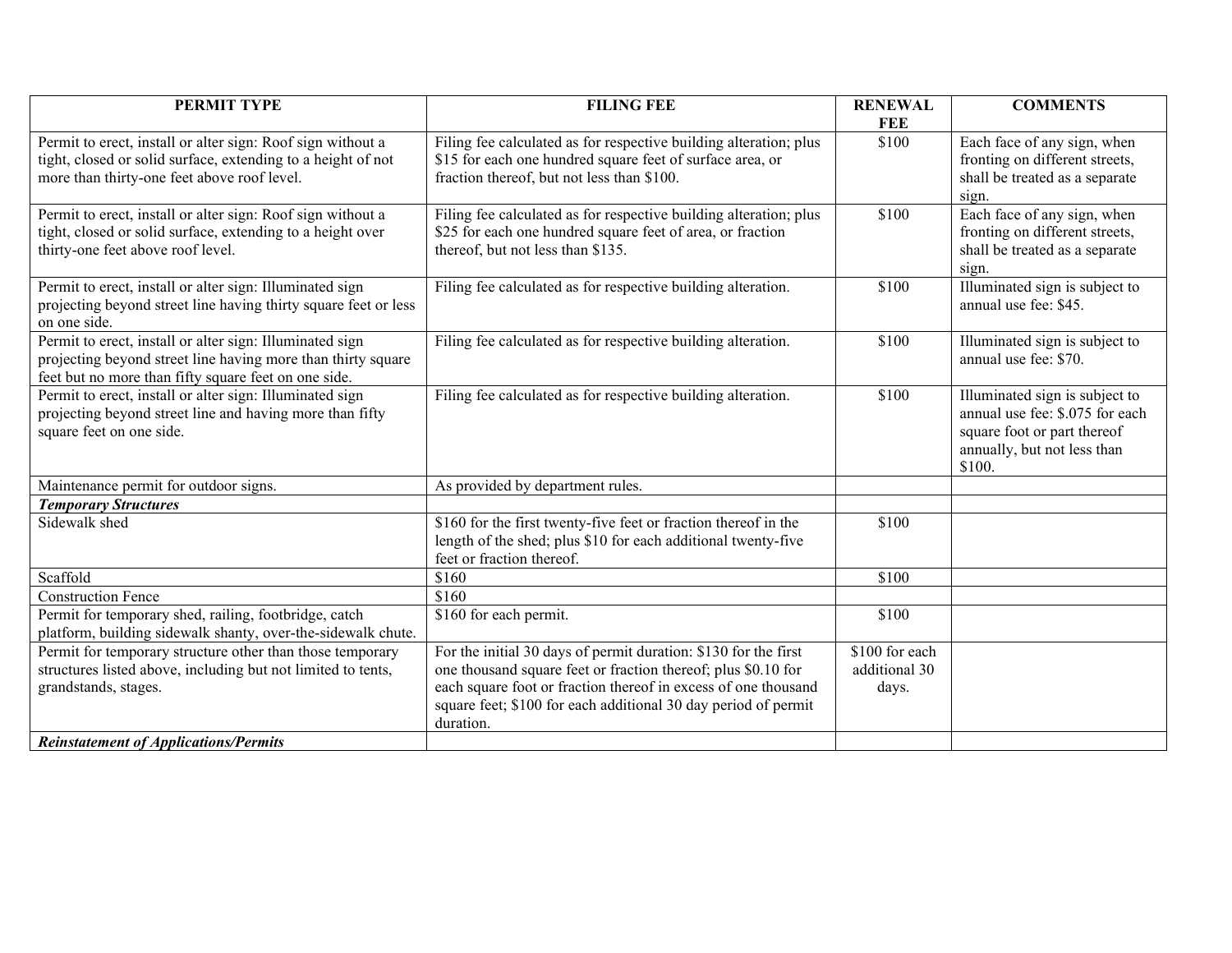|                                                                   | FEE                                                                                                                                                                                                                                                                                                                                                                                                                                                                                                                                                                                                                                                                                                                                                                                                                                                                                                                                                      |                                                                                                |
|-------------------------------------------------------------------|----------------------------------------------------------------------------------------------------------------------------------------------------------------------------------------------------------------------------------------------------------------------------------------------------------------------------------------------------------------------------------------------------------------------------------------------------------------------------------------------------------------------------------------------------------------------------------------------------------------------------------------------------------------------------------------------------------------------------------------------------------------------------------------------------------------------------------------------------------------------------------------------------------------------------------------------------------|------------------------------------------------------------------------------------------------|
|                                                                   |                                                                                                                                                                                                                                                                                                                                                                                                                                                                                                                                                                                                                                                                                                                                                                                                                                                                                                                                                          |                                                                                                |
|                                                                   | \$100                                                                                                                                                                                                                                                                                                                                                                                                                                                                                                                                                                                                                                                                                                                                                                                                                                                                                                                                                    | Each face of any sign, when                                                                    |
| \$15 for each one hundred square feet of surface area, or         |                                                                                                                                                                                                                                                                                                                                                                                                                                                                                                                                                                                                                                                                                                                                                                                                                                                                                                                                                          | fronting on different streets,                                                                 |
|                                                                   |                                                                                                                                                                                                                                                                                                                                                                                                                                                                                                                                                                                                                                                                                                                                                                                                                                                                                                                                                          | shall be treated as a separate                                                                 |
|                                                                   |                                                                                                                                                                                                                                                                                                                                                                                                                                                                                                                                                                                                                                                                                                                                                                                                                                                                                                                                                          | sign.                                                                                          |
| Filing fee calculated as for respective building alteration; plus | \$100                                                                                                                                                                                                                                                                                                                                                                                                                                                                                                                                                                                                                                                                                                                                                                                                                                                                                                                                                    | Each face of any sign, when                                                                    |
|                                                                   |                                                                                                                                                                                                                                                                                                                                                                                                                                                                                                                                                                                                                                                                                                                                                                                                                                                                                                                                                          | fronting on different streets,                                                                 |
|                                                                   |                                                                                                                                                                                                                                                                                                                                                                                                                                                                                                                                                                                                                                                                                                                                                                                                                                                                                                                                                          | shall be treated as a separate                                                                 |
|                                                                   |                                                                                                                                                                                                                                                                                                                                                                                                                                                                                                                                                                                                                                                                                                                                                                                                                                                                                                                                                          | sign.                                                                                          |
|                                                                   |                                                                                                                                                                                                                                                                                                                                                                                                                                                                                                                                                                                                                                                                                                                                                                                                                                                                                                                                                          | Illuminated sign is subject to                                                                 |
|                                                                   |                                                                                                                                                                                                                                                                                                                                                                                                                                                                                                                                                                                                                                                                                                                                                                                                                                                                                                                                                          | annual use fee: \$45.                                                                          |
|                                                                   |                                                                                                                                                                                                                                                                                                                                                                                                                                                                                                                                                                                                                                                                                                                                                                                                                                                                                                                                                          |                                                                                                |
|                                                                   |                                                                                                                                                                                                                                                                                                                                                                                                                                                                                                                                                                                                                                                                                                                                                                                                                                                                                                                                                          | Illuminated sign is subject to                                                                 |
|                                                                   |                                                                                                                                                                                                                                                                                                                                                                                                                                                                                                                                                                                                                                                                                                                                                                                                                                                                                                                                                          | annual use fee: \$70.                                                                          |
|                                                                   |                                                                                                                                                                                                                                                                                                                                                                                                                                                                                                                                                                                                                                                                                                                                                                                                                                                                                                                                                          |                                                                                                |
|                                                                   |                                                                                                                                                                                                                                                                                                                                                                                                                                                                                                                                                                                                                                                                                                                                                                                                                                                                                                                                                          | Illuminated sign is subject to                                                                 |
|                                                                   |                                                                                                                                                                                                                                                                                                                                                                                                                                                                                                                                                                                                                                                                                                                                                                                                                                                                                                                                                          | annual use fee: \$.075 for each                                                                |
|                                                                   |                                                                                                                                                                                                                                                                                                                                                                                                                                                                                                                                                                                                                                                                                                                                                                                                                                                                                                                                                          | square foot or part thereof                                                                    |
|                                                                   |                                                                                                                                                                                                                                                                                                                                                                                                                                                                                                                                                                                                                                                                                                                                                                                                                                                                                                                                                          | annually, but not less than                                                                    |
|                                                                   |                                                                                                                                                                                                                                                                                                                                                                                                                                                                                                                                                                                                                                                                                                                                                                                                                                                                                                                                                          | \$100.                                                                                         |
|                                                                   |                                                                                                                                                                                                                                                                                                                                                                                                                                                                                                                                                                                                                                                                                                                                                                                                                                                                                                                                                          |                                                                                                |
|                                                                   |                                                                                                                                                                                                                                                                                                                                                                                                                                                                                                                                                                                                                                                                                                                                                                                                                                                                                                                                                          |                                                                                                |
|                                                                   |                                                                                                                                                                                                                                                                                                                                                                                                                                                                                                                                                                                                                                                                                                                                                                                                                                                                                                                                                          |                                                                                                |
|                                                                   |                                                                                                                                                                                                                                                                                                                                                                                                                                                                                                                                                                                                                                                                                                                                                                                                                                                                                                                                                          |                                                                                                |
|                                                                   |                                                                                                                                                                                                                                                                                                                                                                                                                                                                                                                                                                                                                                                                                                                                                                                                                                                                                                                                                          |                                                                                                |
|                                                                   |                                                                                                                                                                                                                                                                                                                                                                                                                                                                                                                                                                                                                                                                                                                                                                                                                                                                                                                                                          |                                                                                                |
|                                                                   |                                                                                                                                                                                                                                                                                                                                                                                                                                                                                                                                                                                                                                                                                                                                                                                                                                                                                                                                                          |                                                                                                |
|                                                                   |                                                                                                                                                                                                                                                                                                                                                                                                                                                                                                                                                                                                                                                                                                                                                                                                                                                                                                                                                          |                                                                                                |
|                                                                   |                                                                                                                                                                                                                                                                                                                                                                                                                                                                                                                                                                                                                                                                                                                                                                                                                                                                                                                                                          |                                                                                                |
|                                                                   |                                                                                                                                                                                                                                                                                                                                                                                                                                                                                                                                                                                                                                                                                                                                                                                                                                                                                                                                                          |                                                                                                |
|                                                                   |                                                                                                                                                                                                                                                                                                                                                                                                                                                                                                                                                                                                                                                                                                                                                                                                                                                                                                                                                          |                                                                                                |
|                                                                   |                                                                                                                                                                                                                                                                                                                                                                                                                                                                                                                                                                                                                                                                                                                                                                                                                                                                                                                                                          |                                                                                                |
|                                                                   |                                                                                                                                                                                                                                                                                                                                                                                                                                                                                                                                                                                                                                                                                                                                                                                                                                                                                                                                                          |                                                                                                |
|                                                                   |                                                                                                                                                                                                                                                                                                                                                                                                                                                                                                                                                                                                                                                                                                                                                                                                                                                                                                                                                          |                                                                                                |
|                                                                   | Filing fee calculated as for respective building alteration; plus<br>fraction thereof, but not less than \$100.<br>\$25 for each one hundred square feet of area, or fraction<br>thereof, but not less than \$135.<br>Filing fee calculated as for respective building alteration.<br>Filing fee calculated as for respective building alteration.<br>Filing fee calculated as for respective building alteration.<br>As provided by department rules.<br>\$160 for the first twenty-five feet or fraction thereof in the<br>length of the shed; plus \$10 for each additional twenty-five<br>feet or fraction thereof.<br>\$160<br>\$160<br>\$160 for each permit.<br>For the initial 30 days of permit duration: \$130 for the first<br>one thousand square feet or fraction thereof; plus \$0.10 for<br>each square foot or fraction thereof in excess of one thousand<br>square feet; \$100 for each additional 30 day period of permit<br>duration. | \$100<br>\$100<br>\$100<br>\$100<br>\$100<br>\$100<br>\$100 for each<br>additional 30<br>days. |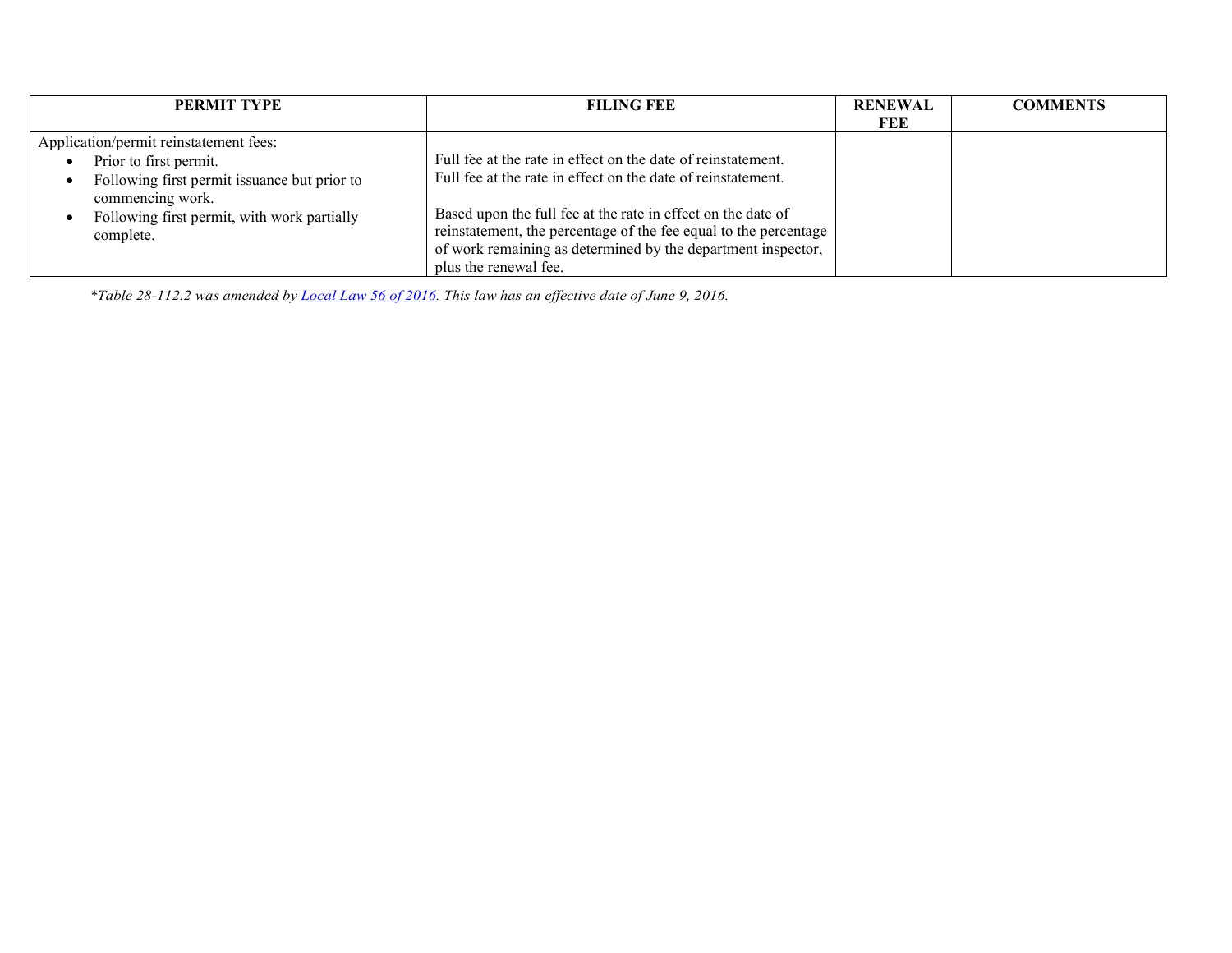| <b>PERMIT TYPE</b>                                               | <b>FILING FEE</b>                                                | <b>RENEWAL</b> | <b>COMMENTS</b> |
|------------------------------------------------------------------|------------------------------------------------------------------|----------------|-----------------|
|                                                                  |                                                                  | FEE            |                 |
| Application/permit reinstatement fees:                           |                                                                  |                |                 |
| Prior to first permit.                                           | Full fee at the rate in effect on the date of reinstatement.     |                |                 |
| Following first permit issuance but prior to<br>commencing work. | Full fee at the rate in effect on the date of reinstatement.     |                |                 |
| Following first permit, with work partially                      | Based upon the full fee at the rate in effect on the date of     |                |                 |
| complete.                                                        | reinstatement, the percentage of the fee equal to the percentage |                |                 |
|                                                                  | of work remaining as determined by the department inspector,     |                |                 |
|                                                                  | plus the renewal fee.                                            |                |                 |

*\*Table 28-112.2 was amended b[y Local Law 56 of 2016.](http://www1.nyc.gov/assets/buildings/local_laws/ll56of2016.pdf) This law has an effective date of June 9, 2016.*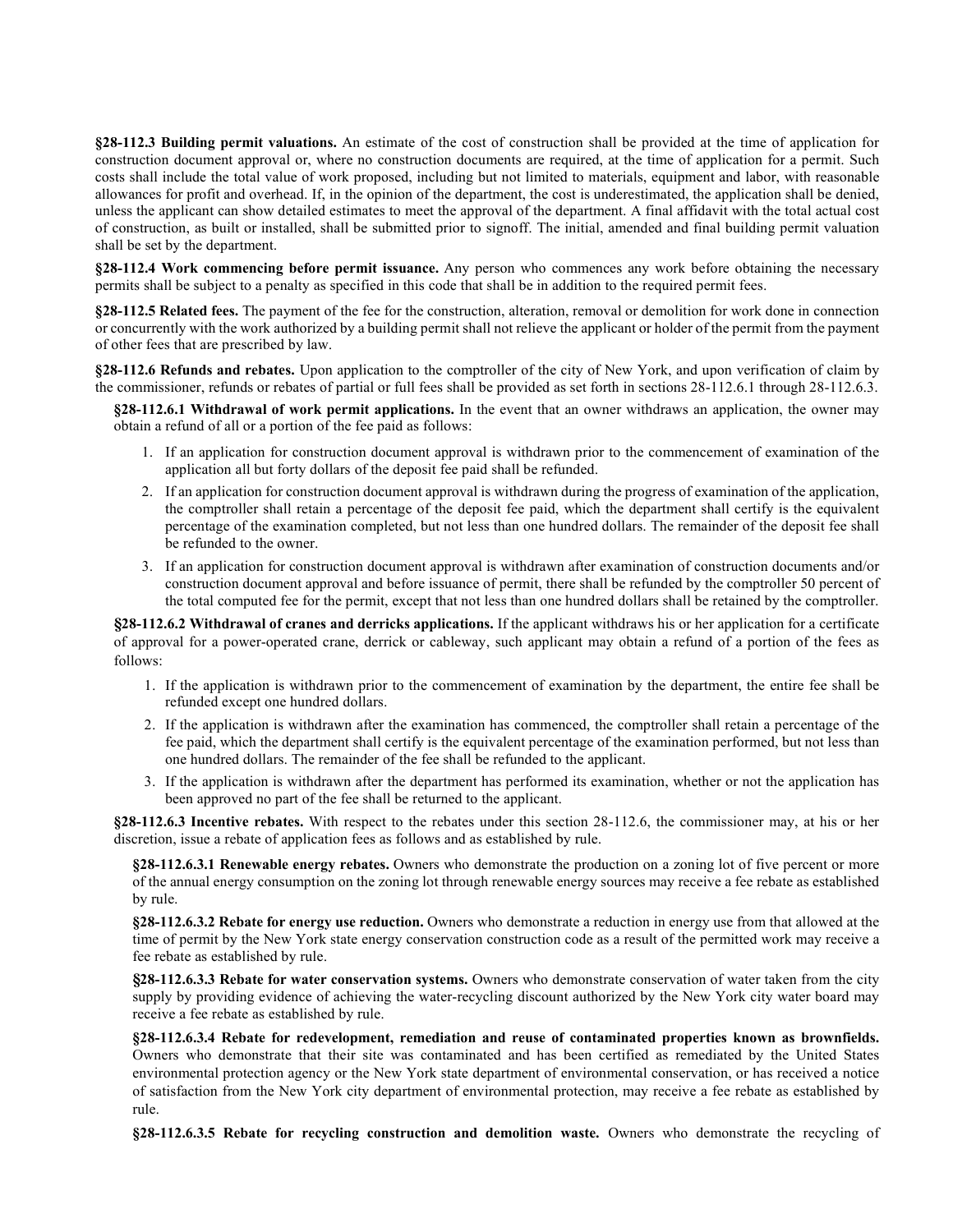**§28-112.3 Building permit valuations.** An estimate of the cost of construction shall be provided at the time of application for construction document approval or, where no construction documents are required, at the time of application for a permit. Such costs shall include the total value of work proposed, including but not limited to materials, equipment and labor, with reasonable allowances for profit and overhead. If, in the opinion of the department, the cost is underestimated, the application shall be denied, unless the applicant can show detailed estimates to meet the approval of the department. A final affidavit with the total actual cost of construction, as built or installed, shall be submitted prior to signoff. The initial, amended and final building permit valuation shall be set by the department.

**§28-112.4 Work commencing before permit issuance.** Any person who commences any work before obtaining the necessary permits shall be subject to a penalty as specified in this code that shall be in addition to the required permit fees.

**§28-112.5 Related fees.** The payment of the fee for the construction, alteration, removal or demolition for work done in connection or concurrently with the work authorized by a building permit shall not relieve the applicant or holder of the permit from the payment of other fees that are prescribed by law.

**§28-112.6 Refunds and rebates.** Upon application to the comptroller of the city of New York, and upon verification of claim by the commissioner, refunds or rebates of partial or full fees shall be provided as set forth in sections 28-112.6.1 through 28-112.6.3.

**§28-112.6.1 Withdrawal of work permit applications.** In the event that an owner withdraws an application, the owner may obtain a refund of all or a portion of the fee paid as follows:

- 1. If an application for construction document approval is withdrawn prior to the commencement of examination of the application all but forty dollars of the deposit fee paid shall be refunded.
- 2. If an application for construction document approval is withdrawn during the progress of examination of the application, the comptroller shall retain a percentage of the deposit fee paid, which the department shall certify is the equivalent percentage of the examination completed, but not less than one hundred dollars. The remainder of the deposit fee shall be refunded to the owner.
- 3. If an application for construction document approval is withdrawn after examination of construction documents and/or construction document approval and before issuance of permit, there shall be refunded by the comptroller 50 percent of the total computed fee for the permit, except that not less than one hundred dollars shall be retained by the comptroller.

**§28-112.6.2 Withdrawal of cranes and derricks applications.** If the applicant withdraws his or her application for a certificate of approval for a power-operated crane, derrick or cableway, such applicant may obtain a refund of a portion of the fees as follows:

- 1. If the application is withdrawn prior to the commencement of examination by the department, the entire fee shall be refunded except one hundred dollars.
- 2. If the application is withdrawn after the examination has commenced, the comptroller shall retain a percentage of the fee paid, which the department shall certify is the equivalent percentage of the examination performed, but not less than one hundred dollars. The remainder of the fee shall be refunded to the applicant.
- 3. If the application is withdrawn after the department has performed its examination, whether or not the application has been approved no part of the fee shall be returned to the applicant.

**§28-112.6.3 Incentive rebates.** With respect to the rebates under this section 28-112.6, the commissioner may, at his or her discretion, issue a rebate of application fees as follows and as established by rule.

**§28-112.6.3.1 Renewable energy rebates.** Owners who demonstrate the production on a zoning lot of five percent or more of the annual energy consumption on the zoning lot through renewable energy sources may receive a fee rebate as established by rule.

**§28-112.6.3.2 Rebate for energy use reduction.** Owners who demonstrate a reduction in energy use from that allowed at the time of permit by the New York state energy conservation construction code as a result of the permitted work may receive a fee rebate as established by rule.

**§28-112.6.3.3 Rebate for water conservation systems.** Owners who demonstrate conservation of water taken from the city supply by providing evidence of achieving the water-recycling discount authorized by the New York city water board may receive a fee rebate as established by rule.

**§28-112.6.3.4 Rebate for redevelopment, remediation and reuse of contaminated properties known as brownfields.** Owners who demonstrate that their site was contaminated and has been certified as remediated by the United States environmental protection agency or the New York state department of environmental conservation, or has received a notice of satisfaction from the New York city department of environmental protection, may receive a fee rebate as established by rule.

**§28-112.6.3.5 Rebate for recycling construction and demolition waste.** Owners who demonstrate the recycling of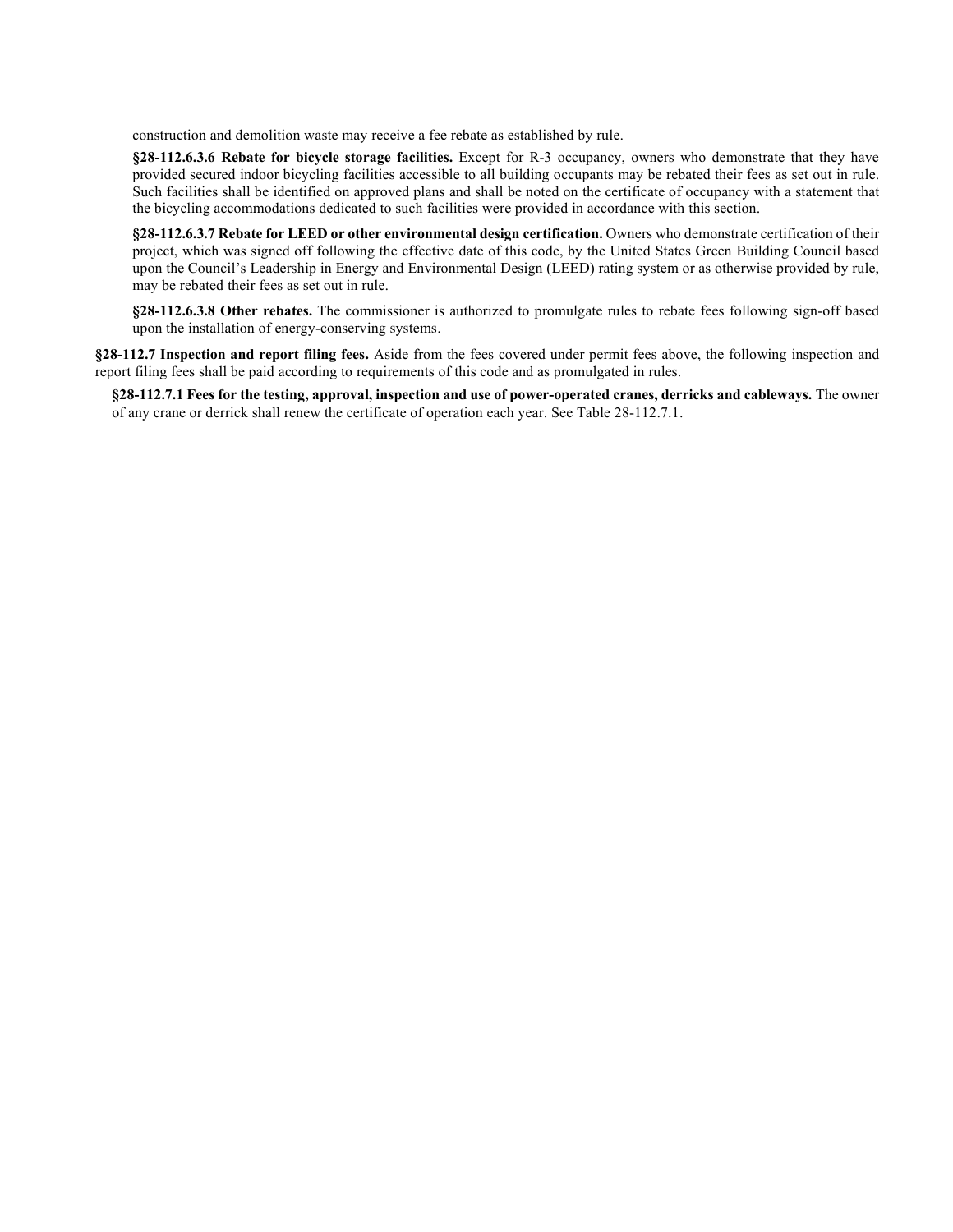construction and demolition waste may receive a fee rebate as established by rule.

**§28-112.6.3.6 Rebate for bicycle storage facilities.** Except for R-3 occupancy, owners who demonstrate that they have provided secured indoor bicycling facilities accessible to all building occupants may be rebated their fees as set out in rule. Such facilities shall be identified on approved plans and shall be noted on the certificate of occupancy with a statement that the bicycling accommodations dedicated to such facilities were provided in accordance with this section.

**§28-112.6.3.7 Rebate for LEED or other environmental design certification.** Owners who demonstrate certification of their project, which was signed off following the effective date of this code, by the United States Green Building Council based upon the Council's Leadership in Energy and Environmental Design (LEED) rating system or as otherwise provided by rule, may be rebated their fees as set out in rule.

**§28-112.6.3.8 Other rebates.** The commissioner is authorized to promulgate rules to rebate fees following sign-off based upon the installation of energy-conserving systems.

**§28-112.7 Inspection and report filing fees.** Aside from the fees covered under permit fees above, the following inspection and report filing fees shall be paid according to requirements of this code and as promulgated in rules.

**§28-112.7.1 Fees for the testing, approval, inspection and use of power-operated cranes, derricks and cableways.** The owner of any crane or derrick shall renew the certificate of operation each year. See Table 28-112.7.1.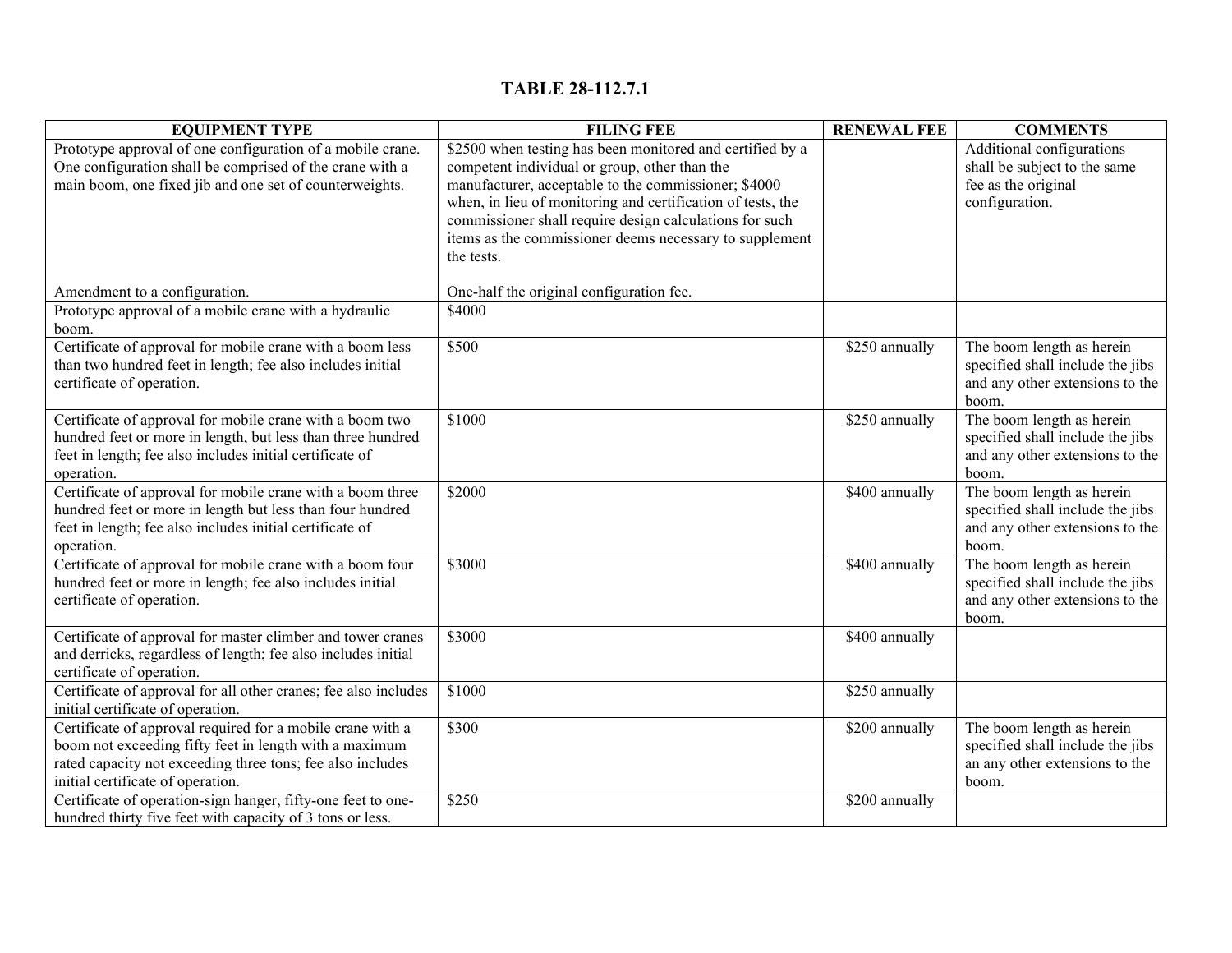# **TABLE 28-112.7.1**

| <b>EQUIPMENT TYPE</b>                                           | <b>FILING FEE</b>                                           | <b>RENEWAL FEE</b> | <b>COMMENTS</b>                  |
|-----------------------------------------------------------------|-------------------------------------------------------------|--------------------|----------------------------------|
| Prototype approval of one configuration of a mobile crane.      | \$2500 when testing has been monitored and certified by a   |                    | Additional configurations        |
| One configuration shall be comprised of the crane with a        | competent individual or group, other than the               |                    | shall be subject to the same     |
| main boom, one fixed jib and one set of counterweights.         | manufacturer, acceptable to the commissioner; \$4000        |                    | fee as the original              |
|                                                                 | when, in lieu of monitoring and certification of tests, the |                    | configuration.                   |
|                                                                 | commissioner shall require design calculations for such     |                    |                                  |
|                                                                 | items as the commissioner deems necessary to supplement     |                    |                                  |
|                                                                 | the tests.                                                  |                    |                                  |
|                                                                 |                                                             |                    |                                  |
| Amendment to a configuration.                                   | One-half the original configuration fee.                    |                    |                                  |
| Prototype approval of a mobile crane with a hydraulic           | \$4000                                                      |                    |                                  |
| boom.                                                           |                                                             |                    |                                  |
| Certificate of approval for mobile crane with a boom less       | \$500                                                       | \$250 annually     | The boom length as herein        |
| than two hundred feet in length; fee also includes initial      |                                                             |                    | specified shall include the jibs |
| certificate of operation.                                       |                                                             |                    | and any other extensions to the  |
|                                                                 |                                                             |                    | boom.                            |
| Certificate of approval for mobile crane with a boom two        | \$1000                                                      | \$250 annually     | The boom length as herein        |
| hundred feet or more in length, but less than three hundred     |                                                             |                    | specified shall include the jibs |
| feet in length; fee also includes initial certificate of        |                                                             |                    | and any other extensions to the  |
| operation.                                                      |                                                             |                    | boom.                            |
| Certificate of approval for mobile crane with a boom three      | \$2000                                                      | \$400 annually     | The boom length as herein        |
| hundred feet or more in length but less than four hundred       |                                                             |                    | specified shall include the jibs |
| feet in length; fee also includes initial certificate of        |                                                             |                    | and any other extensions to the  |
| operation.                                                      |                                                             |                    | boom.                            |
| Certificate of approval for mobile crane with a boom four       | \$3000                                                      | \$400 annually     | The boom length as herein        |
| hundred feet or more in length; fee also includes initial       |                                                             |                    | specified shall include the jibs |
| certificate of operation.                                       |                                                             |                    | and any other extensions to the  |
|                                                                 |                                                             |                    | boom.                            |
| Certificate of approval for master climber and tower cranes     | \$3000                                                      | \$400 annually     |                                  |
| and derricks, regardless of length; fee also includes initial   |                                                             |                    |                                  |
| certificate of operation.                                       |                                                             |                    |                                  |
| Certificate of approval for all other cranes; fee also includes | \$1000                                                      | \$250 annually     |                                  |
| initial certificate of operation.                               |                                                             |                    |                                  |
| Certificate of approval required for a mobile crane with a      | \$300                                                       | \$200 annually     | The boom length as herein        |
| boom not exceeding fifty feet in length with a maximum          |                                                             |                    | specified shall include the jibs |
| rated capacity not exceeding three tons; fee also includes      |                                                             |                    | an any other extensions to the   |
| initial certificate of operation.                               |                                                             |                    | boom.                            |
| Certificate of operation-sign hanger, fifty-one feet to one-    | \$250                                                       | \$200 annually     |                                  |
| hundred thirty five feet with capacity of 3 tons or less.       |                                                             |                    |                                  |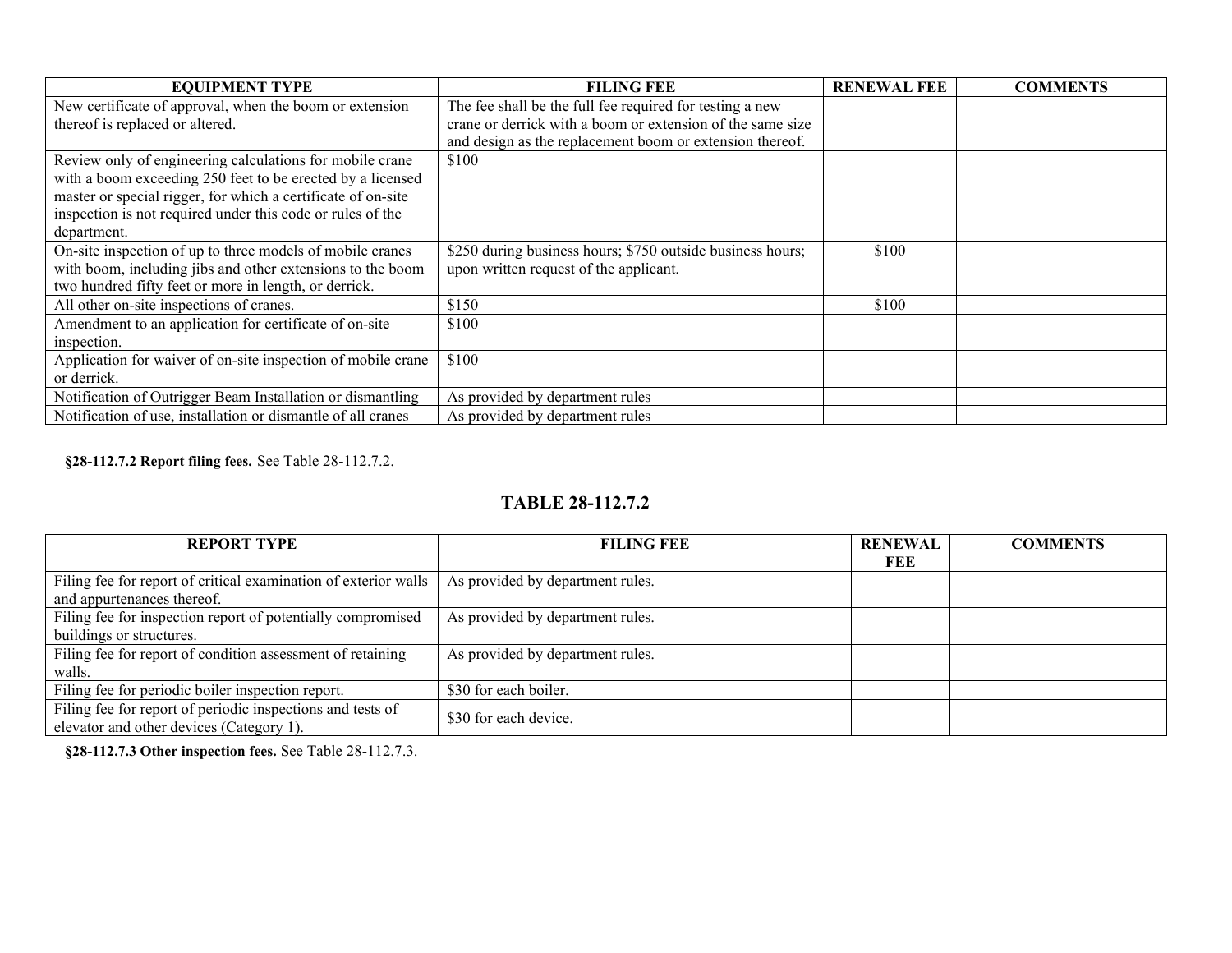| <b>EQUIPMENT TYPE</b>                                        | <b>FILING FEE</b>                                          | <b>RENEWAL FEE</b> | <b>COMMENTS</b> |
|--------------------------------------------------------------|------------------------------------------------------------|--------------------|-----------------|
| New certificate of approval, when the boom or extension      | The fee shall be the full fee required for testing a new   |                    |                 |
| thereof is replaced or altered.                              | crane or derrick with a boom or extension of the same size |                    |                 |
|                                                              | and design as the replacement boom or extension thereof.   |                    |                 |
| Review only of engineering calculations for mobile crane     | \$100                                                      |                    |                 |
| with a boom exceeding 250 feet to be erected by a licensed   |                                                            |                    |                 |
| master or special rigger, for which a certificate of on-site |                                                            |                    |                 |
| inspection is not required under this code or rules of the   |                                                            |                    |                 |
| department.                                                  |                                                            |                    |                 |
| On-site inspection of up to three models of mobile cranes    | \$250 during business hours; \$750 outside business hours; | \$100              |                 |
| with boom, including jibs and other extensions to the boom   | upon written request of the applicant.                     |                    |                 |
| two hundred fifty feet or more in length, or derrick.        |                                                            |                    |                 |
| All other on-site inspections of cranes.                     | \$150                                                      | \$100              |                 |
| Amendment to an application for certificate of on-site       | \$100                                                      |                    |                 |
| inspection.                                                  |                                                            |                    |                 |
| Application for waiver of on-site inspection of mobile crane | \$100                                                      |                    |                 |
| or derrick.                                                  |                                                            |                    |                 |
| Notification of Outrigger Beam Installation or dismantling   | As provided by department rules                            |                    |                 |
| Notification of use, installation or dismantle of all cranes | As provided by department rules                            |                    |                 |

**§28-112.7.2 Report filing fees.** See Table 28-112.7.2.

# **TABLE 28-112.7.2**

| <b>REPORT TYPE</b>                                              | <b>FILING FEE</b>                | <b>RENEWAL</b> | <b>COMMENTS</b> |
|-----------------------------------------------------------------|----------------------------------|----------------|-----------------|
|                                                                 |                                  | FEE            |                 |
| Filing fee for report of critical examination of exterior walls | As provided by department rules. |                |                 |
| and appurtenances thereof.                                      |                                  |                |                 |
| Filing fee for inspection report of potentially compromised     | As provided by department rules. |                |                 |
| buildings or structures.                                        |                                  |                |                 |
| Filing fee for report of condition assessment of retaining      | As provided by department rules. |                |                 |
| walls.                                                          |                                  |                |                 |
| Filing fee for periodic boiler inspection report.               | \$30 for each boiler.            |                |                 |
| Filing fee for report of periodic inspections and tests of      |                                  |                |                 |
| elevator and other devices (Category 1).                        | \$30 for each device.            |                |                 |

**§28-112.7.3 Other inspection fees.** See Table 28-112.7.3.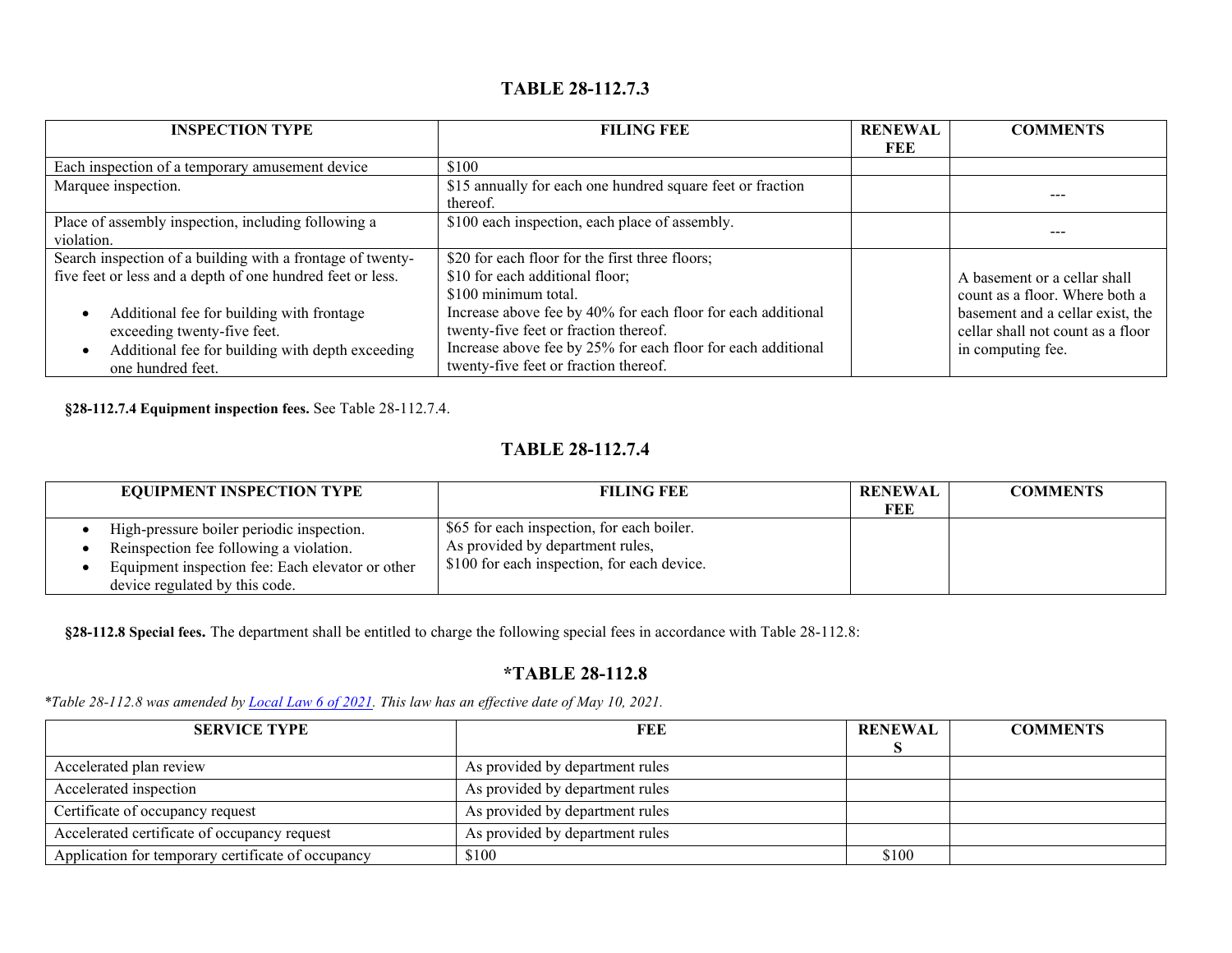# **TABLE 28-112.7.3**

| <b>INSPECTION TYPE</b>                                     | <b>FILING FEE</b>                                            | <b>RENEWAL</b> | <b>COMMENTS</b>                   |
|------------------------------------------------------------|--------------------------------------------------------------|----------------|-----------------------------------|
|                                                            |                                                              | FEE            |                                   |
| Each inspection of a temporary amusement device            | \$100                                                        |                |                                   |
| Marquee inspection.                                        | \$15 annually for each one hundred square feet or fraction   |                |                                   |
|                                                            | thereof.                                                     |                |                                   |
| Place of assembly inspection, including following a        | \$100 each inspection, each place of assembly.               |                |                                   |
| violation.                                                 |                                                              |                |                                   |
| Search inspection of a building with a frontage of twenty- | \$20 for each floor for the first three floors;              |                |                                   |
| five feet or less and a depth of one hundred feet or less. | \$10 for each additional floor;                              |                | A basement or a cellar shall      |
|                                                            | \$100 minimum total.                                         |                | count as a floor. Where both a    |
| Additional fee for building with frontage                  | Increase above fee by 40% for each floor for each additional |                | basement and a cellar exist, the  |
| exceeding twenty-five feet.                                | twenty-five feet or fraction thereof.                        |                | cellar shall not count as a floor |
| Additional fee for building with depth exceeding           | Increase above fee by 25% for each floor for each additional |                | in computing fee.                 |
| one hundred feet.                                          | twenty-five feet or fraction thereof.                        |                |                                   |

**§28-112.7.4 Equipment inspection fees.** See Table 28-112.7.4.

# **TABLE 28-112.7.4**

| <b>EQUIPMENT INSPECTION TYPE</b>                                                                                                                                           | <b>FILING FEE</b>                                                                                                             | <b>RENEWAL</b> | <b>COMMENTS</b> |
|----------------------------------------------------------------------------------------------------------------------------------------------------------------------------|-------------------------------------------------------------------------------------------------------------------------------|----------------|-----------------|
|                                                                                                                                                                            |                                                                                                                               | FEE            |                 |
| High-pressure boiler periodic inspection.<br>Reinspection fee following a violation.<br>Equipment inspection fee: Each elevator or other<br>device regulated by this code. | \$65 for each inspection, for each boiler.<br>As provided by department rules,<br>\$100 for each inspection, for each device. |                |                 |

**§28-112.8 Special fees.** The department shall be entitled to charge the following special fees in accordance with Table 28-112.8:

## **\*TABLE 28-112.8**

*\*Table 28-112.8 was amended by [Local Law 6 of 2021.](https://www1.nyc.gov/assets/buildings/local_laws/ll6of2021.pdf) This law has an effective date of May 10, 2021.*

| <b>SERVICE TYPE</b>                                | FEE                             | <b>RENEWAL</b> | <b>COMMENTS</b> |
|----------------------------------------------------|---------------------------------|----------------|-----------------|
|                                                    |                                 |                |                 |
| Accelerated plan review                            | As provided by department rules |                |                 |
| Accelerated inspection                             | As provided by department rules |                |                 |
| Certificate of occupancy request                   | As provided by department rules |                |                 |
| Accelerated certificate of occupancy request       | As provided by department rules |                |                 |
| Application for temporary certificate of occupancy | \$100                           | \$100          |                 |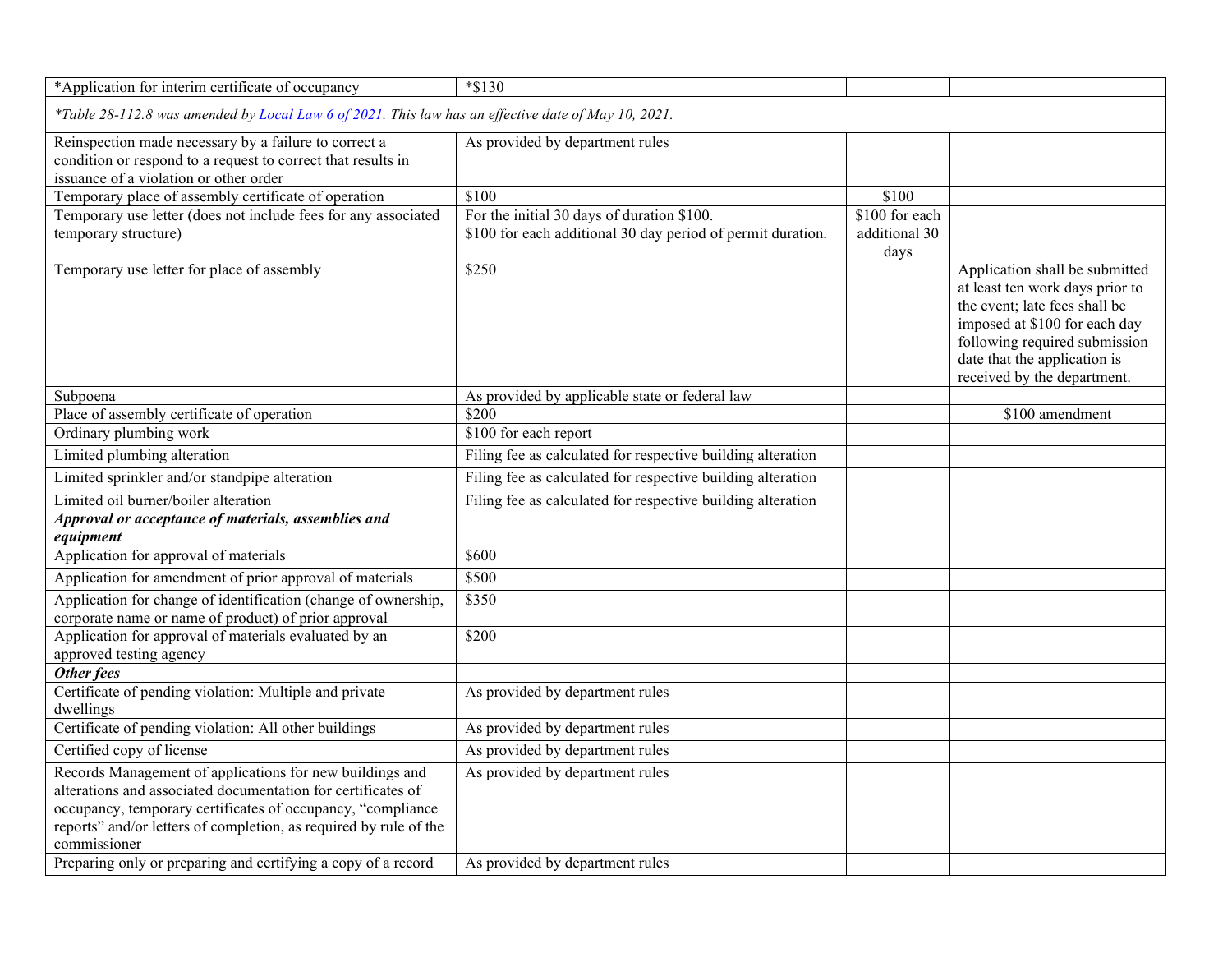| *Application for interim certificate of occupancy                                                                                                                                                                                                                                                                                             | $*$ \$130                                                          |                       |                                                                                                                                                                                                                                     |  |  |
|-----------------------------------------------------------------------------------------------------------------------------------------------------------------------------------------------------------------------------------------------------------------------------------------------------------------------------------------------|--------------------------------------------------------------------|-----------------------|-------------------------------------------------------------------------------------------------------------------------------------------------------------------------------------------------------------------------------------|--|--|
| *Table 28-112.8 was amended by <i>Local Law 6 of 2021</i> . This law has an effective date of May 10, 2021.                                                                                                                                                                                                                                   |                                                                    |                       |                                                                                                                                                                                                                                     |  |  |
| Reinspection made necessary by a failure to correct a<br>condition or respond to a request to correct that results in<br>issuance of a violation or other order                                                                                                                                                                               | As provided by department rules                                    |                       |                                                                                                                                                                                                                                     |  |  |
| Temporary place of assembly certificate of operation                                                                                                                                                                                                                                                                                          | \$100                                                              | \$100                 |                                                                                                                                                                                                                                     |  |  |
| Temporary use letter (does not include fees for any associated                                                                                                                                                                                                                                                                                | For the initial 30 days of duration \$100.                         | \$100 for each        |                                                                                                                                                                                                                                     |  |  |
| temporary structure)                                                                                                                                                                                                                                                                                                                          | \$100 for each additional 30 day period of permit duration.        | additional 30<br>days |                                                                                                                                                                                                                                     |  |  |
| Temporary use letter for place of assembly                                                                                                                                                                                                                                                                                                    | \$250                                                              |                       | Application shall be submitted<br>at least ten work days prior to<br>the event; late fees shall be<br>imposed at \$100 for each day<br>following required submission<br>date that the application is<br>received by the department. |  |  |
| Subpoena                                                                                                                                                                                                                                                                                                                                      | As provided by applicable state or federal law                     |                       |                                                                                                                                                                                                                                     |  |  |
| Place of assembly certificate of operation                                                                                                                                                                                                                                                                                                    | \$200                                                              |                       | \$100 amendment                                                                                                                                                                                                                     |  |  |
| Ordinary plumbing work                                                                                                                                                                                                                                                                                                                        | \$100 for each report                                              |                       |                                                                                                                                                                                                                                     |  |  |
| Limited plumbing alteration                                                                                                                                                                                                                                                                                                                   | Filing fee as calculated for respective building alteration        |                       |                                                                                                                                                                                                                                     |  |  |
| Limited sprinkler and/or standpipe alteration                                                                                                                                                                                                                                                                                                 | Filing fee as calculated for respective building alteration        |                       |                                                                                                                                                                                                                                     |  |  |
| Limited oil burner/boiler alteration                                                                                                                                                                                                                                                                                                          | Filing fee as calculated for respective building alteration        |                       |                                                                                                                                                                                                                                     |  |  |
| Approval or acceptance of materials, assemblies and<br>equipment                                                                                                                                                                                                                                                                              |                                                                    |                       |                                                                                                                                                                                                                                     |  |  |
| Application for approval of materials                                                                                                                                                                                                                                                                                                         | \$600                                                              |                       |                                                                                                                                                                                                                                     |  |  |
| Application for amendment of prior approval of materials                                                                                                                                                                                                                                                                                      | \$500                                                              |                       |                                                                                                                                                                                                                                     |  |  |
| Application for change of identification (change of ownership,<br>corporate name or name of product) of prior approval                                                                                                                                                                                                                        | \$350                                                              |                       |                                                                                                                                                                                                                                     |  |  |
| Application for approval of materials evaluated by an<br>approved testing agency                                                                                                                                                                                                                                                              | \$200                                                              |                       |                                                                                                                                                                                                                                     |  |  |
| Other fees                                                                                                                                                                                                                                                                                                                                    |                                                                    |                       |                                                                                                                                                                                                                                     |  |  |
| Certificate of pending violation: Multiple and private<br>dwellings                                                                                                                                                                                                                                                                           | As provided by department rules                                    |                       |                                                                                                                                                                                                                                     |  |  |
| Certificate of pending violation: All other buildings                                                                                                                                                                                                                                                                                         | As provided by department rules                                    |                       |                                                                                                                                                                                                                                     |  |  |
| Certified copy of license                                                                                                                                                                                                                                                                                                                     | As provided by department rules                                    |                       |                                                                                                                                                                                                                                     |  |  |
| Records Management of applications for new buildings and<br>alterations and associated documentation for certificates of<br>occupancy, temporary certificates of occupancy, "compliance<br>reports" and/or letters of completion, as required by rule of the<br>commissioner<br>Preparing only or preparing and certifying a copy of a record | As provided by department rules<br>As provided by department rules |                       |                                                                                                                                                                                                                                     |  |  |
|                                                                                                                                                                                                                                                                                                                                               |                                                                    |                       |                                                                                                                                                                                                                                     |  |  |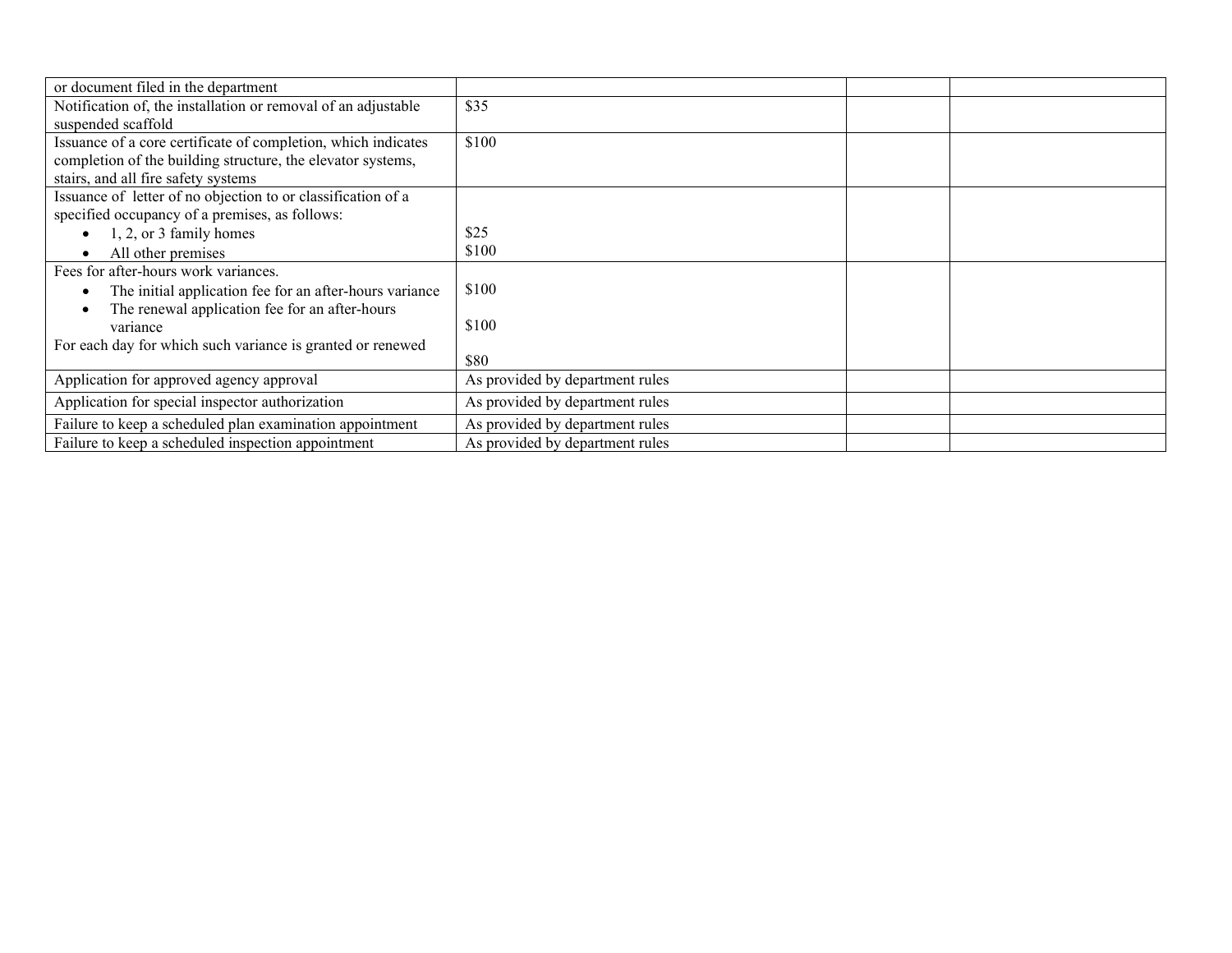| or document filed in the department                           |                                 |  |
|---------------------------------------------------------------|---------------------------------|--|
| Notification of, the installation or removal of an adjustable | \$35                            |  |
| suspended scaffold                                            |                                 |  |
| Issuance of a core certificate of completion, which indicates | \$100                           |  |
| completion of the building structure, the elevator systems,   |                                 |  |
| stairs, and all fire safety systems                           |                                 |  |
| Issuance of letter of no objection to or classification of a  |                                 |  |
| specified occupancy of a premises, as follows:                |                                 |  |
| 1, 2, or 3 family homes                                       | \$25                            |  |
| All other premises                                            | \$100                           |  |
| Fees for after-hours work variances.                          |                                 |  |
| The initial application fee for an after-hours variance       | \$100                           |  |
| The renewal application fee for an after-hours                |                                 |  |
| variance                                                      | \$100                           |  |
| For each day for which such variance is granted or renewed    |                                 |  |
|                                                               | \$80                            |  |
| Application for approved agency approval                      | As provided by department rules |  |
| Application for special inspector authorization               | As provided by department rules |  |
| Failure to keep a scheduled plan examination appointment      | As provided by department rules |  |
| Failure to keep a scheduled inspection appointment            | As provided by department rules |  |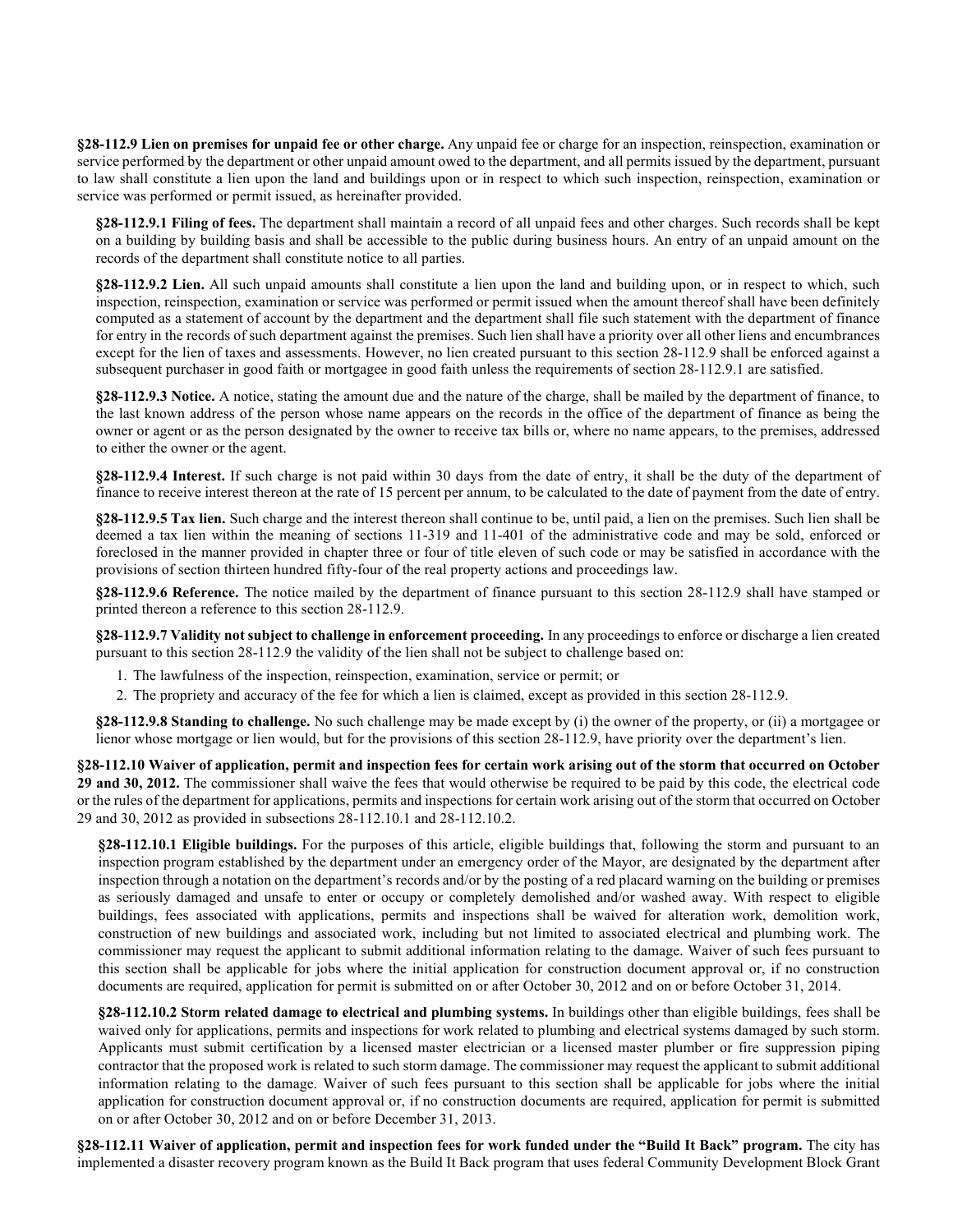**§28-112.9 Lien on premises for unpaid fee or other charge.** Any unpaid fee or charge for an inspection, reinspection, examination or service performed by the department or other unpaid amount owed to the department, and all permits issued by the department, pursuant to law shall constitute a lien upon the land and buildings upon or in respect to which such inspection, reinspection, examination or service was performed or permit issued, as hereinafter provided.

**§28-112.9.1 Filing of fees.** The department shall maintain a record of all unpaid fees and other charges. Such records shall be kept on a building by building basis and shall be accessible to the public during business hours. An entry of an unpaid amount on the records of the department shall constitute notice to all parties.

**§28-112.9.2 Lien.** All such unpaid amounts shall constitute a lien upon the land and building upon, or in respect to which, such inspection, reinspection, examination or service was performed or permit issued when the amount thereof shall have been definitely computed as a statement of account by the department and the department shall file such statement with the department of finance for entry in the records of such department against the premises. Such lien shall have a priority over all other liens and encumbrances except for the lien of taxes and assessments. However, no lien created pursuant to this section 28-112.9 shall be enforced against a subsequent purchaser in good faith or mortgagee in good faith unless the requirements of section 28-112.9.1 are satisfied.

**§28-112.9.3 Notice.** A notice, stating the amount due and the nature of the charge, shall be mailed by the department of finance, to the last known address of the person whose name appears on the records in the office of the department of finance as being the owner or agent or as the person designated by the owner to receive tax bills or, where no name appears, to the premises, addressed to either the owner or the agent.

**§28-112.9.4 Interest.** If such charge is not paid within 30 days from the date of entry, it shall be the duty of the department of finance to receive interest thereon at the rate of 15 percent per annum, to be calculated to the date of payment from the date of entry.

**§28-112.9.5 Tax lien.** Such charge and the interest thereon shall continue to be, until paid, a lien on the premises. Such lien shall be deemed a tax lien within the meaning of sections 11-319 and 11-401 of the administrative code and may be sold, enforced or foreclosed in the manner provided in chapter three or four of title eleven of such code or may be satisfied in accordance with the provisions of section thirteen hundred fifty-four of the real property actions and proceedings law.

**§28-112.9.6 Reference.** The notice mailed by the department of finance pursuant to this section 28-112.9 shall have stamped or printed thereon a reference to this section 28-112.9.

**§28-112.9.7 Validity not subject to challenge in enforcement proceeding.** In any proceedings to enforce or discharge a lien created pursuant to this section 28-112.9 the validity of the lien shall not be subject to challenge based on:

- 1. The lawfulness of the inspection, reinspection, examination, service or permit; or
- 2. The propriety and accuracy of the fee for which a lien is claimed, except as provided in this section 28-112.9.

**§28-112.9.8 Standing to challenge.** No such challenge may be made except by (i) the owner of the property, or (ii) a mortgagee or lienor whose mortgage or lien would, but for the provisions of this section 28-112.9, have priority over the department's lien.

**§28-112.10 Waiver of application, permit and inspection fees for certain work arising out of the storm that occurred on October 29 and 30, 2012.** The commissioner shall waive the fees that would otherwise be required to be paid by this code, the electrical code or the rules of the department for applications, permits and inspections for certain work arising out of the storm that occurred on October 29 and 30, 2012 as provided in subsections 28-112.10.1 and 28-112.10.2.

**§28-112.10.1 Eligible buildings.** For the purposes of this article, eligible buildings that, following the storm and pursuant to an inspection program established by the department under an emergency order of the Mayor, are designated by the department after inspection through a notation on the department's records and/or by the posting of a red placard warning on the building or premises as seriously damaged and unsafe to enter or occupy or completely demolished and/or washed away. With respect to eligible buildings, fees associated with applications, permits and inspections shall be waived for alteration work, demolition work, construction of new buildings and associated work, including but not limited to associated electrical and plumbing work. The commissioner may request the applicant to submit additional information relating to the damage. Waiver of such fees pursuant to this section shall be applicable for jobs where the initial application for construction document approval or, if no construction documents are required, application for permit is submitted on or after October 30, 2012 and on or before October 31, 2014.

**§28-112.10.2 Storm related damage to electrical and plumbing systems.** In buildings other than eligible buildings, fees shall be waived only for applications, permits and inspections for work related to plumbing and electrical systems damaged by such storm. Applicants must submit certification by a licensed master electrician or a licensed master plumber or fire suppression piping contractor that the proposed work is related to such storm damage. The commissioner may request the applicant to submit additional information relating to the damage. Waiver of such fees pursuant to this section shall be applicable for jobs where the initial application for construction document approval or, if no construction documents are required, application for permit is submitted on or after October 30, 2012 and on or before December 31, 2013.

**§28-112.11 Waiver of application, permit and inspection fees for work funded under the "Build It Back" program.** The city has implemented a disaster recovery program known as the Build It Back program that uses federal Community Development Block Grant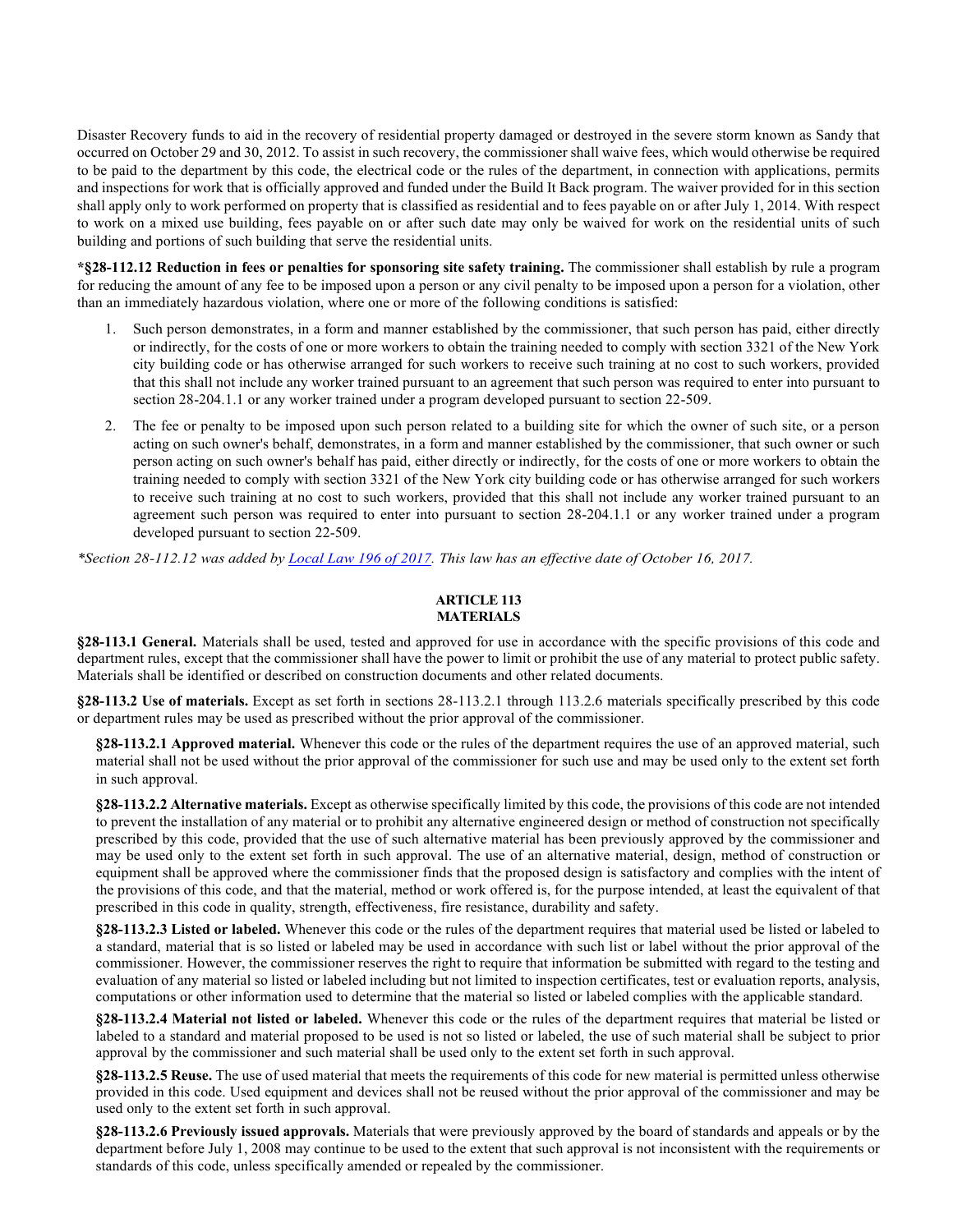Disaster Recovery funds to aid in the recovery of residential property damaged or destroyed in the severe storm known as Sandy that occurred on October 29 and 30, 2012. To assist in such recovery, the commissioner shall waive fees, which would otherwise be required to be paid to the department by this code, the electrical code or the rules of the department, in connection with applications, permits and inspections for work that is officially approved and funded under the Build It Back program. The waiver provided for in this section shall apply only to work performed on property that is classified as residential and to fees payable on or after July 1, 2014. With respect to work on a mixed use building, fees payable on or after such date may only be waived for work on the residential units of such building and portions of such building that serve the residential units.

**\*§28-112.12 Reduction in fees or penalties for sponsoring site safety training.** The commissioner shall establish by rule a program for reducing the amount of any fee to be imposed upon a person or any civil penalty to be imposed upon a person for a violation, other than an immediately hazardous violation, where one or more of the following conditions is satisfied:

- 1. Such person demonstrates, in a form and manner established by the commissioner, that such person has paid, either directly or indirectly, for the costs of one or more workers to obtain the training needed to comply with section 3321 of the New York city building code or has otherwise arranged for such workers to receive such training at no cost to such workers, provided that this shall not include any worker trained pursuant to an agreement that such person was required to enter into pursuant to section 28-204.1.1 or any worker trained under a program developed pursuant to section 22-509.
- 2. The fee or penalty to be imposed upon such person related to a building site for which the owner of such site, or a person acting on such owner's behalf, demonstrates, in a form and manner established by the commissioner, that such owner or such person acting on such owner's behalf has paid, either directly or indirectly, for the costs of one or more workers to obtain the training needed to comply with section 3321 of the New York city building code or has otherwise arranged for such workers to receive such training at no cost to such workers, provided that this shall not include any worker trained pursuant to an agreement such person was required to enter into pursuant to section 28-204.1.1 or any worker trained under a program developed pursuant to section 22-509.

*\*Section 28-112.12 was added b[y Local Law 196 of 2017.](http://www1.nyc.gov/assets/buildings/local_laws/ll196of2017.pdf) This law has an effective date of October 16, 2017.*

#### **ARTICLE 113 MATERIALS**

**§28-113.1 General.** Materials shall be used, tested and approved for use in accordance with the specific provisions of this code and department rules, except that the commissioner shall have the power to limit or prohibit the use of any material to protect public safety. Materials shall be identified or described on construction documents and other related documents.

**§28-113.2 Use of materials.** Except as set forth in sections 28-113.2.1 through 113.2.6 materials specifically prescribed by this code or department rules may be used as prescribed without the prior approval of the commissioner.

**§28-113.2.1 Approved material.** Whenever this code or the rules of the department requires the use of an approved material, such material shall not be used without the prior approval of the commissioner for such use and may be used only to the extent set forth in such approval.

**§28-113.2.2 Alternative materials.** Except as otherwise specifically limited by this code, the provisions of this code are not intended to prevent the installation of any material or to prohibit any alternative engineered design or method of construction not specifically prescribed by this code, provided that the use of such alternative material has been previously approved by the commissioner and may be used only to the extent set forth in such approval. The use of an alternative material, design, method of construction or equipment shall be approved where the commissioner finds that the proposed design is satisfactory and complies with the intent of the provisions of this code, and that the material, method or work offered is, for the purpose intended, at least the equivalent of that prescribed in this code in quality, strength, effectiveness, fire resistance, durability and safety.

**§28-113.2.3 Listed or labeled.** Whenever this code or the rules of the department requires that material used be listed or labeled to a standard, material that is so listed or labeled may be used in accordance with such list or label without the prior approval of the commissioner. However, the commissioner reserves the right to require that information be submitted with regard to the testing and evaluation of any material so listed or labeled including but not limited to inspection certificates, test or evaluation reports, analysis, computations or other information used to determine that the material so listed or labeled complies with the applicable standard.

**§28-113.2.4 Material not listed or labeled.** Whenever this code or the rules of the department requires that material be listed or labeled to a standard and material proposed to be used is not so listed or labeled, the use of such material shall be subject to prior approval by the commissioner and such material shall be used only to the extent set forth in such approval.

**§28-113.2.5 Reuse.** The use of used material that meets the requirements of this code for new material is permitted unless otherwise provided in this code. Used equipment and devices shall not be reused without the prior approval of the commissioner and may be used only to the extent set forth in such approval.

**§28-113.2.6 Previously issued approvals.** Materials that were previously approved by the board of standards and appeals or by the department before July 1, 2008 may continue to be used to the extent that such approval is not inconsistent with the requirements or standards of this code, unless specifically amended or repealed by the commissioner.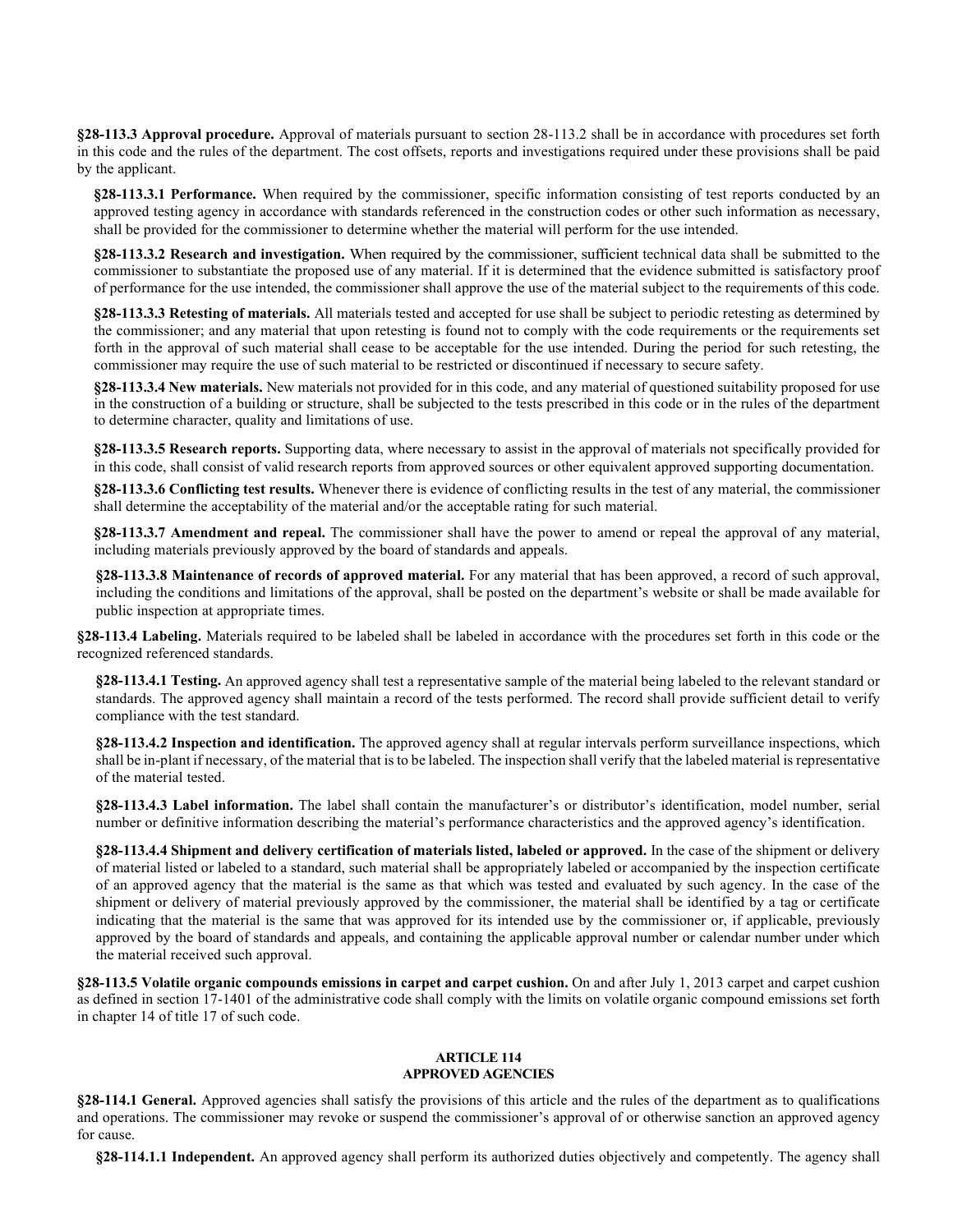**§28-113.3 Approval procedure.** Approval of materials pursuant to section 28-113.2 shall be in accordance with procedures set forth in this code and the rules of the department. The cost offsets, reports and investigations required under these provisions shall be paid by the applicant.

**§28-113.3.1 Performance.** When required by the commissioner, specific information consisting of test reports conducted by an approved testing agency in accordance with standards referenced in the construction codes or other such information as necessary, shall be provided for the commissioner to determine whether the material will perform for the use intended.

**§28-113.3.2 Research and investigation.** When required by the commissioner, sufficient technical data shall be submitted to the commissioner to substantiate the proposed use of any material. If it is determined that the evidence submitted is satisfactory proof of performance for the use intended, the commissioner shall approve the use of the material subject to the requirements of this code.

**§28-113.3.3 Retesting of materials.** All materials tested and accepted for use shall be subject to periodic retesting as determined by the commissioner; and any material that upon retesting is found not to comply with the code requirements or the requirements set forth in the approval of such material shall cease to be acceptable for the use intended. During the period for such retesting, the commissioner may require the use of such material to be restricted or discontinued if necessary to secure safety.

**§28-113.3.4 New materials.** New materials not provided for in this code, and any material of questioned suitability proposed for use in the construction of a building or structure, shall be subjected to the tests prescribed in this code or in the rules of the department to determine character, quality and limitations of use.

**§28-113.3.5 Research reports.** Supporting data, where necessary to assist in the approval of materials not specifically provided for in this code, shall consist of valid research reports from approved sources or other equivalent approved supporting documentation.

**§28-113.3.6 Conflicting test results.** Whenever there is evidence of conflicting results in the test of any material, the commissioner shall determine the acceptability of the material and/or the acceptable rating for such material.

**§28-113.3.7 Amendment and repeal.** The commissioner shall have the power to amend or repeal the approval of any material, including materials previously approved by the board of standards and appeals.

**§28-113.3.8 Maintenance of records of approved material.** For any material that has been approved, a record of such approval, including the conditions and limitations of the approval, shall be posted on the department's website or shall be made available for public inspection at appropriate times.

**§28-113.4 Labeling.** Materials required to be labeled shall be labeled in accordance with the procedures set forth in this code or the recognized referenced standards.

**§28-113.4.1 Testing.** An approved agency shall test a representative sample of the material being labeled to the relevant standard or standards. The approved agency shall maintain a record of the tests performed. The record shall provide sufficient detail to verify compliance with the test standard.

**§28-113.4.2 Inspection and identification.** The approved agency shall at regular intervals perform surveillance inspections, which shall be in-plant if necessary, of the material that is to be labeled. The inspection shall verify that the labeled material is representative of the material tested.

**§28-113.4.3 Label information.** The label shall contain the manufacturer's or distributor's identification, model number, serial number or definitive information describing the material's performance characteristics and the approved agency's identification.

**§28-113.4.4 Shipment and delivery certification of materials listed, labeled or approved.** In the case of the shipment or delivery of material listed or labeled to a standard, such material shall be appropriately labeled or accompanied by the inspection certificate of an approved agency that the material is the same as that which was tested and evaluated by such agency. In the case of the shipment or delivery of material previously approved by the commissioner, the material shall be identified by a tag or certificate indicating that the material is the same that was approved for its intended use by the commissioner or, if applicable, previously approved by the board of standards and appeals, and containing the applicable approval number or calendar number under which the material received such approval.

**§28-113.5 Volatile organic compounds emissions in carpet and carpet cushion.** On and after July 1, 2013 carpet and carpet cushion as defined in section 17-1401 of the administrative code shall comply with the limits on volatile organic compound emissions set forth in chapter 14 of title 17 of such code.

#### **ARTICLE 114 APPROVED AGENCIES**

**§28-114.1 General.** Approved agencies shall satisfy the provisions of this article and the rules of the department as to qualifications and operations. The commissioner may revoke or suspend the commissioner's approval of or otherwise sanction an approved agency for cause.

**§28-114.1.1 Independent.** An approved agency shall perform its authorized duties objectively and competently. The agency shall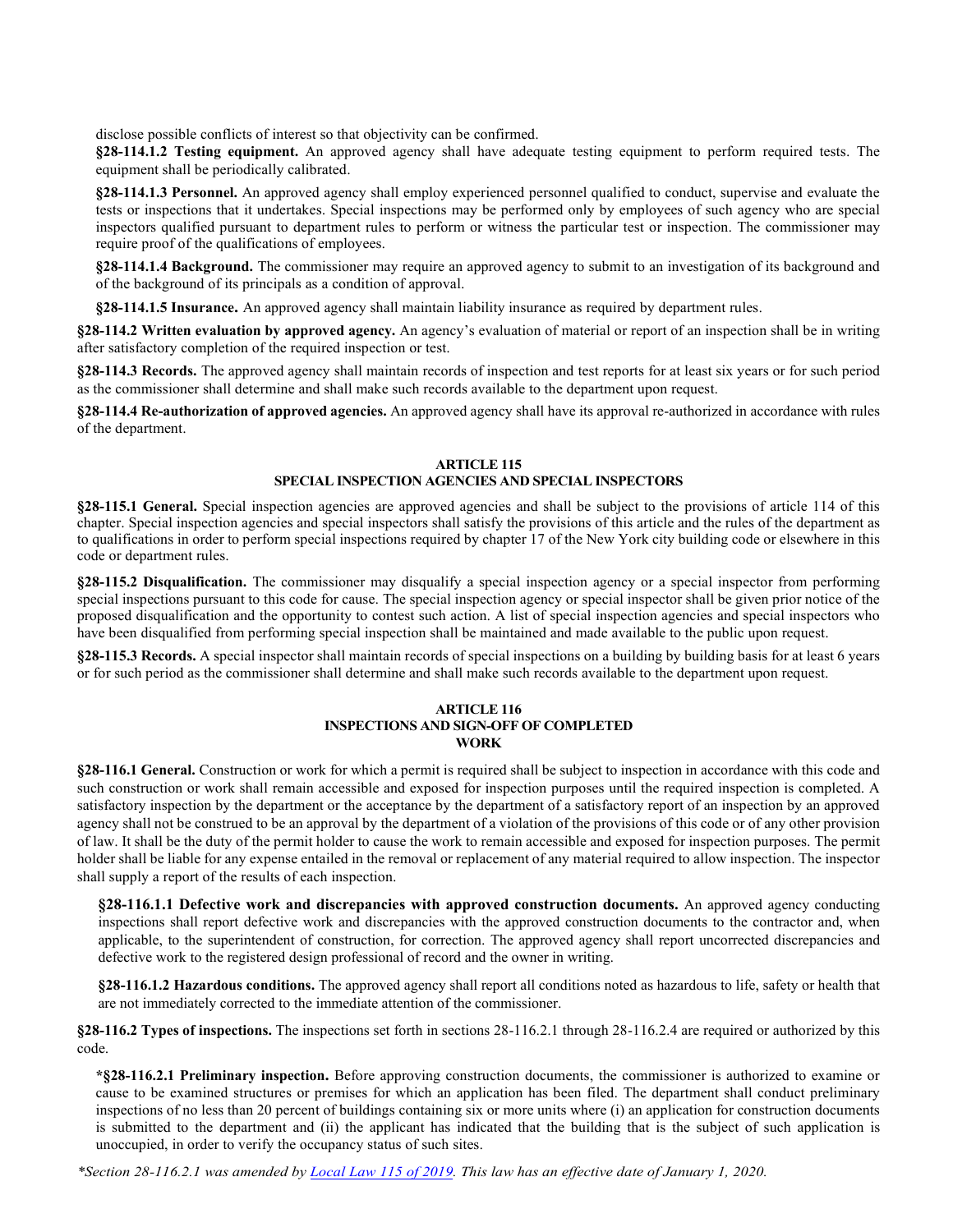disclose possible conflicts of interest so that objectivity can be confirmed.

**§28-114.1.2 Testing equipment.** An approved agency shall have adequate testing equipment to perform required tests. The equipment shall be periodically calibrated.

**§28-114.1.3 Personnel.** An approved agency shall employ experienced personnel qualified to conduct, supervise and evaluate the tests or inspections that it undertakes. Special inspections may be performed only by employees of such agency who are special inspectors qualified pursuant to department rules to perform or witness the particular test or inspection. The commissioner may require proof of the qualifications of employees.

**§28-114.1.4 Background.** The commissioner may require an approved agency to submit to an investigation of its background and of the background of its principals as a condition of approval.

**§28-114.1.5 Insurance.** An approved agency shall maintain liability insurance as required by department rules.

**§28-114.2 Written evaluation by approved agency.** An agency's evaluation of material or report of an inspection shall be in writing after satisfactory completion of the required inspection or test.

**§28-114.3 Records.** The approved agency shall maintain records of inspection and test reports for at least six years or for such period as the commissioner shall determine and shall make such records available to the department upon request.

**§28-114.4 Re-authorization of approved agencies.** An approved agency shall have its approval re-authorized in accordance with rules of the department.

### **ARTICLE 115 SPECIAL INSPECTION AGENCIES AND SPECIAL INSPECTORS**

**§28-115.1 General.** Special inspection agencies are approved agencies and shall be subject to the provisions of article 114 of this chapter. Special inspection agencies and special inspectors shall satisfy the provisions of this article and the rules of the department as to qualifications in order to perform special inspections required by chapter 17 of the New York city building code or elsewhere in this code or department rules.

**§28-115.2 Disqualification.** The commissioner may disqualify a special inspection agency or a special inspector from performing special inspections pursuant to this code for cause. The special inspection agency or special inspector shall be given prior notice of the proposed disqualification and the opportunity to contest such action. A list of special inspection agencies and special inspectors who have been disqualified from performing special inspection shall be maintained and made available to the public upon request.

**§28-115.3 Records.** A special inspector shall maintain records of special inspections on a building by building basis for at least 6 years or for such period as the commissioner shall determine and shall make such records available to the department upon request.

### **ARTICLE 116 INSPECTIONS AND SIGN-OFF OF COMPLETED WORK**

**§28-116.1 General.** Construction or work for which a permit is required shall be subject to inspection in accordance with this code and such construction or work shall remain accessible and exposed for inspection purposes until the required inspection is completed. A satisfactory inspection by the department or the acceptance by the department of a satisfactory report of an inspection by an approved agency shall not be construed to be an approval by the department of a violation of the provisions of this code or of any other provision of law. It shall be the duty of the permit holder to cause the work to remain accessible and exposed for inspection purposes. The permit holder shall be liable for any expense entailed in the removal or replacement of any material required to allow inspection. The inspector shall supply a report of the results of each inspection.

**§28-116.1.1 Defective work and discrepancies with approved construction documents.** An approved agency conducting inspections shall report defective work and discrepancies with the approved construction documents to the contractor and, when applicable, to the superintendent of construction, for correction. The approved agency shall report uncorrected discrepancies and defective work to the registered design professional of record and the owner in writing.

**§28-116.1.2 Hazardous conditions.** The approved agency shall report all conditions noted as hazardous to life, safety or health that are not immediately corrected to the immediate attention of the commissioner.

**§28-116.2 Types of inspections.** The inspections set forth in sections 28-116.2.1 through 28-116.2.4 are required or authorized by this code.

**\*§28-116.2.1 Preliminary inspection.** Before approving construction documents, the commissioner is authorized to examine or cause to be examined structures or premises for which an application has been filed. The department shall conduct preliminary inspections of no less than 20 percent of buildings containing six or more units where (i) an application for construction documents is submitted to the department and (ii) the applicant has indicated that the building that is the subject of such application is unoccupied, in order to verify the occupancy status of such sites.

*\*Section 28-116.2.1 was amended by [Local Law 115 of 2019.](https://www1.nyc.gov/assets/buildings/local_laws/ll115of2019.pdf) This law has an effective date of January 1, 2020.*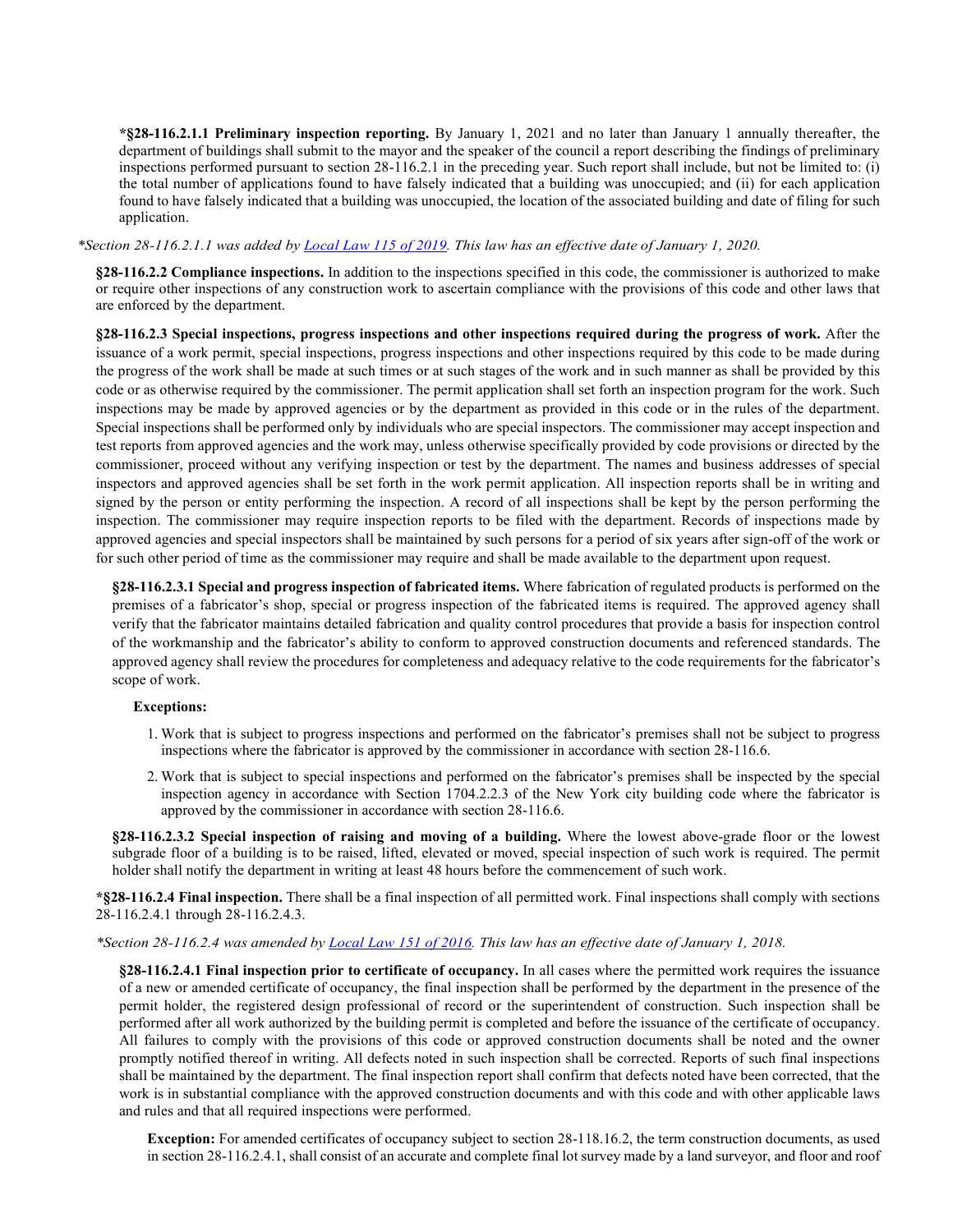**\*§28-116.2.1.1 Preliminary inspection reporting.** By January 1, 2021 and no later than January 1 annually thereafter, the department of buildings shall submit to the mayor and the speaker of the council a report describing the findings of preliminary inspections performed pursuant to section 28-116.2.1 in the preceding year. Such report shall include, but not be limited to: (i) the total number of applications found to have falsely indicated that a building was unoccupied; and (ii) for each application found to have falsely indicated that a building was unoccupied, the location of the associated building and date of filing for such application.

*\*Section 28-116.2.1.1 was added by [Local Law 115 of 2019.](https://www1.nyc.gov/assets/buildings/local_laws/ll115of2019.pdf) This law has an effective date of January 1, 2020.*

**§28-116.2.2 Compliance inspections.** In addition to the inspections specified in this code, the commissioner is authorized to make or require other inspections of any construction work to ascertain compliance with the provisions of this code and other laws that are enforced by the department.

**§28-116.2.3 Special inspections, progress inspections and other inspections required during the progress of work.** After the issuance of a work permit, special inspections, progress inspections and other inspections required by this code to be made during the progress of the work shall be made at such times or at such stages of the work and in such manner as shall be provided by this code or as otherwise required by the commissioner. The permit application shall set forth an inspection program for the work. Such inspections may be made by approved agencies or by the department as provided in this code or in the rules of the department. Special inspections shall be performed only by individuals who are special inspectors. The commissioner may accept inspection and test reports from approved agencies and the work may, unless otherwise specifically provided by code provisions or directed by the commissioner, proceed without any verifying inspection or test by the department. The names and business addresses of special inspectors and approved agencies shall be set forth in the work permit application. All inspection reports shall be in writing and signed by the person or entity performing the inspection. A record of all inspections shall be kept by the person performing the inspection. The commissioner may require inspection reports to be filed with the department. Records of inspections made by approved agencies and special inspectors shall be maintained by such persons for a period of six years after sign-off of the work or for such other period of time as the commissioner may require and shall be made available to the department upon request.

**§28-116.2.3.1 Special and progress inspection of fabricated items.** Where fabrication of regulated products is performed on the premises of a fabricator's shop, special or progress inspection of the fabricated items is required. The approved agency shall verify that the fabricator maintains detailed fabrication and quality control procedures that provide a basis for inspection control of the workmanship and the fabricator's ability to conform to approved construction documents and referenced standards. The approved agency shall review the procedures for completeness and adequacy relative to the code requirements for the fabricator's scope of work.

### **Exceptions:**

- 1. Work that is subject to progress inspections and performed on the fabricator's premises shall not be subject to progress inspections where the fabricator is approved by the commissioner in accordance with section 28-116.6.
- 2. Work that is subject to special inspections and performed on the fabricator's premises shall be inspected by the special inspection agency in accordance with Section 1704.2.2.3 of the New York city building code where the fabricator is approved by the commissioner in accordance with section 28-116.6.

**§28-116.2.3.2 Special inspection of raising and moving of a building.** Where the lowest above-grade floor or the lowest subgrade floor of a building is to be raised, lifted, elevated or moved, special inspection of such work is required. The permit holder shall notify the department in writing at least 48 hours before the commencement of such work.

**\*§28-116.2.4 Final inspection.** There shall be a final inspection of all permitted work. Final inspections shall comply with sections 28-116.2.4.1 through 28-116.2.4.3.

### *\*Section 28-116.2.4 was amended by [Local Law 151 of](http://www1.nyc.gov/assets/buildings/local_laws/ll151of2016.pdf) 2016. This law has an effective date of January 1, 2018.*

**§28-116.2.4.1 Final inspection prior to certificate of occupancy.** In all cases where the permitted work requires the issuance of a new or amended certificate of occupancy, the final inspection shall be performed by the department in the presence of the permit holder, the registered design professional of record or the superintendent of construction. Such inspection shall be performed after all work authorized by the building permit is completed and before the issuance of the certificate of occupancy. All failures to comply with the provisions of this code or approved construction documents shall be noted and the owner promptly notified thereof in writing. All defects noted in such inspection shall be corrected. Reports of such final inspections shall be maintained by the department. The final inspection report shall confirm that defects noted have been corrected, that the work is in substantial compliance with the approved construction documents and with this code and with other applicable laws and rules and that all required inspections were performed.

**Exception:** For amended certificates of occupancy subject to section 28-118.16.2, the term construction documents, as used in section 28-116.2.4.1, shall consist of an accurate and complete final lot survey made by a land surveyor, and floor and roof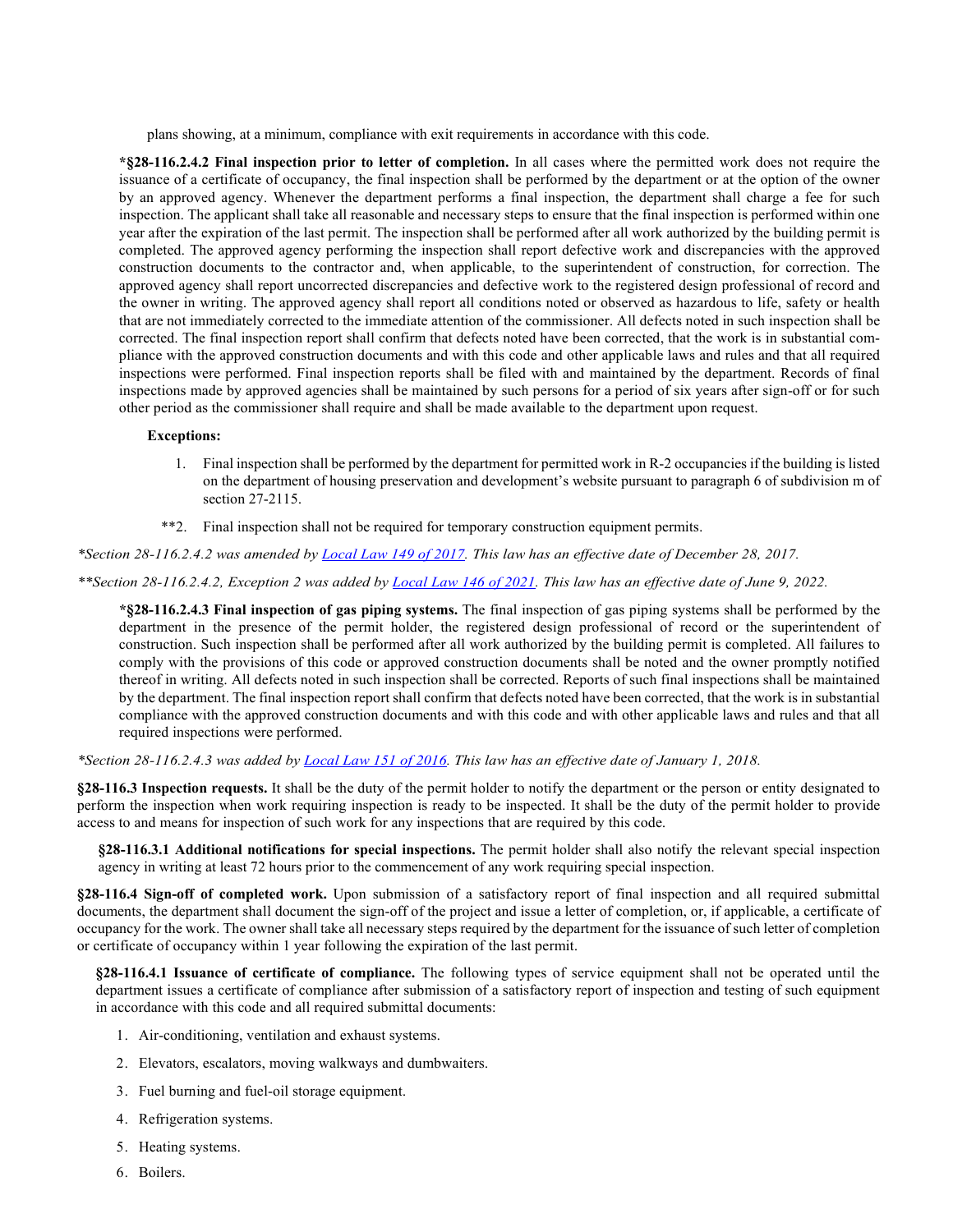plans showing, at a minimum, compliance with exit requirements in accordance with this code.

**\*§28-116.2.4.2 Final inspection prior to letter of completion.** In all cases where the permitted work does not require the issuance of a certificate of occupancy, the final inspection shall be performed by the department or at the option of the owner by an approved agency. Whenever the department performs a final inspection, the department shall charge a fee for such inspection. The applicant shall take all reasonable and necessary steps to ensure that the final inspection is performed within one year after the expiration of the last permit. The inspection shall be performed after all work authorized by the building permit is completed. The approved agency performing the inspection shall report defective work and discrepancies with the approved construction documents to the contractor and, when applicable, to the superintendent of construction, for correction. The approved agency shall report uncorrected discrepancies and defective work to the registered design professional of record and the owner in writing. The approved agency shall report all conditions noted or observed as hazardous to life, safety or health that are not immediately corrected to the immediate attention of the commissioner. All defects noted in such inspection shall be corrected. The final inspection report shall confirm that defects noted have been corrected, that the work is in substantial compliance with the approved construction documents and with this code and other applicable laws and rules and that all required inspections were performed. Final inspection reports shall be filed with and maintained by the department. Records of final inspections made by approved agencies shall be maintained by such persons for a period of six years after sign-off or for such other period as the commissioner shall require and shall be made available to the department upon request.

### **Exceptions:**

- 1. Final inspection shall be performed by the department for permitted work in R-2 occupancies if the building is listed on the department of housing preservation and development's website pursuant to paragraph 6 of subdivision m of section 27-2115.
- \*\*2. Final inspection shall not be required for temporary construction equipment permits.

*\*Section 28-116.2.4.2 was amended by [Local Law 149 of 2017.](http://www1.nyc.gov/assets/buildings/local_laws/ll149of2017.pdf) This law has an effective date of December 28, 2017.* 

*\*\*Section 28-116.2.4.2, Exception 2 was added by [Local Law 146 of 2021.](https://www1.nyc.gov/assets/buildings/local_laws/ll146of2021.pdf) This law has an effective date of June 9, 2022.*

**\*§28-116.2.4.3 Final inspection of gas piping systems.** The final inspection of gas piping systems shall be performed by the department in the presence of the permit holder, the registered design professional of record or the superintendent of construction. Such inspection shall be performed after all work authorized by the building permit is completed. All failures to comply with the provisions of this code or approved construction documents shall be noted and the owner promptly notified thereof in writing. All defects noted in such inspection shall be corrected. Reports of such final inspections shall be maintained by the department. The final inspection report shall confirm that defects noted have been corrected, that the work is in substantial compliance with the approved construction documents and with this code and with other applicable laws and rules and that all required inspections were performed.

*\*Section 28-116.2.4.3 was added by [Local Law 151 of 2016.](http://www1.nyc.gov/assets/buildings/local_laws/ll151of2016.pdf) This law has an effective date of January 1, 2018.*

**§28-116.3 Inspection requests.** It shall be the duty of the permit holder to notify the department or the person or entity designated to perform the inspection when work requiring inspection is ready to be inspected. It shall be the duty of the permit holder to provide access to and means for inspection of such work for any inspections that are required by this code.

**§28-116.3.1 Additional notifications for special inspections.** The permit holder shall also notify the relevant special inspection agency in writing at least 72 hours prior to the commencement of any work requiring special inspection.

**§28-116.4 Sign-off of completed work.** Upon submission of a satisfactory report of final inspection and all required submittal documents, the department shall document the sign-off of the project and issue a letter of completion, or, if applicable, a certificate of occupancy for the work. The owner shall take all necessary steps required by the department for the issuance of such letter of completion or certificate of occupancy within 1 year following the expiration of the last permit.

**§28-116.4.1 Issuance of certificate of compliance.** The following types of service equipment shall not be operated until the department issues a certificate of compliance after submission of a satisfactory report of inspection and testing of such equipment in accordance with this code and all required submittal documents:

- 1. Air-conditioning, ventilation and exhaust systems.
- 2. Elevators, escalators, moving walkways and dumbwaiters.
- 3. Fuel burning and fuel-oil storage equipment.
- 4. Refrigeration systems.
- 5. Heating systems.
- 6. Boilers.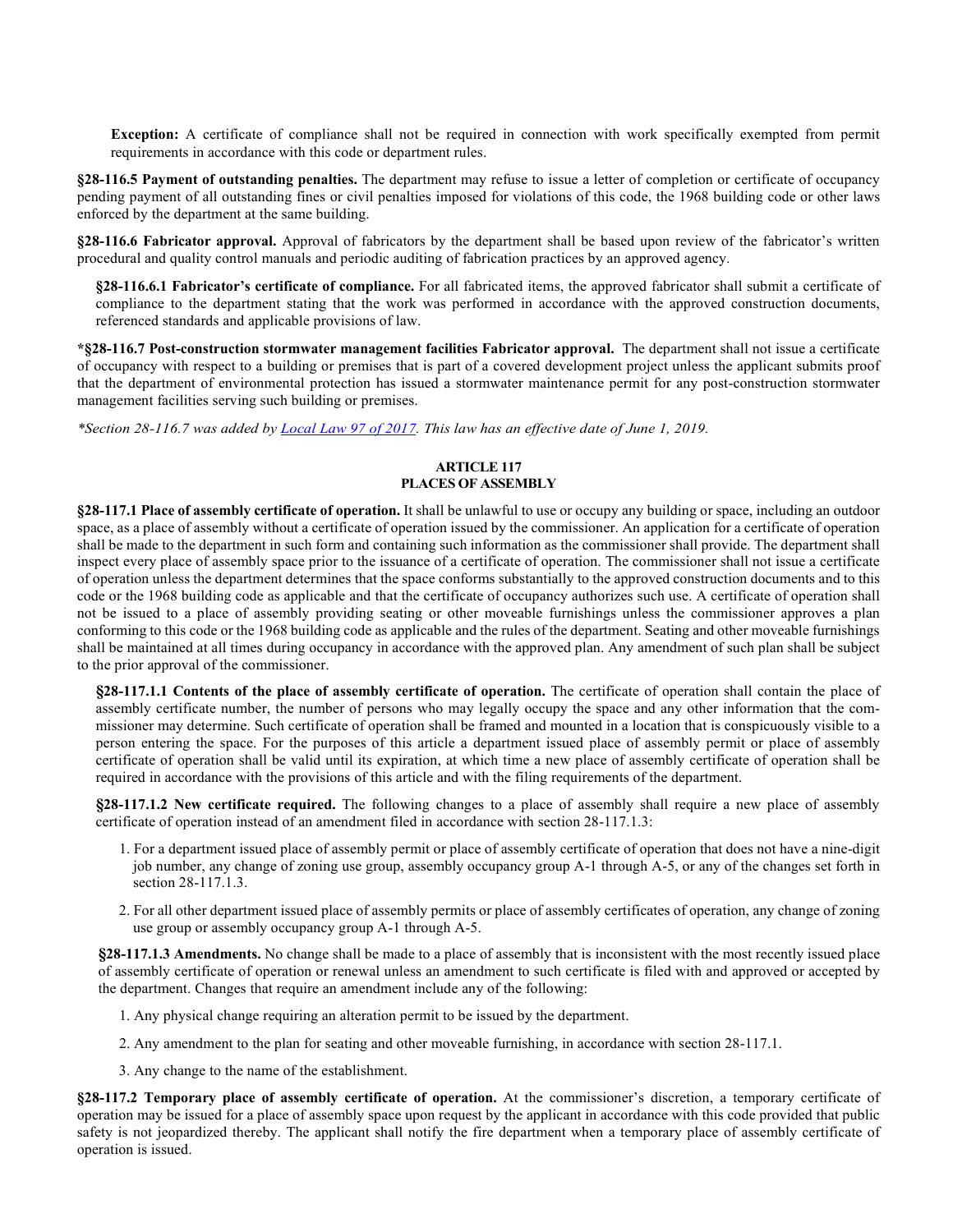**Exception:** A certificate of compliance shall not be required in connection with work specifically exempted from permit requirements in accordance with this code or department rules.

**§28-116.5 Payment of outstanding penalties.** The department may refuse to issue a letter of completion or certificate of occupancy pending payment of all outstanding fines or civil penalties imposed for violations of this code, the 1968 building code or other laws enforced by the department at the same building.

**§28-116.6 Fabricator approval.** Approval of fabricators by the department shall be based upon review of the fabricator's written procedural and quality control manuals and periodic auditing of fabrication practices by an approved agency.

**§28-116.6.1 Fabricator's certificate of compliance.** For all fabricated items, the approved fabricator shall submit a certificate of compliance to the department stating that the work was performed in accordance with the approved construction documents, referenced standards and applicable provisions of law.

**\*§28-116.7 Post-construction stormwater management facilities Fabricator approval.** The department shall not issue a certificate of occupancy with respect to a building or premises that is part of a covered development project unless the applicant submits proof that the department of environmental protection has issued a stormwater maintenance permit for any post-construction stormwater management facilities serving such building or premises.

*\*Section 28-116.7 was added b[y Local Law 97 of 2017.](https://www1.nyc.gov/assets/buildings/local_laws/ll97of2017.pdf) This law has an effective date of June 1, 2019.*

### **ARTICLE 117 PLACES OF ASSEMBLY**

**§28-117.1 Place of assembly certificate of operation.** It shall be unlawful to use or occupy any building or space, including an outdoor space, as a place of assembly without a certificate of operation issued by the commissioner. An application for a certificate of operation shall be made to the department in such form and containing such information as the commissioner shall provide. The department shall inspect every place of assembly space prior to the issuance of a certificate of operation. The commissioner shall not issue a certificate of operation unless the department determines that the space conforms substantially to the approved construction documents and to this code or the 1968 building code as applicable and that the certificate of occupancy authorizes such use. A certificate of operation shall not be issued to a place of assembly providing seating or other moveable furnishings unless the commissioner approves a plan conforming to this code or the 1968 building code as applicable and the rules of the department. Seating and other moveable furnishings shall be maintained at all times during occupancy in accordance with the approved plan. Any amendment of such plan shall be subject to the prior approval of the commissioner.

**§28-117.1.1 Contents of the place of assembly certificate of operation.** The certificate of operation shall contain the place of assembly certificate number, the number of persons who may legally occupy the space and any other information that the commissioner may determine. Such certificate of operation shall be framed and mounted in a location that is conspicuously visible to a person entering the space. For the purposes of this article a department issued place of assembly permit or place of assembly certificate of operation shall be valid until its expiration, at which time a new place of assembly certificate of operation shall be required in accordance with the provisions of this article and with the filing requirements of the department.

**§28-117.1.2 New certificate required.** The following changes to a place of assembly shall require a new place of assembly certificate of operation instead of an amendment filed in accordance with section 28-117.1.3:

- 1. For a department issued place of assembly permit or place of assembly certificate of operation that does not have a nine-digit job number, any change of zoning use group, assembly occupancy group A-1 through A-5, or any of the changes set forth in section 28-117.1.3.
- 2. For all other department issued place of assembly permits or place of assembly certificates of operation, any change of zoning use group or assembly occupancy group A-1 through A-5.

**§28-117.1.3 Amendments.** No change shall be made to a place of assembly that is inconsistent with the most recently issued place of assembly certificate of operation or renewal unless an amendment to such certificate is filed with and approved or accepted by the department. Changes that require an amendment include any of the following:

- 1. Any physical change requiring an alteration permit to be issued by the department.
- 2. Any amendment to the plan for seating and other moveable furnishing, in accordance with section 28-117.1.
- 3. Any change to the name of the establishment.

**§28-117.2 Temporary place of assembly certificate of operation.** At the commissioner's discretion, a temporary certificate of operation may be issued for a place of assembly space upon request by the applicant in accordance with this code provided that public safety is not jeopardized thereby. The applicant shall notify the fire department when a temporary place of assembly certificate of operation is issued.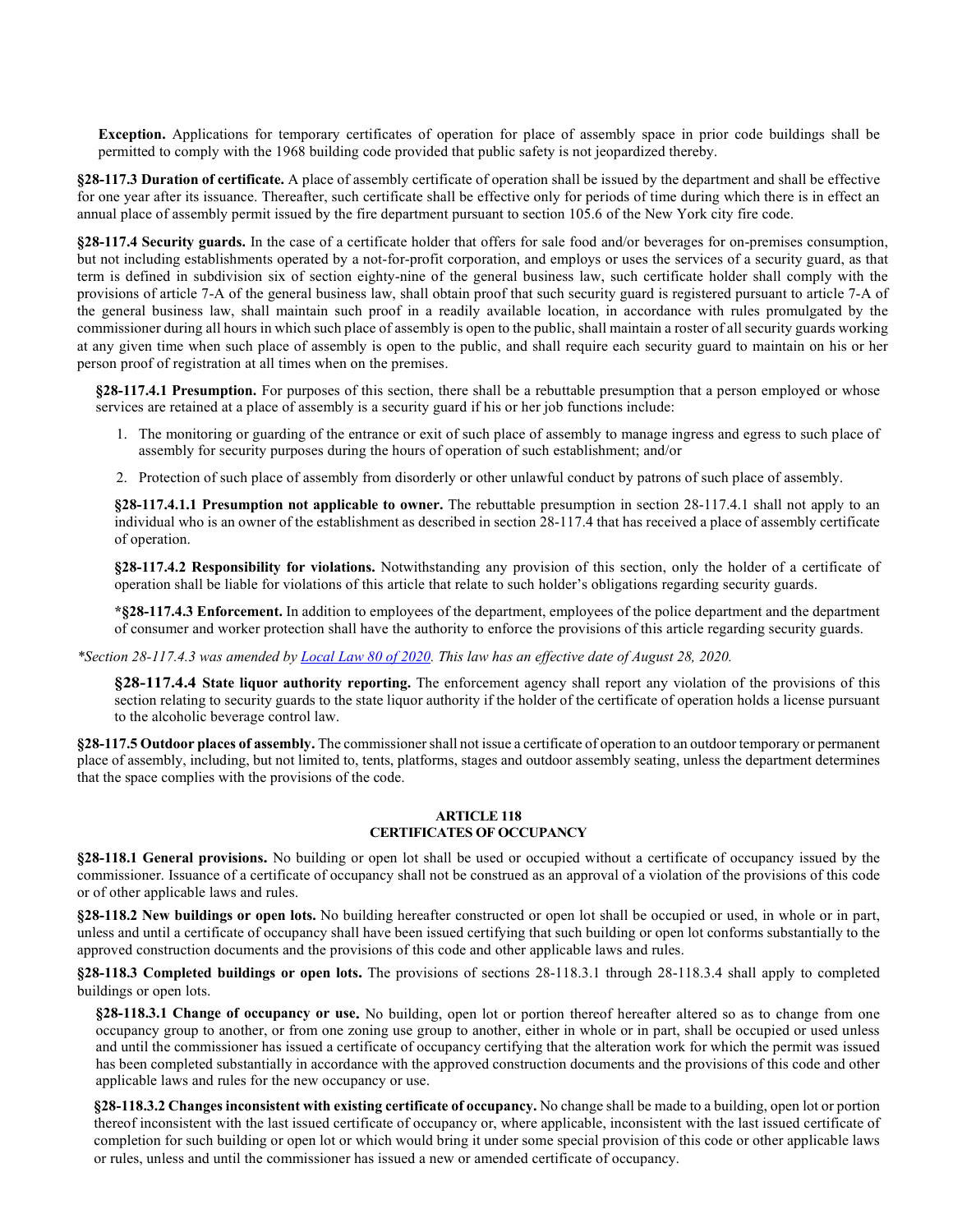**Exception.** Applications for temporary certificates of operation for place of assembly space in prior code buildings shall be permitted to comply with the 1968 building code provided that public safety is not jeopardized thereby.

**§28-117.3 Duration of certificate.** A place of assembly certificate of operation shall be issued by the department and shall be effective for one year after its issuance. Thereafter, such certificate shall be effective only for periods of time during which there is in effect an annual place of assembly permit issued by the fire department pursuant to section 105.6 of the New York city fire code.

**§28-117.4 Security guards.** In the case of a certificate holder that offers for sale food and/or beverages for on-premises consumption, but not including establishments operated by a not-for-profit corporation, and employs or uses the services of a security guard, as that term is defined in subdivision six of section eighty-nine of the general business law, such certificate holder shall comply with the provisions of article 7-A of the general business law, shall obtain proof that such security guard is registered pursuant to article 7-A of the general business law, shall maintain such proof in a readily available location, in accordance with rules promulgated by the commissioner during all hours in which such place of assembly is open to the public, shall maintain a roster of all security guards working at any given time when such place of assembly is open to the public, and shall require each security guard to maintain on his or her person proof of registration at all times when on the premises.

**§28-117.4.1 Presumption.** For purposes of this section, there shall be a rebuttable presumption that a person employed or whose services are retained at a place of assembly is a security guard if his or her job functions include:

- 1. The monitoring or guarding of the entrance or exit of such place of assembly to manage ingress and egress to such place of assembly for security purposes during the hours of operation of such establishment; and/or
- 2. Protection of such place of assembly from disorderly or other unlawful conduct by patrons of such place of assembly.

**§28-117.4.1.1 Presumption not applicable to owner.** The rebuttable presumption in section 28-117.4.1 shall not apply to an individual who is an owner of the establishment as described in section 28-117.4 that has received a place of assembly certificate of operation.

**§28-117.4.2 Responsibility for violations.** Notwithstanding any provision of this section, only the holder of a certificate of operation shall be liable for violations of this article that relate to such holder's obligations regarding security guards.

**\*§28-117.4.3 Enforcement.** In addition to employees of the department, employees of the police department and the department of consumer and worker protection shall have the authority to enforce the provisions of this article regarding security guards.

*\*Section 28-117.4.3 was amended b[y Local Law 80 of 2020.](http://www1.nyc.gov/assets/buildings/local_laws/ll80of2020.pdf) This law has an effective date of August 28, 2020.*

**§28-117.4.4 State liquor authority reporting.** The enforcement agency shall report any violation of the provisions of this section relating to security guards to the state liquor authority if the holder of the certificate of operation holds a license pursuant to the alcoholic beverage control law.

**§28-117.5 Outdoor places of assembly.** The commissioner shall not issue a certificate of operation to an outdoor temporary or permanent place of assembly, including, but not limited to, tents, platforms, stages and outdoor assembly seating, unless the department determines that the space complies with the provisions of the code.

#### **ARTICLE 118 CERTIFICATES OF OCCUPANCY**

**§28-118.1 General provisions.** No building or open lot shall be used or occupied without a certificate of occupancy issued by the commissioner. Issuance of a certificate of occupancy shall not be construed as an approval of a violation of the provisions of this code or of other applicable laws and rules.

**§28-118.2 New buildings or open lots.** No building hereafter constructed or open lot shall be occupied or used, in whole or in part, unless and until a certificate of occupancy shall have been issued certifying that such building or open lot conforms substantially to the approved construction documents and the provisions of this code and other applicable laws and rules.

**§28-118.3 Completed buildings or open lots.** The provisions of sections 28-118.3.1 through 28-118.3.4 shall apply to completed buildings or open lots.

**§28-118.3.1 Change of occupancy or use.** No building, open lot or portion thereof hereafter altered so as to change from one occupancy group to another, or from one zoning use group to another, either in whole or in part, shall be occupied or used unless and until the commissioner has issued a certificate of occupancy certifying that the alteration work for which the permit was issued has been completed substantially in accordance with the approved construction documents and the provisions of this code and other applicable laws and rules for the new occupancy or use.

**§28-118.3.2 Changes inconsistent with existing certificate of occupancy.** No change shall be made to a building, open lot or portion thereof inconsistent with the last issued certificate of occupancy or, where applicable, inconsistent with the last issued certificate of completion for such building or open lot or which would bring it under some special provision of this code or other applicable laws or rules, unless and until the commissioner has issued a new or amended certificate of occupancy.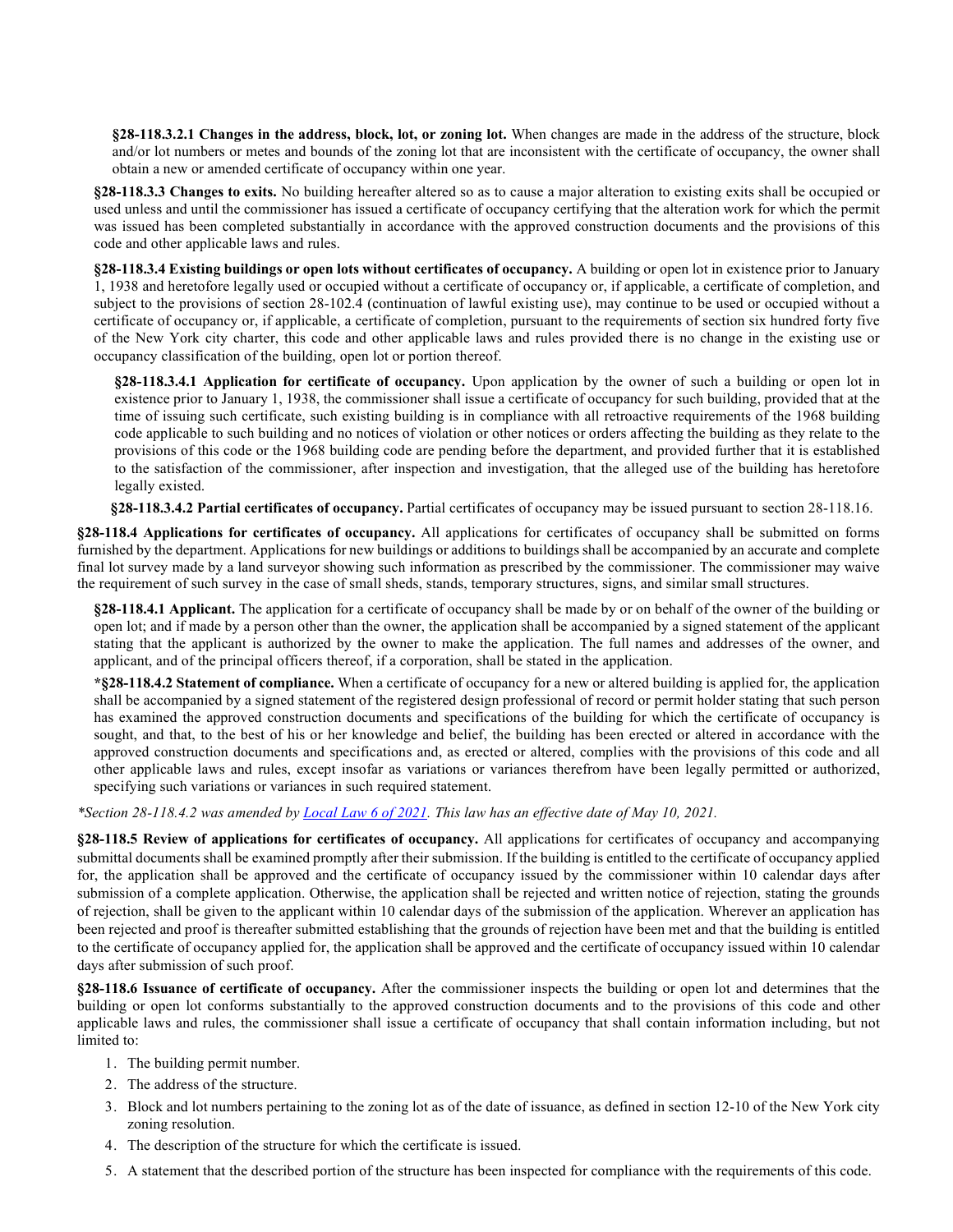**§28-118.3.2.1 Changes in the address, block, lot, or zoning lot.** When changes are made in the address of the structure, block and/or lot numbers or metes and bounds of the zoning lot that are inconsistent with the certificate of occupancy, the owner shall obtain a new or amended certificate of occupancy within one year.

**§28-118.3.3 Changes to exits.** No building hereafter altered so as to cause a major alteration to existing exits shall be occupied or used unless and until the commissioner has issued a certificate of occupancy certifying that the alteration work for which the permit was issued has been completed substantially in accordance with the approved construction documents and the provisions of this code and other applicable laws and rules.

**§28-118.3.4 Existing buildings or open lots without certificates of occupancy.** A building or open lot in existence prior to January 1, 1938 and heretofore legally used or occupied without a certificate of occupancy or, if applicable, a certificate of completion, and subject to the provisions of section 28-102.4 (continuation of lawful existing use), may continue to be used or occupied without a certificate of occupancy or, if applicable, a certificate of completion, pursuant to the requirements of section six hundred forty five of the New York city charter, this code and other applicable laws and rules provided there is no change in the existing use or occupancy classification of the building, open lot or portion thereof.

**§28-118.3.4.1 Application for certificate of occupancy.** Upon application by the owner of such a building or open lot in existence prior to January 1, 1938, the commissioner shall issue a certificate of occupancy for such building, provided that at the time of issuing such certificate, such existing building is in compliance with all retroactive requirements of the 1968 building code applicable to such building and no notices of violation or other notices or orders affecting the building as they relate to the provisions of this code or the 1968 building code are pending before the department, and provided further that it is established to the satisfaction of the commissioner, after inspection and investigation, that the alleged use of the building has heretofore legally existed.

**§28-118.3.4.2 Partial certificates of occupancy.** Partial certificates of occupancy may be issued pursuant to section 28-118.16.

**§28-118.4 Applications for certificates of occupancy.** All applications for certificates of occupancy shall be submitted on forms furnished by the department. Applications for new buildings or additions to buildings shall be accompanied by an accurate and complete final lot survey made by a land surveyor showing such information as prescribed by the commissioner. The commissioner may waive the requirement of such survey in the case of small sheds, stands, temporary structures, signs, and similar small structures.

**§28-118.4.1 Applicant.** The application for a certificate of occupancy shall be made by or on behalf of the owner of the building or open lot; and if made by a person other than the owner, the application shall be accompanied by a signed statement of the applicant stating that the applicant is authorized by the owner to make the application. The full names and addresses of the owner, and applicant, and of the principal officers thereof, if a corporation, shall be stated in the application.

**\*§28-118.4.2 Statement of compliance.** When a certificate of occupancy for a new or altered building is applied for, the application shall be accompanied by a signed statement of the registered design professional of record or permit holder stating that such person has examined the approved construction documents and specifications of the building for which the certificate of occupancy is sought, and that, to the best of his or her knowledge and belief, the building has been erected or altered in accordance with the approved construction documents and specifications and, as erected or altered, complies with the provisions of this code and all other applicable laws and rules, except insofar as variations or variances therefrom have been legally permitted or authorized, specifying such variations or variances in such required statement.

*\*Section 28-118.4.2 was amended by [Local Law 6 of 2021.](https://www1.nyc.gov/assets/buildings/local_laws/ll6of2021.pdf) This law has an effective date of May 10, 2021.*

**§28-118.5 Review of applications for certificates of occupancy.** All applications for certificates of occupancy and accompanying submittal documents shall be examined promptly after their submission. If the building is entitled to the certificate of occupancy applied for, the application shall be approved and the certificate of occupancy issued by the commissioner within 10 calendar days after submission of a complete application. Otherwise, the application shall be rejected and written notice of rejection, stating the grounds of rejection, shall be given to the applicant within 10 calendar days of the submission of the application. Wherever an application has been rejected and proof is thereafter submitted establishing that the grounds of rejection have been met and that the building is entitled to the certificate of occupancy applied for, the application shall be approved and the certificate of occupancy issued within 10 calendar days after submission of such proof.

**§28-118.6 Issuance of certificate of occupancy.** After the commissioner inspects the building or open lot and determines that the building or open lot conforms substantially to the approved construction documents and to the provisions of this code and other applicable laws and rules, the commissioner shall issue a certificate of occupancy that shall contain information including, but not limited to:

- 1. The building permit number.
- 2. The address of the structure.
- 3. Block and lot numbers pertaining to the zoning lot as of the date of issuance, as defined in section 12-10 of the New York city zoning resolution.
- 4. The description of the structure for which the certificate is issued.
- 5. A statement that the described portion of the structure has been inspected for compliance with the requirements of this code.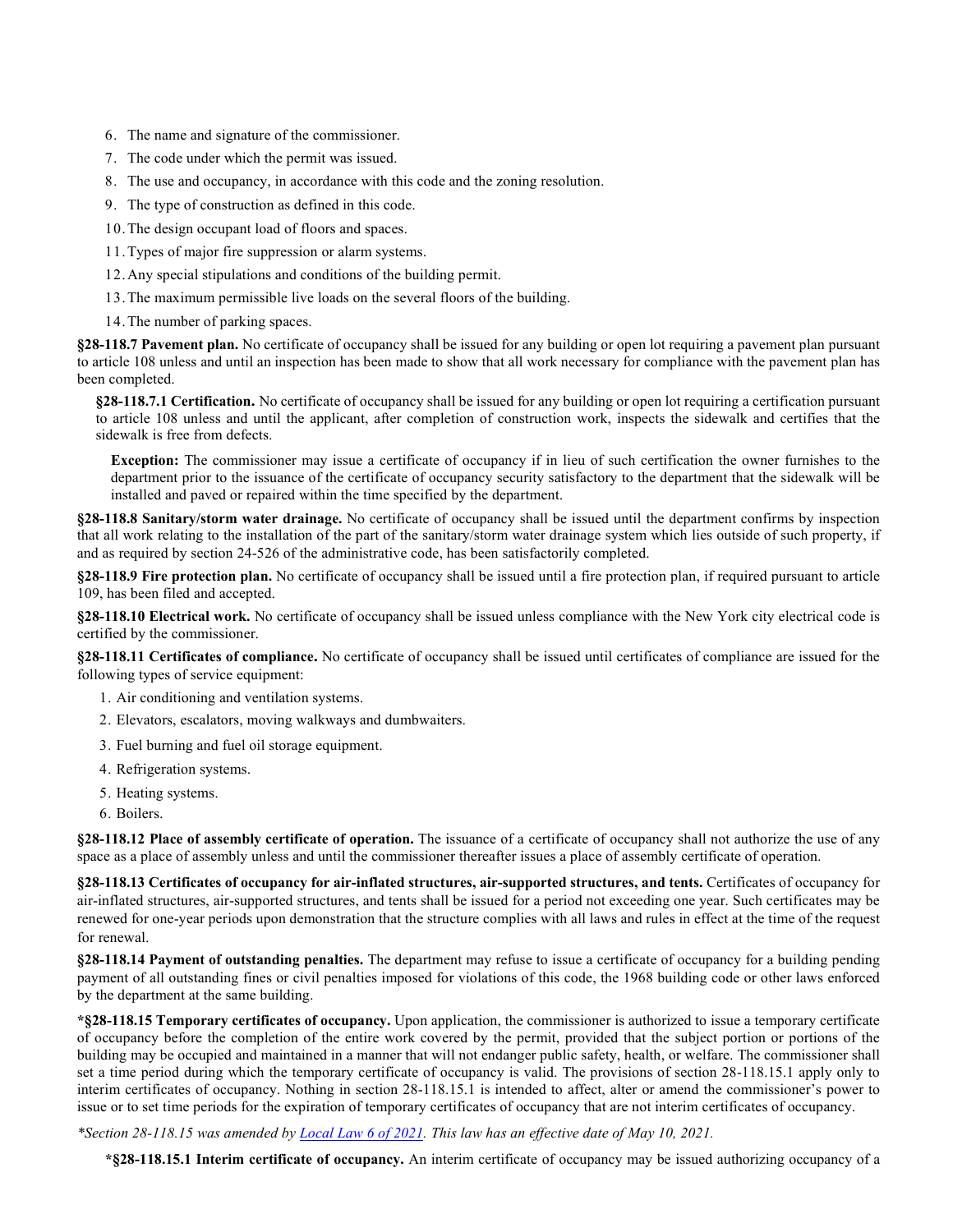- 6. The name and signature of the commissioner.
- 7. The code under which the permit was issued.
- 8. The use and occupancy, in accordance with this code and the zoning resolution.
- 9. The type of construction as defined in this code.
- 10.The design occupant load of floors and spaces.
- 11.Types of major fire suppression or alarm systems.
- 12.Any special stipulations and conditions of the building permit.
- 13.The maximum permissible live loads on the several floors of the building.
- 14.The number of parking spaces.

**§28-118.7 Pavement plan.** No certificate of occupancy shall be issued for any building or open lot requiring a pavement plan pursuant to article 108 unless and until an inspection has been made to show that all work necessary for compliance with the pavement plan has been completed.

**§28-118.7.1 Certification.** No certificate of occupancy shall be issued for any building or open lot requiring a certification pursuant to article 108 unless and until the applicant, after completion of construction work, inspects the sidewalk and certifies that the sidewalk is free from defects.

**Exception:** The commissioner may issue a certificate of occupancy if in lieu of such certification the owner furnishes to the department prior to the issuance of the certificate of occupancy security satisfactory to the department that the sidewalk will be installed and paved or repaired within the time specified by the department.

**§28-118.8 Sanitary/storm water drainage.** No certificate of occupancy shall be issued until the department confirms by inspection that all work relating to the installation of the part of the sanitary/storm water drainage system which lies outside of such property, if and as required by section 24-526 of the administrative code, has been satisfactorily completed.

**§28-118.9 Fire protection plan.** No certificate of occupancy shall be issued until a fire protection plan, if required pursuant to article 109, has been filed and accepted.

**§28-118.10 Electrical work.** No certificate of occupancy shall be issued unless compliance with the New York city electrical code is certified by the commissioner.

**§28-118.11 Certificates of compliance.** No certificate of occupancy shall be issued until certificates of compliance are issued for the following types of service equipment:

- 1. Air conditioning and ventilation systems.
- 2. Elevators, escalators, moving walkways and dumbwaiters.
- 3. Fuel burning and fuel oil storage equipment.
- 4. Refrigeration systems.
- 5. Heating systems.
- 6. Boilers.

**§28-118.12 Place of assembly certificate of operation.** The issuance of a certificate of occupancy shall not authorize the use of any space as a place of assembly unless and until the commissioner thereafter issues a place of assembly certificate of operation.

**§28-118.13 Certificates of occupancy for air-inflated structures, air-supported structures, and tents.** Certificates of occupancy for air-inflated structures, air-supported structures, and tents shall be issued for a period not exceeding one year. Such certificates may be renewed for one-year periods upon demonstration that the structure complies with all laws and rules in effect at the time of the request for renewal.

**§28-118.14 Payment of outstanding penalties.** The department may refuse to issue a certificate of occupancy for a building pending payment of all outstanding fines or civil penalties imposed for violations of this code, the 1968 building code or other laws enforced by the department at the same building.

**\*§28-118.15 Temporary certificates of occupancy.** Upon application, the commissioner is authorized to issue a temporary certificate of occupancy before the completion of the entire work covered by the permit, provided that the subject portion or portions of the building may be occupied and maintained in a manner that will not endanger public safety, health, or welfare. The commissioner shall set a time period during which the temporary certificate of occupancy is valid. The provisions of section 28-118.15.1 apply only to interim certificates of occupancy. Nothing in section 28-118.15.1 is intended to affect, alter or amend the commissioner's power to issue or to set time periods for the expiration of temporary certificates of occupancy that are not interim certificates of occupancy.

*\*Section 28-118.15 was amended b[y Local Law 6 of 2021.](https://www1.nyc.gov/assets/buildings/local_laws/ll6of2021.pdf) This law has an effective date of May 10, 2021.*

**\*§28-118.15.1 Interim certificate of occupancy.** An interim certificate of occupancy may be issued authorizing occupancy of a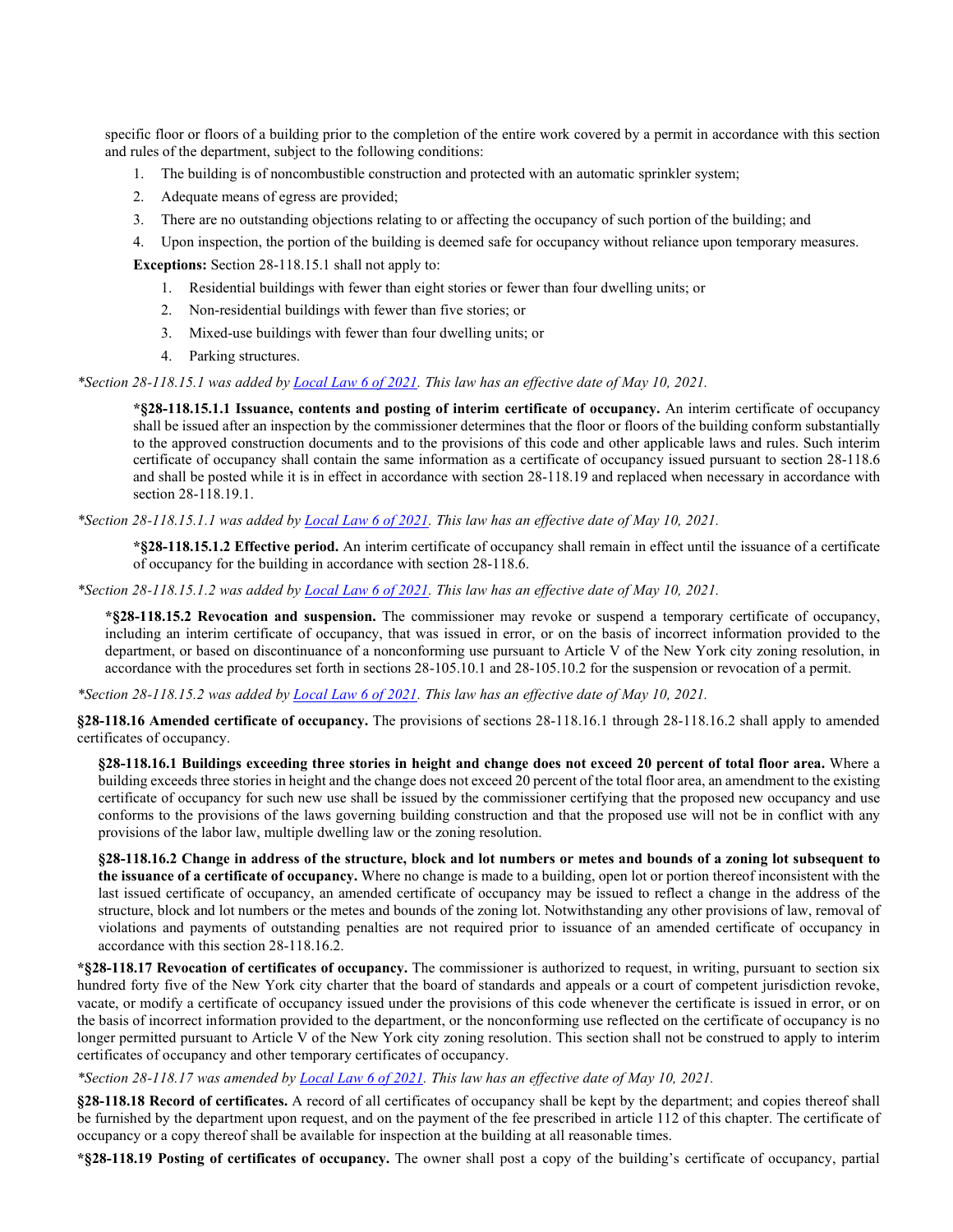specific floor or floors of a building prior to the completion of the entire work covered by a permit in accordance with this section and rules of the department, subject to the following conditions:

- 1. The building is of noncombustible construction and protected with an automatic sprinkler system;
- 2. Adequate means of egress are provided;
- 3. There are no outstanding objections relating to or affecting the occupancy of such portion of the building; and
- 4. Upon inspection, the portion of the building is deemed safe for occupancy without reliance upon temporary measures.

**Exceptions:** Section 28-118.15.1 shall not apply to:

- 1. Residential buildings with fewer than eight stories or fewer than four dwelling units; or
- 2. Non-residential buildings with fewer than five stories; or
- 3. Mixed-use buildings with fewer than four dwelling units; or
- 4. Parking structures.

*\*Section 28-118.15.1 was added b[y Local Law 6 of 2021.](https://www1.nyc.gov/assets/buildings/local_laws/ll6of2021.pdf) This law has an effective date of May 10, 2021.*

**\*§28-118.15.1.1 Issuance, contents and posting of interim certificate of occupancy.** An interim certificate of occupancy shall be issued after an inspection by the commissioner determines that the floor or floors of the building conform substantially to the approved construction documents and to the provisions of this code and other applicable laws and rules. Such interim certificate of occupancy shall contain the same information as a certificate of occupancy issued pursuant to section 28-118.6 and shall be posted while it is in effect in accordance with section 28-118.19 and replaced when necessary in accordance with section 28-118.19.1.

*\*Section 28-118.15.1.1 was added by [Local Law 6 of 2021.](https://www1.nyc.gov/assets/buildings/local_laws/ll6of2021.pdf) This law has an effective date of May 10, 2021.*

**\*§28-118.15.1.2 Effective period.** An interim certificate of occupancy shall remain in effect until the issuance of a certificate of occupancy for the building in accordance with section 28-118.6.

*\*Section 28-118.15.1.2 was added by [Local Law 6 of 2021.](https://www1.nyc.gov/assets/buildings/local_laws/ll6of2021.pdf) This law has an effective date of May 10, 2021.*

**\*§28-118.15.2 Revocation and suspension.** The commissioner may revoke or suspend a temporary certificate of occupancy, including an interim certificate of occupancy, that was issued in error, or on the basis of incorrect information provided to the department, or based on discontinuance of a nonconforming use pursuant to Article V of the New York city zoning resolution, in accordance with the procedures set forth in sections 28-105.10.1 and 28-105.10.2 for the suspension or revocation of a permit.

*\*Section 28-118.15.2 was added b[y Local Law 6 of 2021.](https://www1.nyc.gov/assets/buildings/local_laws/ll6of2021.pdf) This law has an effective date of May 10, 2021.*

**§28-118.16 Amended certificate of occupancy.** The provisions of sections 28-118.16.1 through 28-118.16.2 shall apply to amended certificates of occupancy.

**§28-118.16.1 Buildings exceeding three stories in height and change does not exceed 20 percent of total floor area.** Where a building exceeds three stories in height and the change does not exceed 20 percent of the total floor area, an amendment to the existing certificate of occupancy for such new use shall be issued by the commissioner certifying that the proposed new occupancy and use conforms to the provisions of the laws governing building construction and that the proposed use will not be in conflict with any provisions of the labor law, multiple dwelling law or the zoning resolution.

**§28-118.16.2 Change in address of the structure, block and lot numbers or metes and bounds of a zoning lot subsequent to the issuance of a certificate of occupancy.** Where no change is made to a building, open lot or portion thereof inconsistent with the last issued certificate of occupancy, an amended certificate of occupancy may be issued to reflect a change in the address of the structure, block and lot numbers or the metes and bounds of the zoning lot. Notwithstanding any other provisions of law, removal of violations and payments of outstanding penalties are not required prior to issuance of an amended certificate of occupancy in accordance with this section 28-118.16.2.

**\*§28-118.17 Revocation of certificates of occupancy.** The commissioner is authorized to request, in writing, pursuant to section six hundred forty five of the New York city charter that the board of standards and appeals or a court of competent jurisdiction revoke, vacate, or modify a certificate of occupancy issued under the provisions of this code whenever the certificate is issued in error, or on the basis of incorrect information provided to the department, or the nonconforming use reflected on the certificate of occupancy is no longer permitted pursuant to Article V of the New York city zoning resolution. This section shall not be construed to apply to interim certificates of occupancy and other temporary certificates of occupancy.

*\*Section 28-118.17 was amended b[y Local Law 6 of 2021.](https://www1.nyc.gov/assets/buildings/local_laws/ll6of2021.pdf) This law has an effective date of May 10, 2021.*

**§28-118.18 Record of certificates.** A record of all certificates of occupancy shall be kept by the department; and copies thereof shall be furnished by the department upon request, and on the payment of the fee prescribed in article 112 of this chapter. The certificate of occupancy or a copy thereof shall be available for inspection at the building at all reasonable times.

**\*§28-118.19 Posting of certificates of occupancy.** The owner shall post a copy of the building's certificate of occupancy, partial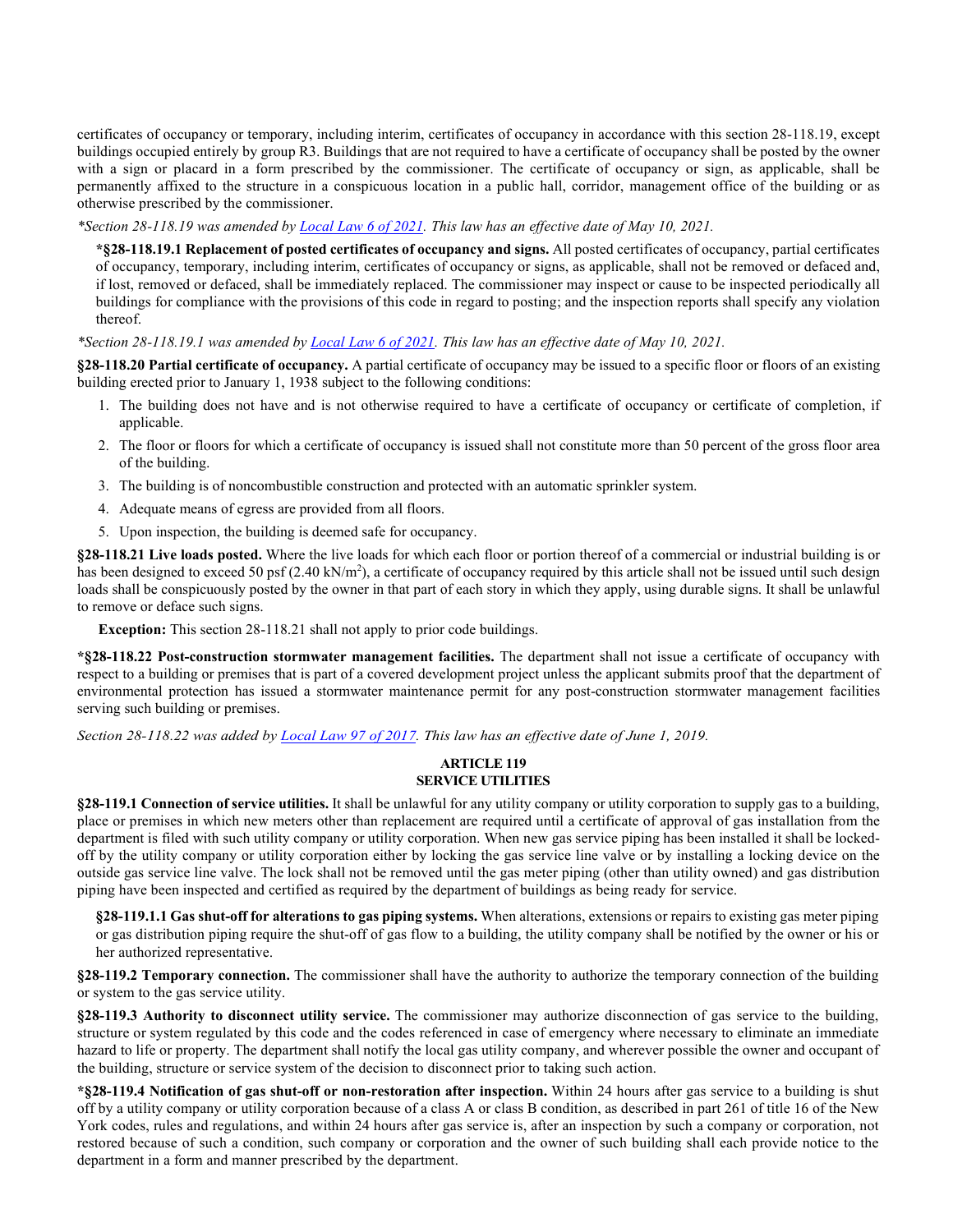certificates of occupancy or temporary, including interim, certificates of occupancy in accordance with this section 28-118.19, except buildings occupied entirely by group R3. Buildings that are not required to have a certificate of occupancy shall be posted by the owner with a sign or placard in a form prescribed by the commissioner. The certificate of occupancy or sign, as applicable, shall be permanently affixed to the structure in a conspicuous location in a public hall, corridor, management office of the building or as otherwise prescribed by the commissioner.

*\*Section 28-118.19 was amended b[y Local Law 6 of 2021.](https://www1.nyc.gov/assets/buildings/local_laws/ll6of2021.pdf) This law has an effective date of May 10, 2021.*

**\*§28-118.19.1 Replacement of posted certificates of occupancy and signs.** All posted certificates of occupancy, partial certificates of occupancy, temporary, including interim, certificates of occupancy or signs, as applicable, shall not be removed or defaced and, if lost, removed or defaced, shall be immediately replaced. The commissioner may inspect or cause to be inspected periodically all buildings for compliance with the provisions of this code in regard to posting; and the inspection reports shall specify any violation thereof.

*\*Section 28-118.19.1 was amended by [Local Law 6 of 2021.](https://www1.nyc.gov/assets/buildings/local_laws/ll6of2021.pdf) This law has an effective date of May 10, 2021.*

**§28-118.20 Partial certificate of occupancy.** A partial certificate of occupancy may be issued to a specific floor or floors of an existing building erected prior to January 1, 1938 subject to the following conditions:

- 1. The building does not have and is not otherwise required to have a certificate of occupancy or certificate of completion, if applicable.
- 2. The floor or floors for which a certificate of occupancy is issued shall not constitute more than 50 percent of the gross floor area of the building.
- 3. The building is of noncombustible construction and protected with an automatic sprinkler system.
- 4. Adequate means of egress are provided from all floors.
- 5. Upon inspection, the building is deemed safe for occupancy.

**§28-118.21 Live loads posted.** Where the live loads for which each floor or portion thereof of a commercial or industrial building is or has been designed to exceed 50 psf (2.40 kN/m<sup>2</sup>), a certificate of occupancy required by this article shall not be issued until such design loads shall be conspicuously posted by the owner in that part of each story in which they apply, using durable signs. It shall be unlawful to remove or deface such signs.

**Exception:** This section 28-118.21 shall not apply to prior code buildings.

**\*§28-118.22 Post-construction stormwater management facilities.** The department shall not issue a certificate of occupancy with respect to a building or premises that is part of a covered development project unless the applicant submits proof that the department of environmental protection has issued a stormwater maintenance permit for any post-construction stormwater management facilities serving such building or premises.

*Section 28-118.22 was added b[y Local Law 97 of 2017.](https://www1.nyc.gov/assets/buildings/local_laws/ll97of2017.pdf) This law has an effective date of June 1, 2019.*

### **ARTICLE 119 SERVICE UTILITIES**

**§28-119.1 Connection of service utilities.** It shall be unlawful for any utility company or utility corporation to supply gas to a building, place or premises in which new meters other than replacement are required until a certificate of approval of gas installation from the department is filed with such utility company or utility corporation. When new gas service piping has been installed it shall be lockedoff by the utility company or utility corporation either by locking the gas service line valve or by installing a locking device on the outside gas service line valve. The lock shall not be removed until the gas meter piping (other than utility owned) and gas distribution piping have been inspected and certified as required by the department of buildings as being ready for service.

**§28-119.1.1 Gas shut-off for alterations to gas piping systems.** When alterations, extensions or repairs to existing gas meter piping or gas distribution piping require the shut-off of gas flow to a building, the utility company shall be notified by the owner or his or her authorized representative.

**§28-119.2 Temporary connection.** The commissioner shall have the authority to authorize the temporary connection of the building or system to the gas service utility.

**§28-119.3 Authority to disconnect utility service.** The commissioner may authorize disconnection of gas service to the building, structure or system regulated by this code and the codes referenced in case of emergency where necessary to eliminate an immediate hazard to life or property. The department shall notify the local gas utility company, and wherever possible the owner and occupant of the building, structure or service system of the decision to disconnect prior to taking such action.

**\*§28-119.4 Notification of gas shut-off or non-restoration after inspection.** Within 24 hours after gas service to a building is shut off by a utility company or utility corporation because of a class A or class B condition, as described in part 261 of title 16 of the New York codes, rules and regulations, and within 24 hours after gas service is, after an inspection by such a company or corporation, not restored because of such a condition, such company or corporation and the owner of such building shall each provide notice to the department in a form and manner prescribed by the department.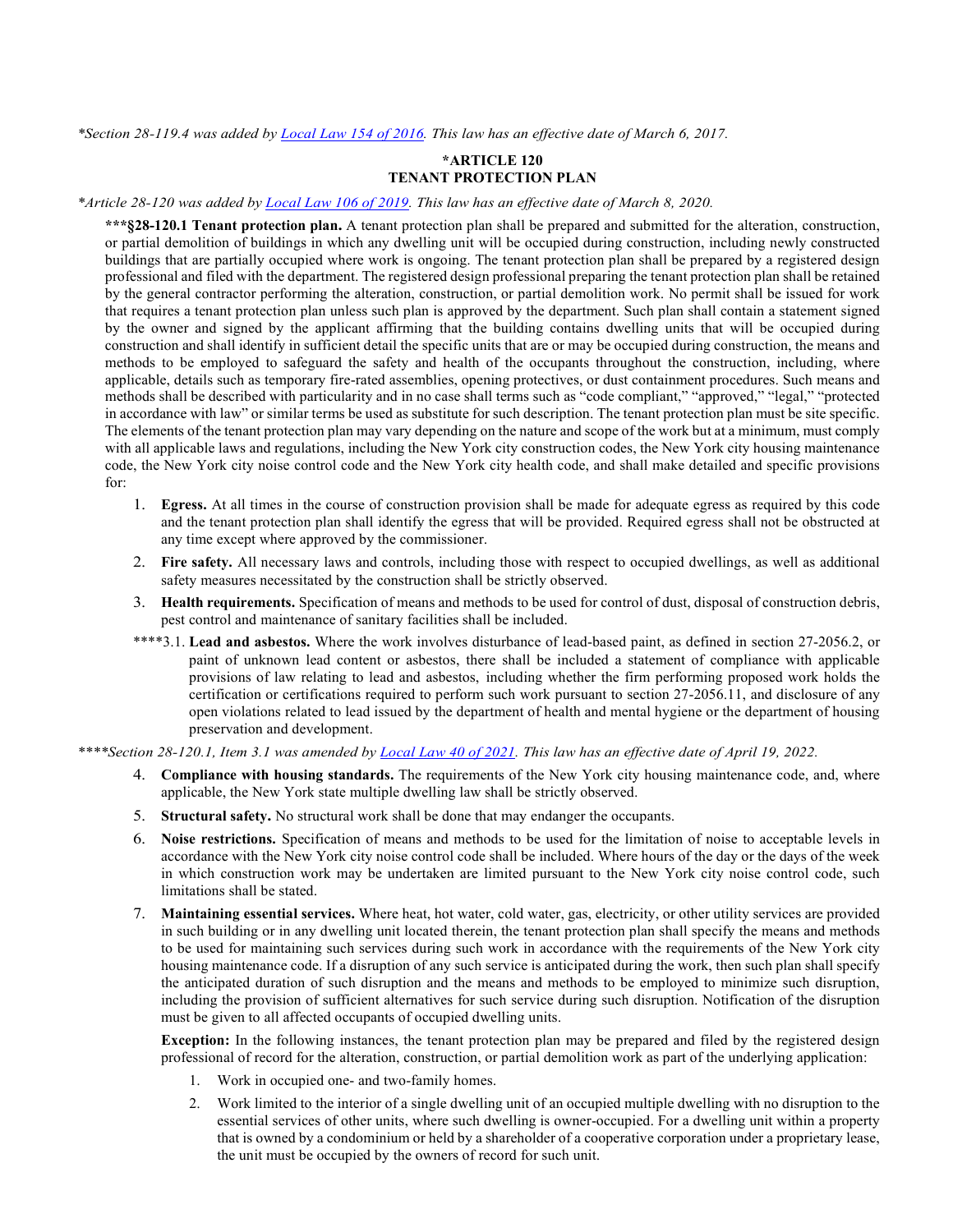*\*Section 28-119.4 was added b[y Local Law 154 of 2016.](http://www1.nyc.gov/assets/buildings/local_laws/ll154of2016.pdf) This law has an effective date of March 6, 2017.* 

### **\*ARTICLE 120 TENANT PROTECTION PLAN**

*\*Article 28-120 was added by [Local Law 106 of 2019.](https://www1.nyc.gov/assets/buildings/local_laws/ll106of2019.pdf) This law has an effective date of March 8, 2020.* 

**\*\*\*§28-120.1 Tenant protection plan.** A tenant protection plan shall be prepared and submitted for the alteration, construction, or partial demolition of buildings in which any dwelling unit will be occupied during construction, including newly constructed buildings that are partially occupied where work is ongoing. The tenant protection plan shall be prepared by a registered design professional and filed with the department. The registered design professional preparing the tenant protection plan shall be retained by the general contractor performing the alteration, construction, or partial demolition work. No permit shall be issued for work that requires a tenant protection plan unless such plan is approved by the department. Such plan shall contain a statement signed by the owner and signed by the applicant affirming that the building contains dwelling units that will be occupied during construction and shall identify in sufficient detail the specific units that are or may be occupied during construction, the means and methods to be employed to safeguard the safety and health of the occupants throughout the construction, including, where applicable, details such as temporary fire-rated assemblies, opening protectives, or dust containment procedures. Such means and methods shall be described with particularity and in no case shall terms such as "code compliant," "approved," "legal," "protected in accordance with law" or similar terms be used as substitute for such description. The tenant protection plan must be site specific. The elements of the tenant protection plan may vary depending on the nature and scope of the work but at a minimum, must comply with all applicable laws and regulations, including the New York city construction codes, the New York city housing maintenance code, the New York city noise control code and the New York city health code, and shall make detailed and specific provisions for:

- 1. **Egress.** At all times in the course of construction provision shall be made for adequate egress as required by this code and the tenant protection plan shall identify the egress that will be provided. Required egress shall not be obstructed at any time except where approved by the commissioner.
- 2. **Fire safety.** All necessary laws and controls, including those with respect to occupied dwellings, as well as additional safety measures necessitated by the construction shall be strictly observed.
- 3. **Health requirements.** Specification of means and methods to be used for control of dust, disposal of construction debris, pest control and maintenance of sanitary facilities shall be included.
- \*\*\*\*3.1. **Lead and asbestos.** Where the work involves disturbance of lead-based paint, as defined in section 27-2056.2, or paint of unknown lead content or asbestos, there shall be included a statement of compliance with applicable provisions of law relating to lead and asbestos, including whether the firm performing proposed work holds the certification or certifications required to perform such work pursuant to section 27-2056.11, and disclosure of any open violations related to lead issued by the department of health and mental hygiene or the department of housing preservation and development.

*\*\*\*\*Section 28-120.1, Item 3.1 was amended by [Local Law 40 of 2021.](https://www1.nyc.gov/assets/buildings/local_laws/ll40of2021.pdf) This law has an effective date of April 19, 2022.* 

- 4. **Compliance with housing standards.** The requirements of the New York city housing maintenance code, and, where applicable, the New York state multiple dwelling law shall be strictly observed.
- 5. **Structural safety.** No structural work shall be done that may endanger the occupants.
- 6. **Noise restrictions.** Specification of means and methods to be used for the limitation of noise to acceptable levels in accordance with the New York city noise control code shall be included. Where hours of the day or the days of the week in which construction work may be undertaken are limited pursuant to the New York city noise control code, such limitations shall be stated.
- 7. **Maintaining essential services.** Where heat, hot water, cold water, gas, electricity, or other utility services are provided in such building or in any dwelling unit located therein, the tenant protection plan shall specify the means and methods to be used for maintaining such services during such work in accordance with the requirements of the New York city housing maintenance code. If a disruption of any such service is anticipated during the work, then such plan shall specify the anticipated duration of such disruption and the means and methods to be employed to minimize such disruption, including the provision of sufficient alternatives for such service during such disruption. Notification of the disruption must be given to all affected occupants of occupied dwelling units.

**Exception:** In the following instances, the tenant protection plan may be prepared and filed by the registered design professional of record for the alteration, construction, or partial demolition work as part of the underlying application:

- 1. Work in occupied one- and two-family homes.
- 2. Work limited to the interior of a single dwelling unit of an occupied multiple dwelling with no disruption to the essential services of other units, where such dwelling is owner-occupied. For a dwelling unit within a property that is owned by a condominium or held by a shareholder of a cooperative corporation under a proprietary lease, the unit must be occupied by the owners of record for such unit.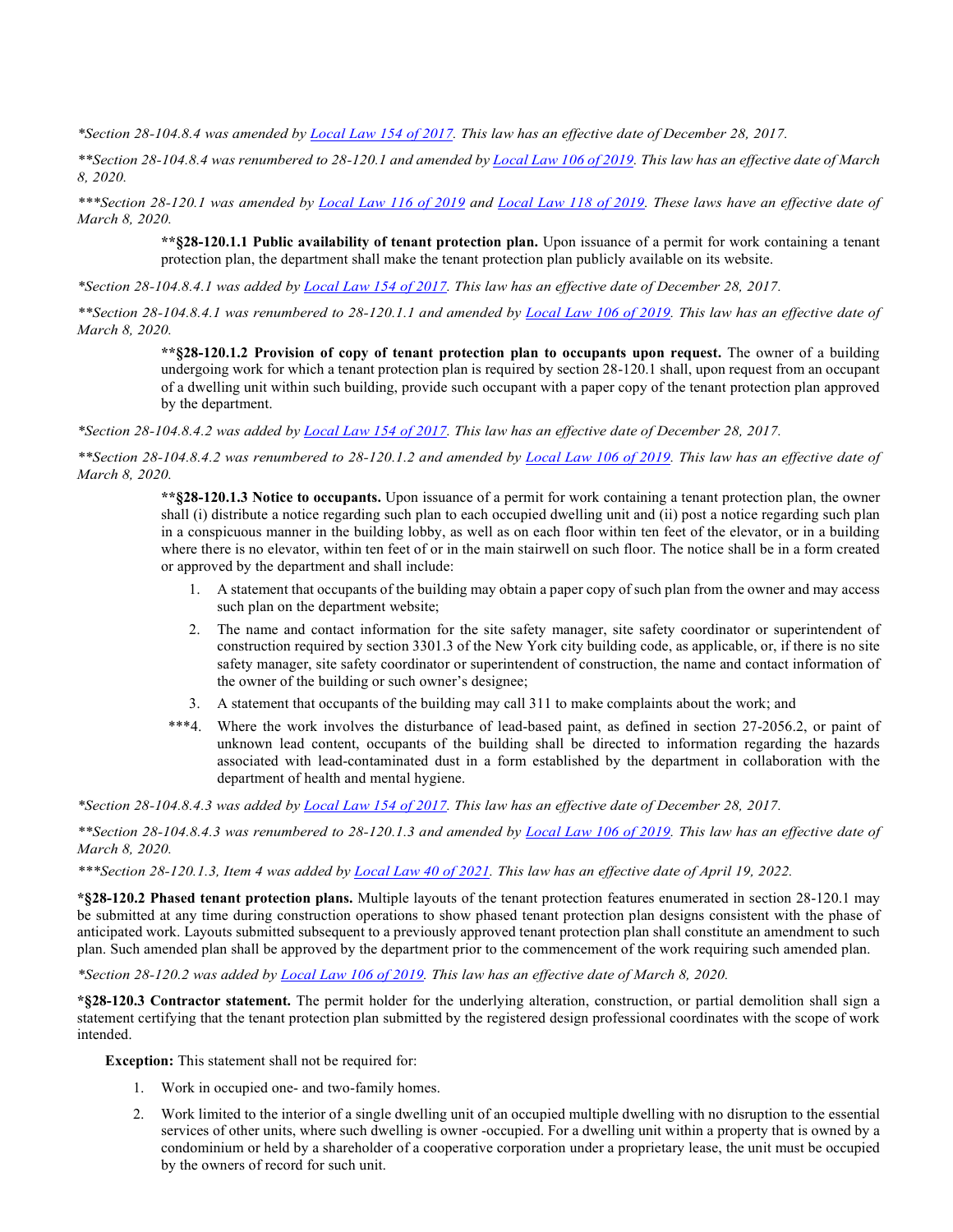*\*Section 28-104.8.4 was amended by [Local Law 154 of 2017.](http://www1.nyc.gov/assets/buildings/local_laws/ll154of2017.pdf) This law has an effective date of December 28, 2017.*

*\*\*Section 28-104.8.4 was renumbered to 28-120.1 and amended by [Local Law 106 of 2019.](https://www1.nyc.gov/assets/buildings/local_laws/ll106of2019.pdf) This law has an effective date of March 8, 2020.* 

*\*\*\*Section 28-120.1 was amended by [Local Law 116 of 2019](https://www1.nyc.gov/assets/buildings/local_laws/ll116of2019.pdf) and [Local Law 118 of 2019.](https://www1.nyc.gov/assets/buildings/local_laws/ll118of2019.pdf) These laws have an effective date of March 8, 2020.* 

**\*\*§28-120.1.1 Public availability of tenant protection plan.** Upon issuance of a permit for work containing a tenant protection plan, the department shall make the tenant protection plan publicly available on its website.

*\*Section 28-104.8.4.1 was added by [Local Law 154 of 2017.](http://www1.nyc.gov/assets/buildings/local_laws/ll154of2017.pdf) This law has an effective date of December 28, 2017.*

*\*\*Section 28-104.8.4.1 was renumbered to 28-120.1.1 and amended b[y Local Law 106 of 2019.](https://www1.nyc.gov/assets/buildings/local_laws/ll106of2019.pdf) This law has an effective date of March 8, 2020.* 

> **\*\*§28-120.1.2 Provision of copy of tenant protection plan to occupants upon request.** The owner of a building undergoing work for which a tenant protection plan is required by section 28-120.1 shall, upon request from an occupant of a dwelling unit within such building, provide such occupant with a paper copy of the tenant protection plan approved by the department.

*\*Section 28-104.8.4.2 was added by [Local Law 154 of 2017.](http://www1.nyc.gov/assets/buildings/local_laws/ll154of2017.pdf) This law has an effective date of December 28, 2017.*

*\*\*Section 28-104.8.4.2 was renumbered to 28-120.1.2 and amended by [Local Law 106 of 2019.](https://www1.nyc.gov/assets/buildings/local_laws/ll106of2019.pdf) This law has an effective date of March 8, 2020.* 

> **\*\*§28-120.1.3 Notice to occupants.** Upon issuance of a permit for work containing a tenant protection plan, the owner shall (i) distribute a notice regarding such plan to each occupied dwelling unit and (ii) post a notice regarding such plan in a conspicuous manner in the building lobby, as well as on each floor within ten feet of the elevator, or in a building where there is no elevator, within ten feet of or in the main stairwell on such floor. The notice shall be in a form created or approved by the department and shall include:

- 1. A statement that occupants of the building may obtain a paper copy of such plan from the owner and may access such plan on the department website;
- 2. The name and contact information for the site safety manager, site safety coordinator or superintendent of construction required by section 3301.3 of the New York city building code, as applicable, or, if there is no site safety manager, site safety coordinator or superintendent of construction, the name and contact information of the owner of the building or such owner's designee;
- 3. A statement that occupants of the building may call 311 to make complaints about the work; and
- \*\*\*4. Where the work involves the disturbance of lead-based paint, as defined in section 27-2056.2, or paint of unknown lead content, occupants of the building shall be directed to information regarding the hazards associated with lead-contaminated dust in a form established by the department in collaboration with the department of health and mental hygiene.

*\*Section 28-104.8.4.3 was added by [Local Law 154 of 2017.](http://www1.nyc.gov/assets/buildings/local_laws/ll154of2017.pdf) This law has an effective date of December 28, 2017.*

*\*\*Section 28-104.8.4.3 was renumbered to 28-120.1.3 and amended by [Local Law 106 of 2019.](https://www1.nyc.gov/assets/buildings/local_laws/ll106of2019.pdf) This law has an effective date of March 8, 2020.* 

*\*\*\*Section 28-120.1.3, Item 4 was added b[y Local Law 40 of 2021.](https://www1.nyc.gov/assets/buildings/local_laws/ll40of2021.pdf) This law has an effective date of April 19, 2022.* 

**\*§28-120.2 Phased tenant protection plans.** Multiple layouts of the tenant protection features enumerated in section 28-120.1 may be submitted at any time during construction operations to show phased tenant protection plan designs consistent with the phase of anticipated work. Layouts submitted subsequent to a previously approved tenant protection plan shall constitute an amendment to such plan. Such amended plan shall be approved by the department prior to the commencement of the work requiring such amended plan.

*\*Section 28-120.2 was added b[y Local Law 106 of 2019.](https://www1.nyc.gov/assets/buildings/local_laws/ll106of2019.pdf) This law has an effective date of March 8, 2020.* 

**\*§28-120.3 Contractor statement.** The permit holder for the underlying alteration, construction, or partial demolition shall sign a statement certifying that the tenant protection plan submitted by the registered design professional coordinates with the scope of work intended.

**Exception:** This statement shall not be required for:

- 1. Work in occupied one- and two-family homes.
- 2. Work limited to the interior of a single dwelling unit of an occupied multiple dwelling with no disruption to the essential services of other units, where such dwelling is owner -occupied. For a dwelling unit within a property that is owned by a condominium or held by a shareholder of a cooperative corporation under a proprietary lease, the unit must be occupied by the owners of record for such unit.